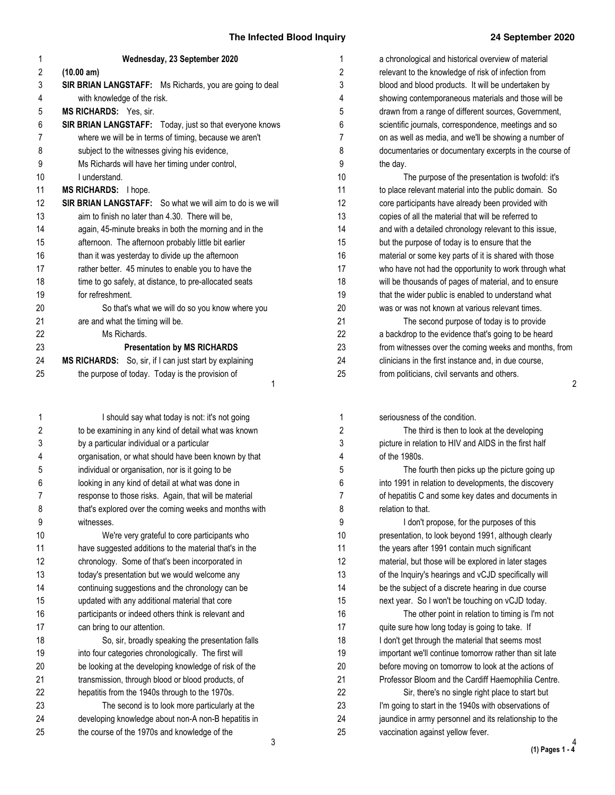| 1  | Wednesday, 23 September 2020                                     |
|----|------------------------------------------------------------------|
| 2  | (10.00 am)                                                       |
| 3  | <b>SIR BRIAN LANGSTAFF:</b> Ms Richards, you are going to deal   |
| 4  | with knowledge of the risk.                                      |
| 5  | <b>MS RICHARDS:</b> Yes, sir.                                    |
| 6  | <b>SIR BRIAN LANGSTAFF:</b> Today, just so that everyone knows   |
| 7  | where we will be in terms of timing, because we aren't           |
| 8  | subject to the witnesses giving his evidence,                    |
| 9  | Ms Richards will have her timing under control,                  |
| 10 | Lunderstand.                                                     |
| 11 | <b>MS RICHARDS:</b> I hope.                                      |
| 12 | <b>SIR BRIAN LANGSTAFF:</b> So what we will aim to do is we will |
| 13 | aim to finish no later than 4.30. There will be,                 |
| 14 | again, 45-minute breaks in both the morning and in the           |
| 15 | afternoon. The afternoon probably little bit earlier             |
| 16 | than it was yesterday to divide up the afternoon                 |
| 17 | rather better. 45 minutes to enable you to have the              |
| 18 | time to go safely, at distance, to pre-allocated seats           |
| 19 | for refreshment.                                                 |
| 20 | So that's what we will do so you know where you                  |
| 21 | are and what the timing will be.                                 |
| 22 | Ms Richards.                                                     |
| 23 | <b>Presentation by MS RICHARDS</b>                               |
| 24 | MS RICHARDS: So, sir, if I can just start by explaining          |
| 25 | the purpose of today. Today is the provision of                  |
|    | 1                                                                |
|    |                                                                  |

I should say what today is not: it's not going to be examining in any kind of detail what was known by a particular individual or a particular organisation, or what should have been known by that individual or organisation, nor is it going to be looking in any kind of detail at what was done in response to those risks. Again, that will be material that's explored over the coming weeks and months with witnesses. We're very grateful to core participants who have suggested additions to the material that's in the chronology. Some of that's been incorporated in today's presentation but we would welcome any continuing suggestions and the chronology can be updated with any additional material that core participants or indeed others think is relevant and can bring to our attention. So, sir, broadly speaking the presentation falls into four categories chronologically. The first will be looking at the developing knowledge of risk of the transmission, through blood or blood products, of hepatitis from the 1940s through to the 1970s. The second is to look more particularly at the developing knowledge about non-A non-B hepatitis in the course of the 1970s and knowledge of the 1 2 3 4 5 6 7 8 9 10 11 12 13 14 15 16 17 18 19 20 21 22 23 24 25

2 a chronological and historical overview of material relevant to the knowledge of risk of infection from blood and blood products. It will be undertaken by showing contemporaneous materials and those will be drawn from a range of different sources, Government, scientific journals, correspondence, meetings and so on as well as media, and we'll be showing a number of documentaries or documentary excerpts in the course of the day. The purpose of the presentation is twofold: it's to place relevant material into the public domain. So core participants have already been provided with copies of all the material that will be referred to and with a detailed chronology relevant to this issue, but the purpose of today is to ensure that the material or some key parts of it is shared with those who have not had the opportunity to work through what will be thousands of pages of material, and to ensure that the wider public is enabled to understand what was or was not known at various relevant times. The second purpose of today is to provide a backdrop to the evidence that's going to be heard from witnesses over the coming weeks and months, from clinicians in the first instance and, in due course, from politicians, civil servants and others. 10 11 12 13 14 15 16 17 18 19 20 21 22 23 24 25

seriousness of the condition. The third is then to look at the developing picture in relation to HIV and AIDS in the first half of the 1980s. The fourth then picks up the picture going up into 1991 in relation to developments, the discovery of hepatitis C and some key dates and documents in relation to that. I don't propose, for the purposes of this presentation, to look beyond 1991, although clearly the years after 1991 contain much significant material, but those will be explored in later stages of the Inquiry's hearings and vCJD specifically will be the subject of a discrete hearing in due course next year. So I won't be touching on vCJD today. The other point in relation to timing is I'm not quite sure how long today is going to take. If I don't get through the material that seems most important we'll continue tomorrow rather than sit late before moving on tomorrow to look at the actions of Professor Bloom and the Cardiff Haemophilia Centre. Sir, there's no single right place to start but I'm going to start in the 1940s with observations of jaundice in army personnel and its relationship to the

vaccination against yellow fever.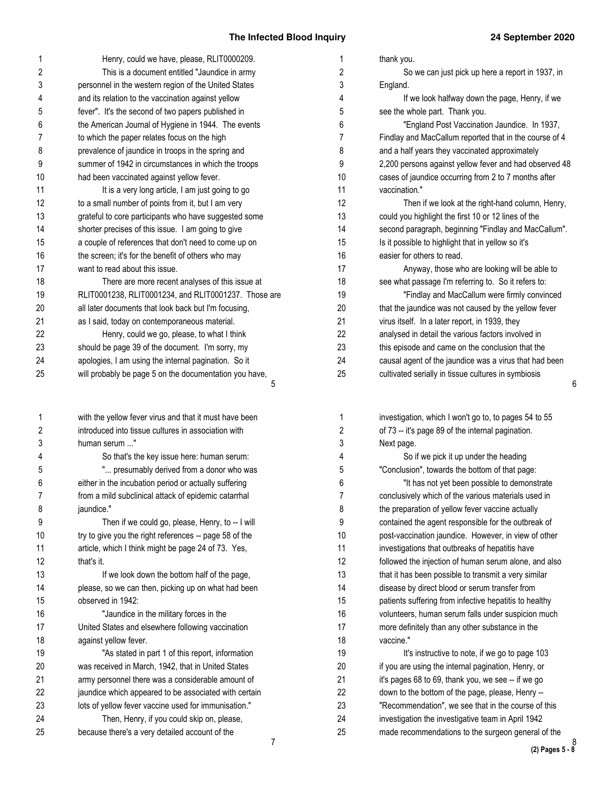| 1                       | Henry, could we have, please, RLIT0000209.                                                   | 1              | thank you.                                                                                               |
|-------------------------|----------------------------------------------------------------------------------------------|----------------|----------------------------------------------------------------------------------------------------------|
| 2                       | This is a document entitled "Jaundice in army                                                | 2              | So we can just pick up here a report in 1937, in                                                         |
| 3                       | personnel in the western region of the United States                                         | 3              | England.                                                                                                 |
| 4                       | and its relation to the vaccination against yellow                                           | 4              | If we look halfway down the page, Henry, if we                                                           |
| 5                       | fever". It's the second of two papers published in                                           | 5              | see the whole part. Thank you.                                                                           |
| 6                       | the American Journal of Hygiene in 1944. The events                                          | 6              | "England Post Vaccination Jaundice. In 1937,                                                             |
| 7                       | to which the paper relates focus on the high                                                 | $\overline{7}$ | Findlay and MacCallum reported that in the course of 4                                                   |
| 8                       | prevalence of jaundice in troops in the spring and                                           | 8              | and a half years they vaccinated approximately                                                           |
| 9                       | summer of 1942 in circumstances in which the troops                                          | 9              | 2,200 persons against yellow fever and had observed 48                                                   |
| 10                      | had been vaccinated against yellow fever.                                                    | 10             | cases of jaundice occurring from 2 to 7 months after                                                     |
| 11                      | It is a very long article, I am just going to go                                             | 11             | vaccination."                                                                                            |
| 12                      | to a small number of points from it, but I am very                                           | 12             | Then if we look at the right-hand column, Henry,                                                         |
| 13                      | grateful to core participants who have suggested some                                        | 13             | could you highlight the first 10 or 12 lines of the                                                      |
| 14                      | shorter precises of this issue. I am going to give                                           | 14             | second paragraph, beginning "Findlay and MacCallum".                                                     |
| 15                      | a couple of references that don't need to come up on                                         | 15             | Is it possible to highlight that in yellow so it's                                                       |
| 16                      | the screen; it's for the benefit of others who may                                           | 16             | easier for others to read.                                                                               |
| 17                      | want to read about this issue.                                                               | 17             | Anyway, those who are looking will be able to                                                            |
| 18                      | There are more recent analyses of this issue at                                              | 18             | see what passage I'm referring to. So it refers to:                                                      |
| 19                      | RLIT0001238, RLIT0001234, and RLIT0001237. Those are                                         | 19             | "Findlay and MacCallum were firmly convinced                                                             |
| 20                      | all later documents that look back but I'm focusing,                                         | 20             | that the jaundice was not caused by the yellow fever                                                     |
| 21                      | as I said, today on contemporaneous material.                                                | 21             | virus itself. In a later report, in 1939, they                                                           |
| 22                      | Henry, could we go, please, to what I think                                                  | 22             | analysed in detail the various factors involved in                                                       |
| 23                      | should be page 39 of the document. I'm sorry, my                                             | 23             | this episode and came on the conclusion that the                                                         |
| 24                      | apologies, I am using the internal pagination. So it                                         | 24             | causal agent of the jaundice was a virus that had been                                                   |
| 25                      | will probably be page 5 on the documentation you have,                                       | 25             | cultivated serially in tissue cultures in symbiosis                                                      |
|                         | 5                                                                                            |                | 6                                                                                                        |
|                         |                                                                                              |                |                                                                                                          |
|                         |                                                                                              |                |                                                                                                          |
| 1                       | with the yellow fever virus and that it must have been                                       | 1              | investigation, which I won't go to, to pages 54 to 55                                                    |
| $\overline{\mathbf{c}}$ | introduced into tissue cultures in association with                                          | 2              | of 73 -- it's page 89 of the internal pagination.                                                        |
| 3                       | human serum "                                                                                | 3              | Next page.                                                                                               |
| 4                       | So that's the key issue here: human serum:                                                   | 4              | So if we pick it up under the heading                                                                    |
| 5                       | " presumably derived from a donor who was                                                    | 5              | "Conclusion", towards the bottom of that page:                                                           |
| 6                       | either in the incubation period or actually suffering                                        | 6              | "It has not yet been possible to demonstrate                                                             |
|                         | from a mild subclinical attack of epidemic catarrhal                                         |                | conclusively which of the various materials used in                                                      |
| 8                       | jaundice."                                                                                   | 8              | the preparation of yellow fever vaccine actually                                                         |
| 9                       | Then if we could go, please, Henry, to -- I will                                             | 9              | contained the agent responsible for the outbreak of                                                      |
| 10                      | try to give you the right references -- page 58 of the                                       | 10             | post-vaccination jaundice. However, in view of other                                                     |
| 11                      | article, which I think might be page 24 of 73. Yes,                                          | 11             | investigations that outbreaks of hepatitis have                                                          |
| 12                      | that's it.                                                                                   | 12             | followed the injection of human serum alone, and also                                                    |
| 13                      | If we look down the bottom half of the page,                                                 | 13             |                                                                                                          |
| 14                      |                                                                                              | 14             | that it has been possible to transmit a very similar                                                     |
|                         | please, so we can then, picking up on what had been<br>observed in 1942:                     |                | disease by direct blood or serum transfer from                                                           |
| 15                      |                                                                                              | 15             | patients suffering from infective hepatitis to healthy                                                   |
| 16                      | "Jaundice in the military forces in the                                                      | 16             | volunteers, human serum falls under suspicion much                                                       |
| 17                      | United States and elsewhere following vaccination                                            | 17             | more definitely than any other substance in the                                                          |
| 18                      | against yellow fever.                                                                        | 18             | vaccine."                                                                                                |
| 19                      | "As stated in part 1 of this report, information                                             | 19             | It's instructive to note, if we go to page 103                                                           |
| 20                      | was received in March, 1942, that in United States                                           | 20             | if you are using the internal pagination, Henry, or                                                      |
| 21                      | army personnel there was a considerable amount of                                            | 21             | it's pages 68 to 69, thank you, we see -- if we go                                                       |
| 22                      | jaundice which appeared to be associated with certain                                        | 22             | down to the bottom of the page, please, Henry --                                                         |
| 23                      | lots of yellow fever vaccine used for immunisation."                                         | 23             | "Recommendation", we see that in the course of this                                                      |
| 24<br>25                | Then, Henry, if you could skip on, please,<br>because there's a very detailed account of the | 24<br>25       | investigation the investigative team in April 1942<br>made recommendations to the surgeon general of the |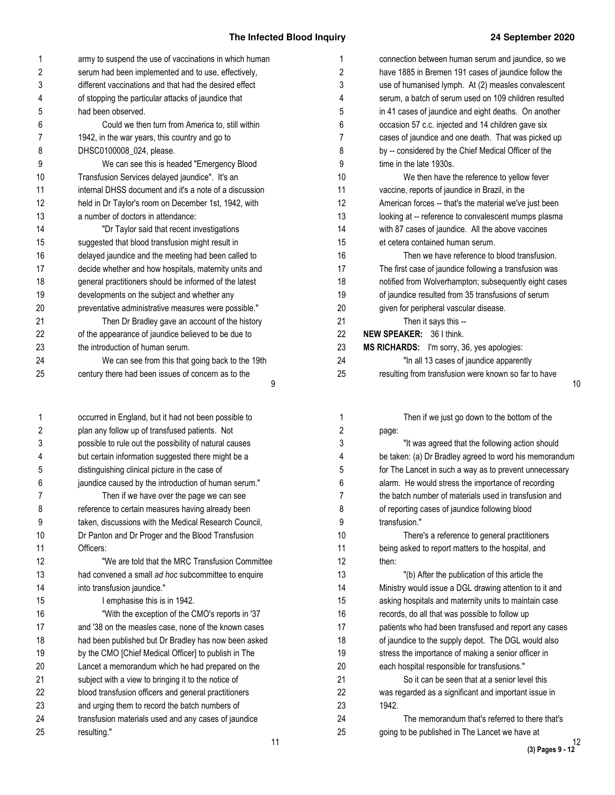10

| 1                       | army to suspend the use of vaccinations in which human | 1  | connection between human serum and jaundice, so we     |
|-------------------------|--------------------------------------------------------|----|--------------------------------------------------------|
| $\overline{\mathbf{c}}$ | serum had been implemented and to use, effectively,    | 2  | have 1885 in Bremen 191 cases of jaundice follow the   |
| 3                       | different vaccinations and that had the desired effect | 3  | use of humanised lymph. At (2) measles convalescent    |
| 4                       | of stopping the particular attacks of jaundice that    | 4  | serum, a batch of serum used on 109 children resulted  |
| 5                       | had been observed.                                     | 5  | in 41 cases of jaundice and eight deaths. On another   |
| 6                       | Could we then turn from America to, still within       | 6  | occasion 57 c.c. injected and 14 children gave six     |
| 7                       | 1942, in the war years, this country and go to         | 7  | cases of jaundice and one death. That was picked up    |
| 8                       | DHSC0100008_024, please.                               | 8  | by -- considered by the Chief Medical Officer of the   |
| 9                       | We can see this is headed "Emergency Blood             | 9  | time in the late 1930s.                                |
| 10                      | Transfusion Services delayed jaundice". It's an        | 10 | We then have the reference to yellow fever             |
| 11                      | internal DHSS document and it's a note of a discussion | 11 | vaccine, reports of jaundice in Brazil, in the         |
| 12                      | held in Dr Taylor's room on December 1st, 1942, with   | 12 | American forces -- that's the material we've just been |
| 13                      | a number of doctors in attendance:                     | 13 | looking at -- reference to convalescent mumps plasma   |
| 14                      | "Dr Taylor said that recent investigations             | 14 | with 87 cases of jaundice. All the above vaccines      |
| 15                      | suggested that blood transfusion might result in       | 15 | et cetera contained human serum.                       |
| 16                      | delayed jaundice and the meeting had been called to    | 16 | Then we have reference to blood transfusion.           |
| 17                      | decide whether and how hospitals, maternity units and  | 17 | The first case of jaundice following a transfusion was |
| 18                      | general practitioners should be informed of the latest | 18 | notified from Wolverhampton; subsequently eight cases  |
| 19                      | developments on the subject and whether any            | 19 | of jaundice resulted from 35 transfusions of serum     |
| 20                      | preventative administrative measures were possible."   | 20 | given for peripheral vascular disease.                 |
| 21                      | Then Dr Bradley gave an account of the history         | 21 | Then it says this --                                   |
| 22                      | of the appearance of jaundice believed to be due to    | 22 | NEW SPEAKER: 36 I think.                               |
| 23                      | the introduction of human serum.                       | 23 | MS RICHARDS: I'm sorry, 36, yes apologies:             |
| 24                      | We can see from this that going back to the 19th       | 24 | "In all 13 cases of jaundice apparently                |
| 25                      | century there had been issues of concern as to the     | 25 | resulting from transfusion were known so far to have   |
|                         | 9                                                      |    |                                                        |
| 1                       | occurred in England, but it had not been possible to   | 1  | Then if we just go down to the bottom of the           |
| 2                       | plan any follow up of transfused patients. Not         | 2  | page:                                                  |
| 3                       | possible to rule out the possibility of natural causes | 3  | "It was agreed that the following action should        |
| 4                       | but certain information suggested there might be a     | 4  | be taken: (a) Dr Bradley agreed to word his memorandum |
| 5                       | distinguishing clinical picture in the case of         | 5  | for The Lancet in such a way as to prevent unnecessary |
| 6                       | jaundice caused by the introduction of human serum."   | 6  | alarm. He would stress the importance of recording     |
| $\overline{7}$          | Then if we have over the page we can see               | 7  | the batch number of materials used in transfusion and  |
| 8                       | reference to certain measures having already been      | 8  | of reporting cases of jaundice following blood         |
| 9                       | taken, discussions with the Medical Research Council,  | 9  | transfusion."                                          |
| 10                      | Dr Panton and Dr Proger and the Blood Transfusion      | 10 | There's a reference to general practitioners           |
| 11                      | Officers:                                              | 11 | being asked to report matters to the hospital, and     |
| 12                      | "We are told that the MRC Transfusion Committee        | 12 | then:                                                  |
| 13                      | had convened a small ad hoc subcommittee to enquire    | 13 | "(b) After the publication of this article the         |
| 14                      | into transfusion jaundice."                            | 14 | Ministry would issue a DGL drawing attention to it and |
| 15                      | I emphasise this is in 1942.                           | 15 | asking hospitals and maternity units to maintain case  |
| 16                      | "With the exception of the CMO's reports in '37        | 16 | records, do all that was possible to follow up         |
| 17                      | and '38 on the measles case, none of the known cases   | 17 | patients who had been transfused and report any cases  |
| 18                      | had been published but Dr Bradley has now been asked   | 18 | of jaundice to the supply depot. The DGL would also    |
| 19                      | by the CMO [Chief Medical Officer] to publish in The   | 19 | stress the importance of making a senior officer in    |
| 20                      | Lancet a memorandum which he had prepared on the       | 20 | each hospital responsible for transfusions."           |
| 21                      | subject with a view to bringing it to the notice of    | 21 | So it can be seen that at a senior level this          |
| 22                      | blood transfusion officers and general practitioners   | 22 | was regarded as a significant and important issue in   |
| 23                      | and urging them to record the batch numbers of         | 23 | 1942.                                                  |
| 24                      | transfusion materials used and any cases of jaundice   | 24 | The memorandum that's referred to there that's         |
| 25                      | resulting."                                            | 25 | going to be published in The Lancet we have at         |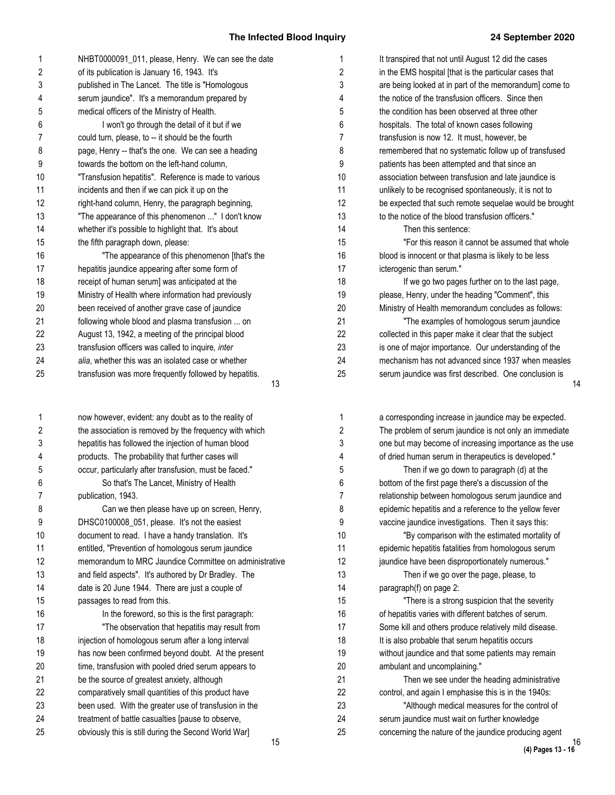| 1  | NHBT0000091_011, please, Henry. We can see the date          | 1  | It transpired that not until August 12 did the cases   |
|----|--------------------------------------------------------------|----|--------------------------------------------------------|
| 2  | of its publication is January 16, 1943. It's                 | 2  | in the EMS hospital [that is the particular cases that |
| 3  | published in The Lancet. The title is "Homologous            | 3  | are being looked at in part of the memorandum] come to |
| 4  | serum jaundice". It's a memorandum prepared by               | 4  | the notice of the transfusion officers. Since then     |
| 5  | medical officers of the Ministry of Health.                  | 5  | the condition has been observed at three other         |
| 6  | I won't go through the detail of it but if we                | 6  | hospitals. The total of known cases following          |
| 7  | could turn, please, to -- it should be the fourth            | 7  | transfusion is now 12. It must, however, be            |
| 8  | page, Henry -- that's the one. We can see a heading          | 8  | remembered that no systematic follow up of transfused  |
| 9  | towards the bottom on the left-hand column,                  | 9  | patients has been attempted and that since an          |
| 10 | "Transfusion hepatitis". Reference is made to various        | 10 | association between transfusion and late jaundice is   |
| 11 | incidents and then if we can pick it up on the               | 11 | unlikely to be recognised spontaneously, it is not to  |
| 12 | right-hand column, Henry, the paragraph beginning,           | 12 | be expected that such remote sequelae would be brought |
| 13 | "The appearance of this phenomenon " I don't know            | 13 | to the notice of the blood transfusion officers."      |
| 14 | whether it's possible to highlight that. It's about          | 14 | Then this sentence:                                    |
| 15 | the fifth paragraph down, please:                            | 15 | "For this reason it cannot be assumed that whole       |
| 16 | "The appearance of this phenomenon [that's the               | 16 | blood is innocent or that plasma is likely to be less  |
| 17 | hepatitis jaundice appearing after some form of              | 17 | icterogenic than serum."                               |
| 18 | receipt of human serum] was anticipated at the               | 18 | If we go two pages further on to the last page,        |
| 19 | Ministry of Health where information had previously          | 19 | please, Henry, under the heading "Comment", this       |
| 20 | been received of another grave case of jaundice              | 20 | Ministry of Health memorandum concludes as follows:    |
| 21 | following whole blood and plasma transfusion  on             | 21 | "The examples of homologous serum jaundice             |
| 22 | August 13, 1942, a meeting of the principal blood            | 22 | collected in this paper make it clear that the subject |
| 23 | transfusion officers was called to inquire, inter            | 23 | is one of major importance. Our understanding of the   |
| 24 | alia, whether this was an isolated case or whether           | 24 | mechanism has not advanced since 1937 when measles     |
| 25 | transfusion was more frequently followed by hepatitis.<br>13 | 25 | serum jaundice was first described. One conclusion is  |
| 1  | now however, evident: any doubt as to the reality of         | 1  | a corresponding increase in jaundice may be expected.  |
| 2  | the association is removed by the frequency with which       | 2  | The problem of serum jaundice is not only an immediate |
| 3  | hepatitis has followed the injection of human blood          | 3  | one but may become of increasing importance as the use |
| 4  | products. The probability that further cases will            | 4  | of dried human serum in therapeutics is developed."    |
| 5  | occur, particularly after transfusion, must be faced."       | 5  | Then if we go down to paragraph (d) at the             |
| 6  | So that's The Lancet, Ministry of Health                     | 6  | bottom of the first page there's a discussion of the   |

Can we then please have up on screen, Henry,

memorandum to MRC Jaundice Committee on administrative and field aspects". It's authored by Dr Bradley. The date is 20 June 1944. There are just a couple of

> In the foreword, so this is the first paragraph: "The observation that hepatitis may result from

injection of homologous serum after a long interval has now been confirmed beyond doubt. At the present time, transfusion with pooled dried serum appears to

be the source of greatest anxiety, although comparatively small quantities of this product have been used. With the greater use of transfusion in the treatment of battle casualties [pause to observe, obviously this is still during the Second World War]

DHSC0100008\_051, please. It's not the easiest document to read. I have a handy translation. It's entitled, "Prevention of homologous serum jaundice

publication, 1943.

passages to read from this.

please, Henry, under the heading "Comment", this Ministry of Health memorandum concludes as follows: "The examples of homologous serum jaundice collected in this paper make it clear that the subject is one of major importance. Our understanding of the mechanism has not advanced since 1937 when measles serum jaundice was first described. One conclusion is a corresponding increase in jaundice may be expected. The problem of serum jaundice is not only an immediate one but may become of increasing importance as the use of dried human serum in therapeutics is developed." Then if we go down to paragraph (d) at the bottom of the first page there's a discussion of the relationship between homologous serum jaundice and epidemic hepatitis and a reference to the yellow fever vaccine jaundice investigations. Then it says this: "By comparison with the estimated mortality of epidemic hepatitis fatalities from homologous serum jaundice have been disproportionately numerous." Then if we go over the page, please, to paragraph(f) on page 2: "There is a strong suspicion that the severity of hepatitis varies with different batches of serum. Some kill and others produce relatively mild disease. It is also probable that serum hepatitis occurs without jaundice and that some patients may remain ambulant and uncomplaining." Then we see under the heading administrative control, and again I emphasise this is in the 1940s: 6 7 8 9 10 11 12 13 14 15 16 17 18 19 20 21 22 23

"Although medical measures for the control of serum jaundice must wait on further knowledge concerning the nature of the jaundice producing agent

24 25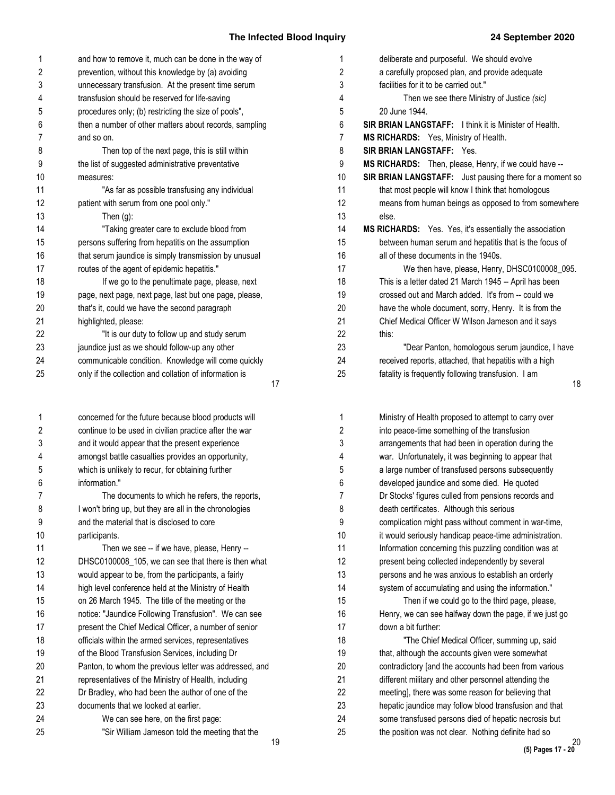| 1              | and how to remove it, much can be done in the way of   | 1              |
|----------------|--------------------------------------------------------|----------------|
| 2              | prevention, without this knowledge by (a) avoiding     | $\overline{c}$ |
| 3              | unnecessary transfusion. At the present time serum     | 3              |
| 4              | transfusion should be reserved for life-saving         | $\overline{4}$ |
| 5              | procedures only; (b) restricting the size of pools",   | $\,$ 5 $\,$    |
| 6              | then a number of other matters about records, sampling | 6              |
| $\overline{7}$ | and so on.                                             | $\overline{7}$ |
| 8              | Then top of the next page, this is still within        | 8              |
| 9              | the list of suggested administrative preventative      | 9              |
| 10             | measures:                                              | 10             |
| 11             | "As far as possible transfusing any individual         | 11             |
| 12             | patient with serum from one pool only."                | 12             |
| 13             | Then $(g)$ :                                           | 13             |
| 14             | "Taking greater care to exclude blood from             | 14             |
| 15             | persons suffering from hepatitis on the assumption     | 15             |
| 16             | that serum jaundice is simply transmission by unusual  | 16             |
| 17             | routes of the agent of epidemic hepatitis."            | 17             |
| 18             | If we go to the penultimate page, please, next         | 18             |
| 19             | page, next page, next page, last but one page, please, | 19             |
| 20             | that's it, could we have the second paragraph          | 20             |
| 21             | highlighted, please:                                   | 21             |
| 22             | "It is our duty to follow up and study serum           | 22             |
| 23             | jaundice just as we should follow-up any other         | 23             |
| 24             | communicable condition. Knowledge will come quickly    | 24             |
| 25             | only if the collection and collation of information is | 25             |
|                |                                                        | 17             |
| 1              | concerned for the future because blood products will   | 1              |
| 2              | continue to be used in civilian practice after the war | $\overline{c}$ |
| 3              | and it would appear that the present experience        | 3              |
| 4              | amongst battle casualties provides an opportunity,     | 4              |
| 5              | which is unlikely to recur, for obtaining further      | $\,$ 5 $\,$    |
| 6              | information."                                          | 6              |
| 7              | The documents to which he refers, the reports,         | $\overline{7}$ |
| 8              | I won't bring up, but they are all in the chronologies | 8              |
| 9              | and the material that is disclosed to core             | 9              |
| 10             | participants.                                          | 10             |
| 11             | Then we see -- if we have, please, Henry --            | 11             |
| 12             | DHSC0100008_105, we can see that there is then what    | 12             |
| 13             | would appear to be, from the participants, a fairly    | 13             |
| 14             |                                                        | 14             |
|                | high level conference held at the Ministry of Health   | 15             |
| 15             | on 26 March 1945. The title of the meeting or the      |                |
| 16             | notice: "Jaundice Following Transfusion". We can see   | 16             |
| 17             | present the Chief Medical Officer, a number of senior  | 17             |
| 18             | officials within the armed services, representatives   | 18             |
| 19             | of the Blood Transfusion Services, including Dr        | 19             |
| 20             | Panton, to whom the previous letter was addressed, and | 20             |
| 21             | representatives of the Ministry of Health, including   | 21             |
| 22             | Dr Bradley, who had been the author of one of the      | 22             |
| 23             | documents that we looked at earlier.                   | 23             |
| 24             | We can see here, on the first page:                    | 24             |
| 25             | "Sir William Jameson told the meeting that the         | 25             |

| .,             |                                                                |
|----------------|----------------------------------------------------------------|
| 1              | deliberate and purposeful. We should evolve                    |
| $\overline{c}$ | a carefully proposed plan, and provide adequate                |
| 3              | facilities for it to be carried out."                          |
| 4              | Then we see there Ministry of Justice (sic)                    |
| 5              | 20 June 1944.                                                  |
| 6              | <b>SIR BRIAN LANGSTAFF:</b> I think it is Minister of Health.  |
| 7              | MS RICHARDS: Yes, Ministry of Health.                          |
| 8              | <b>SIR BRIAN LANGSTAFF:</b><br>Yes.                            |
| 9              | MS RICHARDS: Then, please, Henry, if we could have --          |
| 10             | SIR BRIAN LANGSTAFF: Just pausing there for a moment so        |
| 11             | that most people will know I think that homologous             |
| 12             | means from human beings as opposed to from somewhere           |
| 13             | else.                                                          |
| 14             | <b>MS RICHARDS:</b> Yes. Yes, it's essentially the association |
| 15             | between human serum and hepatitis that is the focus of         |
| 16             | all of these documents in the 1940s.                           |
| 17             | We then have, please, Henry, DHSC0100008_095.                  |
| 18             | This is a letter dated 21 March 1945 -- April has been         |
| 19             | crossed out and March added. It's from -- could we             |
| 20             | have the whole document, sorry, Henry. It is from the          |
| 21             | Chief Medical Officer W Wilson Jameson and it says             |
| 22             | this:                                                          |
| 23             | "Dear Panton, homologous serum jaundice, I have                |
| 24             | received reports, attached, that hepatitis with a high         |
| 25             | fatality is frequently following transfusion. I am             |
|                | 18                                                             |
|                |                                                                |
|                |                                                                |

| Ministry of Health proposed to attempt to carry over   |
|--------------------------------------------------------|
| into peace-time something of the transfusion           |
| arrangements that had been in operation during the     |
| war. Unfortunately, it was beginning to appear that    |
| a large number of transfused persons subsequently      |
| developed jaundice and some died. He quoted            |
| Dr Stocks' figures culled from pensions records and    |
| death certificates. Although this serious              |
| complication might pass without comment in war-time,   |
| it would seriously handicap peace-time administration. |
| Information concerning this puzzling condition was at  |
| present being collected independently by several       |
| persons and he was anxious to establish an orderly     |
| system of accumulating and using the information."     |
| Then if we could go to the third page, please,         |
| Henry, we can see halfway down the page, if we just go |
| down a bit further:                                    |
| "The Chief Medical Officer, summing up, said           |
| that, although the accounts given were somewhat        |
| contradictory [and the accounts had been from various  |
| different military and other personnel attending the   |
| meeting], there was some reason for believing that     |
| hepatic jaundice may follow blood transfusion and that |
| some transfused persons died of hepatic necrosis but   |
| the position was not clear. Nothing definite had so    |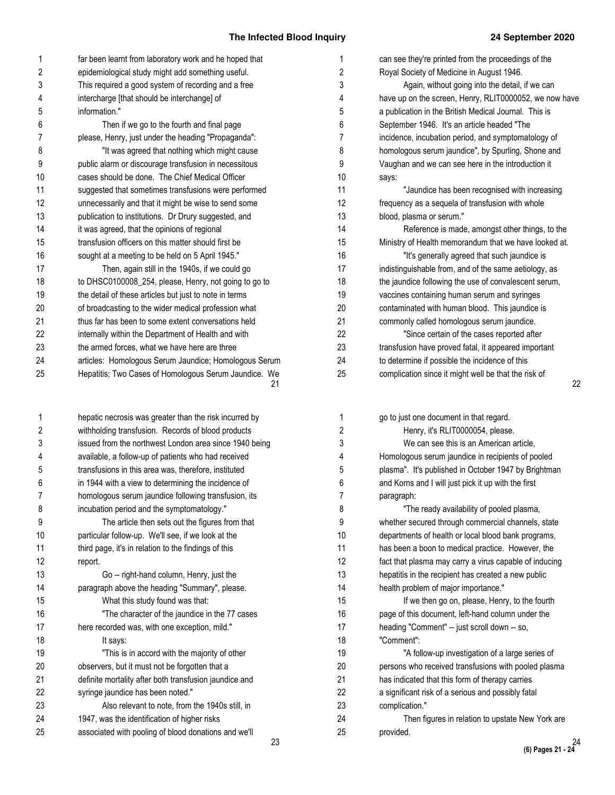| 1              | far been learnt from laboratory work and he hoped that      | 1              |
|----------------|-------------------------------------------------------------|----------------|
| $\overline{2}$ | epidemiological study might add something useful.           | $\overline{2}$ |
| 3              | This required a good system of recording and a free         | 3              |
| 4              | intercharge [that should be interchange] of                 | 4              |
| 5              | information."                                               | 5              |
| 6              | Then if we go to the fourth and final page                  | 6              |
| $\overline{7}$ | please, Henry, just under the heading "Propaganda":         | $\overline{7}$ |
| 8              | "It was agreed that nothing which might cause               | 8              |
| 9              | public alarm or discourage transfusion in necessitous       | 9              |
| 10             | cases should be done. The Chief Medical Officer             | 10             |
| 11             | suggested that sometimes transfusions were performed        | 11             |
| 12             | unnecessarily and that it might be wise to send some        | 12             |
| 13             | publication to institutions. Dr Drury suggested, and        | 13             |
| 14             | it was agreed, that the opinions of regional                | 14             |
| 15             | transfusion officers on this matter should first be         | 15             |
| 16             | sought at a meeting to be held on 5 April 1945."            | 16             |
| 17             | Then, again still in the 1940s, if we could go              | 17             |
| 18             | to DHSC0100008_254, please, Henry, not going to go to       | 18             |
| 19             | the detail of these articles but just to note in terms      | 19             |
| 20             | of broadcasting to the wider medical profession what        | 20             |
| 21             | thus far has been to some extent conversations held         | 21             |
| 22             | internally within the Department of Health and with         | 22             |
| 23             | the armed forces, what we have here are three               | 23             |
| 24             | articles: Homologous Serum Jaundice; Homologous Serum       | 24             |
| 25             | Hepatitis; Two Cases of Homologous Serum Jaundice. We<br>21 | 25             |

| 1              | hepatic necrosis was greater than the risk incurred by |
|----------------|--------------------------------------------------------|
| 2              | withholding transfusion. Records of blood products     |
| 3              | issued from the northwest London area since 1940 being |
| 4              | available, a follow-up of patients who had received    |
| 5              | transfusions in this area was, therefore, instituted   |
| 6              | in 1944 with a view to determining the incidence of    |
| $\overline{7}$ | homologous serum jaundice following transfusion, its   |
| 8              | incubation period and the symptomatology."             |
| 9              | The article then sets out the figures from that        |
| 10             | particular follow-up. We'll see, if we look at the     |
| 11             | third page, it's in relation to the findings of this   |
| 12             | report.                                                |
| 13             | Go -- right-hand column, Henry, just the               |
| 14             | paragraph above the heading "Summary", please.         |
| 15             | What this study found was that:                        |
| 16             | "The character of the jaundice in the 77 cases         |
| 17             | here recorded was, with one exception, mild."          |
| 18             | It says:                                               |
| 19             | "This is in accord with the majority of other          |
| 20             | observers, but it must not be forgotten that a         |
| 21             | definite mortality after both transfusion jaundice and |
| 22             | syringe jaundice has been noted."                      |
| 23             | Also relevant to note, from the 1940s still, in        |
| 24             | 1947, was the identification of higher risks           |
| 25             | associated with pooling of blood donations and we'll   |
|                | ŋ.                                                     |

| 1              | can see they're printed from the proceedings of the    |    |
|----------------|--------------------------------------------------------|----|
| $\overline{c}$ | Royal Society of Medicine in August 1946.              |    |
| 3              | Again, without going into the detail, if we can        |    |
| 4              | have up on the screen, Henry, RLIT0000052, we now have |    |
| 5              | a publication in the British Medical Journal. This is  |    |
| 6              | September 1946. It's an article headed "The            |    |
| 7              | incidence, incubation period, and symptomatology of    |    |
| 8              | homologous serum jaundice", by Spurling, Shone and     |    |
| 9              | Vaughan and we can see here in the introduction it     |    |
| 0              | says:                                                  |    |
| $\overline{1}$ | "Jaundice has been recognised with increasing          |    |
| $\overline{2}$ | frequency as a sequela of transfusion with whole       |    |
| 3              | blood, plasma or serum."                               |    |
| $\overline{4}$ | Reference is made, amongst other things, to the        |    |
| 5              | Ministry of Health memorandum that we have looked at.  |    |
| 6              | "It's generally agreed that such jaundice is           |    |
| $\overline{7}$ | indistinguishable from, and of the same aetiology, as  |    |
| 8              | the jaundice following the use of convalescent serum,  |    |
| 9              | vaccines containing human serum and syringes           |    |
| 0              | contaminated with human blood. This jaundice is        |    |
| $\overline{1}$ | commonly called homologous serum jaundice.             |    |
| 2              | "Since certain of the cases reported after             |    |
| 23             | transfusion have proved fatal, it appeared important   |    |
| 4              | to determine if possible the incidence of this         |    |
| 25             | complication since it might well be that the risk of   |    |
|                |                                                        | 22 |

| go to just one document in that regard.                |
|--------------------------------------------------------|
| Henry, it's RLIT0000054, please.                       |
| We can see this is an American article,                |
| Homologous serum jaundice in recipients of pooled      |
| plasma". It's published in October 1947 by Brightman   |
| and Korns and I will just pick it up with the first    |
| paragraph:                                             |
| "The ready availability of pooled plasma,              |
| whether secured through commercial channels, state     |
| departments of health or local blood bank programs,    |
| has been a boon to medical practice. However, the      |
| fact that plasma may carry a virus capable of inducing |
| hepatitis in the recipient has created a new public    |
| health problem of major importance."                   |
| If we then go on, please, Henry, to the fourth         |
| page of this document, left-hand column under the      |
| heading "Comment" -- just scroll down -- so,           |
| "Comment":                                             |
| "A follow-up investigation of a large series of        |
| persons who received transfusions with pooled plasma   |
| has indicated that this form of therapy carries        |
| a significant risk of a serious and possibly fatal     |
| complication."                                         |
| Then figures in relation to upstate New York are       |
| provided.                                              |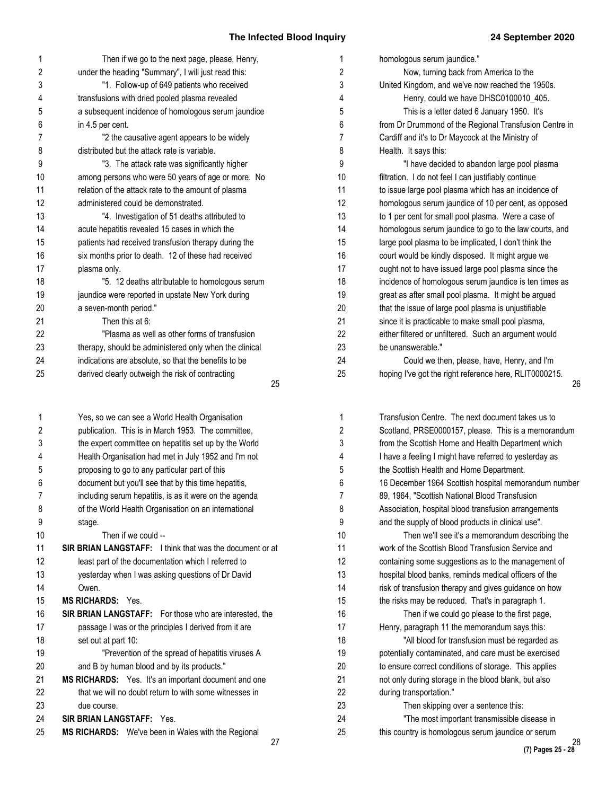| 1  | Then if we go to the next page, please, Henry,         | 1              |
|----|--------------------------------------------------------|----------------|
| 2  | under the heading "Summary", I will just read this:    | $\overline{2}$ |
| 3  | "1. Follow-up of 649 patients who received             | 3              |
| 4  | transfusions with dried pooled plasma revealed         | 4              |
| 5  | a subsequent incidence of homologous serum jaundice    | 5              |
| 6  | in 4.5 per cent.                                       | 6              |
| 7  | "2 the causative agent appears to be widely            | $\overline{7}$ |
| 8  | distributed but the attack rate is variable.           | 8              |
| 9  | "3. The attack rate was significantly higher           | 9              |
| 10 | among persons who were 50 years of age or more. No     | 10             |
| 11 | relation of the attack rate to the amount of plasma    | 11             |
| 12 | administered could be demonstrated.                    | 12             |
| 13 | "4. Investigation of 51 deaths attributed to           | 13             |
| 14 | acute hepatitis revealed 15 cases in which the         | 14             |
| 15 | patients had received transfusion therapy during the   | 15             |
| 16 | six months prior to death. 12 of these had received    | 16             |
| 17 | plasma only.                                           | 17             |
| 18 | "5. 12 deaths attributable to homologous serum         | 18             |
| 19 | jaundice were reported in upstate New York during      | 19             |
| 20 | a seven-month period."                                 | 20             |
| 21 | Then this at 6:                                        | 21             |
| 22 | "Plasma as well as other forms of transfusion          | 22             |
| 23 | therapy, should be administered only when the clinical | 23             |
| 24 | indications are absolute, so that the benefits to be   | 24             |
| 25 | derived clearly outweigh the risk of contracting       | 25             |
|    | 25                                                     |                |
| 1  | Yes, so we can see a World Health Organisation         | 1              |
| 2  | publication. This is in March 1953. The committee,     | $\overline{2}$ |
| 3  | the expert committee on hepatitis set up by the World  | 3              |
| 4  | Health Organisation had met in July 1952 and I'm not   | 4              |
| 5  | proposing to go to any particular part of this         | 5              |
| 6  | document but you'll see that by this time hepatitis,   | 6              |
| 7  | including serum hepatitis, is as it were on the agenda | $\overline{7}$ |
| 8  | of the World Health Organisation on an international   | 8              |
| 9  | stage.                                                 | 9              |

stage. Then if we could -- **SIR BRIAN LANGSTAFF:** I think that was the document or at least part of the documentation which I referred to yesterday when I was asking questions of Dr David Owen. **MS RICHARDS:** Yes. **SIR BRIAN LANGSTAFF:** For those who are interested, the passage I was or the principles I derived from it are set out at part 10: "Prevention of the spread of hepatitis viruses A and B by human blood and by its products." **MS RICHARDS:** Yes. It's an important document and one that we will no doubt return to with some witnesses in due course. 10 11 12 13 14 15 16 17 18 19 20 21 22 23

**SIR BRIAN LANGSTAFF:** Yes. 24

**MS RICHARDS:** We've been in Wales with the Regional 25

27

| homologous serum jaundice."                            |
|--------------------------------------------------------|
| Now, turning back from America to the                  |
| United Kingdom, and we've now reached the 1950s.       |
| Henry, could we have DHSC0100010_405.                  |
| This is a letter dated 6 January 1950. It's            |
| from Dr Drummond of the Regional Transfusion Centre in |
| Cardiff and it's to Dr Maycock at the Ministry of      |
| Health. It says this:                                  |
| "I have decided to abandon large pool plasma           |
| filtration. I do not feel I can justifiably continue   |
| to issue large pool plasma which has an incidence of   |
| homologous serum jaundice of 10 per cent, as opposed   |
| to 1 per cent for small pool plasma. Were a case of    |
| homologous serum jaundice to go to the law courts, and |
| large pool plasma to be implicated, I don't think the  |
| court would be kindly disposed. It might argue we      |
| ought not to have issued large pool plasma since the   |
| incidence of homologous serum jaundice is ten times as |
| great as after small pool plasma. It might be argued   |
| that the issue of large pool plasma is unjustifiable   |
| since it is practicable to make small pool plasma,     |
| either filtered or unfiltered. Such an argument would  |
| be unanswerable."                                      |
| Could we then, please, have, Henry, and I'm            |
| hoping I've got the right reference here, RLIT0000215. |

| Transfusion Centre. The next document takes us to      |    |
|--------------------------------------------------------|----|
| Scotland, PRSE0000157, please. This is a memorandum    |    |
| from the Scottish Home and Health Department which     |    |
| I have a feeling I might have referred to yesterday as |    |
| the Scottish Health and Home Department.               |    |
| 16 December 1964 Scottish hospital memorandum number   |    |
| 89, 1964, "Scottish National Blood Transfusion         |    |
| Association, hospital blood transfusion arrangements   |    |
| and the supply of blood products in clinical use".     |    |
| Then we'll see it's a memorandum describing the        |    |
| work of the Scottish Blood Transfusion Service and     |    |
| containing some suggestions as to the management of    |    |
| hospital blood banks, reminds medical officers of the  |    |
| risk of transfusion therapy and gives guidance on how  |    |
| the risks may be reduced. That's in paragraph 1.       |    |
| Then if we could go please to the first page,          |    |
| Henry, paragraph 11 the memorandum says this:          |    |
| "All blood for transfusion must be regarded as         |    |
| potentially contaminated, and care must be exercised   |    |
| to ensure correct conditions of storage. This applies  |    |
| not only during storage in the blood blank, but also   |    |
| during transportation."                                |    |
| Then skipping over a sentence this:                    |    |
| "The most important transmissible disease in           |    |
| this country is homologous serum jaundice or serum     | 28 |
|                                                        |    |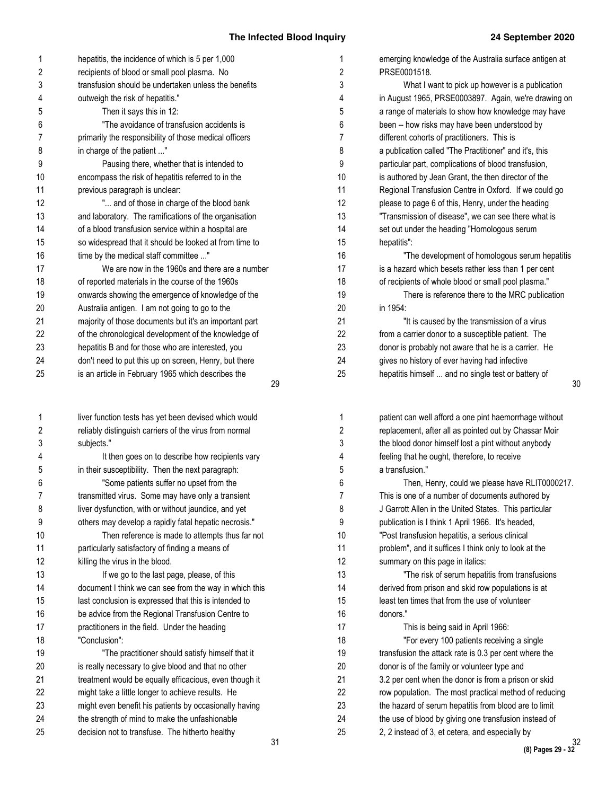| hepatitis, the incidence of which is 5 per 1,000<br>1<br>1<br>recipients of blood or small pool plasma. No<br>2<br>2<br>PRSE0001518.<br>3<br>transfusion should be undertaken unless the benefits<br>3<br>4<br>4<br>outweigh the risk of hepatitis."<br>5<br>5<br>Then it says this in 12:<br>"The avoidance of transfusion accidents is<br>6<br>6<br>$\overline{7}$<br>7<br>primarily the responsibility of those medical officers<br>different cohorts of practitioners. This is<br>8<br>8<br>in charge of the patient "<br>9<br>9<br>Pausing there, whether that is intended to<br>10<br>encompass the risk of hepatitis referred to in the<br>10<br>11<br>11<br>previous paragraph is unclear:<br>12<br>" and of those in charge of the blood bank<br>12<br>13<br>and laboratory. The ramifications of the organisation<br>13<br>14<br>14<br>of a blood transfusion service within a hospital are<br>15<br>so widespread that it should be looked at from time to<br>15<br>hepatitis":<br>16<br>16<br>time by the medical staff committee "<br>17<br>We are now in the 1960s and there are a number<br>17<br>18<br>of reported materials in the course of the 1960s<br>18<br>19<br>onwards showing the emergence of knowledge of the<br>19<br>20<br>Australia antigen. I am not going to go to the<br>20<br>in 1954:<br>21<br>majority of those documents but it's an important part<br>21<br>22<br>22<br>of the chronological development of the knowledge of<br>23<br>23<br>hepatitis B and for those who are interested, you<br>24<br>don't need to put this up on screen, Henry, but there<br>24<br>gives no history of ever having had infective<br>25<br>25<br>is an article in February 1965 which describes the<br>29<br>1<br>1<br>liver function tests has yet been devised which would<br>2<br>2<br>reliably distinguish carriers of the virus from normal<br>3<br>3<br>subjects."<br>It then goes on to describe how recipients vary<br>4<br>feeling that he ought, therefore, to receive<br>4<br>5<br>in their susceptibility. Then the next paragraph:<br>5<br>a transfusion."<br>6<br>6<br>"Some patients suffer no upset from the<br>$\overline{7}$<br>7<br>transmitted virus. Some may have only a transient<br>8<br>8<br>liver dysfunction, with or without jaundice, and yet<br>9<br>others may develop a rapidly fatal hepatic necrosis."<br>9<br>10<br>Then reference is made to attempts thus far not<br>10<br>11<br>particularly satisfactory of finding a means of<br>11<br>12<br>12<br>killing the virus in the blood.<br>summary on this page in italics:<br>13<br>13<br>If we go to the last page, please, of this<br>14<br>14<br>document I think we can see from the way in which this<br>15<br>last conclusion is expressed that this is intended to<br>15<br>16<br>donors."<br>be advice from the Regional Transfusion Centre to<br>16<br>17<br>17<br>practitioners in the field. Under the heading<br>This is being said in April 1966:<br>18<br>"Conclusion":<br>18<br>19<br>19<br>"The practitioner should satisfy himself that it<br>20<br>is really necessary to give blood and that no other<br>20<br>21<br>treatment would be equally efficacious, even though it<br>21<br>22<br>22<br>might take a little longer to achieve results. He<br>23<br>23<br>might even benefit his patients by occasionally having<br>24<br>24<br>the strength of mind to make the unfashionable |    |                                                 |    |                                                        |
|-----------------------------------------------------------------------------------------------------------------------------------------------------------------------------------------------------------------------------------------------------------------------------------------------------------------------------------------------------------------------------------------------------------------------------------------------------------------------------------------------------------------------------------------------------------------------------------------------------------------------------------------------------------------------------------------------------------------------------------------------------------------------------------------------------------------------------------------------------------------------------------------------------------------------------------------------------------------------------------------------------------------------------------------------------------------------------------------------------------------------------------------------------------------------------------------------------------------------------------------------------------------------------------------------------------------------------------------------------------------------------------------------------------------------------------------------------------------------------------------------------------------------------------------------------------------------------------------------------------------------------------------------------------------------------------------------------------------------------------------------------------------------------------------------------------------------------------------------------------------------------------------------------------------------------------------------------------------------------------------------------------------------------------------------------------------------------------------------------------------------------------------------------------------------------------------------------------------------------------------------------------------------------------------------------------------------------------------------------------------------------------------------------------------------------------------------------------------------------------------------------------------------------------------------------------------------------------------------------------------------------------------------------------------------------------------------------------------------------------------------------------------------------------------------------------------------------------------------------------------------------------------------------------------------------------------------------------------------------------------------------------------------------------------------------------------------------------------------------------------------------------------------------------------------------------------------------------------------------------------------------------------------------------------------------------------------------------------------------------------------------------------------------------------------|----|-------------------------------------------------|----|--------------------------------------------------------|
|                                                                                                                                                                                                                                                                                                                                                                                                                                                                                                                                                                                                                                                                                                                                                                                                                                                                                                                                                                                                                                                                                                                                                                                                                                                                                                                                                                                                                                                                                                                                                                                                                                                                                                                                                                                                                                                                                                                                                                                                                                                                                                                                                                                                                                                                                                                                                                                                                                                                                                                                                                                                                                                                                                                                                                                                                                                                                                                                                                                                                                                                                                                                                                                                                                                                                                                                                                                                                       |    |                                                 |    | emerging knowledge of the Australia surface antigen at |
|                                                                                                                                                                                                                                                                                                                                                                                                                                                                                                                                                                                                                                                                                                                                                                                                                                                                                                                                                                                                                                                                                                                                                                                                                                                                                                                                                                                                                                                                                                                                                                                                                                                                                                                                                                                                                                                                                                                                                                                                                                                                                                                                                                                                                                                                                                                                                                                                                                                                                                                                                                                                                                                                                                                                                                                                                                                                                                                                                                                                                                                                                                                                                                                                                                                                                                                                                                                                                       |    |                                                 |    |                                                        |
|                                                                                                                                                                                                                                                                                                                                                                                                                                                                                                                                                                                                                                                                                                                                                                                                                                                                                                                                                                                                                                                                                                                                                                                                                                                                                                                                                                                                                                                                                                                                                                                                                                                                                                                                                                                                                                                                                                                                                                                                                                                                                                                                                                                                                                                                                                                                                                                                                                                                                                                                                                                                                                                                                                                                                                                                                                                                                                                                                                                                                                                                                                                                                                                                                                                                                                                                                                                                                       |    |                                                 |    | What I want to pick up however is a publication        |
|                                                                                                                                                                                                                                                                                                                                                                                                                                                                                                                                                                                                                                                                                                                                                                                                                                                                                                                                                                                                                                                                                                                                                                                                                                                                                                                                                                                                                                                                                                                                                                                                                                                                                                                                                                                                                                                                                                                                                                                                                                                                                                                                                                                                                                                                                                                                                                                                                                                                                                                                                                                                                                                                                                                                                                                                                                                                                                                                                                                                                                                                                                                                                                                                                                                                                                                                                                                                                       |    |                                                 |    | in August 1965, PRSE0003897. Again, we're drawing c    |
|                                                                                                                                                                                                                                                                                                                                                                                                                                                                                                                                                                                                                                                                                                                                                                                                                                                                                                                                                                                                                                                                                                                                                                                                                                                                                                                                                                                                                                                                                                                                                                                                                                                                                                                                                                                                                                                                                                                                                                                                                                                                                                                                                                                                                                                                                                                                                                                                                                                                                                                                                                                                                                                                                                                                                                                                                                                                                                                                                                                                                                                                                                                                                                                                                                                                                                                                                                                                                       |    |                                                 |    | a range of materials to show how knowledge may have    |
|                                                                                                                                                                                                                                                                                                                                                                                                                                                                                                                                                                                                                                                                                                                                                                                                                                                                                                                                                                                                                                                                                                                                                                                                                                                                                                                                                                                                                                                                                                                                                                                                                                                                                                                                                                                                                                                                                                                                                                                                                                                                                                                                                                                                                                                                                                                                                                                                                                                                                                                                                                                                                                                                                                                                                                                                                                                                                                                                                                                                                                                                                                                                                                                                                                                                                                                                                                                                                       |    |                                                 |    | been -- how risks may have been understood by          |
|                                                                                                                                                                                                                                                                                                                                                                                                                                                                                                                                                                                                                                                                                                                                                                                                                                                                                                                                                                                                                                                                                                                                                                                                                                                                                                                                                                                                                                                                                                                                                                                                                                                                                                                                                                                                                                                                                                                                                                                                                                                                                                                                                                                                                                                                                                                                                                                                                                                                                                                                                                                                                                                                                                                                                                                                                                                                                                                                                                                                                                                                                                                                                                                                                                                                                                                                                                                                                       |    |                                                 |    |                                                        |
|                                                                                                                                                                                                                                                                                                                                                                                                                                                                                                                                                                                                                                                                                                                                                                                                                                                                                                                                                                                                                                                                                                                                                                                                                                                                                                                                                                                                                                                                                                                                                                                                                                                                                                                                                                                                                                                                                                                                                                                                                                                                                                                                                                                                                                                                                                                                                                                                                                                                                                                                                                                                                                                                                                                                                                                                                                                                                                                                                                                                                                                                                                                                                                                                                                                                                                                                                                                                                       |    |                                                 |    | a publication called "The Practitioner" and it's, this |
|                                                                                                                                                                                                                                                                                                                                                                                                                                                                                                                                                                                                                                                                                                                                                                                                                                                                                                                                                                                                                                                                                                                                                                                                                                                                                                                                                                                                                                                                                                                                                                                                                                                                                                                                                                                                                                                                                                                                                                                                                                                                                                                                                                                                                                                                                                                                                                                                                                                                                                                                                                                                                                                                                                                                                                                                                                                                                                                                                                                                                                                                                                                                                                                                                                                                                                                                                                                                                       |    |                                                 |    | particular part, complications of blood transfusion,   |
|                                                                                                                                                                                                                                                                                                                                                                                                                                                                                                                                                                                                                                                                                                                                                                                                                                                                                                                                                                                                                                                                                                                                                                                                                                                                                                                                                                                                                                                                                                                                                                                                                                                                                                                                                                                                                                                                                                                                                                                                                                                                                                                                                                                                                                                                                                                                                                                                                                                                                                                                                                                                                                                                                                                                                                                                                                                                                                                                                                                                                                                                                                                                                                                                                                                                                                                                                                                                                       |    |                                                 |    | is authored by Jean Grant, the then director of the    |
|                                                                                                                                                                                                                                                                                                                                                                                                                                                                                                                                                                                                                                                                                                                                                                                                                                                                                                                                                                                                                                                                                                                                                                                                                                                                                                                                                                                                                                                                                                                                                                                                                                                                                                                                                                                                                                                                                                                                                                                                                                                                                                                                                                                                                                                                                                                                                                                                                                                                                                                                                                                                                                                                                                                                                                                                                                                                                                                                                                                                                                                                                                                                                                                                                                                                                                                                                                                                                       |    |                                                 |    | Regional Transfusion Centre in Oxford. If we could go  |
|                                                                                                                                                                                                                                                                                                                                                                                                                                                                                                                                                                                                                                                                                                                                                                                                                                                                                                                                                                                                                                                                                                                                                                                                                                                                                                                                                                                                                                                                                                                                                                                                                                                                                                                                                                                                                                                                                                                                                                                                                                                                                                                                                                                                                                                                                                                                                                                                                                                                                                                                                                                                                                                                                                                                                                                                                                                                                                                                                                                                                                                                                                                                                                                                                                                                                                                                                                                                                       |    |                                                 |    | please to page 6 of this, Henry, under the heading     |
|                                                                                                                                                                                                                                                                                                                                                                                                                                                                                                                                                                                                                                                                                                                                                                                                                                                                                                                                                                                                                                                                                                                                                                                                                                                                                                                                                                                                                                                                                                                                                                                                                                                                                                                                                                                                                                                                                                                                                                                                                                                                                                                                                                                                                                                                                                                                                                                                                                                                                                                                                                                                                                                                                                                                                                                                                                                                                                                                                                                                                                                                                                                                                                                                                                                                                                                                                                                                                       |    |                                                 |    | "Transmission of disease", we can see there what is    |
|                                                                                                                                                                                                                                                                                                                                                                                                                                                                                                                                                                                                                                                                                                                                                                                                                                                                                                                                                                                                                                                                                                                                                                                                                                                                                                                                                                                                                                                                                                                                                                                                                                                                                                                                                                                                                                                                                                                                                                                                                                                                                                                                                                                                                                                                                                                                                                                                                                                                                                                                                                                                                                                                                                                                                                                                                                                                                                                                                                                                                                                                                                                                                                                                                                                                                                                                                                                                                       |    |                                                 |    | set out under the heading "Homologous serum            |
|                                                                                                                                                                                                                                                                                                                                                                                                                                                                                                                                                                                                                                                                                                                                                                                                                                                                                                                                                                                                                                                                                                                                                                                                                                                                                                                                                                                                                                                                                                                                                                                                                                                                                                                                                                                                                                                                                                                                                                                                                                                                                                                                                                                                                                                                                                                                                                                                                                                                                                                                                                                                                                                                                                                                                                                                                                                                                                                                                                                                                                                                                                                                                                                                                                                                                                                                                                                                                       |    |                                                 |    |                                                        |
|                                                                                                                                                                                                                                                                                                                                                                                                                                                                                                                                                                                                                                                                                                                                                                                                                                                                                                                                                                                                                                                                                                                                                                                                                                                                                                                                                                                                                                                                                                                                                                                                                                                                                                                                                                                                                                                                                                                                                                                                                                                                                                                                                                                                                                                                                                                                                                                                                                                                                                                                                                                                                                                                                                                                                                                                                                                                                                                                                                                                                                                                                                                                                                                                                                                                                                                                                                                                                       |    |                                                 |    | "The development of homologous serum hepatiti          |
|                                                                                                                                                                                                                                                                                                                                                                                                                                                                                                                                                                                                                                                                                                                                                                                                                                                                                                                                                                                                                                                                                                                                                                                                                                                                                                                                                                                                                                                                                                                                                                                                                                                                                                                                                                                                                                                                                                                                                                                                                                                                                                                                                                                                                                                                                                                                                                                                                                                                                                                                                                                                                                                                                                                                                                                                                                                                                                                                                                                                                                                                                                                                                                                                                                                                                                                                                                                                                       |    |                                                 |    | is a hazard which besets rather less than 1 per cent   |
|                                                                                                                                                                                                                                                                                                                                                                                                                                                                                                                                                                                                                                                                                                                                                                                                                                                                                                                                                                                                                                                                                                                                                                                                                                                                                                                                                                                                                                                                                                                                                                                                                                                                                                                                                                                                                                                                                                                                                                                                                                                                                                                                                                                                                                                                                                                                                                                                                                                                                                                                                                                                                                                                                                                                                                                                                                                                                                                                                                                                                                                                                                                                                                                                                                                                                                                                                                                                                       |    |                                                 |    | of recipients of whole blood or small pool plasma."    |
|                                                                                                                                                                                                                                                                                                                                                                                                                                                                                                                                                                                                                                                                                                                                                                                                                                                                                                                                                                                                                                                                                                                                                                                                                                                                                                                                                                                                                                                                                                                                                                                                                                                                                                                                                                                                                                                                                                                                                                                                                                                                                                                                                                                                                                                                                                                                                                                                                                                                                                                                                                                                                                                                                                                                                                                                                                                                                                                                                                                                                                                                                                                                                                                                                                                                                                                                                                                                                       |    |                                                 |    | There is reference there to the MRC publication        |
|                                                                                                                                                                                                                                                                                                                                                                                                                                                                                                                                                                                                                                                                                                                                                                                                                                                                                                                                                                                                                                                                                                                                                                                                                                                                                                                                                                                                                                                                                                                                                                                                                                                                                                                                                                                                                                                                                                                                                                                                                                                                                                                                                                                                                                                                                                                                                                                                                                                                                                                                                                                                                                                                                                                                                                                                                                                                                                                                                                                                                                                                                                                                                                                                                                                                                                                                                                                                                       |    |                                                 |    |                                                        |
|                                                                                                                                                                                                                                                                                                                                                                                                                                                                                                                                                                                                                                                                                                                                                                                                                                                                                                                                                                                                                                                                                                                                                                                                                                                                                                                                                                                                                                                                                                                                                                                                                                                                                                                                                                                                                                                                                                                                                                                                                                                                                                                                                                                                                                                                                                                                                                                                                                                                                                                                                                                                                                                                                                                                                                                                                                                                                                                                                                                                                                                                                                                                                                                                                                                                                                                                                                                                                       |    |                                                 |    | "It is caused by the transmission of a virus           |
|                                                                                                                                                                                                                                                                                                                                                                                                                                                                                                                                                                                                                                                                                                                                                                                                                                                                                                                                                                                                                                                                                                                                                                                                                                                                                                                                                                                                                                                                                                                                                                                                                                                                                                                                                                                                                                                                                                                                                                                                                                                                                                                                                                                                                                                                                                                                                                                                                                                                                                                                                                                                                                                                                                                                                                                                                                                                                                                                                                                                                                                                                                                                                                                                                                                                                                                                                                                                                       |    |                                                 |    | from a carrier donor to a susceptible patient. The     |
|                                                                                                                                                                                                                                                                                                                                                                                                                                                                                                                                                                                                                                                                                                                                                                                                                                                                                                                                                                                                                                                                                                                                                                                                                                                                                                                                                                                                                                                                                                                                                                                                                                                                                                                                                                                                                                                                                                                                                                                                                                                                                                                                                                                                                                                                                                                                                                                                                                                                                                                                                                                                                                                                                                                                                                                                                                                                                                                                                                                                                                                                                                                                                                                                                                                                                                                                                                                                                       |    |                                                 |    | donor is probably not aware that he is a carrier. He   |
|                                                                                                                                                                                                                                                                                                                                                                                                                                                                                                                                                                                                                                                                                                                                                                                                                                                                                                                                                                                                                                                                                                                                                                                                                                                                                                                                                                                                                                                                                                                                                                                                                                                                                                                                                                                                                                                                                                                                                                                                                                                                                                                                                                                                                                                                                                                                                                                                                                                                                                                                                                                                                                                                                                                                                                                                                                                                                                                                                                                                                                                                                                                                                                                                                                                                                                                                                                                                                       |    |                                                 |    |                                                        |
|                                                                                                                                                                                                                                                                                                                                                                                                                                                                                                                                                                                                                                                                                                                                                                                                                                                                                                                                                                                                                                                                                                                                                                                                                                                                                                                                                                                                                                                                                                                                                                                                                                                                                                                                                                                                                                                                                                                                                                                                                                                                                                                                                                                                                                                                                                                                                                                                                                                                                                                                                                                                                                                                                                                                                                                                                                                                                                                                                                                                                                                                                                                                                                                                                                                                                                                                                                                                                       |    |                                                 |    | hepatitis himself  and no single test or battery of    |
|                                                                                                                                                                                                                                                                                                                                                                                                                                                                                                                                                                                                                                                                                                                                                                                                                                                                                                                                                                                                                                                                                                                                                                                                                                                                                                                                                                                                                                                                                                                                                                                                                                                                                                                                                                                                                                                                                                                                                                                                                                                                                                                                                                                                                                                                                                                                                                                                                                                                                                                                                                                                                                                                                                                                                                                                                                                                                                                                                                                                                                                                                                                                                                                                                                                                                                                                                                                                                       |    |                                                 |    |                                                        |
|                                                                                                                                                                                                                                                                                                                                                                                                                                                                                                                                                                                                                                                                                                                                                                                                                                                                                                                                                                                                                                                                                                                                                                                                                                                                                                                                                                                                                                                                                                                                                                                                                                                                                                                                                                                                                                                                                                                                                                                                                                                                                                                                                                                                                                                                                                                                                                                                                                                                                                                                                                                                                                                                                                                                                                                                                                                                                                                                                                                                                                                                                                                                                                                                                                                                                                                                                                                                                       |    |                                                 |    | patient can well afford a one pint haemorrhage without |
|                                                                                                                                                                                                                                                                                                                                                                                                                                                                                                                                                                                                                                                                                                                                                                                                                                                                                                                                                                                                                                                                                                                                                                                                                                                                                                                                                                                                                                                                                                                                                                                                                                                                                                                                                                                                                                                                                                                                                                                                                                                                                                                                                                                                                                                                                                                                                                                                                                                                                                                                                                                                                                                                                                                                                                                                                                                                                                                                                                                                                                                                                                                                                                                                                                                                                                                                                                                                                       |    |                                                 |    | replacement, after all as pointed out by Chassar Moir  |
|                                                                                                                                                                                                                                                                                                                                                                                                                                                                                                                                                                                                                                                                                                                                                                                                                                                                                                                                                                                                                                                                                                                                                                                                                                                                                                                                                                                                                                                                                                                                                                                                                                                                                                                                                                                                                                                                                                                                                                                                                                                                                                                                                                                                                                                                                                                                                                                                                                                                                                                                                                                                                                                                                                                                                                                                                                                                                                                                                                                                                                                                                                                                                                                                                                                                                                                                                                                                                       |    |                                                 |    | the blood donor himself lost a pint without anybody    |
|                                                                                                                                                                                                                                                                                                                                                                                                                                                                                                                                                                                                                                                                                                                                                                                                                                                                                                                                                                                                                                                                                                                                                                                                                                                                                                                                                                                                                                                                                                                                                                                                                                                                                                                                                                                                                                                                                                                                                                                                                                                                                                                                                                                                                                                                                                                                                                                                                                                                                                                                                                                                                                                                                                                                                                                                                                                                                                                                                                                                                                                                                                                                                                                                                                                                                                                                                                                                                       |    |                                                 |    |                                                        |
|                                                                                                                                                                                                                                                                                                                                                                                                                                                                                                                                                                                                                                                                                                                                                                                                                                                                                                                                                                                                                                                                                                                                                                                                                                                                                                                                                                                                                                                                                                                                                                                                                                                                                                                                                                                                                                                                                                                                                                                                                                                                                                                                                                                                                                                                                                                                                                                                                                                                                                                                                                                                                                                                                                                                                                                                                                                                                                                                                                                                                                                                                                                                                                                                                                                                                                                                                                                                                       |    |                                                 |    |                                                        |
|                                                                                                                                                                                                                                                                                                                                                                                                                                                                                                                                                                                                                                                                                                                                                                                                                                                                                                                                                                                                                                                                                                                                                                                                                                                                                                                                                                                                                                                                                                                                                                                                                                                                                                                                                                                                                                                                                                                                                                                                                                                                                                                                                                                                                                                                                                                                                                                                                                                                                                                                                                                                                                                                                                                                                                                                                                                                                                                                                                                                                                                                                                                                                                                                                                                                                                                                                                                                                       |    |                                                 |    | Then, Henry, could we please have RLIT000021           |
|                                                                                                                                                                                                                                                                                                                                                                                                                                                                                                                                                                                                                                                                                                                                                                                                                                                                                                                                                                                                                                                                                                                                                                                                                                                                                                                                                                                                                                                                                                                                                                                                                                                                                                                                                                                                                                                                                                                                                                                                                                                                                                                                                                                                                                                                                                                                                                                                                                                                                                                                                                                                                                                                                                                                                                                                                                                                                                                                                                                                                                                                                                                                                                                                                                                                                                                                                                                                                       |    |                                                 |    | This is one of a number of documents authored by       |
|                                                                                                                                                                                                                                                                                                                                                                                                                                                                                                                                                                                                                                                                                                                                                                                                                                                                                                                                                                                                                                                                                                                                                                                                                                                                                                                                                                                                                                                                                                                                                                                                                                                                                                                                                                                                                                                                                                                                                                                                                                                                                                                                                                                                                                                                                                                                                                                                                                                                                                                                                                                                                                                                                                                                                                                                                                                                                                                                                                                                                                                                                                                                                                                                                                                                                                                                                                                                                       |    |                                                 |    | J Garrott Allen in the United States. This particular  |
|                                                                                                                                                                                                                                                                                                                                                                                                                                                                                                                                                                                                                                                                                                                                                                                                                                                                                                                                                                                                                                                                                                                                                                                                                                                                                                                                                                                                                                                                                                                                                                                                                                                                                                                                                                                                                                                                                                                                                                                                                                                                                                                                                                                                                                                                                                                                                                                                                                                                                                                                                                                                                                                                                                                                                                                                                                                                                                                                                                                                                                                                                                                                                                                                                                                                                                                                                                                                                       |    |                                                 |    | publication is I think 1 April 1966. It's headed,      |
|                                                                                                                                                                                                                                                                                                                                                                                                                                                                                                                                                                                                                                                                                                                                                                                                                                                                                                                                                                                                                                                                                                                                                                                                                                                                                                                                                                                                                                                                                                                                                                                                                                                                                                                                                                                                                                                                                                                                                                                                                                                                                                                                                                                                                                                                                                                                                                                                                                                                                                                                                                                                                                                                                                                                                                                                                                                                                                                                                                                                                                                                                                                                                                                                                                                                                                                                                                                                                       |    |                                                 |    | "Post transfusion hepatitis, a serious clinical        |
|                                                                                                                                                                                                                                                                                                                                                                                                                                                                                                                                                                                                                                                                                                                                                                                                                                                                                                                                                                                                                                                                                                                                                                                                                                                                                                                                                                                                                                                                                                                                                                                                                                                                                                                                                                                                                                                                                                                                                                                                                                                                                                                                                                                                                                                                                                                                                                                                                                                                                                                                                                                                                                                                                                                                                                                                                                                                                                                                                                                                                                                                                                                                                                                                                                                                                                                                                                                                                       |    |                                                 |    | problem", and it suffices I think only to look at the  |
|                                                                                                                                                                                                                                                                                                                                                                                                                                                                                                                                                                                                                                                                                                                                                                                                                                                                                                                                                                                                                                                                                                                                                                                                                                                                                                                                                                                                                                                                                                                                                                                                                                                                                                                                                                                                                                                                                                                                                                                                                                                                                                                                                                                                                                                                                                                                                                                                                                                                                                                                                                                                                                                                                                                                                                                                                                                                                                                                                                                                                                                                                                                                                                                                                                                                                                                                                                                                                       |    |                                                 |    |                                                        |
|                                                                                                                                                                                                                                                                                                                                                                                                                                                                                                                                                                                                                                                                                                                                                                                                                                                                                                                                                                                                                                                                                                                                                                                                                                                                                                                                                                                                                                                                                                                                                                                                                                                                                                                                                                                                                                                                                                                                                                                                                                                                                                                                                                                                                                                                                                                                                                                                                                                                                                                                                                                                                                                                                                                                                                                                                                                                                                                                                                                                                                                                                                                                                                                                                                                                                                                                                                                                                       |    |                                                 |    | "The risk of serum hepatitis from transfusions         |
|                                                                                                                                                                                                                                                                                                                                                                                                                                                                                                                                                                                                                                                                                                                                                                                                                                                                                                                                                                                                                                                                                                                                                                                                                                                                                                                                                                                                                                                                                                                                                                                                                                                                                                                                                                                                                                                                                                                                                                                                                                                                                                                                                                                                                                                                                                                                                                                                                                                                                                                                                                                                                                                                                                                                                                                                                                                                                                                                                                                                                                                                                                                                                                                                                                                                                                                                                                                                                       |    |                                                 |    | derived from prison and skid row populations is at     |
|                                                                                                                                                                                                                                                                                                                                                                                                                                                                                                                                                                                                                                                                                                                                                                                                                                                                                                                                                                                                                                                                                                                                                                                                                                                                                                                                                                                                                                                                                                                                                                                                                                                                                                                                                                                                                                                                                                                                                                                                                                                                                                                                                                                                                                                                                                                                                                                                                                                                                                                                                                                                                                                                                                                                                                                                                                                                                                                                                                                                                                                                                                                                                                                                                                                                                                                                                                                                                       |    |                                                 |    | least ten times that from the use of volunteer         |
|                                                                                                                                                                                                                                                                                                                                                                                                                                                                                                                                                                                                                                                                                                                                                                                                                                                                                                                                                                                                                                                                                                                                                                                                                                                                                                                                                                                                                                                                                                                                                                                                                                                                                                                                                                                                                                                                                                                                                                                                                                                                                                                                                                                                                                                                                                                                                                                                                                                                                                                                                                                                                                                                                                                                                                                                                                                                                                                                                                                                                                                                                                                                                                                                                                                                                                                                                                                                                       |    |                                                 |    |                                                        |
|                                                                                                                                                                                                                                                                                                                                                                                                                                                                                                                                                                                                                                                                                                                                                                                                                                                                                                                                                                                                                                                                                                                                                                                                                                                                                                                                                                                                                                                                                                                                                                                                                                                                                                                                                                                                                                                                                                                                                                                                                                                                                                                                                                                                                                                                                                                                                                                                                                                                                                                                                                                                                                                                                                                                                                                                                                                                                                                                                                                                                                                                                                                                                                                                                                                                                                                                                                                                                       |    |                                                 |    |                                                        |
|                                                                                                                                                                                                                                                                                                                                                                                                                                                                                                                                                                                                                                                                                                                                                                                                                                                                                                                                                                                                                                                                                                                                                                                                                                                                                                                                                                                                                                                                                                                                                                                                                                                                                                                                                                                                                                                                                                                                                                                                                                                                                                                                                                                                                                                                                                                                                                                                                                                                                                                                                                                                                                                                                                                                                                                                                                                                                                                                                                                                                                                                                                                                                                                                                                                                                                                                                                                                                       |    |                                                 |    | "For every 100 patients receiving a single             |
|                                                                                                                                                                                                                                                                                                                                                                                                                                                                                                                                                                                                                                                                                                                                                                                                                                                                                                                                                                                                                                                                                                                                                                                                                                                                                                                                                                                                                                                                                                                                                                                                                                                                                                                                                                                                                                                                                                                                                                                                                                                                                                                                                                                                                                                                                                                                                                                                                                                                                                                                                                                                                                                                                                                                                                                                                                                                                                                                                                                                                                                                                                                                                                                                                                                                                                                                                                                                                       |    |                                                 |    | transfusion the attack rate is 0.3 per cent where the  |
|                                                                                                                                                                                                                                                                                                                                                                                                                                                                                                                                                                                                                                                                                                                                                                                                                                                                                                                                                                                                                                                                                                                                                                                                                                                                                                                                                                                                                                                                                                                                                                                                                                                                                                                                                                                                                                                                                                                                                                                                                                                                                                                                                                                                                                                                                                                                                                                                                                                                                                                                                                                                                                                                                                                                                                                                                                                                                                                                                                                                                                                                                                                                                                                                                                                                                                                                                                                                                       |    |                                                 |    | donor is of the family or volunteer type and           |
|                                                                                                                                                                                                                                                                                                                                                                                                                                                                                                                                                                                                                                                                                                                                                                                                                                                                                                                                                                                                                                                                                                                                                                                                                                                                                                                                                                                                                                                                                                                                                                                                                                                                                                                                                                                                                                                                                                                                                                                                                                                                                                                                                                                                                                                                                                                                                                                                                                                                                                                                                                                                                                                                                                                                                                                                                                                                                                                                                                                                                                                                                                                                                                                                                                                                                                                                                                                                                       |    |                                                 |    | 3.2 per cent when the donor is from a prison or skid   |
|                                                                                                                                                                                                                                                                                                                                                                                                                                                                                                                                                                                                                                                                                                                                                                                                                                                                                                                                                                                                                                                                                                                                                                                                                                                                                                                                                                                                                                                                                                                                                                                                                                                                                                                                                                                                                                                                                                                                                                                                                                                                                                                                                                                                                                                                                                                                                                                                                                                                                                                                                                                                                                                                                                                                                                                                                                                                                                                                                                                                                                                                                                                                                                                                                                                                                                                                                                                                                       |    |                                                 |    | row population. The most practical method of reducing  |
|                                                                                                                                                                                                                                                                                                                                                                                                                                                                                                                                                                                                                                                                                                                                                                                                                                                                                                                                                                                                                                                                                                                                                                                                                                                                                                                                                                                                                                                                                                                                                                                                                                                                                                                                                                                                                                                                                                                                                                                                                                                                                                                                                                                                                                                                                                                                                                                                                                                                                                                                                                                                                                                                                                                                                                                                                                                                                                                                                                                                                                                                                                                                                                                                                                                                                                                                                                                                                       |    |                                                 |    | the hazard of serum hepatitis from blood are to limit  |
|                                                                                                                                                                                                                                                                                                                                                                                                                                                                                                                                                                                                                                                                                                                                                                                                                                                                                                                                                                                                                                                                                                                                                                                                                                                                                                                                                                                                                                                                                                                                                                                                                                                                                                                                                                                                                                                                                                                                                                                                                                                                                                                                                                                                                                                                                                                                                                                                                                                                                                                                                                                                                                                                                                                                                                                                                                                                                                                                                                                                                                                                                                                                                                                                                                                                                                                                                                                                                       |    |                                                 |    | the use of blood by giving one transfusion instead of  |
|                                                                                                                                                                                                                                                                                                                                                                                                                                                                                                                                                                                                                                                                                                                                                                                                                                                                                                                                                                                                                                                                                                                                                                                                                                                                                                                                                                                                                                                                                                                                                                                                                                                                                                                                                                                                                                                                                                                                                                                                                                                                                                                                                                                                                                                                                                                                                                                                                                                                                                                                                                                                                                                                                                                                                                                                                                                                                                                                                                                                                                                                                                                                                                                                                                                                                                                                                                                                                       | 25 | decision not to transfuse. The hitherto healthy | 25 | 2, 2 instead of 3, et cetera, and especially by        |

| in August 1965, PRSE0003897. Again, we're drawing on   |    |
|--------------------------------------------------------|----|
| a range of materials to show how knowledge may have    |    |
| been -- how risks may have been understood by          |    |
| different cohorts of practitioners. This is            |    |
| a publication called "The Practitioner" and it's, this |    |
| particular part, complications of blood transfusion,   |    |
| is authored by Jean Grant, the then director of the    |    |
| Regional Transfusion Centre in Oxford. If we could go  |    |
| please to page 6 of this, Henry, under the heading     |    |
| "Transmission of disease", we can see there what is    |    |
| set out under the heading "Homologous serum            |    |
| hepatitis":                                            |    |
| "The development of homologous serum hepatitis         |    |
| is a hazard which besets rather less than 1 per cent   |    |
| of recipients of whole blood or small pool plasma."    |    |
| There is reference there to the MRC publication        |    |
| in 1954:                                               |    |
| "It is caused by the transmission of a virus           |    |
| from a carrier donor to a susceptible patient. The     |    |
| donor is probably not aware that he is a carrier. He   |    |
| gives no history of ever having had infective          |    |
| hepatitis himself  and no single test or battery of    |    |
|                                                        | 30 |
|                                                        |    |

| patient can well afford a one pint haemorrhage without |
|--------------------------------------------------------|
| replacement, after all as pointed out by Chassar Moir  |
| the blood donor himself lost a pint without anybody    |
| feeling that he ought, therefore, to receive           |
| a transfusion."                                        |
| Then, Henry, could we please have RLIT0000217.         |
| This is one of a number of documents authored by       |
| J Garrott Allen in the United States. This particular  |
| publication is I think 1 April 1966. It's headed,      |
| "Post transfusion hepatitis, a serious clinical        |
| problem", and it suffices I think only to look at the  |
| summary on this page in italics:                       |
| "The risk of serum hepatitis from transfusions         |
| derived from prison and skid row populations is at     |
| least ten times that from the use of volunteer         |
| donors."                                               |
| This is being said in April 1966:                      |
| "For every 100 patients receiving a single             |
| transfusion the attack rate is 0.3 per cent where the  |
| donor is of the family or volunteer type and           |
| 3.2 per cent when the donor is from a prison or skid   |
| row population. The most practical method of reducing  |
| the hazard of serum hepatitis from blood are to limit  |
| the use of blood by giving one transfusion instead of  |
| 2, 2 instead of 3, et cetera, and especially by        |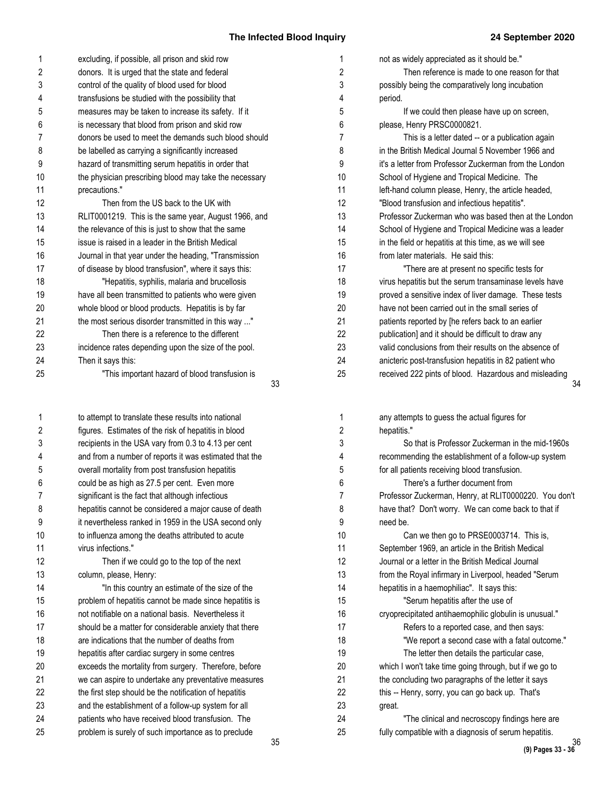| 1  | excluding, if possible, all prison and skid row        | 1  | not as widely appreciated as it should be."            |
|----|--------------------------------------------------------|----|--------------------------------------------------------|
| 2  | donors. It is urged that the state and federal         | 2  | Then reference is made to one reason for that          |
| 3  | control of the quality of blood used for blood         | 3  | possibly being the comparatively long incubation       |
| 4  | transfusions be studied with the possibility that      | 4  | period.                                                |
| 5  | measures may be taken to increase its safety. If it    | 5  | If we could then please have up on screen,             |
| 6  | is necessary that blood from prison and skid row       | 6  | please, Henry PRSC0000821.                             |
| 7  | donors be used to meet the demands such blood should   | 7  | This is a letter dated -- or a publication again       |
| 8  | be labelled as carrying a significantly increased      | 8  | in the British Medical Journal 5 November 1966 and     |
| 9  | hazard of transmitting serum hepatitis in order that   | 9  | it's a letter from Professor Zuckerman from the London |
| 10 | the physician prescribing blood may take the necessary | 10 | School of Hygiene and Tropical Medicine. The           |
| 11 | precautions."                                          | 11 | left-hand column please, Henry, the article headed,    |
| 12 | Then from the US back to the UK with                   | 12 | "Blood transfusion and infectious hepatitis".          |
| 13 | RLIT0001219. This is the same year, August 1966, and   | 13 | Professor Zuckerman who was based then at the London   |
| 14 | the relevance of this is just to show that the same    | 14 | School of Hygiene and Tropical Medicine was a leader   |
| 15 | issue is raised in a leader in the British Medical     | 15 | in the field or hepatitis at this time, as we will see |
| 16 | Journal in that year under the heading, "Transmission  | 16 | from later materials. He said this:                    |
| 17 | of disease by blood transfusion", where it says this:  | 17 | "There are at present no specific tests for            |
| 18 | "Hepatitis, syphilis, malaria and brucellosis          | 18 | virus hepatitis but the serum transaminase levels have |
| 19 | have all been transmitted to patients who were given   | 19 | proved a sensitive index of liver damage. These tests  |
| 20 | whole blood or blood products. Hepatitis is by far     | 20 | have not been carried out in the small series of       |
| 21 | the most serious disorder transmitted in this way "    | 21 | patients reported by [he refers back to an earlier     |
| 22 | Then there is a reference to the different             | 22 | publication] and it should be difficult to draw any    |
| 23 | incidence rates depending upon the size of the pool.   | 23 | valid conclusions from their results on the absence of |
| 24 | Then it says this:                                     | 24 | anicteric post-transfusion hepatitis in 82 patient who |
| 25 | "This important hazard of blood transfusion is         | 25 | received 222 pints of blood. Hazardous and misleading  |
|    | 33                                                     |    |                                                        |
| 1  | to attempt to translate these results into national    | 1  | any attempts to guess the actual figures for           |
| 2  | figures. Estimates of the risk of hepatitis in blood   | 2  | hepatitis."                                            |
| 3  | recipients in the USA vary from 0.3 to 4.13 per cent   | 3  | So that is Professor Zuckerman in the mid-1960s        |
| 4  | and from a number of reports it was estimated that the | 4  | recommending the establishment of a follow-up system   |
| 5  | overall mortality from post transfusion hepatitis      | 5  | for all patients receiving blood transfusion.          |
| 6  | could be as high as 27.5 per cent. Even more           | 6  | There's a further document from                        |
| 7  | significant is the fact that although infectious       | 7  | Professor Zuckerman, Henry, at RLIT0000220. You don't  |
| 8  | hepatitis cannot be considered a major cause of death  | 8  | have that? Don't worry. We can come back to that if    |
| 9  | it nevertheless ranked in 1959 in the USA second only  | 9  | need be.                                               |
| 10 | to influenza among the deaths attributed to acute      | 10 | Can we then go to PRSE0003714. This is,                |
| 11 | virus infections."                                     | 11 | September 1969, an article in the British Medical      |
| 12 | Then if we could go to the top of the next             | 12 | Journal or a letter in the British Medical Journal     |
| 13 | column, please, Henry:                                 | 13 | from the Royal infirmary in Liverpool, headed "Serum   |
| 14 | "In this country an estimate of the size of the        | 14 | hepatitis in a haemophiliac". It says this:            |
| 15 | problem of hepatitis cannot be made since hepatitis is | 15 | "Serum hepatitis after the use of                      |
| 16 | not notifiable on a national basis. Nevertheless it    | 16 | cryoprecipitated antihaemophilic globulin is unusual." |
| 17 | should be a matter for considerable anxiety that there | 17 | Refers to a reported case, and then says:              |
| 18 | are indications that the number of deaths from         | 18 | "We report a second case with a fatal outcome."        |
| 19 | hepatitis after cardiac surgery in some centres        | 19 | The letter then details the particular case,           |
| 20 | exceeds the mortality from surgery. Therefore, before  | 20 | which I won't take time going through, but if we go to |
| 21 | we can aspire to undertake any preventative measures   | 21 | the concluding two paragraphs of the letter it says    |
| 22 | the first step should be the notification of hepatitis | 22 | this -- Henry, sorry, you can go back up. That's       |
| 23 | and the establishment of a follow-up system for all    | 23 | great.                                                 |
| 24 | patients who have received blood transfusion. The      | 24 | "The clinical and necroscopy findings here are         |

25

problem is surely of such importance as to preclude

25

fully compatible with a diagnosis of serum hepatitis.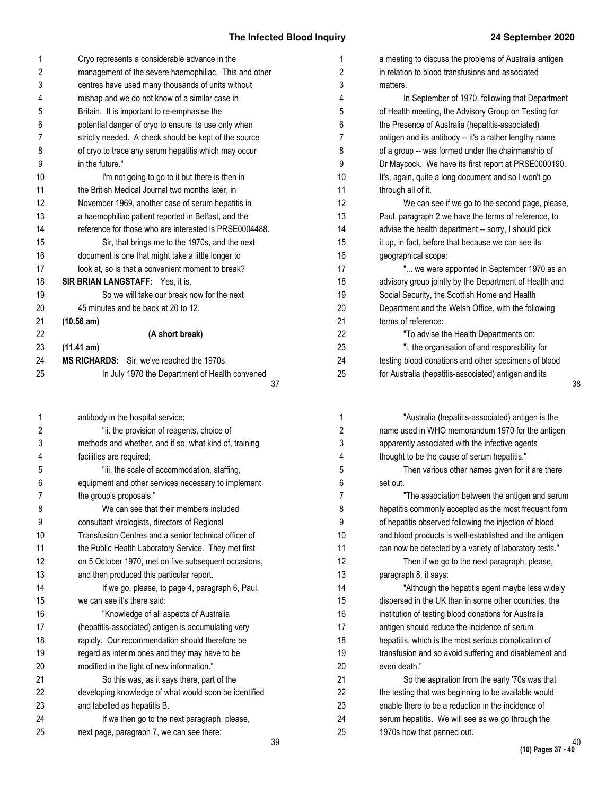| 1  | Cryo represents a considerable advance in the          |
|----|--------------------------------------------------------|
| 2  | management of the severe haemophiliac. This and other  |
| 3  | centres have used many thousands of units without      |
| 4  | mishap and we do not know of a similar case in         |
| 5  | Britain. It is important to re-emphasise the           |
| 6  | potential danger of cryo to ensure its use only when   |
| 7  | strictly needed. A check should be kept of the source  |
| 8  | of cryo to trace any serum hepatitis which may occur   |
| 9  | in the future."                                        |
| 10 | I'm not going to go to it but there is then in         |
| 11 | the British Medical Journal two months later, in       |
| 12 | November 1969, another case of serum hepatitis in      |
| 13 | a haemophiliac patient reported in Belfast, and the    |
| 14 | reference for those who are interested is PRSE0004488. |
| 15 | Sir, that brings me to the 1970s, and the next         |
| 16 | document is one that might take a little longer to     |
| 17 | look at, so is that a convenient moment to break?      |
| 18 | <b>SIR BRIAN LANGSTAFF:</b> Yes, it is.                |
| 19 | So we will take our break now for the next             |
| 20 | 45 minutes and be back at 20 to 12.                    |
| 21 | (10.56 am)                                             |
| 22 | (A short break)                                        |
| 23 | (11.41 am)                                             |
| 24 | <b>MS RICHARDS:</b> Sir, we've reached the 1970s.      |
| 25 | In July 1970 the Department of Health convened         |
|    | 37                                                     |
|    |                                                        |

| 1              | antibody in the hospital service;                      |     |
|----------------|--------------------------------------------------------|-----|
| 2              | "ii, the provision of reagents, choice of              |     |
| 3              | methods and whether, and if so, what kind of, training |     |
| 4              | facilities are required;                               |     |
| 5              | "iii. the scale of accommodation, staffing,            |     |
| 6              | equipment and other services necessary to implement    |     |
| $\overline{7}$ | the group's proposals."                                |     |
| 8              | We can see that their members included                 |     |
| 9              | consultant virologists, directors of Regional          |     |
| 10             | Transfusion Centres and a senior technical officer of  |     |
| 11             | the Public Health Laboratory Service. They met first   |     |
| 12             | on 5 October 1970, met on five subsequent occasions,   |     |
| 13             | and then produced this particular report.              |     |
| 14             | If we go, please, to page 4, paragraph 6, Paul,        |     |
| 15             | we can see it's there said:                            |     |
| 16             | "Knowledge of all aspects of Australia                 |     |
| 17             | (hepatitis-associated) antigen is accumulating very    |     |
| 18             | rapidly. Our recommendation should therefore be        |     |
| 19             | regard as interim ones and they may have to be         |     |
| 20             | modified in the light of new information."             |     |
| 21             | So this was, as it says there, part of the             |     |
| 22             | developing knowledge of what would soon be identified  |     |
| 23             | and labelled as hepatitis B.                           |     |
| 24             | If we then go to the next paragraph, please,           |     |
| 25             | next page, paragraph 7, we can see there:              |     |
|                |                                                        | n n |

| 1  | a meeting to discuss the problems of Australia antigen |    |
|----|--------------------------------------------------------|----|
| 2  | in relation to blood transfusions and associated       |    |
| 3  | matters.                                               |    |
| 4  | In September of 1970, following that Department        |    |
| 5  | of Health meeting, the Advisory Group on Testing for   |    |
| 6  | the Presence of Australia (hepatitis-associated)       |    |
| 7  | antigen and its antibody -- it's a rather lengthy name |    |
| 8  | of a group -- was formed under the chairmanship of     |    |
| 9  | Dr Maycock. We have its first report at PRSE0000190.   |    |
| 10 | It's, again, quite a long document and so I won't go   |    |
| 11 | through all of it.                                     |    |
| 12 | We can see if we go to the second page, please,        |    |
| 13 | Paul, paragraph 2 we have the terms of reference, to   |    |
| 14 | advise the health department -- sorry, I should pick   |    |
| 15 | it up, in fact, before that because we can see its     |    |
| 16 | geographical scope:                                    |    |
| 17 | " we were appointed in September 1970 as an            |    |
| 18 | advisory group jointly by the Department of Health and |    |
| 19 | Social Security, the Scottish Home and Health          |    |
| 20 | Department and the Welsh Office, with the following    |    |
| 21 | terms of reference:                                    |    |
| 22 | "To advise the Health Departments on:                  |    |
| 23 | "i. the organisation of and responsibility for         |    |
| 24 | testing blood donations and other specimens of blood   |    |
| 25 | for Australia (hepatitis-associated) antigen and its   |    |
|    |                                                        | 38 |

| "Australia (hepatitis-associated) antigen is the       |
|--------------------------------------------------------|
| name used in WHO memorandum 1970 for the antigen       |
| apparently associated with the infective agents        |
| thought to be the cause of serum hepatitis."           |
| Then various other names given for it are there        |
| set out.                                               |
| "The association between the antigen and serum         |
| hepatitis commonly accepted as the most frequent form  |
| of hepatitis observed following the injection of blood |
| and blood products is well-established and the antigen |
| can now be detected by a variety of laboratory tests." |
| Then if we go to the next paragraph, please,           |
| paragraph 8, it says:                                  |
| "Although the hepatitis agent maybe less widely        |
| dispersed in the UK than in some other countries, the  |
| institution of testing blood donations for Australia   |
| antigen should reduce the incidence of serum           |
| hepatitis, which is the most serious complication of   |
| transfusion and so avoid suffering and disablement and |
| even death."                                           |
| So the aspiration from the early '70s was that         |
| the testing that was beginning to be available would   |
| enable there to be a reduction in the incidence of     |
| serum hepatitis. We will see as we go through the      |
| 1970s how that panned out.                             |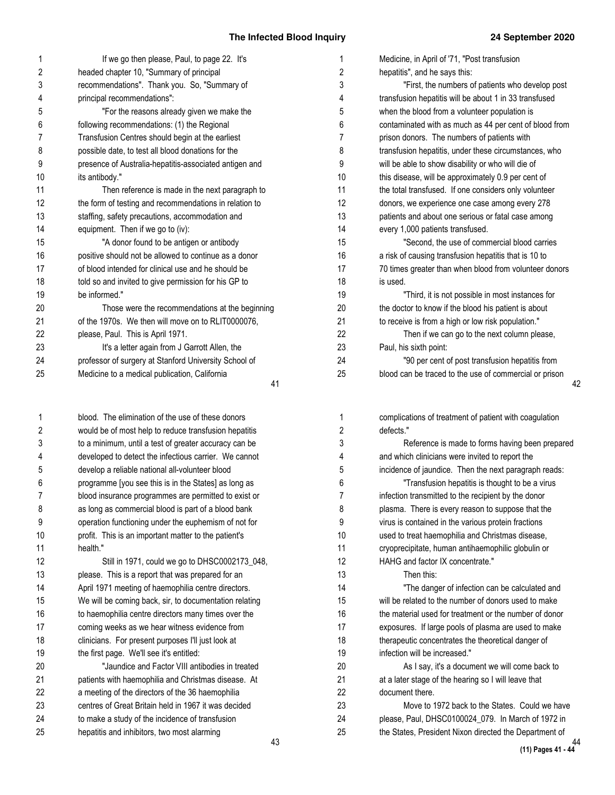| 1              | If we go then please, Paul, to page 22. It's           | 1              |
|----------------|--------------------------------------------------------|----------------|
| $\overline{2}$ | headed chapter 10, "Summary of principal               | $\mathbf{2}$   |
| 3              | recommendations". Thank you. So, "Summary of           | 3              |
| 4              | principal recommendations":                            | 4              |
| 5              | "For the reasons already given we make the             | 5              |
| 6              | following recommendations: (1) the Regional            | 6              |
| 7              | Transfusion Centres should begin at the earliest       | $\overline{7}$ |
| 8              | possible date, to test all blood donations for the     | 8              |
| 9              | presence of Australia-hepatitis-associated antigen and | 9              |
| 10             | its antibody."                                         | 10             |
| 11             | Then reference is made in the next paragraph to        | 11             |
| 12             | the form of testing and recommendations in relation to | 12             |
| 13             | staffing, safety precautions, accommodation and        | 13             |
| 14             | equipment. Then if we go to (iv):                      | 14             |
| 15             | "A donor found to be antigen or antibody               | 15             |
| 16             | positive should not be allowed to continue as a donor  | 16             |
| 17             | of blood intended for clinical use and he should be    | 17             |
| 18             | told so and invited to give permission for his GP to   | 18             |
| 19             | be informed."                                          | 19             |
| 20             | Those were the recommendations at the beginning        | 20             |
| 21             | of the 1970s. We then will move on to RLIT0000076,     | 21             |
| 22             | please, Paul. This is April 1971.                      | 22             |
| 23             | It's a letter again from J Garrott Allen, the          | 23             |
| 24             | professor of surgery at Stanford University School of  | 24             |
| 25             | Medicine to a medical publication, California          | 25             |
|                | 41                                                     |                |

blood. The elimination of the use of these donors would be of most help to reduce transfusion hepatitis to a minimum, until a test of greater accuracy can be developed to detect the infectious carrier. We cannot develop a reliable national all-volunteer blood programme [you see this is in the States] as long as blood insurance programmes are permitted to exist or as long as commercial blood is part of a blood bank operation functioning under the euphemism of not for profit. This is an important matter to the patient's health." Still in 1971, could we go to DHSC0002173\_048,

#### please. This is a report that was prepared for an April 1971 meeting of haemophilia centre directors. We will be coming back, sir, to documentation relating to haemophilia centre directors many times over the coming weeks as we hear witness evidence from clinicians. For present purposes I'll just look at the first page. We'll see it's entitled: "Jaundice and Factor VIII antibodies in treated patients with haemophilia and Christmas disease. At a meeting of the directors of the 36 haemophilia centres of Great Britain held in 1967 it was decided to make a study of the incidence of transfusion hepatitis and inhibitors, two most alarming 12 13 14 15 16 17 18 19 20 21 22 23 24 25

| Medicine, in April of '71, "Post transfusion           |
|--------------------------------------------------------|
| hepatitis", and he says this:                          |
| "First, the numbers of patients who develop post       |
| transfusion hepatitis will be about 1 in 33 transfused |
| when the blood from a volunteer population is          |
| contaminated with as much as 44 per cent of blood from |
| prison donors. The numbers of patients with            |
| transfusion hepatitis, under these circumstances, who  |
| will be able to show disability or who will die of     |
| this disease, will be approximately 0.9 per cent of    |
| the total transfused. If one considers only volunteer  |
| donors, we experience one case among every 278         |
| patients and about one serious or fatal case among     |
| every 1,000 patients transfused.                       |
| "Second, the use of commercial blood carries           |
| a risk of causing transfusion hepatitis that is 10 to  |
| 70 times greater than when blood from volunteer donors |
| is used.                                               |
| "Third, it is not possible in most instances for       |
| the doctor to know if the blood his patient is about   |
| to receive is from a high or low risk population."     |
| Then if we can go to the next column please,           |
| Paul, his sixth point:                                 |
| "90 per cent of post transfusion hepatitis from        |
| blood can be traced to the use of commercial or prison |

complications of treatment of patient with coagulation defects." Reference is made to forms having been prepared and which clinicians were invited to report the incidence of jaundice. Then the next paragraph reads: "Transfusion hepatitis is thought to be a virus infection transmitted to the recipient by the donor plasma. There is every reason to suppose that the virus is contained in the various protein fractions used to treat haemophilia and Christmas disease, cryoprecipitate, human antihaemophilic globulin or HAHG and factor IX concentrate." Then this: "The danger of infection can be calculated and will be related to the number of donors used to make the material used for treatment or the number of donor exposures. If large pools of plasma are used to make therapeutic concentrates the theoretical danger of infection will be increased." As I say, it's a document we will come back to at a later stage of the hearing so I will leave that document there. Move to 1972 back to the States. Could we have please, Paul, DHSC0100024\_079. In March of 1972 in the States, President Nixon directed the Department of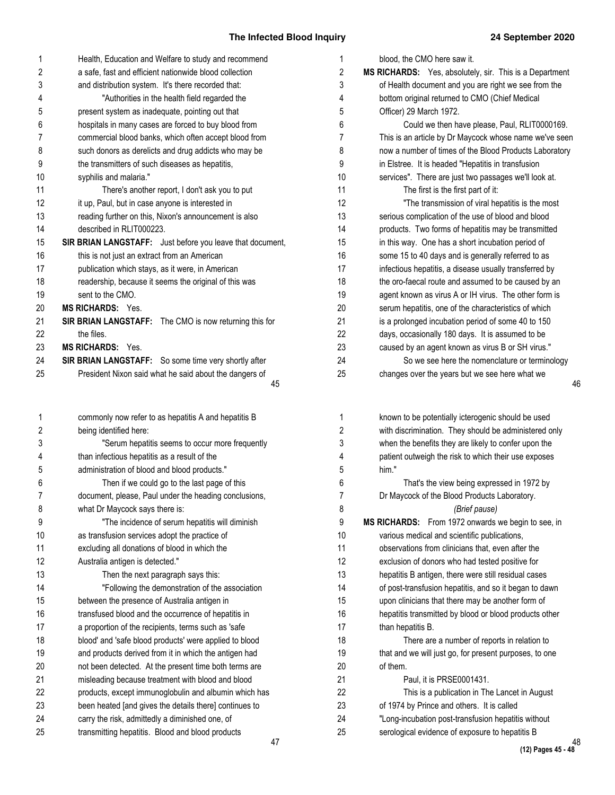## **The Infected Blood Inquir**

| 1  | Health, Education and Welfare to study and recommend      | 1              |
|----|-----------------------------------------------------------|----------------|
| 2  | a safe, fast and efficient nationwide blood collection    | 2              |
| 3  | and distribution system. It's there recorded that:        | 3              |
| 4  | "Authorities in the health field regarded the             | 4              |
| 5  | present system as inadequate, pointing out that           | 5              |
| 6  | hospitals in many cases are forced to buy blood from      | 6              |
| 7  | commercial blood banks, which often accept blood from     | 7              |
| 8  | such donors as derelicts and drug addicts who may be      | 8              |
| 9  | the transmitters of such diseases as hepatitis,           | 9              |
| 10 | syphilis and malaria."                                    | 10             |
| 11 | There's another report, I don't ask you to put            | 11             |
| 12 | it up, Paul, but in case anyone is interested in          | 12             |
| 13 | reading further on this, Nixon's announcement is also     | 13             |
| 14 | described in RLIT000223.                                  | 14             |
| 15 | SIR BRIAN LANGSTAFF: Just before you leave that document, | 15             |
| 16 | this is not just an extract from an American              | 16             |
| 17 | publication which stays, as it were, in American          | 17             |
| 18 | readership, because it seems the original of this was     | 18             |
| 19 | sent to the CMO.                                          | 19             |
| 20 | <b>MS RICHARDS: Yes.</b>                                  | 20             |
| 21 | SIR BRIAN LANGSTAFF: The CMO is now returning this for    | 21             |
| 22 | the files.                                                | 22             |
| 23 | <b>MS RICHARDS: Yes.</b>                                  | 23             |
| 24 | SIR BRIAN LANGSTAFF: So some time very shortly after      | 24             |
| 25 | President Nixon said what he said about the dangers of    | 25             |
|    | 45                                                        |                |
| 1  | commonly now refer to as hepatitis A and hepatitis B      | 1              |
| 2  | being identified here:                                    | 2              |
| 3  | "Serum hepatitis seems to occur more frequently           | 3              |
| 4  | than infectious hepatitis as a result of the              | 4              |
| 5  | administration of blood and blood products."              | 5              |
| 6  | Then if we could go to the last page of this              | 6              |
| 7  | document, please, Paul under the heading conclusions,     | $\overline{7}$ |
| 8  | what Dr Maycock says there is:                            | 8              |
| 9  | "The incidence of serum hepatitis will diminish           | 9              |
| 10 | as transfusion services adopt the practice of             | 10             |
| 11 | excluding all donations of blood in which the             | 11             |
| 12 | Australia antigen is detected."                           | 12             |
| 13 | Then the next paragraph says this:                        | 13             |
| 14 | "Following the demonstration of the association           | 14             |
| 15 | between the presence of Australia antigen in              | 15             |
| 16 | transfused blood and the occurrence of hepatitis in       | 16             |
| 17 | a proportion of the recipients, terms such as 'safe       | 17             |
| 18 | blood' and 'safe blood products' were applied to blood    | 18             |
| 19 | and products derived from it in which the antigen had     | 19             |
| 20 | not been detected. At the present time both terms are     | 20             |
| 21 | misleading because treatment with blood and blood         | 21             |
| 22 | products, except immunoglobulin and albumin which has     | 22             |
| 23 | been heated [and gives the details there] continues to    | 23             |
| 24 | carry the risk, admittedly a diminished one, of           | 24             |
| 25 | transmitting hepatitis. Blood and blood products          | 25             |

transmitting hepatitis. Blood and blood products

| ry | 24 September 2020                                            |
|----|--------------------------------------------------------------|
| 1  | blood, the CMO here saw it.                                  |
| 2  | MS RICHARDS: Yes, absolutely, sir. This is a Department      |
| 3  | of Health document and you are right we see from the         |
| 4  | bottom original returned to CMO (Chief Medical               |
| 5  | Officer) 29 March 1972.                                      |
| 6  | Could we then have please, Paul, RLIT0000169.                |
| 7  | This is an article by Dr Maycock whose name we've seen       |
| 8  | now a number of times of the Blood Products Laboratory       |
| 9  | in Elstree. It is headed "Hepatitis in transfusion           |
| 10 | services". There are just two passages we'll look at.        |
| 11 | The first is the first part of it:                           |
| 12 | "The transmission of viral hepatitis is the most             |
| 13 | serious complication of the use of blood and blood           |
| 14 | products. Two forms of hepatitis may be transmitted          |
| 15 | in this way. One has a short incubation period of            |
| 16 | some 15 to 40 days and is generally referred to as           |
| 17 | infectious hepatitis, a disease usually transferred by       |
| 18 | the oro-faecal route and assumed to be caused by an          |
| 19 | agent known as virus A or IH virus. The other form is        |
| 20 | serum hepatitis, one of the characteristics of which         |
| 21 | is a prolonged incubation period of some 40 to 150           |
| 22 | days, occasionally 180 days. It is assumed to be             |
| 23 | caused by an agent known as virus B or SH virus."            |
| 24 | So we see here the nomenclature or terminology               |
| 25 | changes over the years but we see here what we<br>46         |
|    |                                                              |
| 1  | known to be potentially icterogenic should be used           |
| 2  | with discrimination. They should be administered only        |
| 3  | when the benefits they are likely to confer upon the         |
| 4  | patient outweigh the risk to which their use exposes         |
| 5  | him."                                                        |
| 6  | That's the view being expressed in 1972 by                   |
| 7  | Dr Maycock of the Blood Products Laboratory.                 |
| 8  | (Brief pause)                                                |
| 9  | From 1972 onwards we begin to see, in<br><b>MS RICHARDS:</b> |
| 10 | various medical and scientific publications,                 |
| 11 | observations from clinicians that, even after the            |
| 12 | exclusion of donors who had tested positive for              |
| 13 | hepatitis B antigen, there were still residual cases         |
| 14 | of post-transfusion hepatitis, and so it began to dawn       |
| 15 | upon clinicians that there may be another form of            |
| 16 | hepatitis transmitted by blood or blood products other       |
| 17 | than hepatitis B.                                            |
| 18 | There are a number of reports in relation to                 |
| 19 | that and we will just go, for present purposes, to one       |
| 20 | of them.                                                     |
| 21 | Paul, it is PRSE0001431.                                     |
| 22 | This is a publication in The Lancet in August                |
| 23 | of 1974 by Prince and others. It is called                   |
| 24 | "Long-incubation post-transfusion hepatitis without          |

serological evidence of exposure to hepatitis B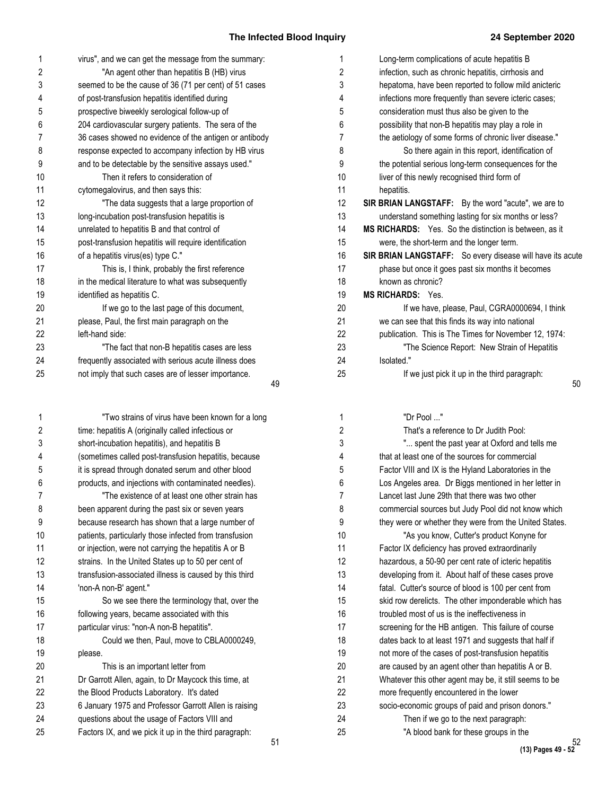| 1              | virus", and we can get the message from the summary:   |
|----------------|--------------------------------------------------------|
| $\overline{2}$ | "An agent other than hepatitis B (HB) virus            |
| 3              | seemed to be the cause of 36 (71 per cent) of 51 cases |
| 4              | of post-transfusion hepatitis identified during        |
| 5              | prospective biweekly serological follow-up of          |
| 6              | 204 cardiovascular surgery patients. The sera of the   |
| $\overline{7}$ | 36 cases showed no evidence of the antigen or antibody |
| 8              | response expected to accompany infection by HB virus   |
| 9              | and to be detectable by the sensitive assays used."    |
| 10             | Then it refers to consideration of                     |
| 11             | cytomegalovirus, and then says this:                   |
| 12             | "The data suggests that a large proportion of          |
| 13             | long-incubation post-transfusion hepatitis is          |
| 14             | unrelated to hepatitis B and that control of           |
| 15             | post-transfusion hepatitis will require identification |
| 16             | of a hepatitis virus(es) type C."                      |
| 17             | This is, I think, probably the first reference         |
| 18             | in the medical literature to what was subsequently     |
| 19             | identified as hepatitis C.                             |
| 20             | If we go to the last page of this document,            |
| 21             | please, Paul, the first main paragraph on the          |
| 22             | left-hand side:                                        |
| 23             | "The fact that non-B hepatitis cases are less          |
| 24             | frequently associated with serious acute illness does  |
| 25             | not imply that such cases are of lesser importance.    |
|                | 10                                                     |

"Two strains of virus have been known for a long time: hepatitis A (originally called infectious or short-incubation hepatitis), and hepatitis B (sometimes called post-transfusion hepatitis, because it is spread through donated serum and other blood products, and injections with contaminated needles). "The existence of at least one other strain has been apparent during the past six or seven years because research has shown that a large number of patients, particularly those infected from transfusion or injection, were not carrying the hepatitis A or B strains. In the United States up to 50 per cent of transfusion-associated illness is caused by this third 'non-A non-B' agent." So we see there the terminology that, over the following years, became associated with this particular virus: "non-A non-B hepatitis". Could we then, Paul, move to CBLA0000249, please. This is an important letter from Dr Garrott Allen, again, to Dr Maycock this time, at the Blood Products Laboratory. It's dated 6 January 1975 and Professor Garrott Allen is raising questions about the usage of Factors VIII and 1 2 3 4 5 6 7 8 9 10 11 12 13 14 15 16 17 18 19 20 21 22 23 24

Factors IX, and we pick it up in the third paragraph: 25

| 1              | Long-term complications of acute hepatitis B              |
|----------------|-----------------------------------------------------------|
| $\overline{2}$ | infection, such as chronic hepatitis, cirrhosis and       |
| 3              | hepatoma, have been reported to follow mild anicteric     |
| 4              | infections more frequently than severe icteric cases;     |
| 5              | consideration must thus also be given to the              |
| 6              | possibility that non-B hepatitis may play a role in       |
| $\overline{7}$ | the aetiology of some forms of chronic liver disease."    |
| 8              | So there again in this report, identification of          |
| 9              | the potential serious long-term consequences for the      |
| 10             | liver of this newly recognised third form of              |
| 11             | hepatitis.                                                |
| 12             | SIR BRIAN LANGSTAFF: By the word "acute", we are to       |
| 13             | understand something lasting for six months or less?      |
| 14             | MS RICHARDS: Yes. So the distinction is between, as it    |
| 15             | were, the short-term and the longer term.                 |
| 16             | SIR BRIAN LANGSTAFF: So every disease will have its acute |
| 17             | phase but once it goes past six months it becomes         |
| 18             | known as chronic?                                         |
| 19             | <b>MS RICHARDS: Yes.</b>                                  |
| 20             | If we have, please, Paul, CGRA0000694, I think            |
| 21             | we can see that this finds its way into national          |
| 22             | publication. This is The Times for November 12, 1974:     |
| 23             | "The Science Report: New Strain of Hepatitis              |
| 24             | Isolated."                                                |

If we just pick it up in the third paragraph:

- 49
	-

25

| 1              | "Dr Pool "                                             |
|----------------|--------------------------------------------------------|
| $\overline{2}$ | That's a reference to Dr Judith Pool:                  |
| 3              | " spent the past year at Oxford and tells me           |
| 4              | that at least one of the sources for commercial        |
| 5              | Factor VIII and IX is the Hyland Laboratories in the   |
| 6              | Los Angeles area. Dr Biggs mentioned in her letter in  |
| $\overline{7}$ | Lancet last June 29th that there was two other         |
| 8              | commercial sources but Judy Pool did not know which    |
| 9              | they were or whether they were from the United States. |
| 10             | "As you know, Cutter's product Konyne for              |
| 11             | Factor IX deficiency has proved extraordinarily        |
| 12             | hazardous, a 50-90 per cent rate of icteric hepatitis  |
| 13             | developing from it. About half of these cases prove    |
| 14             | fatal. Cutter's source of blood is 100 per cent from   |
| 15             | skid row derelicts. The other imponderable which has   |
| 16             | troubled most of us is the ineffectiveness in          |
| 17             | screening for the HB antigen. This failure of course   |
| 18             | dates back to at least 1971 and suggests that half if  |
| 19             | not more of the cases of post-transfusion hepatitis    |
| 20             | are caused by an agent other than hepatitis A or B.    |
| 21             | Whatever this other agent may be, it still seems to be |
| 22             | more frequently encountered in the lower               |
| 23             | socio-economic groups of paid and prison donors."      |
| 24             | Then if we go to the next paragraph:                   |
| 25             | "A blood bank for these groups in the                  |
|                |                                                        |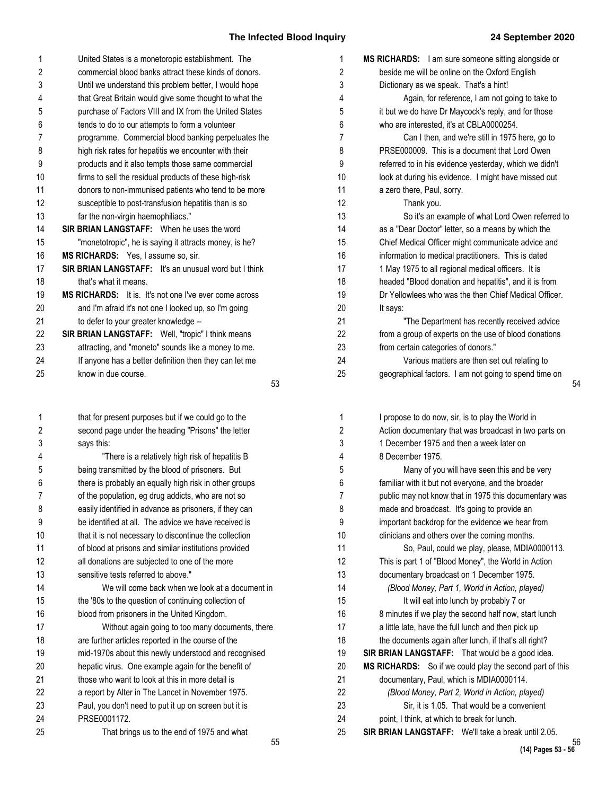| 1              | United States is a monetoropic establishment. The             | 1  |
|----------------|---------------------------------------------------------------|----|
| 2              | commercial blood banks attract these kinds of donors.         | 2  |
| 3              | Until we understand this problem better, I would hope         | 3  |
| 4              | that Great Britain would give some thought to what the        | 4  |
| 5              | purchase of Factors VIII and IX from the United States        | 5  |
| 6              | tends to do to our attempts to form a volunteer               | 6  |
| $\overline{7}$ | programme. Commercial blood banking perpetuates the           | 7  |
| 8              | high risk rates for hepatitis we encounter with their         | 8  |
| 9              | products and it also tempts those same commercial             | 9  |
| 10             | firms to sell the residual products of these high-risk        | 10 |
| 11             | donors to non-immunised patients who tend to be more          | 11 |
| 12             | susceptible to post-transfusion hepatitis than is so          | 12 |
| 13             | far the non-virgin haemophiliacs."                            | 13 |
| 14             | SIR BRIAN LANGSTAFF: When he uses the word                    | 14 |
| 15             | "monetotropic", he is saying it attracts money, is he?        | 15 |
| 16             | MS RICHARDS: Yes, I assume so, sir.                           | 16 |
| 17             | <b>SIR BRIAN LANGSTAFF:</b> It's an unusual word but I think  | 17 |
| 18             | that's what it means.                                         | 18 |
| 19             | <b>MS RICHARDS:</b> It is. It's not one I've ever come across | 19 |
| 20             | and I'm afraid it's not one I looked up, so I'm going         | 20 |
| 21             | to defer to your greater knowledge --                         | 21 |
| 22             | SIR BRIAN LANGSTAFF: Well, "tropic" I think means             | 22 |
| 23             | attracting, and "moneto" sounds like a money to me.           | 23 |
| 24             | If anyone has a better definition then they can let me        | 24 |
| 25             | know in due course.                                           | 25 |
|                | 53                                                            |    |

second page under the heading "Prisons" the letter says this: "There is a relatively high risk of hepatitis B being transmitted by the blood of prisoners. But there is probably an equally high risk in other groups of the population, eg drug addicts, who are not so easily identified in advance as prisoners, if they can be identified at all. The advice we have received is that it is not necessary to discontinue the collection of blood at prisons and similar institutions provided all donations are subjected to one of the more sensitive tests referred to above." We will come back when we look at a document in the '80s to the question of continuing collection of blood from prisoners in the United Kingdom. Without again going to too many documents, there are further articles reported in the course of the mid-1970s about this newly understood and recognised hepatic virus. One example again for the benefit of those who want to look at this in more detail is a report by Alter in The Lancet in November 1975. Paul, you don't need to put it up on screen but it is PRSE0001172. That brings us to the end of 1975 and what 2 3 4 5 6 7 8 9 10 11 12 13 14 15 16 17 18 19 20 21 22 23 24 25

that for present purposes but if we could go to the

1

| 1              | <b>MS RICHARDS:</b> I am sure someone sitting alongside or |
|----------------|------------------------------------------------------------|
| 2              | beside me will be online on the Oxford English             |
| 3              | Dictionary as we speak. That's a hint!                     |
| 4              | Again, for reference, I am not going to take to            |
| 5              | it but we do have Dr Maycock's reply, and for those        |
| 6              | who are interested, it's at CBLA0000254.                   |
| 7              | Can I then, and we're still in 1975 here, go to            |
| 8              | PRSE000009. This is a document that Lord Owen              |
| 9              | referred to in his evidence yesterday, which we didn't     |
| 10             | look at during his evidence. I might have missed out       |
| 11             | a zero there, Paul, sorry.                                 |
| 12             | Thank you.                                                 |
| 13             | So it's an example of what Lord Owen referred to           |
| 14             | as a "Dear Doctor" letter, so a means by which the         |
| 15             | Chief Medical Officer might communicate advice and         |
| 16             | information to medical practitioners. This is dated        |
| 17             | 1 May 1975 to all regional medical officers. It is         |
| 18             | headed "Blood donation and hepatitis", and it is from      |
| 19             | Dr Yellowlees who was the then Chief Medical Officer.      |
| 20             | It says:                                                   |
| $^{21}$        | "The Department has recently received advice               |
| $\overline{2}$ | from a group of experts on the use of blood donations      |
| 23             | from certain categories of donors."                        |
| 24             | Various matters are then set out relating to               |
| 25             | geographical factors. I am not going to spend time on      |

| I propose to do now, sir, is to play the World in          |
|------------------------------------------------------------|
| Action documentary that was broadcast in two parts on      |
| 1 December 1975 and then a week later on                   |
| 8 December 1975.                                           |
| Many of you will have seen this and be very                |
| familiar with it but not everyone, and the broader         |
| public may not know that in 1975 this documentary was      |
| made and broadcast. It's going to provide an               |
| important backdrop for the evidence we hear from           |
| clinicians and others over the coming months.              |
| So, Paul, could we play, please, MDIA0000113.              |
| This is part 1 of "Blood Money", the World in Action       |
| documentary broadcast on 1 December 1975.                  |
| (Blood Money, Part 1, World in Action, played)             |
| It will eat into lunch by probably 7 or                    |
| 8 minutes if we play the second half now, start lunch      |
| a little late, have the full lunch and then pick up        |
| the documents again after lunch, if that's all right?      |
| SIR BRIAN LANGSTAFF: That would be a good idea.            |
| MS RICHARDS: So if we could play the second part of this   |
| documentary, Paul, which is MDIA0000114.                   |
| (Blood Money, Part 2, World in Action, played)             |
| Sir, it is 1.05. That would be a convenient                |
| point, I think, at which to break for lunch.               |
| <b>SIR BRIAN LANGSTAFF:</b> We'll take a break until 2.05. |
|                                                            |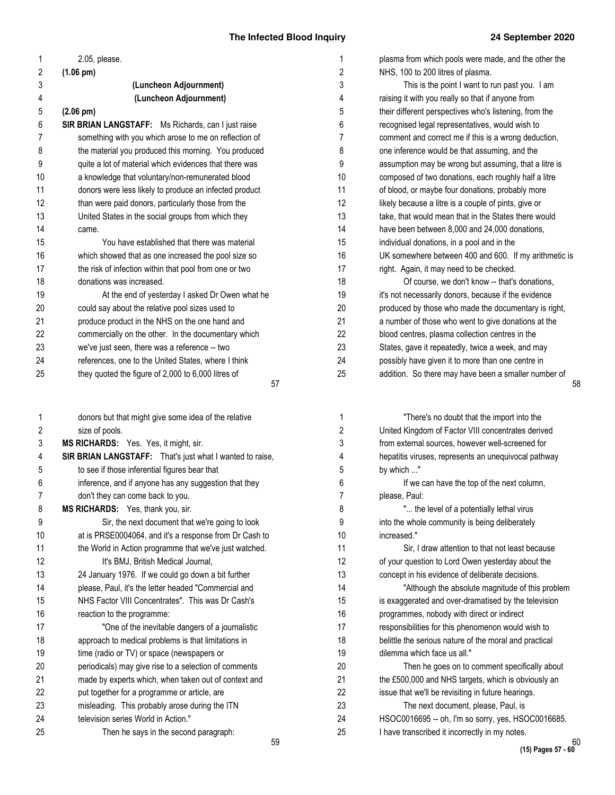| 1              | 2.05, please.                                             |
|----------------|-----------------------------------------------------------|
| 2              | $(1.06 \text{ pm})$                                       |
| 3              | (Luncheon Adjournment)                                    |
| 4              | (Luncheon Adjournment)                                    |
| 5              | $(2.06 \text{ pm})$                                       |
| 6              | <b>SIR BRIAN LANGSTAFF:</b> Ms Richards, can I just raise |
| $\overline{7}$ | something with you which arose to me on reflection of     |
| 8              | the material you produced this morning. You produced      |
| 9              | quite a lot of material which evidences that there was    |
| 10             | a knowledge that voluntary/non-remunerated blood          |
| 11             | donors were less likely to produce an infected product    |
| 12             | than were paid donors, particularly those from the        |
| 13             | United States in the social groups from which they        |
| 14             | came.                                                     |
| 15             | You have established that there was material              |
| 16             | which showed that as one increased the pool size so       |
| 17             | the risk of infection within that pool from one or two    |
| 18             | donations was increased.                                  |
| 19             | At the end of yesterday I asked Dr Owen what he           |
| 20             | could say about the relative pool sizes used to           |
| 21             | produce product in the NHS on the one hand and            |
| 22             | commercially on the other. In the documentary which       |
| 23             | we've just seen, there was a reference -- two             |
| 24             | references, one to the United States, where I think       |
| 25             | they quoted the figure of $2,000$ to $6,000$ litres of    |
|                | 57                                                        |
|                |                                                           |

donors but that might give some idea of the relative size of pools. **MS RICHARDS:** Yes. Yes, it might, sir. **SIR BRIAN LANGSTAFF:** That's just what I wanted to raise, to see if those inferential figures bear that inference, and if anyone has any suggestion that they don't they can come back to you. **MS RICHARDS:** Yes, thank you, sir. Sir, the next document that we're going to look at is PRSE0004064, and it's a response from Dr Cash to the World in Action programme that we've just watched. It's BMJ, British Medical Journal, 24 January 1976. If we could go down a bit further please, Paul, it's the letter headed "Commercial and NHS Factor VIII Concentrates". This was Dr Cash's reaction to the programme: "One of the inevitable dangers of a journalistic approach to medical problems is that limitations in time (radio or TV) or space (newspapers or periodicals) may give rise to a selection of comments made by experts which, when taken out of context and put together for a programme or article, are misleading. This probably arose during the ITN television series World in Action." Then he says in the second paragraph: 1 2 3 4 5 6 7 8 9 10 11 12 13 14 15 16 17 18 19 20 21 22 23 24 25

| 1              | plasma from which pools were made, and the other the   |
|----------------|--------------------------------------------------------|
| 2              | NHS, 100 to 200 litres of plasma.                      |
| 3              | This is the point I want to run past you. I am         |
| 4              | raising it with you really so that if anyone from      |
| 5              | their different perspectives who's listening, from the |
| 6              | recognised legal representatives, would wish to        |
| $\overline{7}$ | comment and correct me if this is a wrong deduction,   |
| 8              | one inference would be that assuming, and the          |
| 9              | assumption may be wrong but assuming, that a litre is  |
| 10             | composed of two donations, each roughly half a litre   |
| 11             | of blood, or maybe four donations, probably more       |
| 12             | likely because a litre is a couple of pints, give or   |
| 13             | take, that would mean that in the States there would   |
| 14             | have been between 8,000 and 24,000 donations,          |
| 15             | individual donations, in a pool and in the             |
| 16             | UK somewhere between 400 and 600. If my arithmetic is  |
| 17             | right. Again, it may need to be checked.               |
| 18             | Of course, we don't know -- that's donations,          |
| 19             | it's not necessarily donors, because if the evidence   |
| 20             | produced by those who made the documentary is right,   |
| 21             | a number of those who went to give donations at the    |
| 22             | blood centres, plasma collection centres in the        |
| 23             | States, gave it repeatedly, twice a week, and may      |
| 24             | possibly have given it to more than one centre in      |
| 25             | addition. So there may have been a smaller number of   |

| 1              | "There's no doubt that the import into the             |
|----------------|--------------------------------------------------------|
| $\overline{2}$ | United Kingdom of Factor VIII concentrates derived     |
| 3              | from external sources, however well-screened for       |
| 4              | hepatitis viruses, represents an unequivocal pathway   |
| 5              | by which "                                             |
| 6              | If we can have the top of the next column,             |
| $\overline{7}$ | please, Paul:                                          |
| 8              | " the level of a potentially lethal virus              |
| 9              | into the whole community is being deliberately         |
| 10             | increased."                                            |
| 11             | Sir, I draw attention to that not least because        |
| 12             | of your question to Lord Owen yesterday about the      |
| 13             | concept in his evidence of deliberate decisions.       |
| 14             | "Although the absolute magnitude of this problem       |
| 15             | is exaggerated and over-dramatised by the television   |
| 16             | programmes, nobody with direct or indirect             |
| 17             | responsibilities for this phenomenon would wish to     |
| 18             | belittle the serious nature of the moral and practical |
| 19             | dilemma which face us all."                            |
| 20             | Then he goes on to comment specifically about          |
| 21             | the £500,000 and NHS targets, which is obviously an    |
| 22             | issue that we'll be revisiting in future hearings.     |
| 23             | The next document, please, Paul, is                    |
| 24             | HSOC0016695 -- oh, I'm so sorry, yes, HSOC0016685.     |
| 25             | I have transcribed it incorrectly in my notes.         |
|                |                                                        |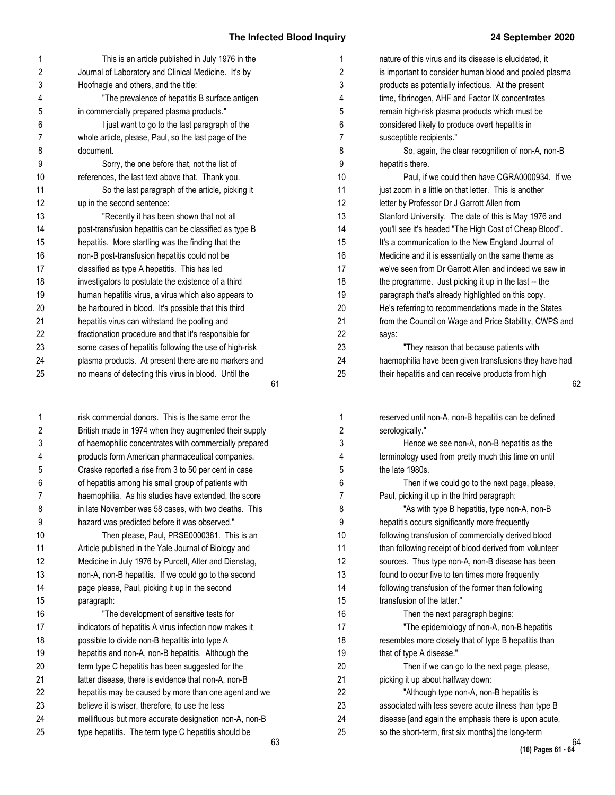| 1  | This is an article published in July 1976 in the       |    |
|----|--------------------------------------------------------|----|
| 2  | Journal of Laboratory and Clinical Medicine. It's by   |    |
| 3  | Hoofnagle and others, and the title:                   |    |
| 4  | "The prevalence of hepatitis B surface antigen         |    |
| 5  | in commercially prepared plasma products."             |    |
| 6  | I just want to go to the last paragraph of the         |    |
| 7  | whole article, please, Paul, so the last page of the   |    |
| 8  | document.                                              |    |
| 9  | Sorry, the one before that, not the list of            |    |
| 10 | references, the last text above that. Thank you.       |    |
| 11 | So the last paragraph of the article, picking it       |    |
| 12 | up in the second sentence:                             |    |
| 13 | "Recently it has been shown that not all               |    |
| 14 | post-transfusion hepatitis can be classified as type B |    |
| 15 | hepatitis. More startling was the finding that the     |    |
| 16 | non-B post-transfusion hepatitis could not be          |    |
| 17 | classified as type A hepatitis. This has led           |    |
| 18 | investigators to postulate the existence of a third    |    |
| 19 | human hepatitis virus, a virus which also appears to   |    |
| 20 | be harboured in blood. It's possible that this third   |    |
| 21 | hepatitis virus can withstand the pooling and          |    |
| 22 | fractionation procedure and that it's responsible for  |    |
| 23 | some cases of hepatitis following the use of high-risk |    |
| 24 | plasma products. At present there are no markers and   |    |
| 25 | no means of detecting this virus in blood. Until the   |    |
|    |                                                        | 61 |

risk commercial donors. This is the same error the British made in 1974 when they augmented their supply of haemophilic concentrates with commercially prepared products form American pharmaceutical companies. Craske reported a rise from 3 to 50 per cent in case of hepatitis among his small group of patients with haemophilia. As his studies have extended, the score in late November was 58 cases, with two deaths. This hazard was predicted before it was observed." Then please, Paul, PRSE0000381. This is an Article published in the Yale Journal of Biology and Medicine in July 1976 by Purcell, Alter and Dienstag, non-A, non-B hepatitis. If we could go to the second page please, Paul, picking it up in the second paragraph: "The development of sensitive tests for indicators of hepatitis A virus infection now makes it possible to divide non-B hepatitis into type A hepatitis and non-A, non-B hepatitis. Although the term type C hepatitis has been suggested for the latter disease, there is evidence that non-A, non-B hepatitis may be caused by more than one agent and we believe it is wiser, therefore, to use the less mellifluous but more accurate designation non-A, non-B type hepatitis. The term type C hepatitis should be 1 2 3 4 5 6 7 8 9 10 11 12 13 14 15 16 17 18 19 20 21 22 23 24 25

| 1              | nature of this virus and its disease is elucidated, it |
|----------------|--------------------------------------------------------|
| $\overline{2}$ | is important to consider human blood and pooled plasma |
| 3              | products as potentially infectious. At the present     |
| 4              | time, fibrinogen, AHF and Factor IX concentrates       |
| 5              | remain high-risk plasma products which must be         |
| 6              | considered likely to produce overt hepatitis in        |
| $\overline{7}$ | susceptible recipients."                               |
| 8              | So, again, the clear recognition of non-A, non-B       |
| 9              | hepatitis there.                                       |
| 10             | Paul, if we could then have CGRA0000934. If we         |
| 11             | just zoom in a little on that letter. This is another  |
| 12             | letter by Professor Dr J Garrott Allen from            |
| 13             | Stanford University. The date of this is May 1976 and  |
| 14             | you'll see it's headed "The High Cost of Cheap Blood". |
| 15             | It's a communication to the New England Journal of     |
| 16             | Medicine and it is essentially on the same theme as    |
| 17             | we've seen from Dr Garrott Allen and indeed we saw in  |
| 18             | the programme. Just picking it up in the last -- the   |
| 19             | paragraph that's already highlighted on this copy.     |
| 20             | He's referring to recommendations made in the States   |
| 21             | from the Council on Wage and Price Stability, CWPS and |
| 22             | says:                                                  |
| 23             | "They reason that because patients with                |
| 24             | haemophilia have been given transfusions they have had |
| 25             | their hepatitis and can receive products from high     |

| reserved until non-A, non-B hepatitis can be defined   |
|--------------------------------------------------------|
| serologically."                                        |
| Hence we see non-A, non-B hepatitis as the             |
| terminology used from pretty much this time on until   |
| the late 1980s.                                        |
| Then if we could go to the next page, please,          |
| Paul, picking it up in the third paragraph:            |
| "As with type B hepatitis, type non-A, non-B           |
| hepatitis occurs significantly more frequently         |
| following transfusion of commercially derived blood    |
| than following receipt of blood derived from volunteer |
| sources. Thus type non-A, non-B disease has been       |
| found to occur five to ten times more frequently       |
| following transfusion of the former than following     |
| transfusion of the latter."                            |
| Then the next paragraph begins:                        |
| "The epidemiology of non-A, non-B hepatitis            |
| resembles more closely that of type B hepatitis than   |
| that of type A disease."                               |
| Then if we can go to the next page, please,            |
| picking it up about halfway down:                      |
| "Although type non-A, non-B hepatitis is               |
| associated with less severe acute illness than type B  |
| disease [and again the emphasis there is upon acute,   |
| so the short-term, first six months] the long-term     |
|                                                        |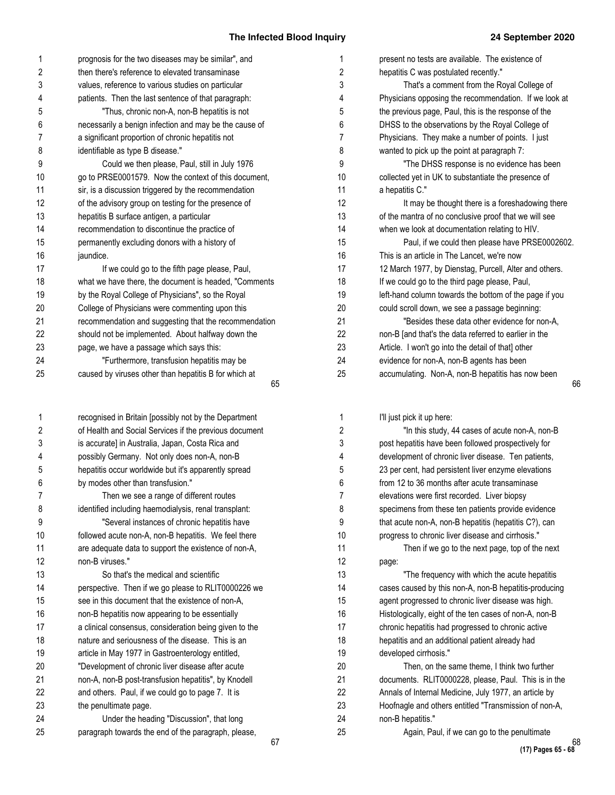Then, on the same theme, I think two further documents. RLIT0000228, please, Paul. This is in the Annals of Internal Medicine, July 1977, an article by Hoofnagle and others entitled "Transmission of non-A,

Again, Paul, if we can go to the penultimate

Histologically, eight of the ten cases of non-A, non-B chronic hepatitis had progressed to chronic active hepatitis and an additional patient already had

| 1  | prognosis for the two diseases may be similar", and    | 1  | present no tests are available. The existence of       |
|----|--------------------------------------------------------|----|--------------------------------------------------------|
| 2  | then there's reference to elevated transaminase        | 2  | hepatitis C was postulated recently."                  |
| 3  | values, reference to various studies on particular     | 3  | That's a comment from the Royal College of             |
| 4  | patients. Then the last sentence of that paragraph:    | 4  | Physicians opposing the recommendation. If we look at  |
| 5  | "Thus, chronic non-A, non-B hepatitis is not           | 5  | the previous page, Paul, this is the response of the   |
| 6  | necessarily a benign infection and may be the cause of | 6  | DHSS to the observations by the Royal College of       |
| 7  | a significant proportion of chronic hepatitis not      | 7  | Physicians. They make a number of points. I just       |
| 8  | identifiable as type B disease."                       | 8  | wanted to pick up the point at paragraph 7:            |
| 9  | Could we then please, Paul, still in July 1976         | 9  | "The DHSS response is no evidence has been             |
| 10 | go to PRSE0001579. Now the context of this document,   | 10 | collected yet in UK to substantiate the presence of    |
| 11 | sir, is a discussion triggered by the recommendation   | 11 | a hepatitis C."                                        |
| 12 | of the advisory group on testing for the presence of   | 12 | It may be thought there is a foreshadowing there       |
| 13 | hepatitis B surface antigen, a particular              | 13 | of the mantra of no conclusive proof that we will see  |
| 14 | recommendation to discontinue the practice of          | 14 | when we look at documentation relating to HIV.         |
| 15 | permanently excluding donors with a history of         | 15 | Paul, if we could then please have PRSE000260:         |
| 16 | jaundice.                                              | 16 | This is an article in The Lancet, we're now            |
| 17 | If we could go to the fifth page please, Paul,         | 17 | 12 March 1977, by Dienstag, Purcell, Alter and others. |
| 18 | what we have there, the document is headed, "Comments  | 18 | If we could go to the third page please, Paul,         |
| 19 | by the Royal College of Physicians", so the Royal      | 19 | left-hand column towards the bottom of the page if you |
| 20 | College of Physicians were commenting upon this        | 20 | could scroll down, we see a passage beginning:         |
| 21 | recommendation and suggesting that the recommendation  | 21 | "Besides these data other evidence for non-A,          |
| 22 | should not be implemented. About halfway down the      | 22 | non-B [and that's the data referred to earlier in the  |
| 23 | page, we have a passage which says this:               | 23 | Article. I won't go into the detail of that] other     |
| 24 | "Furthermore, transfusion hepatitis may be             | 24 | evidence for non-A, non-B agents has been              |
| 25 | caused by viruses other than hepatitis B for which at  | 25 | accumulating. Non-A, non-B hepatitis has now been      |
|    | 65                                                     |    |                                                        |
| 1  | recognised in Britain [possibly not by the Department  | 1  | I'll just pick it up here:                             |
| 2  | of Health and Social Services if the previous document | 2  | "In this study, 44 cases of acute non-A, non-B         |
| 3  | is accurate] in Australia, Japan, Costa Rica and       | 3  | post hepatitis have been followed prospectively for    |
| 4  | possibly Germany. Not only does non-A, non-B           | 4  | development of chronic liver disease. Ten patients,    |
| 5  | hepatitis occur worldwide but it's apparently spread   | 5  | 23 per cent, had persistent liver enzyme elevations    |
| 6  | by modes other than transfusion."                      | 6  | from 12 to 36 months after acute transaminase          |
|    | Then we see a range of different routes                | 7  | elevations were first recorded. Liver biopsy           |
| 8  | identified including haemodialysis, renal transplant:  | 8  | specimens from these ten patients provide evidence     |
| 9  | "Several instances of chronic hepatitis have           | 9  | that acute non-A, non-B hepatitis (hepatitis C?), can  |
| 10 | followed acute non-A, non-B hepatitis. We feel there   | 10 | progress to chronic liver disease and cirrhosis."      |
| 11 | are adequate data to support the existence of non-A,   | 11 | Then if we go to the next page, top of the next        |
| 12 | non-B viruses."                                        | 12 | page:                                                  |
| 13 | So that's the medical and scientific                   | 13 | "The frequency with which the acute hepatitis          |
| 14 | perspective. Then if we go please to RLIT0000226 we    | 14 | cases caused by this non-A, non-B hepatitis-producing  |
| 15 | see in this document that the existence of non-A,      | 15 | agent progressed to chronic liver disease was high.    |

non-B hepatitis now appearing to be essentially a clinical consensus, consideration being given to the nature and seriousness of the disease. This is an article in May 1977 in Gastroenterology entitled, "Development of chronic liver disease after acute non-A, non-B post-transfusion hepatitis", by Knodell and others. Paul, if we could go to page 7. It is

Under the heading "Discussion", that long paragraph towards the end of the paragraph, please,

the penultimate page.

developed cirrhosis."

non-B hepatitis."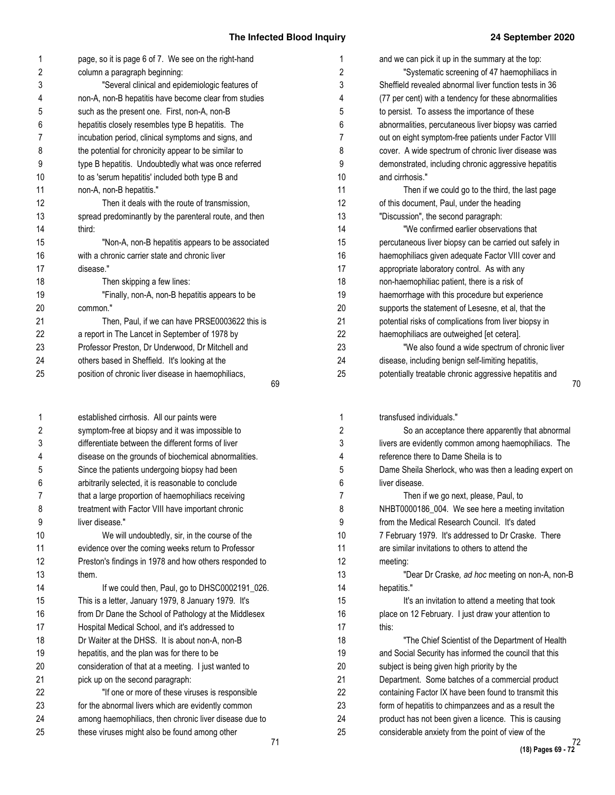| 1              | page, so it is page 6 of 7. We see on the right-hand   | 1                     |
|----------------|--------------------------------------------------------|-----------------------|
| 2              | column a paragraph beginning:                          | $\overline{c}$        |
| 3              | "Several clinical and epidemiologic features of        | 3                     |
| 4              | non-A, non-B hepatitis have become clear from studies  | 4                     |
| 5              | such as the present one. First, non-A, non-B           | 5                     |
| 6              | hepatitis closely resembles type B hepatitis. The      | 6                     |
| $\overline{7}$ | incubation period, clinical symptoms and signs, and    | 7                     |
| 8              | the potential for chronicity appear to be similar to   | 8                     |
| 9              | type B hepatitis. Undoubtedly what was once referred   | 9                     |
| 10             | to as 'serum hepatitis' included both type B and       | 1(                    |
| 11             | non-A, non-B hepatitis."                               | 1 <sup>1</sup>        |
| 12             | Then it deals with the route of transmission,          | 1'                    |
| 13             | spread predominantly by the parenteral route, and then | 1.                    |
| 14             | third:                                                 | 14                    |
| 15             | "Non-A, non-B hepatitis appears to be associated       | 1!                    |
| 16             | with a chronic carrier state and chronic liver         | 16                    |
| 17             | disease."                                              | $\ddot{\phantom{a}}$  |
| 18             | Then skipping a few lines:                             | 18                    |
| 19             | "Finally, non-A, non-B hepatitis appears to be         | 19                    |
| 20             | common."                                               | $\overline{2}$        |
| 21             | Then, Paul, if we can have PRSE0003622 this is         | $2^{\cdot}$           |
| 22             | a report in The Lancet in September of 1978 by         | $\overline{2}$        |
| 23             | Professor Preston, Dr Underwood, Dr Mitchell and       | 2.                    |
| 24             | others based in Sheffield. It's looking at the         | $\mathbf{2}^{\prime}$ |
| 25             | position of chronic liver disease in haemophiliacs,    | 2                     |
|                | 69                                                     |                       |

| 1              | established cirrhosis. All our paints were             |    |
|----------------|--------------------------------------------------------|----|
| 2              | symptom-free at biopsy and it was impossible to        |    |
| 3              | differentiate between the different forms of liver     |    |
| 4              | disease on the grounds of biochemical abnormalities.   |    |
| 5              | Since the patients undergoing biopsy had been          |    |
| 6              | arbitrarily selected, it is reasonable to conclude     |    |
| $\overline{7}$ | that a large proportion of haemophiliacs receiving     |    |
| 8              | treatment with Factor VIII have important chronic      |    |
| 9              | liver disease."                                        |    |
| 10             | We will undoubtedly, sir, in the course of the         |    |
| 11             | evidence over the coming weeks return to Professor     |    |
| 12             | Preston's findings in 1978 and how others responded to |    |
| 13             | them.                                                  |    |
| 14             | If we could then, Paul, go to DHSC0002191_026.         |    |
| 15             | This is a letter, January 1979, 8 January 1979. It's   |    |
| 16             | from Dr Dane the School of Pathology at the Middlesex  |    |
| 17             | Hospital Medical School, and it's addressed to         |    |
| 18             | Dr Waiter at the DHSS. It is about non-A, non-B        |    |
| 19             | hepatitis, and the plan was for there to be            |    |
| 20             | consideration of that at a meeting. I just wanted to   |    |
| 21             | pick up on the second paragraph:                       |    |
| 22             | "If one or more of these viruses is responsible        |    |
| 23             | for the abnormal livers which are evidently common     |    |
| 24             | among haemophiliacs, then chronic liver disease due to |    |
| 25             | these viruses might also be found among other          |    |
|                |                                                        | 71 |

| 1              | and we can pick it up in the summary at the top:       |
|----------------|--------------------------------------------------------|
| 2              | "Systematic screening of 47 haemophiliacs in           |
| 3              | Sheffield revealed abnormal liver function tests in 36 |
| 4              | (77 per cent) with a tendency for these abnormalities  |
| 5              | to persist. To assess the importance of these          |
| 6              | abnormalities, percutaneous liver biopsy was carried   |
| $\overline{7}$ | out on eight symptom-free patients under Factor VIII   |
| 8              | cover. A wide spectrum of chronic liver disease was    |
| 9              | demonstrated, including chronic aggressive hepatitis   |
| 10             | and cirrhosis."                                        |
| 11             | Then if we could go to the third, the last page        |
| 12             | of this document, Paul, under the heading              |
| 13             | "Discussion", the second paragraph:                    |
| 14             | "We confirmed earlier observations that                |
| 15             | percutaneous liver biopsy can be carried out safely in |
| 16             | haemophiliacs given adequate Factor VIII cover and     |
| 17             | appropriate laboratory control. As with any            |
| 18             | non-haemophiliac patient, there is a risk of           |
| 19             | haemorrhage with this procedure but experience         |
| 20             | supports the statement of Lesesne, et al, that the     |
| 21             | potential risks of complications from liver biopsy in  |
| 22             | haemophiliacs are outweighed [et cetera].              |
| 23             | "We also found a wide spectrum of chronic liver        |
| 24             | disease, including benign self-limiting hepatitis,     |
| 25             | potentially treatable chronic aggressive hepatitis and |
|                |                                                        |

transfused individuals." So an acceptance there apparently that abnormal livers are evidently common among haemophiliacs. The reference there to Dame Sheila is to Dame Sheila Sherlock, who was then a leading expert on liver disease. Then if we go next, please, Paul, to NHBT0000186\_004. We see here a meeting invitation from the Medical Research Council. It's dated 7 February 1979. It's addressed to Dr Craske. There are similar invitations to others to attend the meeting: "Dear Dr Craske*, ad hoc* meeting on non-A, non-B hepatitis." It's an invitation to attend a meeting that took place on 12 February. I just draw your attention to this: "The Chief Scientist of the Department of Health and Social Security has informed the council that this subject is being given high priority by the Department. Some batches of a commercial product containing Factor IX have been found to transmit this form of hepatitis to chimpanzees and as a result the product has not been given a licence. This is causing considerable anxiety from the point of view of the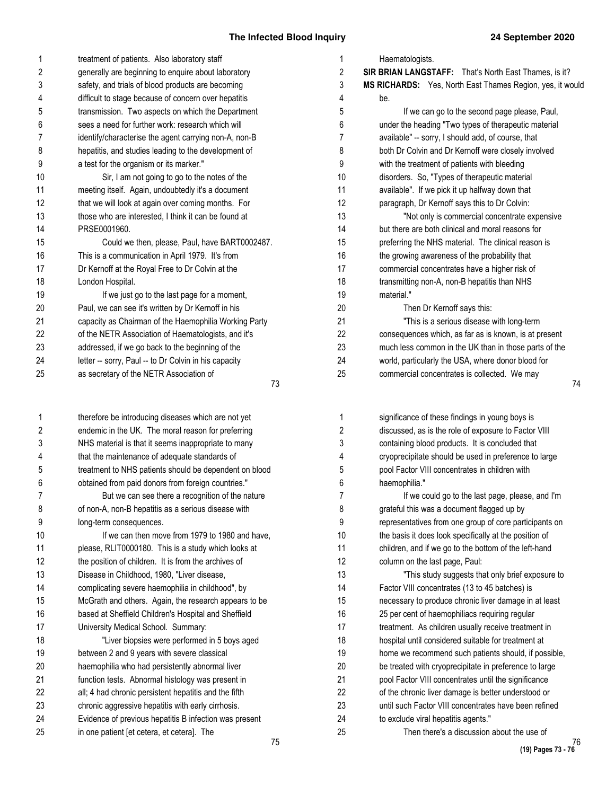| 1              | treatment of patients. Also laboratory staff          |
|----------------|-------------------------------------------------------|
| 2              | generally are beginning to enquire about laboratory   |
| 3              | safety, and trials of blood products are becoming     |
| 4              | difficult to stage because of concern over hepatitis  |
| 5              | transmission. Two aspects on which the Department     |
| 6              | sees a need for further work: research which will     |
| $\overline{7}$ | identify/characterise the agent carrying non-A, non-B |
| 8              | hepatitis, and studies leading to the development of  |
| 9              | a test for the organism or its marker."               |
| 10             | Sir, I am not going to go to the notes of the         |
| 11             | meeting itself. Again, undoubtedly it's a document    |
| 12             | that we will look at again over coming months. For    |
| 13             | those who are interested, I think it can be found at  |
| 14             | PRSE0001960.                                          |
| 15             | Could we then, please, Paul, have BART0002487.        |
| 16             | This is a communication in April 1979. It's from      |
| 17             | Dr Kernoff at the Royal Free to Dr Colvin at the      |
| 18             | London Hospital.                                      |
| 19             | If we just go to the last page for a moment,          |
| 20             | Paul, we can see it's written by Dr Kernoff in his    |
| 21             | capacity as Chairman of the Haemophilia Working Party |
| 22             | of the NETR Association of Haematologists, and it's   |
| 23             | addressed, if we go back to the beginning of the      |
| 24             | letter -- sorry, Paul -- to Dr Colvin in his capacity |
| 25             | as secretary of the NETR Association of               |
|                | 73                                                    |

73

75 therefore be introducing diseases which are not yet endemic in the UK. The moral reason for preferring NHS material is that it seems inappropriate to many that the maintenance of adequate standards of treatment to NHS patients should be dependent on blood obtained from paid donors from foreign countries." But we can see there a recognition of the nature of non-A, non-B hepatitis as a serious disease with long-term consequences. If we can then move from 1979 to 1980 and have, please, RLIT0000180. This is a study which looks at the position of children. It is from the archives of Disease in Childhood, 1980, "Liver disease, complicating severe haemophilia in childhood", by McGrath and others. Again, the research appears to be based at Sheffield Children's Hospital and Sheffield University Medical School. Summary: "Liver biopsies were performed in 5 boys aged between 2 and 9 years with severe classical haemophilia who had persistently abnormal liver function tests. Abnormal histology was present in all; 4 had chronic persistent hepatitis and the fifth chronic aggressive hepatitis with early cirrhosis. Evidence of previous hepatitis B infection was present in one patient [et cetera, et cetera]. The 1 2 3 4 5 6 7 8 9 10 11 12 13 14 15 16 17 18 19 20 21 22 23 24 25

| 1              | Haematologists.                                           |
|----------------|-----------------------------------------------------------|
| $\overline{2}$ | SIR BRIAN LANGSTAFF: That's North East Thames, is it?     |
| 3              | MS RICHARDS: Yes, North East Thames Region, yes, it would |
| 4              | be.                                                       |
| 5              | If we can go to the second page please, Paul,             |
| 6              | under the heading "Two types of therapeutic material      |
| $\overline{7}$ | available" -- sorry, I should add, of course, that        |
| 8              | both Dr Colvin and Dr Kernoff were closely involved       |
| 9              | with the treatment of patients with bleeding              |
| 10             | disorders. So, "Types of therapeutic material             |
| 11             | available". If we pick it up halfway down that            |
| 12             | paragraph, Dr Kernoff says this to Dr Colvin:             |
| 13             | "Not only is commercial concentrate expensive             |
| 14             | but there are both clinical and moral reasons for         |
| 15             | preferring the NHS material. The clinical reason is       |
| 16             | the growing awareness of the probability that             |
| 17             | commercial concentrates have a higher risk of             |
| 18             | transmitting non-A, non-B hepatitis than NHS              |
| 19             | material."                                                |
| 20             | Then Dr Kernoff says this:                                |
| 21             | "This is a serious disease with long-term                 |
| 22             | consequences which, as far as is known, is at present     |
| 23             | much less common in the UK than in those parts of the     |
| 24             | world, particularly the USA, where donor blood for        |
| 25             | commercial concentrates is collected. We may              |

| 1              | significance of these findings in young boys is        |
|----------------|--------------------------------------------------------|
| $\overline{2}$ | discussed, as is the role of exposure to Factor VIII   |
| 3              | containing blood products. It is concluded that        |
| 4              | cryoprecipitate should be used in preference to large  |
| 5              | pool Factor VIII concentrates in children with         |
| 6              | haemophilia."                                          |
| 7              | If we could go to the last page, please, and I'm       |
| 8              | grateful this was a document flagged up by             |
| 9              | representatives from one group of core participants on |
| 10             | the basis it does look specifically at the position of |
| 11             | children, and if we go to the bottom of the left-hand  |
| 12             | column on the last page, Paul:                         |
| 13             | "This study suggests that only brief exposure to       |
| 14             | Factor VIII concentrates (13 to 45 batches) is         |
| 15             | necessary to produce chronic liver damage in at least  |
| 16             | 25 per cent of haemophiliacs requiring regular         |
| 17             | treatment. As children usually receive treatment in    |
| 18             | hospital until considered suitable for treatment at    |
| 19             | home we recommend such patients should, if possible,   |
| 20             | be treated with cryoprecipitate in preference to large |
| 21             | pool Factor VIII concentrates until the significance   |
| 22             | of the chronic liver damage is better understood or    |
| 23             | until such Factor VIII concentrates have been refined  |
| 24             | to exclude viral hepatitis agents."                    |
| 25             | Then there's a discussion about the use of             |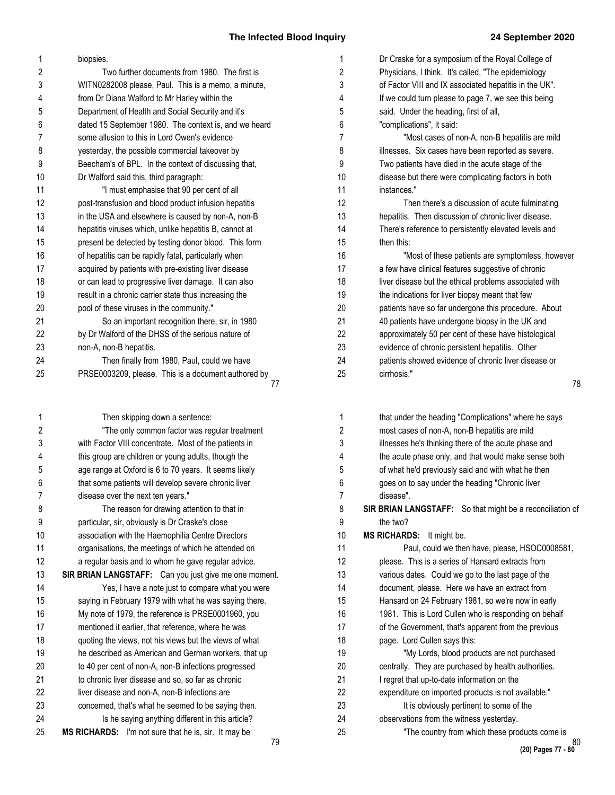78

| 2<br>3   | biopsies.<br>Two further documents from 1980. The first is | 2  | Dr Craske for a symposium of the Royal College of         |
|----------|------------------------------------------------------------|----|-----------------------------------------------------------|
|          |                                                            |    | Physicians, I think. It's called, "The epidemiology       |
|          | WITN0282008 please, Paul. This is a memo, a minute,        | 3  | of Factor VIII and IX associated hepatitis in the UK".    |
| 4        | from Dr Diana Walford to Mr Harley within the              | 4  | If we could turn please to page 7, we see this being      |
| 5        | Department of Health and Social Security and it's          | 5  | said. Under the heading, first of all,                    |
| 6        | dated 15 September 1980. The context is, and we heard      | 6  | "complications", it said:                                 |
| 7        | some allusion to this in Lord Owen's evidence              | 7  | "Most cases of non-A, non-B hepatitis are mild            |
| 8        | yesterday, the possible commercial takeover by             | 8  | illnesses. Six cases have been reported as severe.        |
| 9        | Beecham's of BPL. In the context of discussing that,       | 9  | Two patients have died in the acute stage of the          |
| 10       | Dr Walford said this, third paragraph:                     | 10 | disease but there were complicating factors in both       |
| 11       | "I must emphasise that 90 per cent of all                  | 11 | instances."                                               |
| 12       | post-transfusion and blood product infusion hepatitis      | 12 | Then there's a discussion of acute fulminating            |
| 13       | in the USA and elsewhere is caused by non-A, non-B         | 13 | hepatitis. Then discussion of chronic liver disease.      |
| 14       | hepatitis viruses which, unlike hepatitis B, cannot at     | 14 | There's reference to persistently elevated levels and     |
| 15       | present be detected by testing donor blood. This form      | 15 | then this:                                                |
| 16       | of hepatitis can be rapidly fatal, particularly when       | 16 | "Most of these patients are symptomless, however          |
| 17       | acquired by patients with pre-existing liver disease       | 17 | a few have clinical features suggestive of chronic        |
| 18       | or can lead to progressive liver damage. It can also       | 18 | liver disease but the ethical problems associated with    |
| 19       | result in a chronic carrier state thus increasing the      | 19 | the indications for liver biopsy meant that few           |
| 20       | pool of these viruses in the community."                   | 20 | patients have so far undergone this procedure. About      |
| 21       | So an important recognition there, sir, in 1980            | 21 | 40 patients have undergone biopsy in the UK and           |
| 22       | by Dr Walford of the DHSS of the serious nature of         | 22 | approximately 50 per cent of these have histological      |
| 23       | non-A, non-B hepatitis.                                    | 23 | evidence of chronic persistent hepatitis. Other           |
| 24       | Then finally from 1980, Paul, could we have                | 24 | patients showed evidence of chronic liver disease or      |
| 25       | PRSE0003209, please. This is a document authored by        | 25 | cirrhosis."                                               |
|          | 77                                                         |    | 7                                                         |
| 1        | Then skipping down a sentence:                             | 1  | that under the heading "Complications" where he says      |
| 2        | "The only common factor was regular treatment              | 2  | most cases of non-A, non-B hepatitis are mild             |
| 3        | with Factor VIII concentrate. Most of the patients in      | 3  | illnesses he's thinking there of the acute phase and      |
| 4        | this group are children or young adults, though the        | 4  | the acute phase only, and that would make sense both      |
| 5        | age range at Oxford is 6 to 70 years. It seems likely      | 5  | of what he'd previously said and with what he then        |
| 6        | that some patients will develop severe chronic liver       | 6  | goes on to say under the heading "Chronic liver           |
|          | disease over the next ten years."                          |    | disease".                                                 |
| 8        | The reason for drawing attention to that in                | 8  | SIR BRIAN LANGSTAFF: So that might be a reconciliation of |
| 9        | particular, sir, obviously is Dr Craske's close            | 9  | the two?                                                  |
| 10       | association with the Haemophilia Centre Directors          | 10 | MS RICHARDS: It might be.                                 |
| 11       | organisations, the meetings of which he attended on        | 11 | Paul, could we then have, please, HSOC0008581,            |
| 12       | a regular basis and to whom he gave regular advice.        | 12 | please. This is a series of Hansard extracts from         |
| 13       | SIR BRIAN LANGSTAFF: Can you just give me one moment.      | 13 | various dates. Could we go to the last page of the        |
| 14       | Yes, I have a note just to compare what you were           | 14 | document, please. Here we have an extract from            |
| 15       | saying in February 1979 with what he was saying there.     | 15 | Hansard on 24 February 1981, so we're now in early        |
| 16       | My note of 1979, the reference is PRSE0001960, you         | 16 | 1981. This is Lord Cullen who is responding on behalf     |
| 17       | mentioned it earlier, that reference, where he was         | 17 | of the Government, that's apparent from the previous      |
| 18       | quoting the views, not his views but the views of what     | 18 | page. Lord Cullen says this:                              |
| 19       | he described as American and German workers, that up       | 19 | "My Lords, blood products are not purchased               |
| 20       | to 40 per cent of non-A, non-B infections progressed       | 20 | centrally. They are purchased by health authorities.      |
| 21       | to chronic liver disease and so, so far as chronic         | 21 | I regret that up-to-date information on the               |
| 22       | liver disease and non-A, non-B infections are              | 22 | expenditure on imported products is not available."       |
|          | concerned, that's what he seemed to be saying then.        | 23 | It is obviously pertinent to some of the                  |
|          |                                                            |    |                                                           |
| 23<br>24 | Is he saying anything different in this article?           | 24 | observations from the witness yesterday.                  |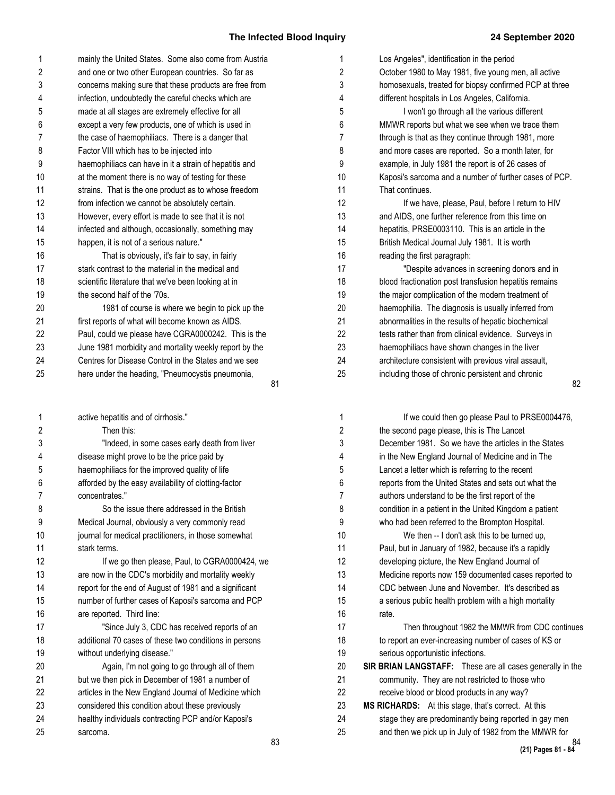| 1  | mainly the United States. Some also come from Austria  |
|----|--------------------------------------------------------|
| 2  | and one or two other European countries. So far as     |
| 3  | concerns making sure that these products are free from |
| 4  | infection, undoubtedly the careful checks which are    |
| 5  | made at all stages are extremely effective for all     |
| 6  | except a very few products, one of which is used in    |
| 7  | the case of haemophiliacs. There is a danger that      |
| 8  | Factor VIII which has to be injected into              |
| 9  | haemophiliacs can have in it a strain of hepatitis and |
| 10 | at the moment there is no way of testing for these     |
| 11 | strains. That is the one product as to whose freedom   |
| 12 | from infection we cannot be absolutely certain.        |
| 13 | However, every effort is made to see that it is not    |
| 14 | infected and although, occasionally, something may     |
| 15 | happen, it is not of a serious nature."                |
| 16 | That is obviously, it's fair to say, in fairly         |
| 17 | stark contrast to the material in the medical and      |
| 18 | scientific literature that we've been looking at in    |
| 19 | the second half of the '70s.                           |
| 20 | 1981 of course is where we begin to pick up the        |
| 21 | first reports of what will become known as AIDS.       |
| 22 | Paul, could we please have CGRA0000242. This is the    |
| 23 | June 1981 morbidity and mortality weekly report by the |
| 24 | Centres for Disease Control in the States and we see   |
| 25 | here under the heading, "Pneumocystis pneumonia,       |
|    | 81                                                     |
|    |                                                        |

| 1              | active hepatitis and of cirrhosis."                    |
|----------------|--------------------------------------------------------|
| 2              | Then this:                                             |
| 3              | "Indeed, in some cases early death from liver          |
| 4              | disease might prove to be the price paid by            |
| 5              | haemophiliacs for the improved quality of life         |
| 6              | afforded by the easy availability of clotting-factor   |
| $\overline{7}$ | concentrates."                                         |
| 8              | So the issue there addressed in the British            |
| 9              | Medical Journal, obviously a very commonly read        |
| 10             | journal for medical practitioners, in those somewhat   |
| 11             | stark terms.                                           |
| 12             | If we go then please, Paul, to CGRA0000424, we         |
| 13             | are now in the CDC's morbidity and mortality weekly    |
| 14             | report for the end of August of 1981 and a significant |
| 15             | number of further cases of Kaposi's sarcoma and PCP    |
| 16             | are reported. Third line:                              |
| 17             | "Since July 3, CDC has received reports of an          |
| 18             | additional 70 cases of these two conditions in persons |
| 19             | without underlying disease."                           |
| 20             | Again, I'm not going to go through all of them         |
| 21             | but we then pick in December of 1981 a number of       |
| 22             | articles in the New England Journal of Medicine which  |
| 23             | considered this condition about these previously       |
| 24             | healthy individuals contracting PCP and/or Kaposi's    |
| 25             | sarcoma.                                               |
|                |                                                        |

| Los Angeles", identification in the period             |
|--------------------------------------------------------|
| October 1980 to May 1981, five young men, all active   |
| homosexuals, treated for biopsy confirmed PCP at three |
| different hospitals in Los Angeles, California.        |
| I won't go through all the various different           |
| MMWR reports but what we see when we trace them        |
| through is that as they continue through 1981, more    |
| and more cases are reported. So a month later, for     |
| example, in July 1981 the report is of 26 cases of     |
| Kaposi's sarcoma and a number of further cases of PCP. |
| That continues.                                        |
| If we have, please, Paul, before I return to HIV       |
| and AIDS, one further reference from this time on      |
| hepatitis, PRSE0003110. This is an article in the      |
| British Medical Journal July 1981. It is worth         |
| reading the first paragraph:                           |
| "Despite advances in screening donors and in           |
| blood fractionation post transfusion hepatitis remains |
| the major complication of the modern treatment of      |
| haemophilia. The diagnosis is usually inferred from    |
| abnormalities in the results of hepatic biochemical    |
| tests rather than from clinical evidence. Surveys in   |
| haemophiliacs have shown changes in the liver          |
| architecture consistent with previous viral assault,   |
| including those of chronic persistent and chronic      |
|                                                        |

| 1              | If we could then go please Paul to PRSE0004476,                  |
|----------------|------------------------------------------------------------------|
| 2              | the second page please, this is The Lancet                       |
| 3              | December 1981. So we have the articles in the States             |
| 4              | in the New England Journal of Medicine and in The                |
| 5              | Lancet a letter which is referring to the recent                 |
| 6              | reports from the United States and sets out what the             |
| $\overline{7}$ | authors understand to be the first report of the                 |
| 8              | condition in a patient in the United Kingdom a patient           |
| 9              | who had been referred to the Brompton Hospital.                  |
| 10             | We then -- I don't ask this to be turned up.                     |
| 11             | Paul, but in January of 1982, because it's a rapidly             |
| 12             | developing picture, the New England Journal of                   |
| 13             | Medicine reports now 159 documented cases reported to            |
| 14             | CDC between June and November. It's described as                 |
| 15             | a serious public health problem with a high mortality            |
| 16             | rate.                                                            |
| 17             | Then throughout 1982 the MMWR from CDC continues                 |
| 18             | to report an ever-increasing number of cases of KS or            |
| 19             | serious opportunistic infections.                                |
| 20             | <b>SIR BRIAN LANGSTAFF:</b> These are all cases generally in the |
| 21             | community. They are not restricted to those who                  |
| 22             | receive blood or blood products in any way?                      |
| 23             | MS RICHARDS: At this stage, that's correct. At this              |
| 24             | stage they are predominantly being reported in gay men           |
| 25             | and then we pick up in July of 1982 from the MMWR for            |
|                | 84                                                               |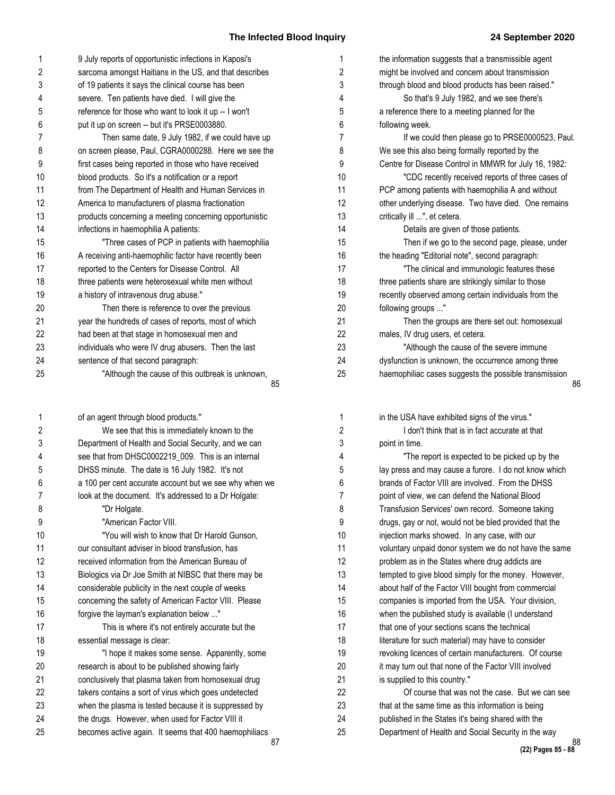| 1                       | 9 July reports of opportunistic infections in Kaposi's | $\mathbf 1$    | the info   |
|-------------------------|--------------------------------------------------------|----------------|------------|
| $\overline{2}$          | sarcoma amongst Haitians in the US, and that describes | $\overline{2}$ | might b    |
| 3                       | of 19 patients it says the clinical course has been    | 3              | through    |
| 4                       | severe. Ten patients have died. I will give the        | 4              |            |
| 5                       | reference for those who want to look it up -- I won't  | 5              | a refere   |
| 6                       | put it up on screen -- but it's PRSE0003880.           | 6              | followin   |
| 7                       | Then same date, 9 July 1982, if we could have up       | $\overline{7}$ |            |
| 8                       | on screen please, Paul, CGRA0000288. Here we see the   | 8              | We see     |
| 9                       | first cases being reported in those who have received  | 9              | Centre     |
| 10                      | blood products. So it's a notification or a report     | 10             |            |
| 11                      | from The Department of Health and Human Services in    | 11             | PCP ar     |
| 12                      | America to manufacturers of plasma fractionation       | 12             | other u    |
| 13                      | products concerning a meeting concerning opportunistic | 13             | critically |
| 14                      | infections in haemophilia A patients:                  | 14             |            |
| 15                      | "Three cases of PCP in patients with haemophilia       | 15             |            |
| 16                      | A receiving anti-haemophilic factor have recently been | 16             | the hea    |
| 17                      | reported to the Centers for Disease Control. All       | 17             |            |
| 18                      | three patients were heterosexual white men without     | 18             | three p    |
| 19                      | a history of intravenous drug abuse."                  | 19             | recently   |
| 20                      | Then there is reference to over the previous           | 20             | followin   |
| 21                      | year the hundreds of cases of reports, most of which   | 21             |            |
| 22                      | had been at that stage in homosexual men and           | 22             | males,     |
| 23                      | individuals who were IV drug abusers. Then the last    | 23             |            |
| 24                      | sentence of that second paragraph:                     | 24             | dysfund    |
| 25                      | "Although the cause of this outbreak is unknown,<br>85 | 25             | haemo      |
|                         |                                                        |                |            |
| 1                       | of an agent through blood products."                   | 1              | in the L   |
| $\overline{\mathbf{c}}$ | We see that this is immediately known to the           | 2              |            |
| 3                       | Department of Health and Social Security, and we can   | 3              | point in   |
| $\overline{4}$          | see that from DHSC0002219_009. This is an internal     | $\overline{4}$ |            |
| 5                       | DHSS minute. The date is 16 July 1982. It's not        | 5              | lay pres   |
| 6                       | a 100 per cent accurate account but we see why when we | 6              | brands     |
| 7                       | look at the document. It's addressed to a Dr Holgate:  | 7              | point of   |
| 8                       | "Dr Holgate.                                           | 8              | Transfu    |
| 9                       | "American Factor VIII.                                 | 9              | drugs,     |
| 10                      | "You will wish to know that Dr Harold Gunson,          | 10             | injectio   |
| 11                      | our consultant adviser in blood transfusion, has       | 11             | volunta    |
| 12                      | received information from the American Bureau of       | 12             | problen    |
| 13                      | Biologics via Dr Joe Smith at NIBSC that there may be  | 13             | tempte     |
| 14                      | considerable publicity in the next couple of weeks     | 14             | about h    |
| 15                      | concerning the safety of American Factor VIII. Please  | 15             | compar     |
| 16                      | forgive the layman's explanation below "               | 16             | when th    |
| 17                      | This is where it's not entirely accurate but the       | 17             | that on    |
| 18                      | essential message is clear:                            | 18             | literatur  |

"I hope it makes some sense. Apparently, some

research is about to be published showing fairly conclusively that plasma taken from homosexual drug takers contains a sort of virus which goes undetected when the plasma is tested because it is suppressed by the drugs. However, when used for Factor VIII it becomes active again. It seems that 400 haemophiliacs

| the information suggests that a transmissible agent   |    |
|-------------------------------------------------------|----|
| might be involved and concern about transmission      |    |
| through blood and blood products has been raised."    |    |
| So that's 9 July 1982, and we see there's             |    |
| a reference there to a meeting planned for the        |    |
| following week.                                       |    |
| If we could then please go to PRSE0000523, Paul.      |    |
| We see this also being formally reported by the       |    |
| Centre for Disease Control in MMWR for July 16, 1982: |    |
| "CDC recently received reports of three cases of      |    |
| PCP among patients with haemophilia A and without     |    |
| other underlying disease. Two have died. One remains  |    |
| critically ill ", et cetera.                          |    |
| Details are given of those patients.                  |    |
| Then if we go to the second page, please, under       |    |
| the heading "Editorial note", second paragraph:       |    |
| "The clinical and immunologic features these          |    |
| three patients share are strikingly similar to those  |    |
| recently observed among certain individuals from the  |    |
| following groups "                                    |    |
| Then the groups are there set out: homosexual         |    |
| males, IV drug users, et cetera.                      |    |
| "Although the cause of the severe immune              |    |
| dysfunction is unknown, the occurrence among three    |    |
| haemophiliac cases suggests the possible transmission |    |
|                                                       | 86 |
|                                                       |    |

| 1              | in the USA have exhibited signs of the virus."         |
|----------------|--------------------------------------------------------|
| 2              | I don't think that is in fact accurate at that         |
| 3              | point in time.                                         |
| 4              | "The report is expected to be picked up by the         |
| 5              | lay press and may cause a furore. I do not know which  |
| 6              | brands of Factor VIII are involved. From the DHSS      |
| $\overline{7}$ | point of view, we can defend the National Blood        |
| 8              | Transfusion Services' own record. Someone taking       |
| 9              | drugs, gay or not, would not be bled provided that the |
| 10             | injection marks showed. In any case, with our          |
| 11             | voluntary unpaid donor system we do not have the same  |
| 12             | problem as in the States where drug addicts are        |
| 13             | tempted to give blood simply for the money. However,   |
| 14             | about half of the Factor VIII bought from commercial   |
| 15             | companies is imported from the USA. Your division,     |
| 16             | when the published study is available (I understand    |
| 17             | that one of your sections scans the technical          |
| 18             | literature for such material) may have to consider     |
| 19             | revoking licences of certain manufacturers. Of course  |
| 20             | it may turn out that none of the Factor VIII involved  |
| 21             | is supplied to this country."                          |
| 22             | Of course that was not the case. But we can see        |
| 23             | that at the same time as this information is being     |
| 24             | published in the States it's being shared with the     |
| 25             | Department of Health and Social Security in the way    |
|                |                                                        |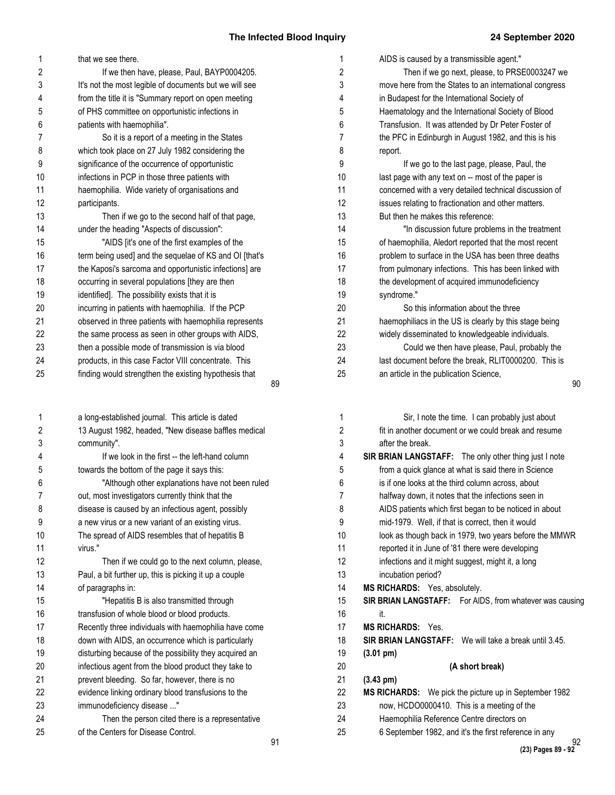| 1<br>2 | that we see there.                                                                                    | 1<br>2 | AIDS is caused by a transmissible agent."                                                               |
|--------|-------------------------------------------------------------------------------------------------------|--------|---------------------------------------------------------------------------------------------------------|
| 3      | If we then have, please, Paul, BAYP0004205.<br>It's not the most legible of documents but we will see | 3      | Then if we go next, please, to PRSE0003247 we<br>move here from the States to an international congress |
| 4      | from the title it is "Summary report on open meeting                                                  | 4      | in Budapest for the International Society of                                                            |
|        |                                                                                                       |        |                                                                                                         |
| 5      | of PHS committee on opportunistic infections in                                                       | 5      | Haematology and the International Society of Blood                                                      |
| 6      | patients with haemophilia".                                                                           | 6      | Transfusion. It was attended by Dr Peter Foster of                                                      |
| 7      | So it is a report of a meeting in the States                                                          | 7      | the PFC in Edinburgh in August 1982, and this is his                                                    |
| 8      | which took place on 27 July 1982 considering the                                                      | 8      | report.                                                                                                 |
| 9      | significance of the occurrence of opportunistic                                                       | 9      | If we go to the last page, please, Paul, the                                                            |
| 10     | infections in PCP in those three patients with                                                        | 10     | last page with any text on -- most of the paper is                                                      |
| 11     | haemophilia. Wide variety of organisations and                                                        | 11     | concerned with a very detailed technical discussion of                                                  |
| 12     | participants.                                                                                         | 12     | issues relating to fractionation and other matters.                                                     |
| 13     | Then if we go to the second half of that page,                                                        | 13     | But then he makes this reference:                                                                       |
| 14     | under the heading "Aspects of discussion":                                                            | 14     | "In discussion future problems in the treatment                                                         |
| 15     | "AIDS [it's one of the first examples of the                                                          | 15     | of haemophilia, Aledort reported that the most recent                                                   |
| 16     | term being used] and the sequelae of KS and OI [that's                                                | 16     | problem to surface in the USA has been three deaths                                                     |
| 17     | the Kaposi's sarcoma and opportunistic infections] are                                                | 17     | from pulmonary infections. This has been linked with                                                    |
| 18     | occurring in several populations [they are then                                                       | 18     | the development of acquired immunodeficiency                                                            |
| 19     | identified]. The possibility exists that it is                                                        | 19     | syndrome."                                                                                              |
| 20     | incurring in patients with haemophilia. If the PCP                                                    | 20     | So this information about the three                                                                     |
| 21     | observed in three patients with haemophilia represents                                                | 21     | haemophiliacs in the US is clearly by this stage being                                                  |
| 22     | the same process as seen in other groups with AIDS,                                                   | 22     | widely disseminated to knowledgeable individuals.                                                       |
| 23     | then a possible mode of transmission is via blood                                                     | 23     | Could we then have please, Paul, probably the                                                           |
| 24     | products, in this case Factor VIII concentrate. This                                                  | 24     | last document before the break, RLIT0000200. This is                                                    |
| 25     | finding would strengthen the existing hypothesis that                                                 | 25     | an article in the publication Science,                                                                  |
|        | 89                                                                                                    |        | 90                                                                                                      |
| 1      | a long-established journal. This article is dated                                                     | 1      | Sir, I note the time. I can probably just about                                                         |
| 2      | 13 August 1982, headed, "New disease baffles medical                                                  | 2      | fit in another document or we could break and resume                                                    |
| 3      | community".                                                                                           | 3      | after the break.                                                                                        |
| 4      | If we look in the first -- the left-hand column                                                       | 4      | SIR BRIAN LANGSTAFF: The only other thing just I note                                                   |
| 5      | towards the bottom of the page it says this:                                                          | 5      | from a quick glance at what is said there in Science                                                    |
| 6      | "Although other explanations have not been ruled                                                      | 6      | is if one looks at the third column across, about                                                       |
| 7      | out, most investigators currently think that the                                                      |        | halfway down, it notes that the infections seen in                                                      |
| 8      | disease is caused by an infectious agent, possibly                                                    | 8      | AIDS patients which first began to be noticed in about                                                  |
| 9      | a new virus or a new variant of an existing virus.                                                    | 9      | mid-1979. Well, if that is correct, then it would                                                       |
| 10     | The spread of AIDS resembles that of hepatitis B                                                      | 10     | look as though back in 1979, two years before the MMWR                                                  |
| 11     | virus."                                                                                               | 11     | reported it in June of '81 there were developing                                                        |
| 12     | Then if we could go to the next column, please,                                                       | 12     | infections and it might suggest, might it, a long                                                       |
| 13     | Paul, a bit further up, this is picking it up a couple                                                | 13     | incubation period?                                                                                      |
| 14     | of paragraphs in:                                                                                     | 14     | MS RICHARDS: Yes, absolutely.                                                                           |
| 15     | "Hepatitis B is also transmitted through                                                              | 15     | SIR BRIAN LANGSTAFF: For AIDS, from whatever was causing                                                |
| 16     | transfusion of whole blood or blood products.                                                         | 16     |                                                                                                         |
| 17     | Recently three individuals with haemophilia have come                                                 | 17     | it.<br>MS RICHARDS: Yes.                                                                                |
| 18     | down with AIDS, an occurrence which is particularly                                                   | 18     | <b>SIR BRIAN LANGSTAFF:</b> We will take a break until 3.45.                                            |
| 19     | disturbing because of the possibility they acquired an                                                | 19     | $(3.01 \text{ pm})$                                                                                     |
|        |                                                                                                       |        |                                                                                                         |

92 **(23) Pages 89 - 92**

**(A short break)**

**MS RICHARDS:** We pick the picture up in September 1982 now, HCDO0000410. This is a meeting of the Haemophilia Reference Centre directors on

6 September 1982, and it's the first reference in any

**(3.43 pm)**

infectious agent from the blood product they take to prevent bleeding. So far, however, there is no evidence linking ordinary blood transfusions to the

Then the person cited there is a representative

immunodeficiency disease ..."

of the Centers for Disease Control.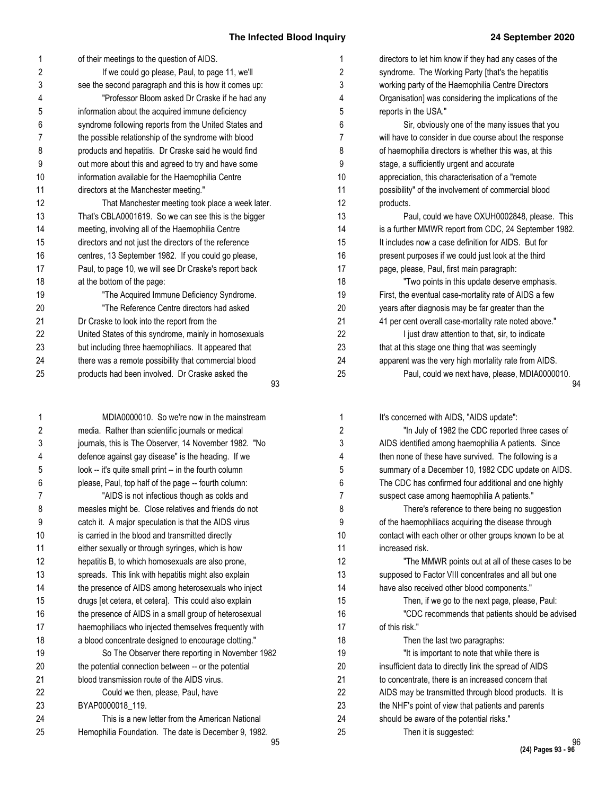| 1              | of their meetings to the question of AIDS.             | 1  | directors to let him know if they had any cases of the |
|----------------|--------------------------------------------------------|----|--------------------------------------------------------|
| 2              | If we could go please, Paul, to page 11, we'll         | 2  | syndrome. The Working Party [that's the hepatitis      |
| 3              | see the second paragraph and this is how it comes up:  | 3  | working party of the Haemophilia Centre Directors      |
| 4              | "Professor Bloom asked Dr Craske if he had any         | 4  | Organisation] was considering the implications of the  |
| 5              | information about the acquired immune deficiency       | 5  | reports in the USA."                                   |
| 6              | syndrome following reports from the United States and  | 6  | Sir, obviously one of the many issues that you         |
| 7              | the possible relationship of the syndrome with blood   | 7  | will have to consider in due course about the response |
| 8              | products and hepatitis. Dr Craske said he would find   | 8  | of haemophilia directors is whether this was, at this  |
| 9              | out more about this and agreed to try and have some    | 9  | stage, a sufficiently urgent and accurate              |
| 10             | information available for the Haemophilia Centre       | 10 | appreciation, this characterisation of a "remote       |
| 11             | directors at the Manchester meeting."                  | 11 | possibility" of the involvement of commercial blood    |
| 12             | That Manchester meeting took place a week later.       | 12 | products.                                              |
| 13             | That's CBLA0001619. So we can see this is the bigger   | 13 | Paul, could we have OXUH0002848, please. This          |
| 14             | meeting, involving all of the Haemophilia Centre       | 14 | is a further MMWR report from CDC, 24 September 1982.  |
| 15             | directors and not just the directors of the reference  | 15 | It includes now a case definition for AIDS. But for    |
| 16             | centres, 13 September 1982. If you could go please,    | 16 | present purposes if we could just look at the third    |
| 17             | Paul, to page 10, we will see Dr Craske's report back  | 17 | page, please, Paul, first main paragraph:              |
| 18             | at the bottom of the page:                             | 18 | "Two points in this update deserve emphasis.           |
| 19             | "The Acquired Immune Deficiency Syndrome.              | 19 | First, the eventual case-mortality rate of AIDS a few  |
| 20             | "The Reference Centre directors had asked              | 20 | years after diagnosis may be far greater than the      |
| 21             | Dr Craske to look into the report from the             | 21 | 41 per cent overall case-mortality rate noted above."  |
| 22             | United States of this syndrome, mainly in homosexuals  | 22 | I just draw attention to that, sir, to indicate        |
| 23             | but including three haemophiliacs. It appeared that    | 23 | that at this stage one thing that was seemingly        |
| 24             | there was a remote possibility that commercial blood   | 24 | apparent was the very high mortality rate from AIDS.   |
| 25             | products had been involved. Dr Craske asked the<br>93  | 25 | Paul, could we next have, please, MDIA0000010.<br>g    |
|                |                                                        |    |                                                        |
| 1              | MDIA0000010. So we're now in the mainstream            | 1  | It's concerned with AIDS, "AIDS update":               |
| $\overline{2}$ | media. Rather than scientific journals or medical      | 2  | "In July of 1982 the CDC reported three cases of       |
| 3              | journals, this is The Observer, 14 November 1982. "No  | 3  | AIDS identified among haemophilia A patients. Since    |
| 4              | defence against gay disease" is the heading. If we     | 4  | then none of these have survived. The following is a   |
| 5              | look -- it's quite small print -- in the fourth column | 5  | summary of a December 10, 1982 CDC update on AIDS.     |
| 6              | please, Paul, top half of the page -- fourth column:   | 6  | The CDC has confirmed four additional and one highly   |
| 7              | "AIDS is not infectious though as colds and            | 7  | suspect case among haemophilia A patients."            |
| 8              | measles might be. Close relatives and friends do not   | 8  | There's reference to there being no suggestion         |
| 9              | catch it. A major speculation is that the AIDS virus   | 9  | of the haemophiliacs acquiring the disease through     |
| 10             | is carried in the blood and transmitted directly       | 10 | contact with each other or other groups known to be at |

either sexually or through syringes, which is how hepatitis B, to which homosexuals are also prone, spreads. This link with hepatitis might also explain the presence of AIDS among heterosexuals who inject drugs [et cetera, et cetera]. This could also explain the presence of AIDS in a small group of heterosexual haemophiliacs who injected themselves frequently with a blood concentrate designed to encourage clotting."

the potential connection between -- or the potential blood transmission route of the AIDS virus. Could we then, please, Paul, have

BYAP0000018\_119.

So The Observer there reporting in November 1982

This is a new letter from the American National Hemophilia Foundation. The date is December 9, 1982.

en none of these have survived. The following is a immary of a December 10, 1982 CDC update on AIDS. ne CDC has confirmed four additional and one highly spect case among haemophilia A patients." There's reference to there being no suggestion the haemophiliacs acquiring the disease through ntact with each other or other groups known to be at increased risk. "The MMWR points out at all of these cases to be supposed to Factor VIII concentrates and all but one have also received other blood components." Then, if we go to the next page, please, Paul: "CDC recommends that patients should be advised of this risk." Then the last two paragraphs: "It is important to note that while there is insufficient data to directly link the spread of AIDS to concentrate, there is an increased concern that AIDS may be transmitted through blood products. It is the NHF's point of view that patients and parents should be aware of the potential risks." Then it is suggested: 10 11 12 13 14 15 16 17 18 19 20 21 22 23 24 25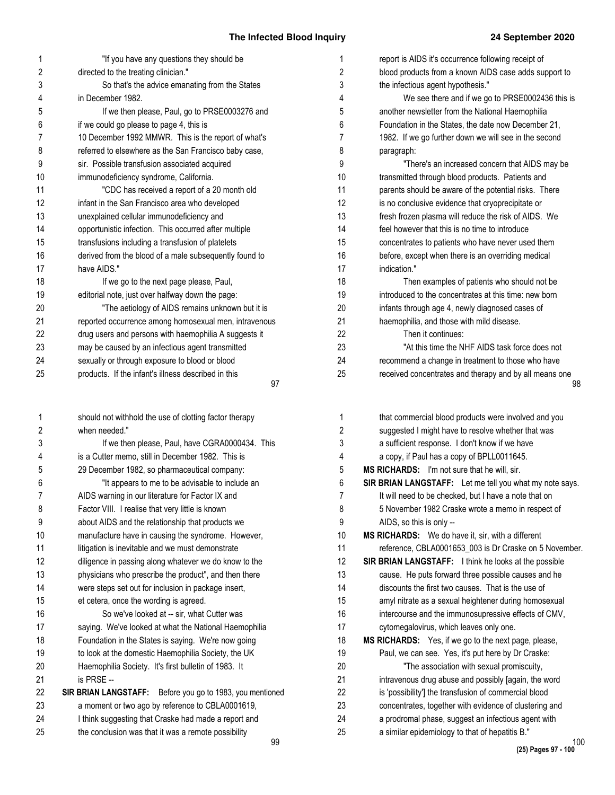| 1  | "If you have any questions they should be                 | 1  | report is AIDS it's occurrence following receipt of     |
|----|-----------------------------------------------------------|----|---------------------------------------------------------|
| 2  | directed to the treating clinician."                      | 2  | blood products from a known AIDS case adds support to   |
| 3  | So that's the advice emanating from the States            | 3  | the infectious agent hypothesis."                       |
| 4  | in December 1982.                                         | 4  | We see there and if we go to PRSE0002436 this is        |
| 5  | If we then please, Paul, go to PRSE0003276 and            | 5  | another newsletter from the National Haemophilia        |
| 6  | if we could go please to page 4, this is                  | 6  | Foundation in the States, the date now December 21,     |
| 7  | 10 December 1992 MMWR. This is the report of what's       | 7  | 1982. If we go further down we will see in the second   |
| 8  | referred to elsewhere as the San Francisco baby case,     | 8  | paragraph:                                              |
| 9  | sir. Possible transfusion associated acquired             | 9  | "There's an increased concern that AIDS may be          |
| 10 | immunodeficiency syndrome, California.                    | 10 | transmitted through blood products. Patients and        |
| 11 | "CDC has received a report of a 20 month old              | 11 | parents should be aware of the potential risks. There   |
| 12 | infant in the San Francisco area who developed            | 12 | is no conclusive evidence that cryoprecipitate or       |
| 13 | unexplained cellular immunodeficiency and                 | 13 | fresh frozen plasma will reduce the risk of AIDS. We    |
| 14 | opportunistic infection. This occurred after multiple     | 14 | feel however that this is no time to introduce          |
| 15 | transfusions including a transfusion of platelets         | 15 | concentrates to patients who have never used them       |
| 16 | derived from the blood of a male subsequently found to    | 16 | before, except when there is an overriding medical      |
| 17 | have AIDS."                                               | 17 | indication."                                            |
| 18 | If we go to the next page please, Paul,                   | 18 | Then examples of patients who should not be             |
| 19 | editorial note, just over halfway down the page:          | 19 | introduced to the concentrates at this time: new born   |
| 20 | "The aetiology of AIDS remains unknown but it is          | 20 | infants through age 4, newly diagnosed cases of         |
| 21 | reported occurrence among homosexual men, intravenous     | 21 | haemophilia, and those with mild disease.               |
| 22 | drug users and persons with haemophilia A suggests it     | 22 | Then it continues:                                      |
| 23 | may be caused by an infectious agent transmitted          | 23 | "At this time the NHF AIDS task force does not          |
| 24 | sexually or through exposure to blood or blood            | 24 | recommend a change in treatment to those who have       |
| 25 | products. If the infant's illness described in this       | 25 | received concentrates and therapy and by all means one  |
|    | 97                                                        |    | 98                                                      |
|    |                                                           |    |                                                         |
| 1  | should not withhold the use of clotting factor therapy    | 1  | that commercial blood products were involved and you    |
| 2  | when needed."                                             | 2  | suggested I might have to resolve whether that was      |
| 3  | If we then please, Paul, have CGRA0000434. This           | 3  | a sufficient response. I don't know if we have          |
| 4  | is a Cutter memo, still in December 1982. This is         | 4  | a copy, if Paul has a copy of BPLL0011645.              |
| 5  | 29 December 1982, so pharmaceutical company:              | 5  | MS RICHARDS: I'm not sure that he will, sir.            |
| 6  | "It appears to me to be advisable to include an           | 6  | SIR BRIAN LANGSTAFF: Let me tell you what my note says. |
| 7  | AIDS warning in our literature for Factor IX and          | 7  | It will need to be checked, but I have a note that on   |
| 8  | Factor VIII. I realise that very little is known          | 8  | 5 November 1982 Craske wrote a memo in respect of       |
| 9  | about AIDS and the relationship that products we          | 9  | AIDS, so this is only --                                |
| 10 | manufacture have in causing the syndrome. However,        | 10 | MS RICHARDS: We do have it, sir, with a different       |
| 11 | litigation is inevitable and we must demonstrate          | 11 | reference, CBLA0001653_003 is Dr Craske on 5 November.  |
| 12 | diligence in passing along whatever we do know to the     | 12 | SIR BRIAN LANGSTAFF: I think he looks at the possible   |
| 13 | physicians who prescribe the product", and then there     | 13 | cause. He puts forward three possible causes and he     |
| 14 | were steps set out for inclusion in package insert,       | 14 | discounts the first two causes. That is the use of      |
| 15 | et cetera, once the wording is agreed.                    | 15 | amyl nitrate as a sexual heightener during homosexual   |
| 16 | So we've looked at -- sir, what Cutter was                | 16 | intercourse and the immunosupressive effects of CMV,    |
| 17 | saying. We've looked at what the National Haemophilia     | 17 | cytomegalovirus, which leaves only one.                 |
| 18 | Foundation in the States is saying. We're now going       | 18 | MS RICHARDS: Yes, if we go to the next page, please,    |
| 19 |                                                           | 19 |                                                         |
|    | to look at the domestic Haemophilia Society, the UK       |    | Paul, we can see. Yes, it's put here by Dr Craske:      |
| 20 | Haemophilia Society. It's first bulletin of 1983. It      | 20 | "The association with sexual promiscuity,               |
| 21 | is PRSE --                                                | 21 | intravenous drug abuse and possibly [again, the word    |
| 22 | SIR BRIAN LANGSTAFF: Before you go to 1983, you mentioned | 22 | is 'possibility'] the transfusion of commercial blood   |
| 23 | a moment or two ago by reference to CBLA0001619,          | 23 | concentrates, together with evidence of clustering and  |
| 24 | I think suggesting that Craske had made a report and      | 24 | a prodromal phase, suggest an infectious agent with     |
| 25 | the conclusion was that it was a remote possibility<br>99 | 25 | a similar epidemiology to that of hepatitis B."<br>100  |
|    |                                                           |    |                                                         |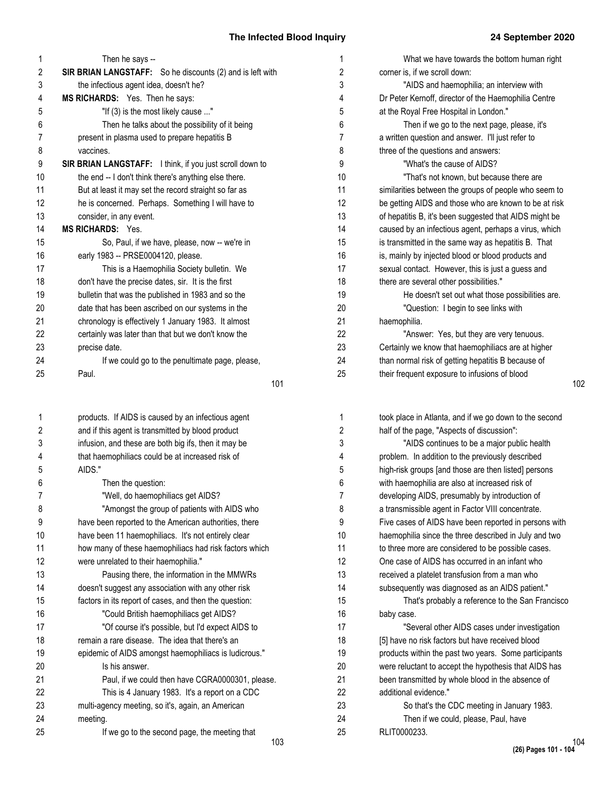| 1  | Then he says --                                           |
|----|-----------------------------------------------------------|
| 2  | SIR BRIAN LANGSTAFF: So he discounts (2) and is left with |
| 3  | the infectious agent idea, doesn't he?                    |
| 4  | MS RICHARDS: Yes. Then he says:                           |
| 5  | "If (3) is the most likely cause "                        |
| 6  | Then he talks about the possibility of it being           |
| 7  | present in plasma used to prepare hepatitis B             |
| 8  | vaccines.                                                 |
| 9  | SIR BRIAN LANGSTAFF: I think, if you just scroll down to  |
| 10 | the end -- I don't think there's anything else there.     |
| 11 | But at least it may set the record straight so far as     |
| 12 | he is concerned. Perhaps. Something I will have to        |
| 13 | consider, in any event.                                   |
| 14 | <b>MS RICHARDS: Yes.</b>                                  |
| 15 | So, Paul, if we have, please, now -- we're in             |
| 16 | early 1983 -- PRSE0004120, please.                        |
| 17 | This is a Haemophilia Society bulletin. We                |
| 18 | don't have the precise dates, sir. It is the first        |
| 19 | bulletin that was the published in 1983 and so the        |
| 20 | date that has been ascribed on our systems in the         |
| 21 | chronology is effectively 1 January 1983. It almost       |
| 22 | certainly was later than that but we don't know the       |
| 23 | precise date.                                             |
| 24 | If we could go to the penultimate page, please,           |
| 25 | Paul.                                                     |
|    | 101                                                       |
| 1  | products. If AIDS is caused by an infectious agent        |
| 2  | and if this agent is transmitted by blood product         |
| 3  | infusion, and these are both big ifs, then it may be      |
| 4  | that haemophiliacs could be at increased risk of          |
| 5  | AIDS."                                                    |
| 6  | Then the question:                                        |
| 7  | "Well, do haemophiliacs get AIDS?                         |
| 8  | "Amongst the group of patients with AIDS who              |
| 9  | have been reported to the American authorities, there     |
| 10 | have been 11 haemophiliacs. It's not entirely clear       |
| 11 | how many of these haemophiliacs had risk factors which    |
| 12 | were unrelated to their haemophilia."                     |
| 13 | Pausing there, the information in the MMWRs               |

doesn't suggest any association with any other risk factors in its report of cases, and then the question: "Could British haemophiliacs get AIDS? "Of course it's possible, but I'd expect AIDS to

remain a rare disease. The idea that there's an epidemic of AIDS amongst haemophiliacs is ludicrous."

multi-agency meeting, so it's, again, an American

Paul, if we could then have CGRA0000301, please. This is 4 January 1983. It's a report on a CDC

If we go to the second page, the meeting that

Is his answer.

meeting.

| 1              | What we have towards the bottom human right            |
|----------------|--------------------------------------------------------|
| $\overline{2}$ | corner is, if we scroll down:                          |
| 3              | "AIDS and haemophilia; an interview with               |
| 4              | Dr Peter Kernoff, director of the Haemophilia Centre   |
| 5              | at the Royal Free Hospital in London."                 |
| 6              | Then if we go to the next page, please, it's           |
| $\overline{7}$ | a written question and answer. I'll just refer to      |
| 8              | three of the questions and answers:                    |
| 9              | "What's the cause of AIDS?                             |
| 10             | "That's not known, but because there are               |
| 11             | similarities between the groups of people who seem to  |
| 12             | be getting AIDS and those who are known to be at risk  |
| 13             | of hepatitis B, it's been suggested that AIDS might be |
| 14             | caused by an infectious agent, perhaps a virus, which  |
| 15             | is transmitted in the same way as hepatitis B. That    |
| 16             | is, mainly by injected blood or blood products and     |
| 17             | sexual contact. However, this is just a guess and      |
| 18             | there are several other possibilities."                |
| 19             | He doesn't set out what those possibilities are.       |
| 20             | "Question: I begin to see links with                   |
| 21             | haemophilia.                                           |
| 22             | "Answer: Yes, but they are very tenuous.               |
| 23             | Certainly we know that haemophiliacs are at higher     |
| 24             | than normal risk of getting hepatitis B because of     |
| 25             | their frequent exposure to infusions of blood          |

| 1  | took place in Atlanta, and if we go down to the second |
|----|--------------------------------------------------------|
| 2  | half of the page, "Aspects of discussion":             |
| 3  | "AIDS continues to be a major public health            |
| 4  | problem. In addition to the previously described       |
| 5  | high-risk groups [and those are then listed] persons   |
| 6  | with haemophilia are also at increased risk of         |
| 7  | developing AIDS, presumably by introduction of         |
| 8  | a transmissible agent in Factor VIII concentrate.      |
| 9  | Five cases of AIDS have been reported in persons with  |
| 10 | haemophilia since the three described in July and two  |
| 11 | to three more are considered to be possible cases.     |
| 12 | One case of AIDS has occurred in an infant who         |
| 13 | received a platelet transfusion from a man who         |
| 14 | subsequently was diagnosed as an AIDS patient."        |
| 15 | That's probably a reference to the San Francisco       |
| 16 | baby case.                                             |
| 17 | "Several other AIDS cases under investigation          |
| 18 | [5] have no risk factors but have received blood       |
| 19 | products within the past two years. Some participants  |
| 20 | were reluctant to accept the hypothesis that AIDS has  |
| 21 | been transmitted by whole blood in the absence of      |
| 22 | additional evidence."                                  |
| 23 | So that's the CDC meeting in January 1983.             |
| 24 | Then if we could, please, Paul, have                   |
| 25 | RLIT0000233.                                           |
|    |                                                        |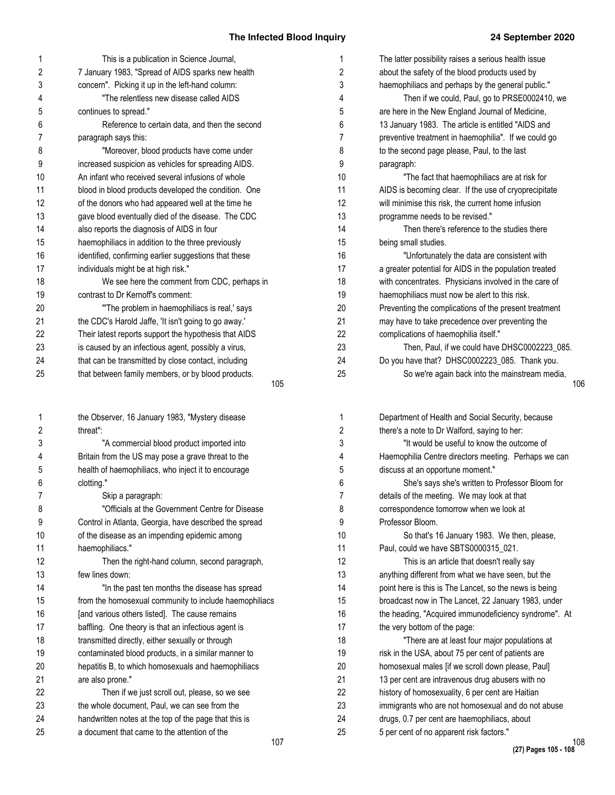The latter possibility raises a serious health issue about the safety of the blood products used by haemophiliacs and perhaps by the general public."

are here in the New England Journal of Medicine,

Then if we could, Paul, go to PRSE0002410, we

| 1                   | This is a publication in Science Journal,                                                               | 1                       |
|---------------------|---------------------------------------------------------------------------------------------------------|-------------------------|
| $\overline{2}$      | 7 January 1983, "Spread of AIDS sparks new health                                                       | $\overline{\mathbf{c}}$ |
| 3                   | concern". Picking it up in the left-hand column:                                                        | 3                       |
| 4                   | "The relentless new disease called AIDS                                                                 | 4                       |
| 5                   | continues to spread."                                                                                   | 5                       |
| 6                   | Reference to certain data, and then the second                                                          | 6                       |
| $\overline{7}$      | paragraph says this:                                                                                    | 7                       |
| 8                   | "Moreover, blood products have come under                                                               | 8                       |
| 9                   | increased suspicion as vehicles for spreading AIDS.                                                     | 9                       |
| 10                  | An infant who received several infusions of whole                                                       | 10                      |
| 11                  | blood in blood products developed the condition. One                                                    | 11                      |
| 12                  | of the donors who had appeared well at the time he                                                      | 12                      |
| 13                  | gave blood eventually died of the disease. The CDC                                                      | 13                      |
| 14                  | also reports the diagnosis of AIDS in four                                                              | 14                      |
| 15                  | haemophiliacs in addition to the three previously                                                       | 15                      |
| 16                  | identified, confirming earlier suggestions that these                                                   | 16                      |
| 17                  | individuals might be at high risk."                                                                     | 17                      |
| 18                  | We see here the comment from CDC, perhaps in                                                            | 18                      |
| 19                  | contrast to Dr Kernoff's comment:                                                                       | 19                      |
| 20                  | "The problem in haemophiliacs is real,' says                                                            | 20                      |
| 21                  | the CDC's Harold Jaffe, 'It isn't going to go away.'                                                    | 21                      |
| 22                  | Their latest reports support the hypothesis that AIDS                                                   | 22                      |
| 23                  | is caused by an infectious agent, possibly a virus,                                                     | 23                      |
| 24                  | that can be transmitted by close contact, including                                                     | 24                      |
| 25                  | that between family members, or by blood products.                                                      | 25                      |
|                     | 105                                                                                                     |                         |
|                     |                                                                                                         |                         |
|                     |                                                                                                         |                         |
| 1                   | the Observer, 16 January 1983, "Mystery disease<br>threat":                                             | 1                       |
| 2                   |                                                                                                         | 2                       |
| 3<br>4              | "A commercial blood product imported into                                                               | 3<br>4                  |
|                     | Britain from the US may pose a grave threat to the                                                      |                         |
| 5                   | health of haemophiliacs, who inject it to encourage                                                     | 5                       |
| 6<br>$\overline{7}$ | clotting."                                                                                              | 6                       |
|                     | Skip a paragraph:                                                                                       | $\overline{7}$          |
| 8                   | "Officials at the Government Centre for Disease                                                         | 8                       |
| 9                   | Control in Atlanta, Georgia, have described the spread                                                  | 9                       |
| 10<br>11            | of the disease as an impending epidemic among                                                           | 10                      |
| 12                  | haemophiliacs."                                                                                         | 11<br>12                |
| 13                  | Then the right-hand column, second paragraph,<br>few lines down:                                        | 13                      |
| 14                  |                                                                                                         | 14                      |
| 15                  | "In the past ten months the disease has spread                                                          |                         |
|                     | from the homosexual community to include haemophiliacs                                                  | 15                      |
| 16<br>17            | [and various others listed]. The cause remains                                                          | 16<br>17                |
| 18                  | baffling. One theory is that an infectious agent is                                                     | 18                      |
| 19                  | transmitted directly, either sexually or through<br>contaminated blood products, in a similar manner to | 19                      |
| 20                  |                                                                                                         | 20                      |
| 21                  | hepatitis B, to which homosexuals and haemophiliacs<br>are also prone."                                 | 21                      |
| 22                  | Then if we just scroll out, please, so we see                                                           | 22                      |
| 23                  | the whole document, Paul, we can see from the                                                           | 23                      |
| 24                  | handwritten notes at the top of the page that this is                                                   | 24                      |

| 13 January 1983. The article is entitled "AIDS and     |     |
|--------------------------------------------------------|-----|
| preventive treatment in haemophilia". If we could go   |     |
| to the second page please, Paul, to the last           |     |
| paragraph:                                             |     |
| "The fact that haemophiliacs are at risk for           |     |
| AIDS is becoming clear. If the use of cryoprecipitate  |     |
| will minimise this risk, the current home infusion     |     |
| programme needs to be revised."                        |     |
| Then there's reference to the studies there            |     |
| being small studies.                                   |     |
| "Unfortunately the data are consistent with            |     |
| a greater potential for AIDS in the population treated |     |
| with concentrates. Physicians involved in the care of  |     |
| haemophiliacs must now be alert to this risk.          |     |
| Preventing the complications of the present treatment  |     |
| may have to take precedence over preventing the        |     |
| complications of haemophilia itself."                  |     |
| Then, Paul, if we could have DHSC0002223_085.          |     |
| Do you have that? DHSC0002223_085. Thank you.          |     |
| So we're again back into the mainstream media,         |     |
|                                                        | 106 |
|                                                        |     |
| Department of Health and Social Security, because      |     |
| there's a note to Dr Walford, saying to her:           |     |
| "It would be useful to know the outcome of             |     |
| Haemophilia Centre directors meeting. Perhaps we can   |     |
| discuss at an opportune moment."                       |     |
| She's says she's written to Professor Bloom for        |     |
| details of the meeting. We may look at that            |     |
| correspondence tomorrow when we look at                |     |
| Professor Bloom.                                       |     |
| So that's 16 January 1983. We then, please,            |     |
| Paul, could we have SBTS0000315_021.                   |     |
| This is an article that doesn't really say             |     |
| anything different from what we have seen, but the     |     |
| point bere is this is The Langet, so the news is being |     |

point here is this is The Lancet, so the news is being broadcast now in The Lancet, 22 January 1983, under the heading, "Acquired immunodeficiency syndrome". At the very bottom of the page: "There are at least four major populations at risk in the USA, about 75 per cent of patients are homosexual males [if we scroll down please, Paul] 13 per cent are intravenous drug abusers with no history of homosexuality, 6 per cent are Haitian immigrants who are not homosexual and do not abuse drugs, 0.7 per cent are haemophiliacs, about 5 per cent of no apparent risk factors."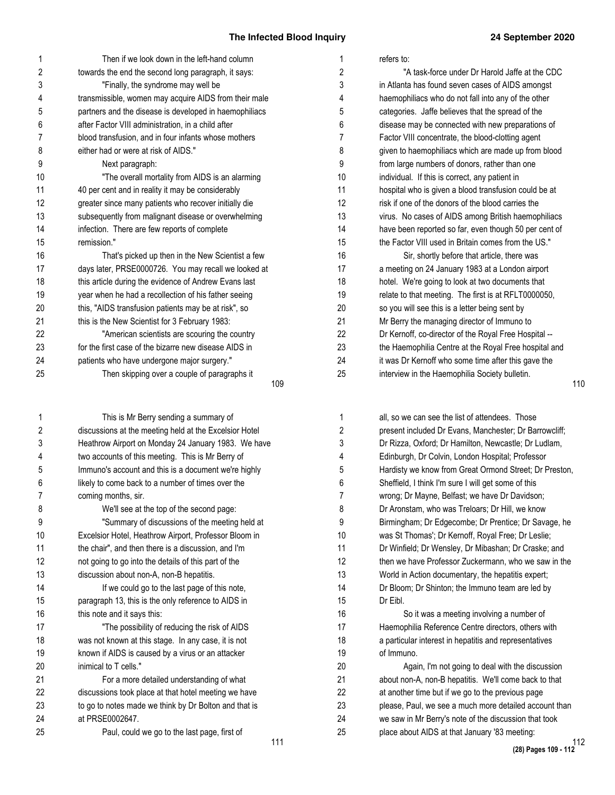| 1  | Then if we look down in the left-hand column           |
|----|--------------------------------------------------------|
| 2  | towards the end the second long paragraph, it says:    |
| 3  | "Finally, the syndrome may well be                     |
| 4  | transmissible, women may acquire AIDS from their male  |
| 5  | partners and the disease is developed in haemophiliacs |
| 6  | after Factor VIII administration, in a child after     |
| 7  | blood transfusion, and in four infants whose mothers   |
| 8  | either had or were at risk of AIDS."                   |
| 9  | Next paragraph:                                        |
| 10 | "The overall mortality from AIDS is an alarming        |
| 11 | 40 per cent and in reality it may be considerably      |
| 12 | greater since many patients who recover initially die  |
| 13 | subsequently from malignant disease or overwhelming    |
| 14 | infection. There are few reports of complete           |
| 15 | remission."                                            |
| 16 | That's picked up then in the New Scientist a few       |
| 17 | days later, PRSE0000726. You may recall we looked at   |
| 18 | this article during the evidence of Andrew Evans last  |
| 19 | year when he had a recollection of his father seeing   |
| 20 | this, "AIDS transfusion patients may be at risk", so   |
| 21 | this is the New Scientist for 3 February 1983:         |
| 22 | "American scientists are scouring the country          |
| 23 | for the first case of the bizarre new disease AIDS in  |
| 24 | patients who have undergone major surgery."            |
| 25 | Then skipping over a couple of paragraphs it           |
|    | 109                                                    |

This is Mr Berry sending a summary of discussions at the meeting held at the Excelsior Hotel Heathrow Airport on Monday 24 January 1983. We have two accounts of this meeting. This is Mr Berry of Immuno's account and this is a document we're highly likely to come back to a number of times over the coming months, sir. We'll see at the top of the second page: "Summary of discussions of the meeting held at Excelsior Hotel, Heathrow Airport, Professor Bloom in the chair", and then there is a discussion, and I'm not going to go into the details of this part of the discussion about non-A, non-B hepatitis. If we could go to the last page of this note, paragraph 13, this is the only reference to AIDS in this note and it says this: "The possibility of reducing the risk of AIDS was not known at this stage. In any case, it is not known if AIDS is caused by a virus or an attacker inimical to T cells." For a more detailed understanding of what discussions took place at that hotel meeting we have to go to notes made we think by Dr Bolton and that is at PRSE0002647. Paul, could we go to the last page, first of 1 2 3 4 5 6 7 8 9 10 11 12 13 14 15 16 17 18 19 20 21 22 23 24 25

| 1              | refers to:                                            |
|----------------|-------------------------------------------------------|
| $\overline{2}$ | "A task-force under Dr Harold Jaffe at the CDC        |
| 3              | in Atlanta has found seven cases of AIDS amongst      |
| 4              | haemophiliacs who do not fall into any of the other   |
| 5              | categories. Jaffe believes that the spread of the     |
| 6              | disease may be connected with new preparations of     |
| $\overline{7}$ | Factor VIII concentrate, the blood-clotting agent     |
| 8              | given to haemophiliacs which are made up from blood   |
| 9              | from large numbers of donors, rather than one         |
| 10             | individual. If this is correct, any patient in        |
| 11             | hospital who is given a blood transfusion could be at |
| 12             | risk if one of the donors of the blood carries the    |
| 13             | virus. No cases of AIDS among British haemophiliacs   |
| 14             | have been reported so far, even though 50 per cent of |
| 15             | the Factor VIII used in Britain comes from the US."   |
| 16             | Sir, shortly before that article, there was           |
| 17             | a meeting on 24 January 1983 at a London airport      |
| 18             | hotel. We're going to look at two documents that      |
| 19             | relate to that meeting. The first is at RFLT0000050,  |
| 20             | so you will see this is a letter being sent by        |
| 21             | Mr Berry the managing director of Immuno to           |
| 22             | Dr Kernoff, co-director of the Royal Free Hospital -- |
| 23             | the Haemophilia Centre at the Royal Free hospital and |
| 24             | it was Dr Kernoff who some time after this gave the   |

interview in the Haemophilia Society bulletin. 25

110

| 1              | all, so we can see the list of attendees. Those        |
|----------------|--------------------------------------------------------|
| 2              | present included Dr Evans, Manchester; Dr Barrowcliff; |
| 3              | Dr Rizza, Oxford; Dr Hamilton, Newcastle; Dr Ludlam,   |
| 4              | Edinburgh, Dr Colvin, London Hospital; Professor       |
| 5              | Hardisty we know from Great Ormond Street; Dr Preston, |
| 6              | Sheffield, I think I'm sure I will get some of this    |
| $\overline{7}$ | wrong; Dr Mayne, Belfast; we have Dr Davidson;         |
| 8              | Dr Aronstam, who was Treloars; Dr Hill, we know        |
| 9              | Birmingham; Dr Edgecombe; Dr Prentice; Dr Savage, he   |
| 10             | was St Thomas'; Dr Kernoff, Royal Free; Dr Leslie;     |
| 11             | Dr Winfield; Dr Wensley, Dr Mibashan; Dr Craske; and   |
| 12             | then we have Professor Zuckermann, who we saw in the   |
| 13             | World in Action documentary, the hepatitis expert;     |
| 14             | Dr Bloom; Dr Shinton; the Immuno team are led by       |
| 15             | Dr Eibl.                                               |
| 16             | So it was a meeting involving a number of              |
| 17             | Haemophilia Reference Centre directors, others with    |
| 18             | a particular interest in hepatitis and representatives |
| 19             | of Immuno.                                             |
| 20             | Again, I'm not going to deal with the discussion       |
| 21             | about non-A, non-B hepatitis. We'll come back to that  |
| 22             | at another time but if we go to the previous page      |
| 23             | please, Paul, we see a much more detailed account than |
| 24             | we saw in Mr Berry's note of the discussion that took  |
| 25             | place about AIDS at that January '83 meeting:          |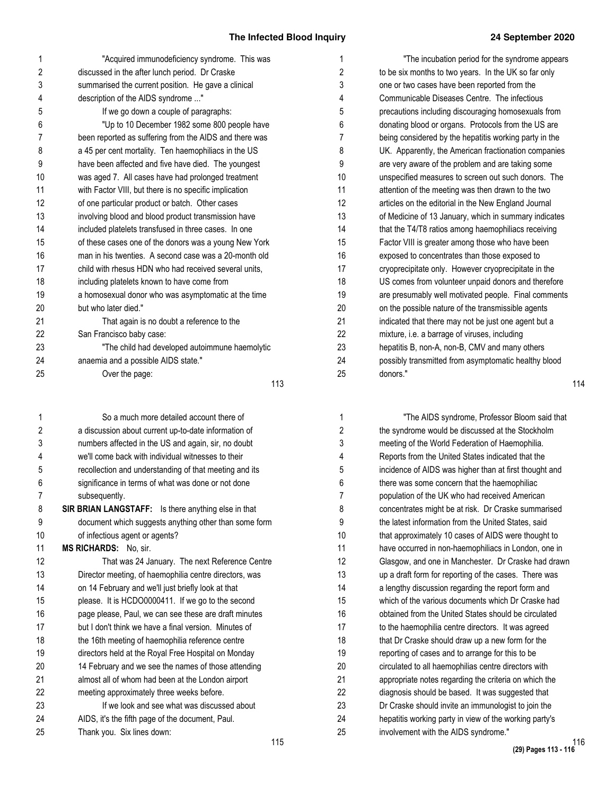| 1  | "Acquired immunodeficiency syndrome. This was          |  |  |  |  |  |
|----|--------------------------------------------------------|--|--|--|--|--|
| 2  | discussed in the after lunch period. Dr Craske         |  |  |  |  |  |
| 3  | summarised the current position. He gave a clinical    |  |  |  |  |  |
| 4  | description of the AIDS syndrome "                     |  |  |  |  |  |
| 5  | If we go down a couple of paragraphs:                  |  |  |  |  |  |
| 6  | "Up to 10 December 1982 some 800 people have           |  |  |  |  |  |
| 7  | been reported as suffering from the AIDS and there was |  |  |  |  |  |
| 8  | a 45 per cent mortality. Ten haemophiliacs in the US   |  |  |  |  |  |
| 9  | have been affected and five have died. The youngest    |  |  |  |  |  |
| 10 | was aged 7. All cases have had prolonged treatment     |  |  |  |  |  |
| 11 | with Factor VIII, but there is no specific implication |  |  |  |  |  |
| 12 | of one particular product or batch. Other cases        |  |  |  |  |  |
| 13 | involving blood and blood product transmission have    |  |  |  |  |  |
| 14 | included platelets transfused in three cases. In one   |  |  |  |  |  |
| 15 | of these cases one of the donors was a young New York  |  |  |  |  |  |
| 16 | man in his twenties. A second case was a 20-month old  |  |  |  |  |  |
| 17 | child with rhesus HDN who had received several units,  |  |  |  |  |  |
| 18 | including platelets known to have come from            |  |  |  |  |  |
| 19 | a homosexual donor who was asymptomatic at the time    |  |  |  |  |  |
| 20 | but who later died."                                   |  |  |  |  |  |
| 21 | That again is no doubt a reference to the              |  |  |  |  |  |
| 22 | San Francisco baby case:                               |  |  |  |  |  |
| 23 | "The child had developed autoimmune haemolytic         |  |  |  |  |  |
| 24 | anaemia and a possible AIDS state."                    |  |  |  |  |  |
| 25 | Over the page:                                         |  |  |  |  |  |
|    | 113                                                    |  |  |  |  |  |

115 So a much more detailed account there of a discussion about current up-to-date information of numbers affected in the US and again, sir, no doubt we'll come back with individual witnesses to their recollection and understanding of that meeting and its significance in terms of what was done or not done subsequently. **SIR BRIAN LANGSTAFF:** Is there anything else in that document which suggests anything other than some form of infectious agent or agents? **MS RICHARDS:** No, sir. That was 24 January. The next Reference Centre Director meeting, of haemophilia centre directors, was on 14 February and we'll just briefly look at that please. It is HCDO0000411. If we go to the second page please, Paul, we can see these are draft minutes but I don't think we have a final version. Minutes of the 16th meeting of haemophilia reference centre directors held at the Royal Free Hospital on Monday 14 February and we see the names of those attending almost all of whom had been at the London airport meeting approximately three weeks before. If we look and see what was discussed about AIDS, it's the fifth page of the document, Paul. Thank you. Six lines down: 1 2 3 4 5 6 7 8 9 10 11 12 13 14 15 16 17 18 19 20 21 22 23 24 25

| 1              | "The incubation period for the syndrome appears        |     |
|----------------|--------------------------------------------------------|-----|
| $\overline{2}$ | to be six months to two years. In the UK so far only   |     |
| 3              | one or two cases have been reported from the           |     |
| 4              | Communicable Diseases Centre. The infectious           |     |
| 5              | precautions including discouraging homosexuals from    |     |
| 6              | donating blood or organs. Protocols from the US are    |     |
| $\overline{7}$ | being considered by the hepatitis working party in the |     |
| 8              | UK. Apparently, the American fractionation companies   |     |
| 9              | are very aware of the problem and are taking some      |     |
| 10             | unspecified measures to screen out such donors. The    |     |
| 11             | attention of the meeting was then drawn to the two     |     |
| 12             | articles on the editorial in the New England Journal   |     |
| 13             | of Medicine of 13 January, which in summary indicates  |     |
| 14             | that the T4/T8 ratios among haemophiliacs receiving    |     |
| 15             | Factor VIII is greater among those who have been       |     |
| 16             | exposed to concentrates than those exposed to          |     |
| 17             | cryoprecipitate only. However cryoprecipitate in the   |     |
| 18             | US comes from volunteer unpaid donors and therefore    |     |
| 19             | are presumably well motivated people. Final comments   |     |
| 20             | on the possible nature of the transmissible agents     |     |
| 21             | indicated that there may not be just one agent but a   |     |
| 22             | mixture, i.e. a barrage of viruses, including          |     |
| 23             | hepatitis B, non-A, non-B, CMV and many others         |     |
| 24             | possibly transmitted from asymptomatic healthy blood   |     |
| 25             | donors."                                               |     |
|                |                                                        | 114 |

| 1              | "The AIDS syndrome, Professor Bloom said that          |
|----------------|--------------------------------------------------------|
| $\overline{2}$ | the syndrome would be discussed at the Stockholm       |
| 3              | meeting of the World Federation of Haemophilia.        |
| 4              | Reports from the United States indicated that the      |
| 5              | incidence of AIDS was higher than at first thought and |
| 6              | there was some concern that the haemophiliac           |
| $\overline{7}$ | population of the UK who had received American         |
| 8              | concentrates might be at risk. Dr Craske summarised    |
| 9              | the latest information from the United States, said    |
| 10             | that approximately 10 cases of AIDS were thought to    |
| 11             | have occurred in non-haemophiliacs in London, one in   |
| 12             | Glasgow, and one in Manchester. Dr Craske had drawn    |
| 13             | up a draft form for reporting of the cases. There was  |
| 14             | a lengthy discussion regarding the report form and     |
| 15             | which of the various documents which Dr Craske had     |
| 16             | obtained from the United States should be circulated   |
| 17             | to the haemophilia centre directors. It was agreed     |
| 18             | that Dr Craske should draw up a new form for the       |
| 19             | reporting of cases and to arrange for this to be       |
| 20             | circulated to all haemophilias centre directors with   |
| 21             | appropriate notes regarding the criteria on which the  |
| 22             | diagnosis should be based. It was suggested that       |
| 23             | Dr Craske should invite an immunologist to join the    |
| 24             | hepatitis working party in view of the working party's |
| 25             | involvement with the AIDS syndrome."                   |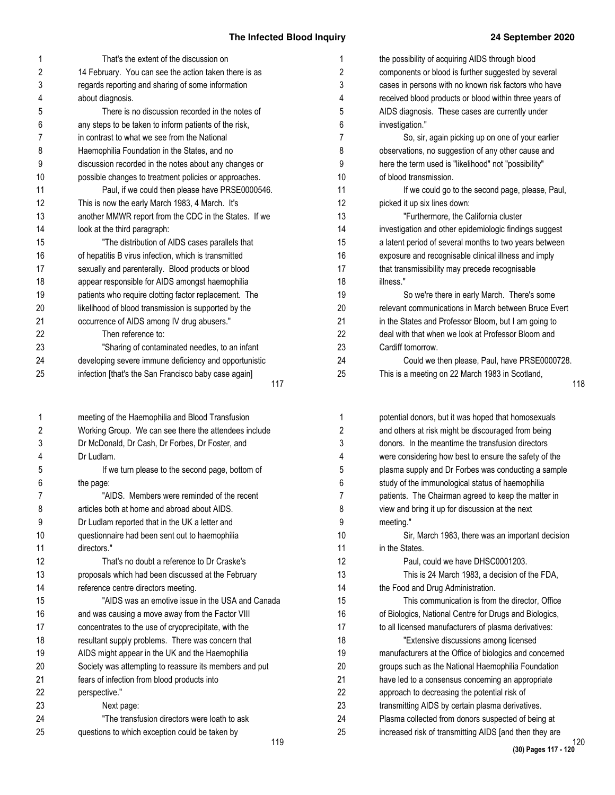| 1              | That's the extent of the discussion on                 | 1              | the possibility of acquiring AIDS through blood        |
|----------------|--------------------------------------------------------|----------------|--------------------------------------------------------|
| $\overline{c}$ | 14 February. You can see the action taken there is as  | $\overline{c}$ | components or blood is further suggested by several    |
| 3              | regards reporting and sharing of some information      | 3              | cases in persons with no known risk factors who have   |
| 4              | about diagnosis.                                       | 4              | received blood products or blood within three years of |
| 5              | There is no discussion recorded in the notes of        | 5              | AIDS diagnosis. These cases are currently under        |
| 6              | any steps to be taken to inform patients of the risk,  | 6              | investigation."                                        |
| 7              | in contrast to what we see from the National           | 7              | So, sir, again picking up on one of your earlier       |
| 8              | Haemophilia Foundation in the States, and no           | 8              | observations, no suggestion of any other cause and     |
| 9              | discussion recorded in the notes about any changes or  | 9              | here the term used is "likelihood" not "possibility"   |
| 10             | possible changes to treatment policies or approaches.  | 10             | of blood transmission.                                 |
| 11             | Paul, if we could then please have PRSE0000546.        | 11             | If we could go to the second page, please, Paul,       |
| 12             | This is now the early March 1983, 4 March. It's        | 12             | picked it up six lines down:                           |
| 13             | another MMWR report from the CDC in the States. If we  | 13             | "Furthermore, the California cluster                   |
| 14             | look at the third paragraph:                           | 14             | investigation and other epidemiologic findings suggest |
| 15             | "The distribution of AIDS cases parallels that         | 15             | a latent period of several months to two years between |
| 16             | of hepatitis B virus infection, which is transmitted   | 16             | exposure and recognisable clinical illness and imply   |
| 17             | sexually and parenterally. Blood products or blood     | 17             | that transmissibility may precede recognisable         |
| 18             | appear responsible for AIDS amongst haemophilia        | 18             | illness."                                              |
| 19             | patients who require clotting factor replacement. The  | 19             | So we're there in early March. There's some            |
| 20             | likelihood of blood transmission is supported by the   | 20             | relevant communications in March between Bruce Ever    |
| 21             | occurrence of AIDS among IV drug abusers."             | 21             | in the States and Professor Bloom, but I am going to   |
| 22             | Then reference to:                                     | 22             | deal with that when we look at Professor Bloom and     |
| 23             | "Sharing of contaminated needles, to an infant         | 23             | Cardiff tomorrow.                                      |
| 24             | developing severe immune deficiency and opportunistic  | 24             | Could we then please, Paul, have PRSE0000728           |
| 25             | infection [that's the San Francisco baby case again]   | 25             | This is a meeting on 22 March 1983 in Scotland,        |
|                | 117                                                    |                |                                                        |
| 1              | meeting of the Haemophilia and Blood Transfusion       | 1              | potential donors, but it was hoped that homosexuals    |
| 2              | Working Group. We can see there the attendees include  | 2              | and others at risk might be discouraged from being     |
| 3              | Dr McDonald, Dr Cash, Dr Forbes, Dr Foster, and        | 3              | donors. In the meantime the transfusion directors      |
| 4              | Dr Ludlam.                                             | 4              | were considering how best to ensure the safety of the  |
| 5              | If we turn please to the second page, bottom of        | 5              | plasma supply and Dr Forbes was conducting a sample    |
| 6              | the page:                                              | 6              | study of the immunological status of haemophilia       |
|                | "AIDS. Members were reminded of the recent             |                | patients. The Chairman agreed to keep the matter in    |
| 8              | articles both at home and abroad about AIDS.           | 8              | view and bring it up for discussion at the next        |
| 9              | Dr Ludlam reported that in the UK a letter and         | 9              | meeting."                                              |
| 10             | questionnaire had been sent out to haemophilia         | 10             | Sir, March 1983, there was an important decisior       |
| 11             | directors."                                            | 11             | in the States.                                         |
| 12             | That's no doubt a reference to Dr Craske's             | 12             | Paul, could we have DHSC0001203.                       |
| 13             | proposals which had been discussed at the February     | 13             | This is 24 March 1983, a decision of the FDA,          |
| 14             | reference centre directors meeting.                    | 14             | the Food and Drug Administration.                      |
| 15             | "AIDS was an emotive issue in the USA and Canada       | 15             | This communication is from the director, Office        |
| 16             | and was causing a move away from the Factor VIII       | 16             | of Biologics, National Centre for Drugs and Biologics, |
| 17             | concentrates to the use of cryoprecipitate, with the   | 17             | to all licensed manufacturers of plasma derivatives:   |
| 18             | resultant supply problems. There was concern that      | 18             | "Extensive discussions among licensed                  |
| 19             | AIDS might appear in the UK and the Haemophilia        | 19             | manufacturers at the Office of biologics and concerned |
| 20             | Society was attempting to reassure its members and put | 20             | groups such as the National Haemophilia Foundation     |
| 21             | fears of infection from blood products into            | 21             | have led to a consensus concerning an appropriate      |
| 22             | perspective."                                          | 22             | approach to decreasing the potential risk of           |
| 23             | Next page:                                             | 23             | transmitting AIDS by certain plasma derivatives.       |
| 24             | "The transfusion directors were loath to ask           | 24             | Plasma collected from donors suspected of being at     |
| 25             | questions to which exception could be taken by         | 25             | increased risk of transmitting AIDS [and then they are |
|                |                                                        |                |                                                        |

| picked it up six lines down:                           |
|--------------------------------------------------------|
| "Furthermore, the California cluster                   |
| investigation and other epidemiologic findings suggest |
| a latent period of several months to two years between |
| exposure and recognisable clinical illness and imply   |
| that transmissibility may precede recognisable         |
| illness."                                              |
| So we're there in early March. There's some            |
| relevant communications in March between Bruce Evert   |

| potential donors, but it was hoped that homosexuals    |
|--------------------------------------------------------|
| and others at risk might be discouraged from being     |
| donors. In the meantime the transfusion directors      |
| were considering how best to ensure the safety of the  |
| plasma supply and Dr Forbes was conducting a sample    |
| study of the immunological status of haemophilia       |
| patients. The Chairman agreed to keep the matter in    |
| view and bring it up for discussion at the next        |
| meeting."                                              |
| Sir, March 1983, there was an important decision       |
| in the States.                                         |
| Paul, could we have DHSC0001203.                       |
| This is 24 March 1983, a decision of the FDA,          |
| the Food and Drug Administration.                      |
| This communication is from the director, Office        |
| of Biologics, National Centre for Drugs and Biologics, |
| to all licensed manufacturers of plasma derivatives:   |
| "Extensive discussions among licensed                  |
| manufacturers at the Office of biologics and concerned |
| groups such as the National Haemophilia Foundation     |
| have led to a consensus concerning an appropriate      |
| approach to decreasing the potential risk of           |
| transmitting AIDS by certain plasma derivatives.       |
| Plasma collected from donors suspected of being at     |
| increased risk of transmitting AIDS [and then they are |
|                                                        |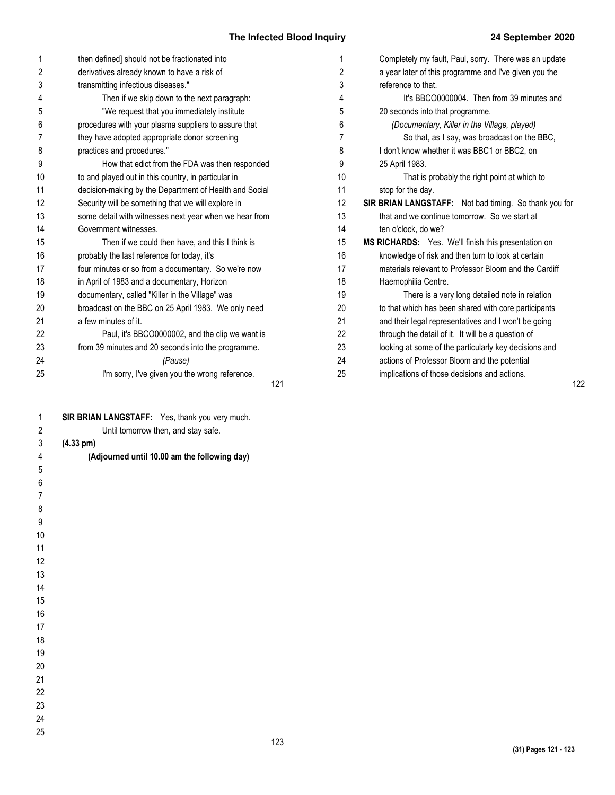|    | then defined] should not be fractionated into          | 1  | Completely my fault, Paul, sorry. There was an update |
|----|--------------------------------------------------------|----|-------------------------------------------------------|
| 2  | derivatives already known to have a risk of            | 2  | a year later of this programme and I've given you the |
| 3  | transmitting infectious diseases."                     | 3  | reference to that.                                    |
| 4  | Then if we skip down to the next paragraph:            | 4  | It's BBCO0000004. Then from 39 minutes and            |
| 5  | "We request that you immediately institute             | 5  | 20 seconds into that programme.                       |
| 6  | procedures with your plasma suppliers to assure that   | 6  | (Documentary, Killer in the Village, played)          |
| 7  | they have adopted appropriate donor screening          | 7  | So that, as I say, was broadcast on the BBC,          |
| 8  | practices and procedures."                             | 8  | I don't know whether it was BBC1 or BBC2, on          |
| 9  | How that edict from the FDA was then responded         | 9  | 25 April 1983.                                        |
| 10 | to and played out in this country, in particular in    | 10 | That is probably the right point at which to          |
| 11 | decision-making by the Department of Health and Social | 11 | stop for the day.                                     |
| 12 | Security will be something that we will explore in     | 12 | SIR BRIAN LANGSTAFF: Not bad timing. So thank you for |
| 13 | some detail with witnesses next year when we hear from | 13 | that and we continue tomorrow. So we start at         |
| 14 | Government witnesses.                                  | 14 | ten o'clock, do we?                                   |
| 15 | Then if we could then have, and this I think is        | 15 | MS RICHARDS: Yes. We'll finish this presentation on   |
| 16 | probably the last reference for today, it's            | 16 | knowledge of risk and then turn to look at certain    |
| 17 | four minutes or so from a documentary. So we're now    | 17 | materials relevant to Professor Bloom and the Cardiff |
| 18 | in April of 1983 and a documentary, Horizon            | 18 | Haemophilia Centre.                                   |
| 19 | documentary, called "Killer in the Village" was        | 19 | There is a very long detailed note in relation        |
| 20 | broadcast on the BBC on 25 April 1983. We only need    | 20 | to that which has been shared with core participants  |
| 21 | a few minutes of it.                                   | 21 | and their legal representatives and I won't be going  |
| 22 | Paul, it's BBCO0000002, and the clip we want is        | 22 | through the detail of it. It will be a question of    |
| 23 | from 39 minutes and 20 seconds into the programme.     | 23 | looking at some of the particularly key decisions and |
| 24 | (Pause)                                                | 24 | actions of Professor Bloom and the potential          |
| 25 | I'm sorry, I've given you the wrong reference.         | 25 | implications of those decisions and actions.          |
|    | 121                                                    |    |                                                       |
| 1  | SIR BRIAN LANGSTAFF: Yes, thank you very much.         |    |                                                       |
| 2  | Until tomorrow then, and stay safe.                    |    |                                                       |
| 3  | $(4.33 \text{ pm})$                                    |    |                                                       |
| 4  | (Adjourned until 10.00 am the following day)           |    |                                                       |
| 5  |                                                        |    |                                                       |

122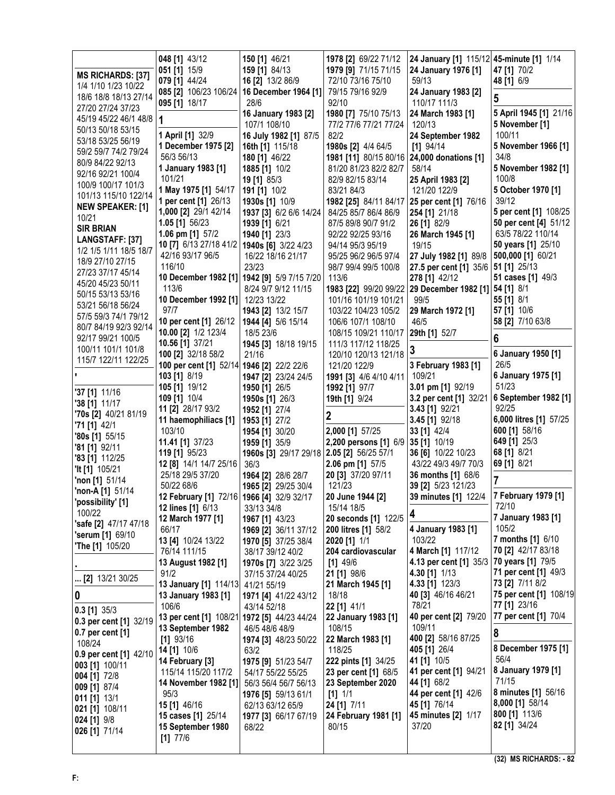|                                                  | 048 [1] 43/12                                | 150 [1] 46/21                                | 1978 [2] 69/22 71/12                        | 24 January [1] 115/12 45-minute [1] 1/14              |                                                |
|--------------------------------------------------|----------------------------------------------|----------------------------------------------|---------------------------------------------|-------------------------------------------------------|------------------------------------------------|
| <b>MS RICHARDS: [37]</b>                         | 051 [1] 15/9                                 | 159 [1] 84/13                                | 1979 [9] 71/15 71/15                        | 24 January 1976 [1]                                   | 47 [1] 70/2                                    |
| 1/4 1/10 1/23 10/22                              | 079 [1] 44/24                                | 16 [2] 13/2 86/9                             | 72/10 73/16 75/10                           | 59/13                                                 | 48 [1] 6/9                                     |
| 18/6 18/8 18/13 27/14                            |                                              | 085 [2] 106/23 106/24   16 December 1964 [1] | 79/15 79/16 92/9                            | 24 January 1983 [2]                                   | 5                                              |
| 27/20 27/24 37/23                                | 095 [1] 18/17                                | 28/6<br>16 January 1983 [2]                  | 92/10<br>1980 [7] 75/10 75/13               | 110/17 111/3<br>24 March 1983 [1]                     | 5 April 1945 [1] 21/16                         |
| 45/19 45/22 46/1 48/8                            | 1                                            | 107/1 108/10                                 | 77/2 77/6 77/21 77/24                       | 120/13                                                | 5 November [1]                                 |
| 50/13 50/18 53/15                                | 1 April [1] 32/9                             | 16 July 1982 [1] 87/5                        | 82/2                                        | 24 September 1982                                     | 100/11                                         |
| 53/18 53/25 56/19                                | 1 December 1975 [2]                          | 16th [1] 115/18                              | 1980s [2] 4/4 64/5                          | $[1]$ 94/14                                           | 5 November 1966 [1]                            |
| 59/2 59/7 74/2 79/24                             | 56/3 56/13                                   | 180 [1] 46/22                                | 1981 [11] 80/15 80/16 24,000 donations [1]  |                                                       | 34/8                                           |
| 80/9 84/22 92/13<br>92/16 92/21 100/4            | 1 January 1983 [1]                           | 1885 [1] 10/2                                | 81/20 81/23 82/2 82/7                       | 58/14                                                 | 5 November 1982 [1]                            |
| 100/9 100/17 101/3                               | 101/21                                       | 19 [1] 85/3                                  | 82/9 82/15 83/14                            | 25 April 1983 [2]                                     | 100/8                                          |
| 101/13 115/10 122/14                             | 1 May 1975 [1] 54/17                         | 191 [1] 10/2                                 | 83/21 84/3                                  | 121/20 122/9                                          | 5 October 1970 [1]                             |
| <b>NEW SPEAKER: [1]</b>                          | 1 per cent [1] 26/13                         | 1930s [1] 10/9                               | 1982 [25] 84/11 84/17 25 per cent [1] 76/16 |                                                       | 39/12                                          |
| 10/21                                            | 1,000 [2] 29/1 42/14                         | 1937 [3] 6/2 6/6 14/24                       | 84/25 85/7 86/4 86/9                        | 254 [1] 21/18                                         | 5 per cent [1] 108/25<br>50 per cent [4] 51/12 |
| <b>SIR BRIAN</b>                                 | 1.05 [1] 56/23<br>1.06 pm [1] 57/2           | 1939 [1] 6/21<br>1940 [1] 23/3               | 87/5 89/8 90/7 91/2<br>92/22 92/25 93/16    | 26 [1] 82/9<br>26 March 1945 [1]                      | 63/5 78/22 110/14                              |
| LANGSTAFF: [37]                                  | 10 [7] 6/13 27/18 41/2   1940s [6] 3/22 4/23 |                                              | 94/14 95/3 95/19                            | 19/15                                                 | 50 years [1] 25/10                             |
| 1/2 1/5 1/11 18/5 18/7                           | 42/16 93/17 96/5                             | 16/22 18/16 21/17                            | 95/25 96/2 96/5 97/4                        | 27 July 1982 [1] 89/8                                 | 500,000 [1] 60/21                              |
| 18/9 27/10 27/15                                 | 116/10                                       | 23/23                                        | 98/7 99/4 99/5 100/8                        | 27.5 per cent [1] 35/6   51 [1] 25/13                 |                                                |
| 27/23 37/17 45/14                                |                                              | 10 December 1982 [1] 1942 [9] 5/9 7/15 7/20  | 113/6                                       | 278 [1] 42/12                                         | 51 cases [1] 49/3                              |
| 45/20 45/23 50/11<br>50/15 53/13 53/16           | 113/6                                        | 8/24 9/7 9/12 11/15                          |                                             | 1983 [22] 99/20 99/22 29 December 1982 [1] 54 [1] 8/1 |                                                |
| 53/21 56/18 56/24                                | 10 December 1992 [1]                         | 12/23 13/22                                  | 101/16 101/19 101/21                        | 99/5                                                  | 55 [1] 8/1                                     |
| 57/5 59/3 74/1 79/12                             | 97/7                                         | 1943 [2] 13/2 15/7                           | 103/22 104/23 105/2                         | 29 March 1972 [1]                                     | 57 [1] 10/6                                    |
| 80/7 84/19 92/3 92/14                            | 10 per cent [1] 26/12   1944 [4] 5/6 15/14   |                                              | 106/6 107/1 108/10                          | 46/5                                                  | 58 [2] 7/10 63/8                               |
| 92/17 99/21 100/5                                | 10.00 [2] 1/2 123/4                          | 18/5 23/6                                    | 108/15 109/21 110/17                        | 29th [1] 52/7                                         | 6                                              |
| 100/11 101/1 101/8                               | 10.56 [1] 37/21<br>100 [2] 32/18 58/2        | 1945 [3] 18/18 19/15<br>21/16                | 111/3 117/12 118/25<br>120/10 120/13 121/18 |                                                       | 6 January 1950 [1]                             |
| 115/7 122/11 122/25                              | 100 per cent [1] 52/14 1946 [2] 22/2 22/6    |                                              | 121/20 122/9                                | 3 February 1983 [1]                                   | 26/5                                           |
|                                                  | 103 [1] 8/19                                 | 1947 [2] 23/24 24/5                          | 1991 [3] 4/6 4/10 4/11                      | 109/21                                                | 6 January 1975 [1]                             |
|                                                  | 105 [1] 19/12                                | 1950 [1] 26/5                                | 1992 [1] 97/7                               | 3.01 pm [1] 92/19                                     | 51/23                                          |
| '37 [1] 11/16                                    | 109 [1] 10/4                                 | 1950s [1] 26/3                               | 19th [1] 9/24                               | 3.2 per cent [1] 32/21                                | 6 September 1982 [1]                           |
| '38 [1] 11/17                                    | 11 [2] 28/17 93/2                            | 1952 [1] 27/4                                |                                             | 3.43 [1] 92/21                                        | 92/25                                          |
| <b>70s [2] 40/21 81/19</b><br>$71$ [1] 42/1      | 11 haemophiliacs [1]                         | 1953 [1] 27/2                                | 2                                           | 3.45 [1] 92/18                                        | 6,000 litres [1] 57/25                         |
| $'80s$ [1] $55/15$                               | 103/10                                       | 1954 [1] 30/20                               | 2,000 [1] 57/25                             | 33 [1] 42/4                                           | 600 [1] 58/16                                  |
| $'81$ [1] $92/11$                                | 11.41 [1] 37/23                              | 1959 [1] 35/9                                | 2,200 persons [1] 6/9 35 [1] 10/19          |                                                       | 649 [1] 25/3                                   |
| $'83$ [1] 112/25                                 | 119 [1] 95/23                                | 1960s [3] 29/17 29/18 2.05 [2] 56/25 57/1    |                                             | 36 [6] 10/22 10/23                                    | 68 [1] 8/21                                    |
| <b>'It [1]</b> 105/21                            | 12 [8] 14/1 14/7 25/16<br>25/18 29/5 37/20   | 36/3                                         | 2.06 pm [1] 57/5                            | 43/22 49/3 49/7 70/3<br>36 months [1] 68/6            | 69 [1] 8/21                                    |
| <b>'non</b> $[1]$ 51/14                          | 50/22 68/6                                   | 1964 [2] 28/6 28/7<br>1965 [2] 29/25 30/4    | 20 [3] 37/20 97/11<br>121/23                | 39 [2] 5/23 121/23                                    |                                                |
| <b>'non-A</b> [1] $51/14$                        | 12 February [1] 72/16 1966 [4] 32/9 32/17    |                                              | 20 June 1944 [2]                            | 39 minutes [1] 122/4 7 February 1979 [1]              |                                                |
| 'possibility' [1]                                | <b>12 lines [1] 6/13</b>                     | 33/13 34/8                                   | 15/14 18/5                                  |                                                       | 72/10                                          |
| 100/22                                           | 12 March 1977 [1]                            | 1967 [1] 43/23                               | 20 seconds [1] 122/5                        | 4                                                     | 7 January 1983 [1]                             |
| 'safe [2] 47/17 47/18<br><b>'serum [1] 69/10</b> | 66/17                                        | 1969 [2] 36/11 37/12                         | 200 litres [1] 58/2                         | 4 January 1983 [1]                                    | 105/2                                          |
| <b>'The [1] 105/20</b>                           | 13 [4] 10/24 13/22                           | 1970 [5] 37/25 38/4                          | $2020$ [1] $1/1$                            | 103/22                                                | 7 months [1] 6/10                              |
|                                                  | 76/14 111/15                                 | 38/17 39/12 40/2                             | 204 cardiovascular                          | 4 March [1] 117/12                                    | 70 [2] 42/17 83/18                             |
|                                                  | 13 August 1982 [1]                           | 1970s [7] 3/22 3/25                          | $[1]$ 49/6                                  | 4.13 per cent [1] 35/3                                | 70 years [1] 79/5<br>71 per cent [1] 49/3      |
| [2] 13/21 30/25                                  | 91/2                                         | 37/15 37/24 40/25                            | 21 [1] 98/6<br>21 March 1945 [1]            | 4.30 [1] 1/13<br>4.33 [1] 123/3                       | 73 [2] 7/11 8/2                                |
| $\boldsymbol{0}$                                 | 13 January [1] 114/13<br>13 January 1983 [1] | 41/21 55/19<br>1971 [4] 41/22 43/12          | 18/18                                       | 40 [3] 46/16 46/21                                    | 75 per cent [1] 108/19                         |
|                                                  | 106/6                                        | 43/14 52/18                                  | 22 [1] 41/1                                 | 78/21                                                 | 77 [1] 23/16                                   |
| $0.3$ [1] $35/3$                                 | 13 per cent [1] 108/21 1972 [5] 44/23 44/24  |                                              | 22 January 1983 [1]                         | 40 per cent [2] 79/20                                 | 77 per cent [1] 70/4                           |
| 0.3 per cent [1] 32/19                           | 13 September 1982                            | 46/5 48/6 48/9                               | 108/15                                      | 109/11                                                |                                                |
| 0.7 per cent [1]<br>108/24                       | $[1]$ 93/16                                  | 1974 [3] 48/23 50/22                         | 22 March 1983 [1]                           | 400 [2] 58/16 87/25                                   | 8                                              |
| 0.9 per cent [1] 42/10                           | 14 [1] 10/6                                  | 63/2                                         | 118/25                                      | 405 [1] 26/4                                          | 8 December 1975 [1]                            |
| 003 [1] 100/11                                   | 14 February [3]                              | 1975 [9] 51/23 54/7                          | <b>222 pints [1] 34/25</b>                  | 41 [1] 10/5                                           | 56/4                                           |
| 004 [1] 72/8                                     | 115/14 115/20 117/2                          | 54/17 55/22 55/25                            | 23 per cent [1] 68/5                        | 41 per cent [1] 94/21                                 | 8 January 1979 [1]                             |
| 009 [1] 87/4                                     | 14 November 1982 [1]                         | 56/3 56/4 56/7 56/13                         | 23 September 2020                           | 44 [1] 68/2                                           | 71/15                                          |
| 011 [1] 13/1                                     | 95/3                                         | 1976 [5] 59/13 61/1                          | $[1]$ 1/1                                   | 44 per cent [1] 42/6<br>45 [1] 76/14                  | <b>8 minutes [1] 56/16</b><br>8,000 [1] 58/14  |
| 021 [1] 108/11                                   | 15 [1] 46/16<br>15 cases [1] 25/14           | 62/13 63/12 65/9<br>1977 [3] 66/17 67/19     | 24 [1] 7/11<br>24 February 1981 [1]         | 45 minutes [2] 1/17                                   | 800 [1] 113/6                                  |
| 024 [1] 9/8                                      | 15 September 1980                            | 68/22                                        | 80/15                                       | 37/20                                                 | 82 [1] 34/24                                   |
| 026 [1] 71/14                                    | $[1]$ 77/6                                   |                                              |                                             |                                                       |                                                |
|                                                  |                                              |                                              |                                             |                                                       |                                                |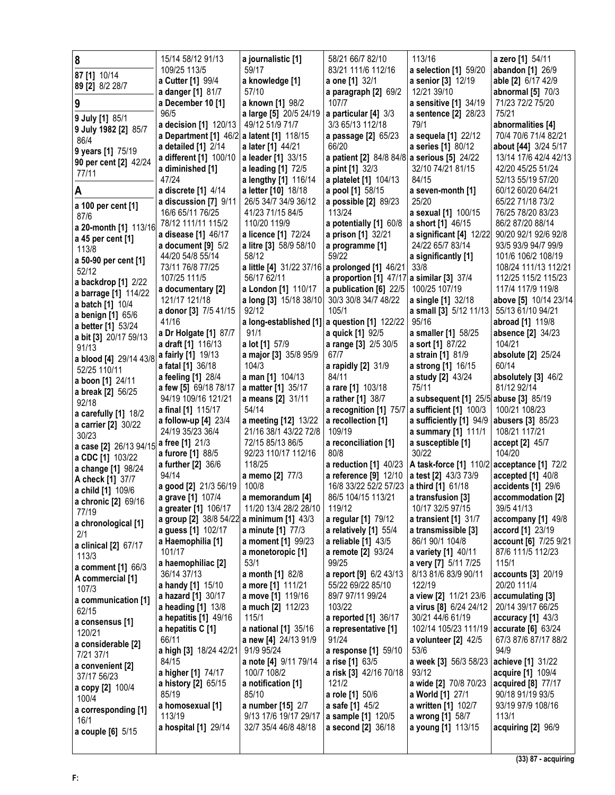| 8                                        | 15/14 58/12 91/13                         | a journalistic [1]                          | 58/21 66/7 82/10                               | 113/16                                      | a zero [1] 54/11                          |
|------------------------------------------|-------------------------------------------|---------------------------------------------|------------------------------------------------|---------------------------------------------|-------------------------------------------|
| 87 [1] 10/14                             | 109/25 113/5                              | 59/17                                       | 83/21 111/6 112/16                             | a selection [1] 59/20                       | abandon [1] 26/9                          |
| 89 [2] 8/2 28/7                          | a Cutter [1] 99/4                         | a knowledge [1]                             | a one [1] 32/1                                 | a senior [3] 12/19                          | able [2] 6/17 42/9                        |
|                                          | a danger [1] 81/7                         | 57/10                                       | a paragraph [2] 69/2                           | 12/21 39/10                                 | abnormal [5] 70/3                         |
| 9                                        | a December 10 [1]                         | a known [1] 98/2                            | 107/7                                          | a sensitive [1] 34/19                       | 71/23 72/2 75/20                          |
| 9 July [1] 85/1                          | 96/5                                      | a large [5] 20/5 24/19                      | a particular [4] 3/3                           | a sentence [2] 28/23                        | 75/21                                     |
| 9 July 1982 [2] 85/7                     | a decision [1] 120/13                     | 49/12 51/9 71/7                             | 3/3 65/13 112/18                               | 79/1                                        | abnormalities [4]                         |
| 86/4                                     | a Department [1] 46/2 a latent [1] 118/15 |                                             | a passage [2] 65/23                            | a sequela [1] 22/12                         | 70/4 70/6 71/4 82/21                      |
| 9 years [1] 75/19                        | a detailed [1] 2/14                       | a later [1] 44/21                           | 66/20                                          | a series [1] 80/12                          | <b>about [44]</b> 3/24 5/17               |
| 90 per cent [2] 42/24                    | a different [1] 100/10                    | a leader [1] 33/15                          | a patient [2] 84/8 84/8 a serious [5] 24/22    |                                             | 13/14 17/6 42/4 42/13                     |
| 77/11                                    | a diminished [1]<br>47/24                 | a leading [1] 72/5                          | <b>a pint [1] 32/3</b>                         | 32/10 74/21 81/15<br>84/15                  | 42/20 45/25 51/24<br>52/13 55/19 57/20    |
|                                          | a discrete [1] 4/14                       | a lengthy [1] 116/14<br>a letter [10] 18/18 | a platelet [1] 104/13<br>a pool [1] 58/15      | a seven-month [1]                           | 60/12 60/20 64/21                         |
| Α                                        | a discussion [7] 9/11                     | 26/5 34/7 34/9 36/12                        | a possible [2] 89/23                           | 25/20                                       | 65/22 71/18 73/2                          |
| a 100 per cent [1]                       | 16/6 65/11 76/25                          | 41/23 71/15 84/5                            | 113/24                                         | a sexual [1] 100/15                         | 76/25 78/20 83/23                         |
| 87/6                                     | 78/12 111/11 115/2                        | 110/20 119/9                                | a potentially [1] 60/8                         | a short [1] 46/15                           | 86/2 87/20 88/14                          |
| a 20-month [1] 113/16                    | a disease [1] 46/17                       | a licence [1] 72/24                         | a prison [1] 32/21                             | a significant [4] 12/22                     | 90/20 92/1 92/6 92/8                      |
| a 45 per cent [1]                        | a document $[9]$ 5/2                      | a litre [3] 58/9 58/10                      | a programme [1]                                | 24/22 65/7 83/14                            | 93/5 93/9 94/7 99/9                       |
| 113/8                                    | 44/20 54/8 55/14                          | 58/12                                       | 59/22                                          | a significantly [1]                         | 101/6 106/2 108/19                        |
| a 50-90 per cent [1]                     | 73/11 76/8 77/25                          |                                             | a little [4] 31/22 37/16 a prolonged [1] 46/21 | 33/8                                        | 108/24 111/13 112/21                      |
| 52/12                                    | 107/25 111/5                              | 56/17 62/11                                 | a proportion [1] 47/17 a similar [3] 37/4      |                                             | 112/25 115/2 115/23                       |
| a backdrop [1] 2/22                      | a documentary [2]                         | a London [1] 110/17                         | a publication [6] 22/5                         | 100/25 107/19                               | 117/4 117/9 119/8                         |
| a barrage [1] 114/22<br>a batch [1] 10/4 | 121/17 121/18                             | a long [3] 15/18 38/10                      | 30/3 30/8 34/7 48/22                           | <b>a single [1] 32/18</b>                   | above [5] 10/14 23/14                     |
| a benign [1] 65/6                        | a donor [3] 7/5 41/15                     | 92/12                                       | 105/1                                          | a small [3] 5/12 11/13                      | 55/13 61/10 94/21                         |
| a better [1] 53/24                       | 41/16                                     |                                             | a long-established [1] a question [1] 122/22   | 95/16                                       | abroad [1] 119/8                          |
| a bit [3] 20/17 59/13                    | a Dr Holgate [1] 87/7                     | 91/1                                        | a quick [1] 92/5                               | a smaller [1] 58/25                         | absence [2] 34/23                         |
| 91/13                                    | a draft [1] 116/13                        | a lot [1] 57/9                              | a range [3] 2/5 30/5                           | a sort [1] 87/22                            | 104/21                                    |
| a blood [4] 29/14 43/8                   | <b>a fairly [1]</b> 19/13                 | a major [3] 35/8 95/9                       | 67/7                                           | <b>a strain [1] 81/9</b>                    | absolute [2] 25/24                        |
| 52/25 110/11                             | <b>a fatal [1] 36/18</b>                  | 104/3                                       | a rapidly [2] 31/9                             | a strong [1] 16/15                          | 60/14                                     |
| a boon [1] 24/11                         | a feeling [1] 28/4                        | a man [1] 104/13                            | 84/11                                          | a study [2] 43/24                           | absolutely [3] 46/2                       |
| a break [2] 56/25                        | a few [5] 69/18 78/17                     | a matter [1] 35/17                          | a rare [1] 103/18                              | 75/11                                       | 81/12 92/14                               |
| 92/18                                    | 94/19 109/16 121/21                       | a means [2] 31/11                           | a rather [1] 38/7                              | a subsequent [1] 25/5 abuse [3] 85/19       |                                           |
|                                          |                                           |                                             |                                                |                                             |                                           |
| a carefully [1] 18/2                     | a final [1] 115/17                        | 54/14                                       | a recognition [1] 75/7                         | a sufficient [1] 100/3                      | 100/21 108/23                             |
| a carrier [2] 30/22                      | a follow-up [4] 23/4                      | a meeting [12] 13/22                        | a recollection [1]                             | a sufficiently [1] 94/9                     | abusers [3] 85/23                         |
| 30/23                                    | 24/19 35/23 36/4                          | 21/16 38/1 43/22 72/8                       | 109/19                                         | a summary [1] 111/1                         | 108/21 117/21                             |
| a case [2] 26/13 94/15                   | a free [1] 21/3                           | 72/15 85/13 86/5                            | a reconciliation [1]                           | a susceptible [1]                           | accept [2] 45/7                           |
| <b>a CDC [1]</b> 103/22                  | a furore [1] 88/5                         | 92/23 110/17 112/16                         | 80/8                                           | 30/22                                       | 104/20                                    |
| a change [1] 98/24                       | <b>a further [2] 36/6</b>                 | 118/25                                      | a reduction [1] 40/23                          | A task-force [1] 110/2 acceptance [1] 72/2  |                                           |
| A check [1] 37/7                         | 94/14                                     | a memo [2] 77/3                             | a reference [9] 12/10                          | a test [2] 43/3 73/9                        | accepted [1] 40/8                         |
| a child [1] 109/6                        | a good [2] 21/3 56/19                     | 100/8                                       | 16/8 33/22 52/2 57/23                          | a third [1] 61/18                           | accidents [1] 29/6                        |
| a chronic [2] 69/16                      | a grave [1] 107/4                         | a memorandum [4]                            | 86/5 104/15 113/21                             | a transfusion [3]                           | accommodation [2]                         |
| 77/19                                    | a greater [1] 106/17                      | 11/20 13/4 28/2 28/10                       | 119/12                                         | 10/17 32/5 97/15                            | 39/5 41/13                                |
| a chronological [1]                      | a group [2] 38/8 54/22                    | a minimum [1] 43/3                          | a regular [1] 79/12                            | a transient [1] 31/7<br>a transmissible [3] | accompany [1] 49/8                        |
| 2/1                                      | a guess [1] 102/17<br>a Haemophilia [1]   | a minute [1] 77/3<br>a moment [1] 99/23     | a relatively [1] 55/4<br>a reliable [1] 43/5   | 86/1 90/1 104/8                             | accord [1] 23/19<br>account [6] 7/25 9/21 |
| a clinical [2] 67/17                     | 101/17                                    | a monetoropic [1]                           | a remote [2] 93/24                             | a variety [1] 40/11                         | 87/6 111/5 112/23                         |
| 113/3                                    | a haemophiliac [2]                        | 53/1                                        | 99/25                                          | a very [7] 5/11 7/25                        | 115/1                                     |
| a comment [1] 66/3                       | 36/14 37/13                               | a month [1] 82/8                            | a report [9] 6/2 43/13                         | 8/13 81/6 83/9 90/11                        | accounts [3] 20/19                        |
| A commercial [1]                         | a handy [1] 15/10                         | a more [1] 111/21                           | 55/22 69/22 85/10                              | 122/19                                      | 20/20 111/4                               |
| 107/3                                    | a hazard [1] 30/17                        | a move [1] 119/16                           | 89/7 97/11 99/24                               | a view [2] 11/21 23/6                       | accumulating [3]                          |
| a communication [1]<br>62/15             | a heading $[1]$ 13/8                      | a much [2] 112/23                           | 103/22                                         | <b>a virus [8] 6/24 24/12</b>               | 20/14 39/17 66/25                         |
| a consensus [1]                          | a hepatitis [1] 49/16                     | 115/1                                       | a reported [1] 36/17                           | 30/21 44/6 61/19                            | accuracy $[1]$ 43/3                       |
| 120/21                                   | a hepatitis C [1]                         | a national [1] 35/16                        | a representative [1]                           | 102/14 105/23 111/19                        | accurate [6] 63/24                        |
| a considerable [2]                       | 66/11                                     | a new [4] 24/13 91/9                        | 91/24                                          | a volunteer [2] 42/5                        | 67/3 87/6 87/17 88/2                      |
| 7/21 37/1                                | a high [3] 18/24 42/21                    | 91/9 95/24                                  | a response [1] 59/10                           | 53/6                                        | 94/9                                      |
| a convenient [2]                         | 84/15                                     | a note [4] 9/11 79/14                       | a rise [1] 63/5                                | <b>a week [3]</b> 56/3 58/23                | achieve [1] 31/22                         |
| 37/17 56/23                              | a higher [1] 74/17                        | 100/7 108/2                                 | a risk [3] 42/16 70/18                         | 93/12                                       | acquire [1] 109/4                         |
| a copy [2] 100/4                         | a history [2] 65/15                       | a notification [1]                          | 121/2                                          | a wide [2] 70/8 70/23                       | acquired [8] 77/17                        |
| 100/4                                    | 85/19                                     | 85/10                                       | a role [1] 50/6                                | <b>a World [1] 27/1</b>                     | 90/18 91/19 93/5                          |
| a corresponding [1]                      | a homosexual [1]<br>113/19                | a number [15] 2/7<br>9/13 17/6 19/17 29/17  | a safe [1] 45/2                                | a written [1] 102/7                         | 93/19 97/9 108/16<br>113/1                |
| 16/1                                     | a hospital [1] 29/14                      | 32/7 35/4 46/8 48/18                        | a sample [1] 120/5<br>a second [2] 36/18       | a wrong [1] 58/7<br>a young [1] 113/15      | acquiring [2] 96/9                        |
| a couple [6] 5/15                        |                                           |                                             |                                                |                                             |                                           |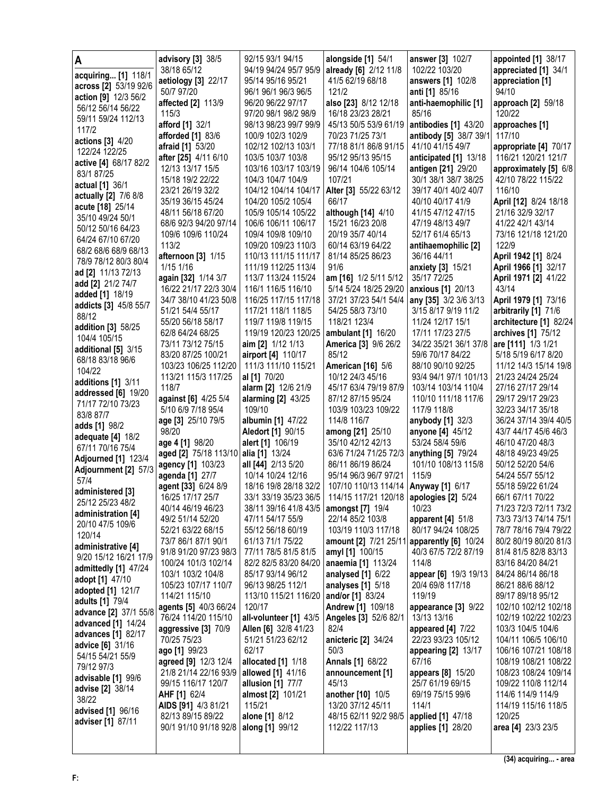| A                                           | <b>advisory [3]</b> 38/5              | 92/15 93/1 94/15                            | alongside [1] 54/1                         | answer [3] 102/7                           | appointed [1] 38/17                            |
|---------------------------------------------|---------------------------------------|---------------------------------------------|--------------------------------------------|--------------------------------------------|------------------------------------------------|
| acquiring [1] 118/1                         | 38/18 65/12                           | 94/19 94/24 95/7 95/9                       | already [6] 2/12 11/8                      | 102/22 103/20                              | appreciated [1] 34/1                           |
| across [2] 53/19 92/6                       | aetiology [3] 22/17                   | 95/14 95/16 95/21                           | 41/5 62/19 68/18                           | answers [1] 102/8                          | appreciation [1]                               |
| action [9] 12/3 56/2                        | 50/7 97/20<br>affected [2] 113/9      | 96/1 96/1 96/3 96/5<br>96/20 96/22 97/17    | 121/2<br>also [23] 8/12 12/18              | anti [1] 85/16<br>anti-haemophilic [1]     | 94/10                                          |
| 56/12 56/14 56/22                           | 115/3                                 | 97/20 98/1 98/2 98/9                        | 16/18 23/23 28/21                          | 85/16                                      | approach [2] 59/18<br>120/22                   |
| 59/11 59/24 112/13                          | afford [1] 32/1                       | 98/13 98/23 99/7 99/9                       | 45/13 50/5 53/9 61/19                      | antibodies [1] 43/20                       | approaches [1]                                 |
| 117/2                                       | <b>afforded</b> [1] 83/6              | 100/9 102/3 102/9                           | 70/23 71/25 73/1                           | antibody [5] 38/7 39/1 117/10              |                                                |
| actions [3] 4/20                            | afraid [1] 53/20                      | 102/12 102/13 103/1                         | 77/18 81/1 86/8 91/15                      | 41/10 41/15 49/7                           | appropriate [4] 70/17                          |
| 122/24 122/25                               | after [25] 4/11 6/10                  | 103/5 103/7 103/8                           | 95/12 95/13 95/15                          | anticipated [1] 13/18                      | 116/21 120/21 121/7                            |
| active [4] 68/17 82/2<br>83/1 87/25         | 12/13 13/17 15/5                      | 103/16 103/17 103/19                        | 96/14 104/6 105/14                         | antigen [21] 29/20                         | approximately [5] 6/8                          |
| actual [1] 36/1                             | 15/18 19/2 22/22                      | 104/3 104/7 104/9                           | 107/21                                     | 30/1 38/1 38/7 38/25                       | 42/10 78/22 115/22                             |
| actually [2] 7/6 8/8                        | 23/21 26/19 32/2                      | 104/12 104/14 104/17                        | Alter [3] 55/22 63/12                      | 39/17 40/1 40/2 40/7                       | 116/10                                         |
| acute [18] 25/14                            | 35/19 36/15 45/24                     | 104/20 105/2 105/4                          | 66/17                                      | 40/10 40/17 41/9                           | April [12] 8/24 18/18                          |
| 35/10 49/24 50/1                            | 48/11 56/18 67/20                     | 105/9 105/14 105/22                         | although [14] 4/10                         | 41/15 47/12 47/15                          | 21/16 32/9 32/17                               |
| 50/12 50/16 64/23                           | 68/6 92/3 94/20 97/14                 | 106/6 106/11 106/17                         | 15/21 16/23 20/8                           | 47/19 48/13 49/7                           | 41/22 42/1 43/14                               |
| 64/24 67/10 67/20                           | 109/6 109/6 110/24<br>113/2           | 109/4 109/8 109/10                          | 20/19 35/7 40/14<br>60/14 63/19 64/22      | 52/17 61/4 65/13                           | 73/16 121/18 121/20<br>122/9                   |
| 68/2 68/6 68/9 68/13                        | afternoon [3] 1/15                    | 109/20 109/23 110/3<br>110/13 111/15 111/17 | 81/14 85/25 86/23                          | antihaemophilic [2]<br>36/16 44/11         | April 1942 [1] 8/24                            |
| 78/9 78/12 80/3 80/4                        | 1/15 1/16                             | 111/19 112/25 113/4                         | 91/6                                       | anxiety [3] 15/21                          | April 1966 [1] 32/17                           |
| ad [2] 11/13 72/13                          | again [32] 1/14 3/7                   | 113/7 113/24 115/24                         | am [16] 1/2 5/11 5/12                      | 35/17 72/25                                | April 1971 [2] 41/22                           |
| add [2] 21/2 74/7                           | 16/22 21/17 22/3 30/4                 | 116/1 116/5 116/10                          | 5/14 5/24 18/25 29/20                      | <b>anxious</b> [1] 20/13                   | 43/14                                          |
| added [1] 18/19                             | 34/7 38/10 41/23 50/8                 | 116/25 117/15 117/18                        | 37/21 37/23 54/1 54/4                      | any [35] 3/2 3/6 3/13                      | April 1979 [1] 73/16                           |
| addicts [3] 45/8 55/7                       | 51/21 54/4 55/17                      | 117/21 118/1 118/5                          | 54/25 58/3 73/10                           | 3/15 8/17 9/19 11/2                        | arbitrarily [1] 71/6                           |
| 88/12<br>addition [3] 58/25                 | 55/20 56/18 58/17                     | 119/7 119/8 119/15                          | 118/21 123/4                               | 11/24 12/17 15/1                           | architecture [1] 82/24                         |
| 104/4 105/15                                | 62/8 64/24 68/25                      | 119/19 120/23 120/25                        | <b>ambulant</b> [1] 16/20                  | 17/11 17/23 27/5                           | archives [1] 75/12                             |
| additional [5] 3/15                         | 73/11 73/12 75/15                     | aim [2] 1/12 1/13                           | <b>America [3] 9/6 26/2</b>                | 34/22 35/21 36/1 37/8                      | are [111] 1/3 1/21                             |
| 68/18 83/18 96/6                            | 83/20 87/25 100/21                    | airport [4] 110/17                          | 85/12                                      | 59/6 70/17 84/22                           | 5/18 5/19 6/17 8/20                            |
| 104/22                                      | 103/23 106/25 112/20                  | 111/3 111/10 115/21                         | <b>American [16] 5/6</b>                   | 88/10 90/10 92/25                          | 11/12 14/3 15/14 19/8                          |
| additions [1] 3/11                          | 113/21 115/3 117/25                   | al [1] 70/20                                | 10/12 24/3 45/16                           | 93/4 94/1 97/1 101/13                      | 21/23 24/24 25/24                              |
| addressed [6] 19/20                         | 118/7<br>against [6] 4/25 5/4         | alarm [2] 12/6 21/9<br>alarming [2] 43/25   | 45/17 63/4 79/19 87/9<br>87/12 87/15 95/24 | 103/14 103/14 110/4<br>110/10 111/18 117/6 | 27/16 27/17 29/14<br>29/17 29/17 29/23         |
| 71/17 72/10 73/23                           | 5/10 6/9 7/18 95/4                    | 109/10                                      | 103/9 103/23 109/22                        | 117/9 118/8                                | 32/23 34/17 35/18                              |
| 83/8 87/7                                   | age [3] 25/10 79/5                    | albumin [1] 47/22                           | 114/8 116/7                                | anybody [1] 32/3                           | 36/24 37/14 39/4 40/5                          |
| adds [1] 98/2                               | 98/20                                 | Aledort [1] 90/15                           | among [21] 25/10                           | anyone [4] 45/12                           | 43/7 44/17 45/6 46/3                           |
| adequate [4] 18/2                           | age 4 [1] 98/20                       | alert [1] 106/19                            | 35/10 42/12 42/13                          | 53/24 58/4 59/6                            | 46/10 47/20 48/3                               |
| 67/11 70/16 75/4                            | aged [2] 75/18 113/10                 | alia [1] 13/24                              | 63/6 71/24 71/25 72/3                      | anything [5] 79/24                         | 48/18 49/23 49/25                              |
| Adjourned [1] 123/4<br>Adjournment [2] 57/3 | agency [1] 103/23                     | all [44] 2/13 5/20                          | 86/11 86/19 86/24                          | 101/10 108/13 115/8                        | 50/12 52/20 54/6                               |
| 57/4                                        | agenda [1] 27/7                       | 10/14 10/24 12/16                           | 95/14 96/3 96/7 97/21                      | 115/9                                      | 54/24 55/7 55/12                               |
| administered [3]                            | agent [33] 6/24 8/9                   | 18/16 19/8 28/18 32/2                       | 107/10 110/13 114/14                       | <b>Anyway</b> [1] 6/17                     | 55/18 59/22 61/24                              |
| 25/12 25/23 48/2                            | 16/25 17/17 25/7                      | 33/1 33/19 35/23 36/5                       | 114/15 117/21 120/18                       | apologies [2] 5/24                         | 66/1 67/11 70/22                               |
| administration [4]                          | 40/14 46/19 46/23                     | 38/11 39/16 41/8 43/5                       | amongst [7] 19/4                           | 10/23                                      | 71/23 72/3 72/11 73/2                          |
| 20/10 47/5 109/6                            | 49/2 51/14 52/20<br>52/21 63/22 68/15 | 47/11 54/17 55/9<br>55/12 56/18 60/19       | 22/14 85/2 103/8<br>103/19 110/3 117/18    | apparent [4] 51/8<br>80/17 94/24 108/25    | 73/3 73/13 74/14 75/1<br>78/7 78/16 79/4 79/22 |
| 120/14                                      | 73/7 86/1 87/1 90/1                   | 61/13 71/1 75/22                            | amount [2] 7/21 25/11                      | apparently $[6]$ 10/24                     | 80/2 80/19 80/20 81/3                          |
| administrative [4]                          | 91/8 91/20 97/23 98/3                 | 77/11 78/5 81/5 81/5                        | amyl [1] 100/15                            | 40/3 67/5 72/2 87/19                       | 81/4 81/5 82/8 83/13                           |
| 9/20 15/12 16/21 17/9                       | 100/24 101/3 102/14                   | 82/2 82/5 83/20 84/20                       | anaemia [1] 113/24                         | 114/8                                      | 83/16 84/20 84/21                              |
| admittedly [1] 47/24                        | 103/1 103/2 104/8                     | 85/17 93/14 96/12                           | analysed [1] 6/22                          | appear [6] 19/3 19/13                      | 84/24 86/14 86/18                              |
| adopt [1] 47/10                             | 105/23 107/17 110/7                   | 96/13 98/25 112/1                           | analyses [1] 5/18                          | 20/4 69/8 117/18                           | 86/21 88/6 88/12                               |
| <b>adopted</b> [1] 121/7<br>adults [1] 79/4 | 114/21 115/10                         | 113/10 115/21 116/20                        | and/or [1] 83/24                           | 119/19                                     | 89/17 89/18 95/12                              |
| advance [2] 37/1 55/8                       | agents [5] 40/3 66/24                 | 120/17                                      | Andrew [1] 109/18                          | appearance [3] 9/22                        | 102/10 102/12 102/18                           |
| advanced [1] 14/24                          | 76/24 114/20 115/10                   | all-volunteer [1] 43/5                      | Angeles [3] 52/6 82/1                      | 13/13 13/16                                | 102/19 102/22 102/23                           |
| advances [1] 82/17                          | aggressive [3] 70/9                   | Allen [6] 32/8 41/23                        | 82/4                                       | appeared [4] 7/22                          | 103/3 104/5 104/6                              |
| <b>advice [6] 31/16</b>                     | 70/25 75/23                           | 51/21 51/23 62/12                           | anicteric [2] 34/24                        | 22/23 93/23 105/12                         | 104/11 106/5 106/10                            |
| 54/15 54/21 55/9                            | ago [1] 99/23<br>agreed [9] 12/3 12/4 | 62/17<br>allocated [1] 1/18                 | 50/3<br><b>Annals [1] 68/22</b>            | appearing [2] 13/17<br>67/16               | 106/16 107/21 108/18<br>108/19 108/21 108/22   |
| 79/12 97/3                                  | 21/8 21/14 22/16 93/9                 | allowed [1] 41/16                           | announcement [1]                           | appears [8] 15/20                          | 108/23 108/24 109/14                           |
| advisable [1] 99/6                          | 99/15 116/17 120/7                    | allusion [1] 77/7                           | 45/13                                      | 25/7 61/19 69/15                           | 109/22 110/8 112/14                            |
| advise [2] 38/14                            | AHF [1] 62/4                          | almost [2] 101/21                           | another [10] 10/5                          | 69/19 75/15 99/6                           | 114/6 114/9 114/9                              |
| 38/22                                       | AIDS [91] 4/3 81/21                   | 115/21                                      | 13/20 37/12 45/11                          | 114/1                                      | 114/19 115/16 118/5                            |
| advised [1] 96/16                           | 82/13 89/15 89/22                     | alone [1] 8/12                              | 48/15 62/11 92/2 98/5                      | applied [1] 47/18                          | 120/25                                         |
| adviser [1] 87/11                           | 90/1 91/10 91/18 92/8                 | along [1] 99/12                             | 112/22 117/13                              | applies [1] 28/20                          | area [4] 23/3 23/5                             |
|                                             |                                       |                                             |                                            |                                            |                                                |
|                                             |                                       |                                             |                                            |                                            |                                                |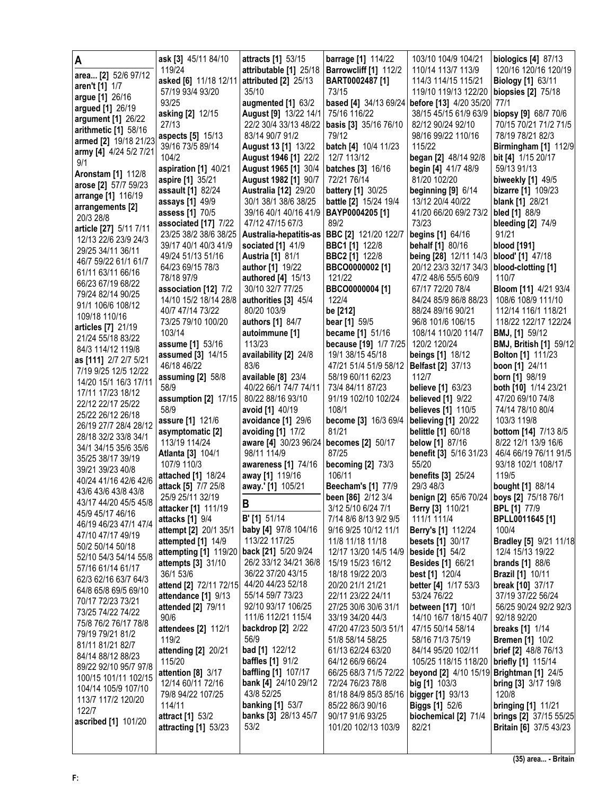|                                               | ask [3] 45/11 84/10                         | attracts [1] 53/15                           | <b>barrage</b> [1] 114/22                                  | 103/10 104/9 104/21                          | <b>biologics [4] 87/13</b>                                     |
|-----------------------------------------------|---------------------------------------------|----------------------------------------------|------------------------------------------------------------|----------------------------------------------|----------------------------------------------------------------|
| area [2] 52/6 97/12                           | 119/24                                      | attributable [1] 25/18                       | Barrowcliff [1] 112/2                                      | 110/14 113/7 113/9                           | 120/16 120/16 120/19                                           |
| aren't [1] 1/7                                | asked [6] 11/18 12/11                       | attributed [2] 25/13                         | BART0002487 [1]                                            | 114/3 114/15 115/21                          | <b>Biology</b> [1] 63/11                                       |
| argue [1] 26/16                               | 57/19 93/4 93/20                            | 35/10                                        | 73/15                                                      | 119/10 119/13 122/20                         | biopsies $[2]$ $75/18$                                         |
| argued [1] 26/19                              | 93/25                                       | augmented [1] 63/2                           |                                                            | based [4] 34/13 69/24 before [13] 4/20 35/20 | 77/1                                                           |
| argument [1] 26/22                            | asking [2] 12/15                            | August [9] 13/22 14/1                        | 75/16 116/22                                               | 38/15 45/15 61/9 63/9                        | biopsy [9] 68/7 70/6                                           |
| arithmetic [1] 58/16                          | 27/13                                       | 22/2 30/4 33/13 48/22                        | basis [3] 35/16 76/10                                      | 82/12 90/24 92/10                            | 70/15 70/21 71/2 71/5                                          |
| armed [2] 19/18 21/23                         | aspects [5] 15/13                           | 83/14 90/7 91/2                              | 79/12                                                      | 98/16 99/22 110/16                           | 78/19 78/21 82/3                                               |
| army [4] 4/24 5/2 7/21                        | 39/16 73/5 89/14                            | August 13 [1] 13/22                          | batch [4] 10/4 11/23                                       | 115/22                                       | <b>Birmingham [1] 112/9</b>                                    |
| 9/1                                           | 104/2<br>aspiration [1] 40/21               | August 1946 [1] 22/2<br>August 1965 [1] 30/4 | 12/7 113/12<br>batches [3] 16/16                           | began [2] 48/14 92/8                         | bit [4] 1/15 20/17<br>59/13 91/13                              |
| <b>Aronstam [1] 112/8</b>                     | aspire [1] 35/21                            | August 1982 [1] 90/7                         | 72/21 76/14                                                | begin [4] 41/7 48/9<br>81/20 102/20          | <b>biweekly</b> [1] 49/5                                       |
| arose [2] 57/7 59/23                          | assault [1] 82/24                           | <b>Australia [12] 29/20</b>                  | <b>battery</b> [1] 30/25                                   | beginning [9] 6/14                           | bizarre [1] 109/23                                             |
| arrange [1] 116/19                            | assays [1] 49/9                             | 30/1 38/1 38/6 38/25                         | battle [2] 15/24 19/4                                      | 13/12 20/4 40/22                             | <b>blank</b> [1] 28/21                                         |
| arrangements [2]                              | assess [1] 70/5                             | 39/16 40/1 40/16 41/9                        | BAYP0004205 [1]                                            | 41/20 66/20 69/2 73/2                        | <b>bled</b> [1] 88/9                                           |
| 20/3 28/8                                     | associated [17] 7/22                        | 47/12 47/15 67/3                             | 89/2                                                       | 73/23                                        | <b>bleeding [2] 74/9</b>                                       |
| article [27] 5/11 7/11                        | 23/25 38/2 38/6 38/25                       | Australia-hepatitis-as                       | BBC [2] 121/20 122/7                                       | begins [1] 64/16                             | 91/21                                                          |
| 12/13 22/6 23/9 24/3                          | 39/17 40/1 40/3 41/9                        | sociated [1] 41/9                            | <b>BBC1[1]</b> 122/8                                       | behalf [1] 80/16                             | blood [191]                                                    |
| 29/25 34/11 36/11                             | 49/24 51/13 51/16                           | <b>Austria [1] 81/1</b>                      | <b>BBC2</b> [1] 122/8                                      | being [28] 12/11 14/3                        | blood' [1] 47/18                                               |
| 46/7 59/22 61/1 61/7                          | 64/23 69/15 78/3                            | author [1] 19/22                             | BBCO0000002 [1]                                            | 20/12 23/3 32/17 34/3                        | blood-clotting [1]                                             |
| 61/11 63/11 66/16<br>66/23 67/19 68/22        | 78/18 97/9                                  | <b>authored</b> [4] 15/13                    | 121/22                                                     | 47/2 48/6 55/5 60/9                          | 110/7                                                          |
| 79/24 82/14 90/25                             | association [12] 7/2                        | 30/10 32/7 77/25                             | BBCO0000004 [1]                                            | 67/17 72/20 78/4                             | <b>Bloom [11] 4/21 93/4</b>                                    |
| 91/1 106/6 108/12                             | 14/10 15/2 18/14 28/8                       | authorities [3] 45/4                         | 122/4                                                      | 84/24 85/9 86/8 88/23                        | 108/6 108/9 111/10                                             |
| 109/18 110/16                                 | 40/7 47/14 73/22                            | 80/20 103/9                                  | be [212]                                                   | 88/24 89/16 90/21                            | 112/14 116/1 118/21                                            |
| articles [7] 21/19                            | 73/25 79/10 100/20                          | authors [1] 84/7                             | bear [1] 59/5                                              | 96/8 101/6 106/15                            | 118/22 122/17 122/24                                           |
| 21/24 55/18 83/22                             | 103/14                                      | autoimmune [1]                               | became [1] 51/16                                           | 108/14 110/20 114/7                          | BMJ, [1] 59/12                                                 |
| 84/3 114/12 119/8                             | assume [1] 53/16                            | 113/23                                       | because [19] 1/7 7/25                                      | 120/2 120/24                                 | <b>BMJ, British [1] 59/12</b>                                  |
| as [111] 2/7 2/7 5/21                         | assumed [3] 14/15                           | availability [2] 24/8                        | 19/1 38/15 45/18                                           | <b>beings [1] 18/12</b>                      | <b>Bolton [1] 111/23</b>                                       |
| 7/19 9/25 12/5 12/22                          | 46/18 46/22                                 | 83/6                                         | 47/21 51/4 51/9 58/12                                      | <b>Belfast</b> [2] 37/13<br>112/7            | boon [1] 24/11                                                 |
| 14/20 15/1 16/3 17/11                         | assuming [2] 58/8<br>58/9                   | available [8] 23/4<br>40/22 66/1 74/7 74/11  | 58/19 60/11 62/23<br>73/4 84/11 87/23                      | believe [1] 63/23                            | born [1] 98/19<br>both [10] 1/14 23/21                         |
| 17/11 17/23 18/12                             | assumption [2] 17/15                        | 80/22 88/16 93/10                            | 91/19 102/10 102/24                                        | <b>believed</b> [1] 9/22                     | 47/20 69/10 74/8                                               |
| 22/12 22/17 25/22                             | 58/9                                        | avoid [1] 40/19                              | 108/1                                                      | <b>believes</b> [1] 110/5                    | 74/14 78/10 80/4                                               |
| 25/22 26/12 26/18                             | assure [1] 121/6                            | avoidance [1] 29/6                           | become [3] 16/3 69/4                                       | <b>believing [1] 20/22</b>                   | 103/3 119/8                                                    |
| 26/19 27/7 28/4 28/12<br>28/18 32/2 33/8 34/1 | asymptomatic [2]                            | avoiding [1] 17/2                            | 81/21                                                      | <b>belittle [1] 60/18</b>                    | <b>bottom</b> [14] 7/13 8/5                                    |
|                                               |                                             |                                              |                                                            |                                              | 8/22 12/1 13/9 16/6                                            |
|                                               | 113/19 114/24                               | aware [4] 30/23 96/24                        | becomes [2] 50/17                                          | <b>below</b> [1] 87/16                       |                                                                |
| 34/1 34/15 35/6 35/6                          | <b>Atlanta</b> [3] 104/1                    | 98/11 114/9                                  | 87/25                                                      | benefit [3] 5/16 31/23                       | 46/4 66/19 76/11 91/5                                          |
| 35/25 38/17 39/19                             | 107/9 110/3                                 | awareness [1] 74/16                          | <b>becoming [2] 73/3</b>                                   | 55/20                                        | 93/18 102/1 108/17                                             |
| 39/21 39/23 40/8                              | attached [1] 18/24                          | away [1] 119/16                              | 106/11                                                     | <b>benefits</b> [3] 25/24                    | 119/5                                                          |
| 40/24 41/16 42/6 42/6<br>43/6 43/6 43/8 43/8  | attack [5] 7/7 25/8                         | away.' [1] 105/21                            | Beecham's [1] 77/9                                         | 29/3 48/3                                    | bought [1] 88/14                                               |
| 43/17 44/20 45/5 45/8                         | 25/9 25/11 32/19                            |                                              | been [86] 2/12 3/4                                         | benign [2] 65/6 70/24   boys [2] 75/18 76/1  |                                                                |
| 45/9 45/17 46/16                              | attacker [1] 111/19                         | B                                            | 3/12 5/10 6/24 7/1                                         | Berry [3] 110/21                             | <b>BPL</b> [1] 77/9                                            |
| 46/19 46/23 47/1 47/4                         | <b>attacks</b> [1] 9/4                      | <b>B'</b> [1] 51/14                          | 7/14 8/6 8/13 9/2 9/5                                      | 111/1 111/4                                  | BPLL0011645 [1]                                                |
| 47/10 47/17 49/19                             | attempt [2] 20/1 35/1                       | baby [4] 97/8 104/16                         | 9/16 9/25 10/12 11/1                                       | <b>Berry's [1] 112/24</b>                    | 100/4                                                          |
| 50/2 50/14 50/18                              | attempted [1] 14/9                          | 113/22 117/25                                | 11/8 11/18 11/18                                           | <b>besets</b> [1] 30/17                      |                                                                |
| 52/10 54/3 54/14 55/8                         | attempting [1] 119/20<br>attempts [3] 31/10 | back [21] 5/20 9/24<br>26/2 33/12 34/21 36/8 | 12/17 13/20 14/5 14/9 beside [1] 54/2<br>15/19 15/23 16/12 |                                              | 12/4 15/13 19/22                                               |
| 57/16 61/14 61/17                             | 36/1 53/6                                   | 36/22 37/20 43/15                            | 18/18 19/22 20/3                                           | <b>Besides [1] 66/21</b><br>best [1] 120/4   | <b>brands</b> [1] 88/6<br><b>Brazil [1] 10/11</b>              |
| 62/3 62/16 63/7 64/3                          | attend [2] 72/11 72/15                      | 44/20 44/23 52/18                            | 20/20 21/1 21/21                                           | better [4] 1/17 53/3                         | break [10] 37/17                                               |
| 64/8 65/8 69/5 69/10                          | attendance [1] 9/13                         | 55/14 59/7 73/23                             | 22/11 23/22 24/11                                          | 53/24 76/22                                  | Bradley [5] 9/21 11/18<br>37/19 37/22 56/24                    |
| 70/17 72/23 73/21                             | attended [2] 79/11                          | 92/10 93/17 106/25                           | 27/25 30/6 30/6 31/1                                       | between [17] 10/1                            | 56/25 90/24 92/2 92/3                                          |
| 73/25 74/22 74/22                             | 90/6                                        | 111/6 112/21 115/4                           | 33/19 34/20 44/3                                           | 14/10 16/7 18/15 40/7                        | 92/18 92/20                                                    |
| 75/8 76/2 76/17 78/8                          | attendees [2] 112/1                         | <b>backdrop</b> [2] 2/22                     | 47/20 47/23 50/3 51/1                                      | 47/15 50/14 58/14                            | breaks [1] 1/14                                                |
| 79/19 79/21 81/2                              | 119/2                                       | 56/9                                         | 51/8 58/14 58/25                                           | 58/16 71/3 75/19                             | <b>Bremen</b> [1] 10/2                                         |
| 81/11 81/21 82/7<br>84/14 88/12 88/23         | attending [2] 20/21                         | <b>bad</b> [1] 122/12                        | 61/13 62/24 63/20                                          | 84/14 95/20 102/11                           | <b>brief [2]</b> 48/8 76/13                                    |
| 89/22 92/10 95/7 97/8                         | 115/20                                      | <b>baffles</b> [1] 91/2                      | 64/12 66/9 66/24                                           | 105/25 118/15 118/20                         | <b>briefly [1] 115/14</b>                                      |
| 100/15 101/11 102/15                          | attention [8] 3/17                          | <b>baffling [1] 107/17</b>                   | 66/25 68/3 71/5 72/22                                      | beyond [2] 4/10 15/19 Brightman [1] 24/5     |                                                                |
| 104/14 105/9 107/10                           | 12/14 60/11 72/16                           | bank [4] 24/10 29/12                         | 72/24 76/23 78/8                                           | big $[1]$ 103/3                              | <b>bring [3] 3/17 19/8</b>                                     |
| 113/7 117/2 120/20                            | 79/8 94/22 107/25                           | 43/8 52/25                                   | 81/18 84/9 85/3 85/16 bigger [1] 93/13                     |                                              | 120/8                                                          |
| 122/7                                         | 114/11                                      | <b>banking [1] 53/7</b>                      | 85/22 86/3 90/16                                           | <b>Biggs [1]</b> 52/6                        | <b>bringing [1] 11/21</b>                                      |
| ascribed [1] 101/20                           | attract [1] 53/2<br>attracting [1] 53/23    | banks [3] 28/13 45/7<br>53/2                 | 90/17 91/6 93/25<br>101/20 102/13 103/9                    | biochemical [2] 71/4<br>82/21                | <b>brings [2] 37/15 55/25</b><br><b>Britain [6] 37/5 43/23</b> |
|                                               |                                             |                                              |                                                            |                                              |                                                                |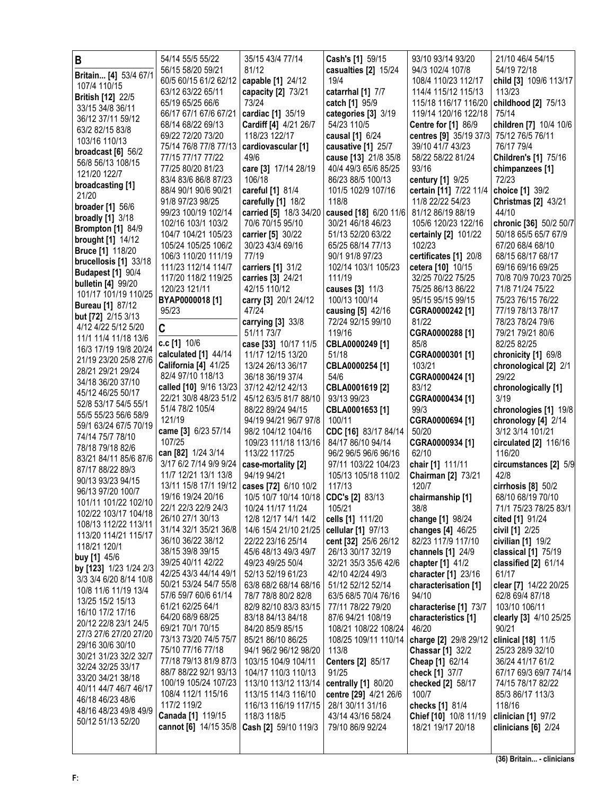| B<br>Britain [4] 53/4 67/1                        | 54/14 55/5 55/22<br>56/15 58/20 59/21          | 35/15 43/4 77/14<br>81/12                                     | Cash's [1] 59/15<br>casualties [2] 15/24 | 93/10 93/14 93/20<br>94/3 102/4 107/8                | 21/10 46/4 54/15<br>54/19 72/18              |
|---------------------------------------------------|------------------------------------------------|---------------------------------------------------------------|------------------------------------------|------------------------------------------------------|----------------------------------------------|
| 107/4 110/15                                      | 60/5 60/15 61/2 62/12                          | capable [1] 24/12                                             | 19/4                                     | 108/4 110/23 112/17                                  | child [3] 109/6 113/17                       |
| <b>British [12] 22/5</b>                          | 63/12 63/22 65/11                              | capacity [2] 73/21                                            | catarrhal [1] 7/7                        | 114/4 115/12 115/13                                  | 113/23                                       |
| 33/15 34/8 36/11                                  | 65/19 65/25 66/6                               | 73/24                                                         | catch [1] 95/9                           | 115/18 116/17 116/20                                 | childhood [2] 75/13                          |
| 36/12 37/11 59/12                                 | 66/17 67/1 67/6 67/21                          | cardiac [1] 35/19                                             | categories [3] 3/19                      | 119/14 120/16 122/18                                 | 75/14                                        |
| 63/2 82/15 83/8                                   | 68/14 68/22 69/13<br>69/22 72/20 73/20         | Cardiff [4] 4/21 26/7<br>118/23 122/17                        | 54/23 110/5<br>causal [1] 6/24           | <b>Centre for [1] 86/9</b><br>centres [9] 35/19 37/3 | children [7] 10/4 10/6<br>75/12 76/5 76/11   |
| 103/16 110/13                                     | 75/14 76/8 77/8 77/13                          | cardiovascular [1]                                            | causative [1] 25/7                       | 39/10 41/7 43/23                                     | 76/17 79/4                                   |
| broadcast $[6]$ 56/2                              | 77/15 77/17 77/22                              | 49/6                                                          | cause [13] 21/8 35/8                     | 58/22 58/22 81/24                                    | <b>Children's [1] 75/16</b>                  |
| 56/8 56/13 108/15                                 | 77/25 80/20 81/23                              | care [3] 17/14 28/19                                          | 40/4 49/3 65/6 85/25                     | 93/16                                                | chimpanzees [1]                              |
| 121/20 122/7<br>broadcasting [1]                  | 83/4 83/6 86/8 87/23                           | 106/18                                                        | 86/23 88/5 100/13                        | century [1] 9/25                                     | 72/23                                        |
| 21/20                                             | 88/4 90/1 90/6 90/21                           | careful [1] 81/4                                              | 101/5 102/9 107/16                       | certain [11] 7/22 11/4                               | choice [1] 39/2                              |
| <b>broader</b> [1] 56/6                           | 91/8 97/23 98/25                               | carefully [1] 18/2                                            | 118/8                                    | 11/8 22/22 54/23                                     | <b>Christmas [2] 43/21</b>                   |
| <b>broadly</b> [1] 3/18                           | 99/23 100/19 102/14                            | carried [5] 18/3 34/20                                        | caused [18] 6/20 11/6                    | 81/12 86/19 88/19                                    | 44/10                                        |
| <b>Brompton [1] 84/9</b>                          | 102/16 103/1 103/2                             | 70/6 70/15 95/10                                              | 30/21 46/18 46/23                        | 105/6 120/23 122/16                                  | chronic [36] 50/2 50/7                       |
| <b>brought [1] 14/12</b>                          | 104/7 104/21 105/23<br>105/24 105/25 106/2     | carrier [5] 30/22<br>30/23 43/4 69/16                         | 51/13 52/20 63/22<br>65/25 68/14 77/13   | certainly [2] 101/22<br>102/23                       | 50/18 65/5 65/7 67/9<br>67/20 68/4 68/10     |
| <b>Bruce [1] 118/20</b>                           | 106/3 110/20 111/19                            | 77/19                                                         | 90/1 91/8 97/23                          | certificates [1] 20/8                                | 68/15 68/17 68/17                            |
| brucellosis [1] 33/18                             | 111/23 112/14 114/7                            | carriers [1] 31/2                                             | 102/14 103/1 105/23                      | cetera [10] 10/15                                    | 69/16 69/16 69/25                            |
| <b>Budapest [1] 90/4</b>                          | 117/20 118/2 119/25                            | carries [3] 24/21                                             | 111/19                                   | 32/25 70/22 75/25                                    | 70/8 70/9 70/23 70/25                        |
| <b>bulletin [4] 99/20</b><br>101/17 101/19 110/25 | 120/23 121/11                                  | 42/15 110/12                                                  | causes [3] 11/3                          | 75/25 86/13 86/22                                    | 71/8 71/24 75/22                             |
| <b>Bureau [1] 87/12</b>                           | BYAP0000018 [1]                                | carry [3] 20/1 24/12                                          | 100/13 100/14                            | 95/15 95/15 99/15                                    | 75/23 76/15 76/22                            |
| but [72] 2/15 3/13                                | 95/23                                          | 47/24                                                         | causing [5] 42/16                        | CGRA0000242 [1]                                      | 77/19 78/13 78/17                            |
| 4/12 4/22 5/12 5/20                               | C                                              | carrying [3] 33/8                                             | 72/24 92/15 99/10                        | 81/22                                                | 78/23 78/24 79/6                             |
| 11/1 11/4 11/18 13/6                              | c.c [1] 10/6                                   | 51/11 73/7<br>case [33] 10/17 11/5                            | 119/16<br>CBLA0000249 [1]                | CGRA0000288 [1]<br>85/8                              | 79/21 79/21 80/6<br>82/25 82/25              |
| 16/3 17/19 19/8 20/24                             | calculated [1] 44/14                           | 11/17 12/15 13/20                                             | 51/18                                    | CGRA0000301 [1]                                      | chronicity [1] 69/8                          |
| 21/19 23/20 25/8 27/6                             | California [4] 41/25                           | 13/24 26/13 36/17                                             | CBLA0000254 [1]                          | 103/21                                               | chronological [2] 2/1                        |
| 28/21 29/21 29/24<br>34/18 36/20 37/10            | 82/4 97/10 118/13                              | 36/18 36/19 37/4                                              | 54/6                                     | CGRA0000424 [1]                                      | 29/22                                        |
| 45/12 46/25 50/17                                 | called [10] 9/16 13/23                         | 37/12 42/12 42/13                                             | CBLA0001619 [2]                          | 83/12                                                | chronologically [1]                          |
| 52/8 53/17 54/5 55/1                              | 22/21 30/8 48/23 51/2<br>51/4 78/2 105/4       | 45/12 63/5 81/7 88/10                                         | 93/13 99/23                              | CGRA0000434 [1]<br>99/3                              | 3/19                                         |
| 55/5 55/23 56/6 58/9                              | 121/19                                         | 88/22 89/24 94/15<br>94/19 94/21 96/7 97/8                    | CBLA0001653 [1]<br>100/11                | CGRA0000694 [1]                                      | chronologies [1] 19/8<br>chronology [4] 2/14 |
| 59/1 63/24 67/5 70/19                             | came [3] 6/23 57/14                            | 98/2 104/12 104/16                                            | CDC [16] 83/17 84/14                     | 50/20                                                | 3/12 3/14 101/21                             |
| 74/14 75/7 78/10                                  | 107/25                                         | 109/23 111/18 113/16                                          | 84/17 86/10 94/14                        | CGRA0000934 [1]                                      | circulated $[2]$ 116/16                      |
| 78/18 79/18 82/6<br>83/21 84/11 85/6 87/6         | can [82] 1/24 3/14                             | 113/22 117/25                                                 | 96/2 96/5 96/6 96/16                     | 62/10                                                | 116/20                                       |
| 87/17 88/22 89/3                                  | 3/17 6/2 7/14 9/9 9/24                         | case-mortality [2]                                            | 97/11 103/22 104/23                      | chair [1] 111/11                                     | circumstances [2] 5/9                        |
| 90/13 93/23 94/15                                 | 11/7 12/21 13/1 13/8                           | 94/19 94/21                                                   | 105/13 105/18 110/2                      | Chairman [2] 73/21                                   | 42/8                                         |
| 96/13 97/20 100/7                                 | 13/11 15/8 17/1 19/12<br>19/16 19/24 20/16     | cases [72] 6/10 10/2<br>10/5 10/7 10/14 10/18 CDC's [2] 83/13 | 117/13                                   | 120/7<br>chairmanship [1]                            | cirrhosis $[8]$ 50/2<br>68/10 68/19 70/10    |
| 101/11 101/22 102/10                              | 22/1 22/3 22/9 24/3                            | 10/24 11/17 11/24                                             | 105/21                                   | 38/8                                                 | 71/1 75/23 78/25 83/1                        |
| 102/22 103/17 104/18                              | 26/10 27/1 30/13                               | 12/8 12/17 14/1 14/2                                          | cells [1] 111/20                         | change [1] 98/24                                     | cited [1] 91/24                              |
| 108/13 112/22 113/11                              | 31/14 32/1 35/21 36/8                          | 14/6 15/4 21/10 21/25                                         | cellular [1] 97/13                       | changes [4] 46/25                                    | civil [1] 2/25                               |
| 113/20 114/21 115/17<br>118/21 120/1              | 36/10 36/22 38/12                              | 22/22 23/16 25/14                                             | cent [32] 25/6 26/12                     | 82/23 117/9 117/10                                   | civilian $[1]$ 19/2                          |
| buy [1] 45/6                                      | 38/15 39/8 39/15                               | 45/6 48/13 49/3 49/7                                          | 26/13 30/17 32/19                        | channels [1] 24/9                                    | classical [1] 75/19                          |
| by [123] 1/23 1/24 2/3                            | 39/25 40/11 42/22                              | 49/23 49/25 50/4                                              | 32/21 35/3 35/6 42/6                     | chapter [1] 41/2                                     | classified [2] 61/14                         |
| 3/3 3/4 6/20 8/14 10/8                            | 42/25 43/3 44/14 49/1<br>50/21 53/24 54/7 55/8 | 52/13 52/19 61/23<br>63/8 68/2 68/14 68/16                    | 42/10 42/24 49/3<br>51/12 52/12 52/14    | character [1] 23/16<br>characterisation [1]          | 61/17<br>clear [7] 14/22 20/25               |
| 10/8 11/6 11/19 13/4                              | 57/6 59/7 60/6 61/14                           | 78/7 78/8 80/2 82/8                                           | 63/5 68/5 70/4 76/16                     | 94/10                                                | 62/8 69/4 87/18                              |
| 13/25 15/2 15/13                                  | 61/21 62/25 64/1                               | 82/9 82/10 83/3 83/15                                         | 77/11 78/22 79/20                        | characterise [1] 73/7                                | 103/10 106/11                                |
| 16/10 17/2 17/16<br>20/12 22/8 23/1 24/5          | 64/20 68/9 68/25                               | 83/18 84/13 84/18                                             | 87/6 94/21 108/19                        | characteristics [1]                                  | clearly [3] 4/10 25/25                       |
| 27/3 27/6 27/20 27/20                             | 69/21 70/1 70/15                               | 84/20 85/9 85/15                                              | 108/21 108/22 108/24                     | 46/20                                                | 90/21                                        |
| 29/16 30/6 30/10                                  | 73/13 73/20 74/5 75/7                          | 85/21 86/10 86/25                                             | 108/25 109/11 110/14                     | charge [2] 29/8 29/12                                | clinical [18] 11/5                           |
| 30/21 31/23 32/2 32/7                             | 75/10 77/16 77/18                              | 94/1 96/2 96/12 98/20                                         | 113/8                                    | <b>Chassar [1] 32/2</b>                              | 25/23 28/9 32/10                             |
| 32/24 32/25 33/17                                 | 77/18 79/13 81/9 87/3<br>88/7 88/22 92/1 93/13 | 103/15 104/9 104/11<br>104/17 110/3 110/13                    | Centers [2] 85/17<br>91/25               | Cheap [1] 62/14<br>check [1] 37/7                    | 36/24 41/17 61/2<br>67/17 69/3 69/7 74/14    |
| 33/20 34/21 38/18                                 | 100/19 105/24 107/23                           | 113/10 113/12 113/14                                          | centrally [1] 80/20                      | checked [2] 58/17                                    | 74/15 78/17 82/22                            |
| 40/11 44/7 46/7 46/17                             | 108/4 112/1 115/16                             | 113/15 114/3 116/10                                           | centre [29] 4/21 26/6                    | 100/7                                                | 85/3 86/17 113/3                             |
| 46/18 46/23 48/6                                  | 117/2 119/2                                    | 116/13 116/19 117/15                                          | 28/1 30/11 31/16                         | checks [1] 81/4                                      | 118/16                                       |
| 48/16 48/23 49/8 49/9<br>50/12 51/13 52/20        | Canada [1] 119/15                              | 118/3 118/5                                                   | 43/14 43/16 58/24                        | Chief [10] 10/8 11/19                                | clinician [1] 97/2                           |
|                                                   | cannot [6] 14/15 35/8                          | Cash [2] 59/10 119/3                                          | 79/10 86/9 92/24                         | 18/21 19/17 20/18                                    | clinicians $[6]$ 2/24                        |
|                                                   |                                                |                                                               |                                          |                                                      |                                              |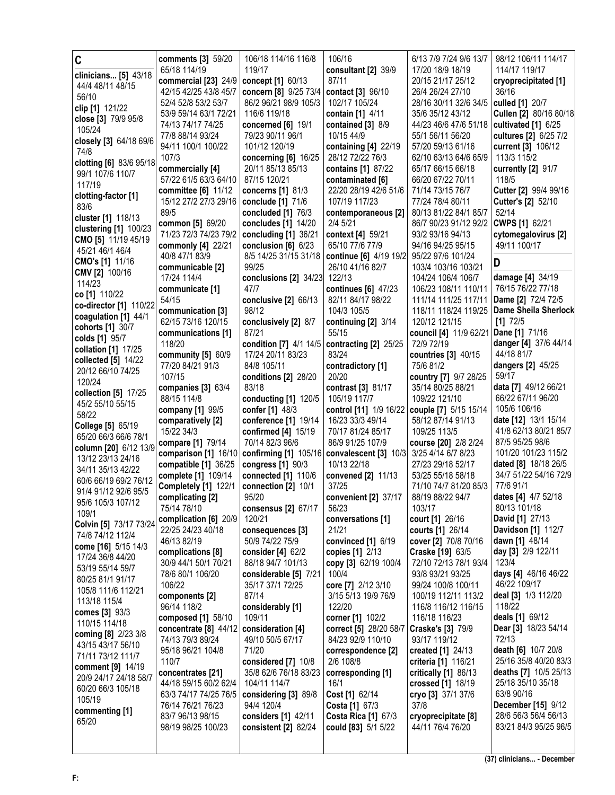| C                       | comments [3] 59/20                    | 106/18 114/16 116/8                  | 106/16                                            | 6/13 7/9 7/24 9/6 13/7                      | 98/12 106/11 114/17         |
|-------------------------|---------------------------------------|--------------------------------------|---------------------------------------------------|---------------------------------------------|-----------------------------|
| clinicians [5] 43/18    | 65/18 114/19                          | 119/17                               | consultant [2] 39/9                               | 17/20 18/9 18/19                            | 114/17 119/17               |
|                         | commercial [23] 24/9                  | concept [1] 60/13                    | 87/11                                             | 20/15 21/17 25/12                           | cryoprecipitated [1]        |
| 44/4 48/11 48/15        | 42/15 42/25 43/8 45/7                 | concern [8] 9/25 73/4                | contact [3] 96/10                                 | 26/4 26/24 27/10                            | 36/16                       |
| 56/10                   | 52/4 52/8 53/2 53/7                   | 86/2 96/21 98/9 105/3                | 102/17 105/24                                     | 28/16 30/11 32/6 34/5                       | culled [1] 20/7             |
| clip [1] 121/22         | 53/9 59/14 63/1 72/21                 | 116/6 119/18                         | contain [1] 4/11                                  | 35/6 35/12 43/12                            | Cullen [2] 80/16 80/18      |
| close [3] 79/9 95/8     | 74/13 74/17 74/25                     | concerned $[6]$ 19/1                 | contained [3] 8/9                                 | 44/23 46/6 47/6 51/18                       | cultivated $[1]$ 6/25       |
| 105/24                  | 77/8 88/14 93/24                      | 79/23 90/11 96/1                     | 10/15 44/9                                        | 55/1 56/11 56/20                            | cultures [2] 6/25 7/2       |
| closely [3] 64/18 69/6  | 94/11 100/1 100/22                    | 101/12 120/19                        | containing [4] 22/19                              | 57/20 59/13 61/16                           | current [3] 106/12          |
| 74/8                    | 107/3                                 | concerning [6] 16/25                 | 28/12 72/22 76/3                                  | 62/10 63/13 64/6 65/9                       | 113/3 115/2                 |
| clotting [6] 83/6 95/18 | commercially [4]                      | 20/11 85/13 85/13                    | contains [1] 87/22                                | 65/17 66/15 66/18                           | currently [2] 91/7          |
| 99/1 107/6 110/7        | 57/22 61/5 63/3 64/10                 | 87/15 120/21                         | contaminated [6]                                  | 66/20 67/22 70/11                           | 118/5                       |
| 117/19                  | committee [6] 11/12                   | concerns [1] 81/3                    | 22/20 28/19 42/6 51/6                             | 71/14 73/15 76/7                            | Cutter [2] 99/4 99/16       |
| clotting-factor [1]     | 15/12 27/2 27/3 29/16                 | conclude [1] 71/6                    | 107/19 117/23                                     | 77/24 78/4 80/11                            | Cutter's [2] 52/10          |
| 83/6                    | 89/5                                  | concluded [1] 76/3                   | contemporaneous [2]                               | 80/13 81/22 84/1 85/7                       | 52/14                       |
| cluster [1] 118/13      | common [5] 69/20                      | concludes [1] 14/20                  | 2/4 5/21                                          | 86/7 90/23 91/12 92/2                       | CWPS [1] 62/21              |
| clustering [1] 100/23   | 71/23 72/3 74/23 79/2                 | concluding [1] 36/21                 | context [4] 59/21                                 | 93/2 93/16 94/13                            | cytomegalovirus [2]         |
| CMO [5] 11/19 45/19     | commonly [4] 22/21                    | conclusion $[6]$ 6/23                | 65/10 77/6 77/9                                   | 94/16 94/25 95/15                           | 49/11 100/17                |
| 45/21 46/1 46/4         | 40/8 47/1 83/9                        | 8/5 14/25 31/15 31/18                | continue [6] 4/19 19/2                            | 95/22 97/6 101/24                           |                             |
| <b>CMO's [1] 11/16</b>  | communicable [2]                      | 99/25                                | 26/10 41/16 82/7                                  | 103/4 103/16 103/21                         | D                           |
| CMV [2] 100/16          | 17/24 114/4                           | conclusions [2] 34/23                | 122/13                                            | 104/24 106/4 106/7                          | damage [4] 34/19            |
| 114/23                  | communicate [1]                       | 47/7                                 | continues [6] 47/23                               | 106/23 108/11 110/11                        | 76/15 76/22 77/18           |
| co [1] 110/22           | 54/15                                 | conclusive [2] 66/13                 | 82/11 84/17 98/22                                 | 111/14 111/25 117/11                        | Dame [2] 72/4 72/5          |
| co-director [1] 110/22  | communication [3]                     | 98/12                                | 104/3 105/5                                       | 118/11 118/24 119/25                        | <b>Dame Sheila Sherlock</b> |
| coagulation [1] 44/1    | 62/15 73/16 120/15                    | conclusively [2] 8/7                 | continuing [2] 3/14                               | 120/12 121/15                               | $[1]$ 72/5                  |
| cohorts [1] 30/7        | communications [1]                    | 87/21                                | 55/15                                             | council [4] 11/9 62/21                      | Dane [1] 71/16              |
| colds [1] 95/7          | 118/20                                | condition [7] 4/1 14/5               | contracting [2] 25/25                             | 72/9 72/19                                  | danger [4] 37/6 44/14       |
| collation [1] 17/25     | community [5] 60/9                    | 17/24 20/11 83/23                    | 83/24                                             | countries [3] 40/15                         | 44/18 81/7                  |
| collected [5] 14/22     | 77/20 84/21 91/3                      | 84/8 105/11                          | contradictory [1]                                 | 75/6 81/2                                   | dangers [2] 45/25           |
| 20/12 66/10 74/25       | 107/15                                | conditions [2] 28/20                 | 20/20                                             | country [7] 9/7 28/25                       | 59/17                       |
| 120/24                  | companies [3] 63/4                    | 83/18                                | contrast [3] 81/17                                | 35/14 80/25 88/21                           | data [7] 49/12 66/21        |
| collection [5] 17/25    | 88/15 114/8                           | conducting [1] 120/5                 | 105/19 117/7                                      | 109/22 121/10                               | 66/22 67/11 96/20           |
| 45/2 55/10 55/15        | company [1] 99/5                      | confer [1] 48/3                      | control [11] 1/9 16/22                            | couple [7] 5/15 15/14                       | 105/6 106/16                |
| 58/22                   | comparatively [2]                     | conference [1] 19/14                 | 16/23 33/3 49/14                                  | 58/12 87/14 91/13                           | date [12] 13/1 15/14        |
| College [5] 65/19       | 15/22 34/3                            | confirmed [4] 15/19                  | 70/17 81/24 85/17                                 | 109/25 113/5                                | 41/8 62/13 80/21 85/7       |
| 65/20 66/3 66/6 78/1    | compare [1] 79/14                     | 70/14 82/3 96/6                      | 86/9 91/25 107/9                                  | course [20] 2/8 2/24                        | 87/5 95/25 98/6             |
| column [20] 6/12 13/9   | comparison [1] 16/10                  | confirming [1] 105/16                | convalescent [3] 10/3                             | 3/25 4/14 6/7 8/23                          | 101/20 101/23 115/2         |
| 13/12 23/13 24/16       | compatible [1] 36/25                  | congress [1] 90/3                    | 10/13 22/18                                       | 27/23 29/18 52/17                           | dated [8] 18/18 26/5        |
| 34/11 35/13 42/22       | complete [1] 109/14                   | connected [1] 110/6                  | convened [2] 11/13                                | 53/25 55/18 58/18                           | 34/7 51/22 54/16 72/9       |
| 60/6 66/19 69/2 76/12   | Completely [1] 122/1                  | connection [2] 10/1                  | 37/25                                             | 71/10 74/7 81/20 85/3                       | 77/6 91/1                   |
| 91/4 91/12 92/6 95/5    | complicating [2]                      | 95/20                                | convenient [2] 37/17                              | 88/19 88/22 94/7                            | dates [4] 4/7 52/18         |
| 95/6 105/3 107/12       | 75/14 78/10                           | consensus [2] 67/17                  | 56/23                                             | 103/17                                      | 80/13 101/18                |
| 109/1                   | complication [6] 20/9                 | 120/21                               | conversations [1]                                 | court [1] 26/16                             | David [1] 27/13             |
| Colvin [5] 73/17 73/24  | 22/25 24/23 40/18                     | consequences [3]                     | 21/21                                             | courts [1] 26/14                            | <b>Davidson [1] 112/7</b>   |
| 74/8 74/12 112/4        | 46/13 82/19                           | 50/9 74/22 75/9                      | convinced [1] 6/19                                | cover [2] 70/8 70/16                        | dawn [1] 48/14              |
| come [16] 5/15 14/3     | complications [8]                     | consider [4] 62/2                    | copies [1] 2/13                                   | Craske [19] 63/5                            | day [3] 2/9 122/11          |
| 17/24 36/8 44/20        | 30/9 44/1 50/1 70/21                  | 88/18 94/7 101/13                    | copy [3] 62/19 100/4                              | 72/10 72/13 78/1 93/4                       | 123/4                       |
| 53/19 55/14 59/7        | 78/6 80/1 106/20                      | considerable [5] 7/21                | 100/4                                             | 93/8 93/21 93/25                            | days [4] 46/16 46/22        |
| 80/25 81/1 91/17        | 106/22                                | 35/17 37/1 72/25                     | core [7] 2/12 3/10                                | 99/24 100/8 100/11                          | 46/22 109/17                |
| 105/8 111/6 112/21      | components [2]                        | 87/14                                | 3/15 5/13 19/9 76/9                               | 100/19 112/11 113/2                         | deal [3] 1/3 112/20         |
| 113/18 115/4            | 96/14 118/2                           | considerably [1]                     | 122/20                                            | 116/8 116/12 116/15                         | 118/22                      |
| comes [3] 93/3          | composed [1] 58/10                    | 109/11                               | corner [1] 102/2                                  | 116/18 116/23                               | deals [1] 69/12             |
| 110/15 114/18           | concentrate [8] 44/12                 | consideration [4]                    | correct [5] 28/20 58/7                            | <b>Craske's [3] 79/9</b>                    | Dear [3] 18/23 54/14        |
| coming [8] 2/23 3/8     | 74/13 79/3 89/24                      | 49/10 50/5 67/17                     | 84/23 92/9 110/10                                 | 93/17 119/12                                | 72/13                       |
| 43/15 43/17 56/10       | 95/18 96/21 104/8                     | 71/20                                | correspondence [2]                                | created [1] 24/13                           | death [6] 10/7 20/8         |
| 71/11 73/12 111/7       | 110/7                                 | considered [7] 10/8                  | 2/6 108/8                                         |                                             | 25/16 35/8 40/20 83/3       |
| comment [9] 14/19       | concentrates [21]                     | 35/8 62/6 76/18 83/23                | corresponding [1]                                 | criteria [1] 116/21<br>critically [1] 86/13 | deaths [7] 10/5 25/13       |
| 20/9 24/17 24/18 58/7   | 44/18 59/15 60/2 62/4                 |                                      |                                                   |                                             | 25/18 35/10 35/18           |
| 60/20 66/3 105/18       |                                       | 104/11 114/7<br>considering [3] 89/8 | 16/1<br>Cost [1] 62/14                            | crossed [1] 18/19<br>cryo [3] 37/1 37/6     | 63/8 90/16                  |
| 105/19                  | 63/3 74/17 74/25 76/5                 | 94/4 120/4                           |                                                   | 37/8                                        | <b>December</b> [15] 9/12   |
| commenting [1]          | 76/14 76/21 76/23<br>83/7 96/13 98/15 | considers [1] 42/11                  | Costa [1] 67/3                                    |                                             | 28/6 56/3 56/4 56/13        |
| 65/20                   | 98/19 98/25 100/23                    |                                      | <b>Costa Rica [1] 67/3</b><br>could [83] 5/1 5/22 | cryoprecipitate [8]<br>44/11 76/4 76/20     | 83/21 84/3 95/25 96/5       |
|                         |                                       | consistent $[2]$ 82/24               |                                                   |                                             |                             |
|                         |                                       |                                      |                                                   |                                             |                             |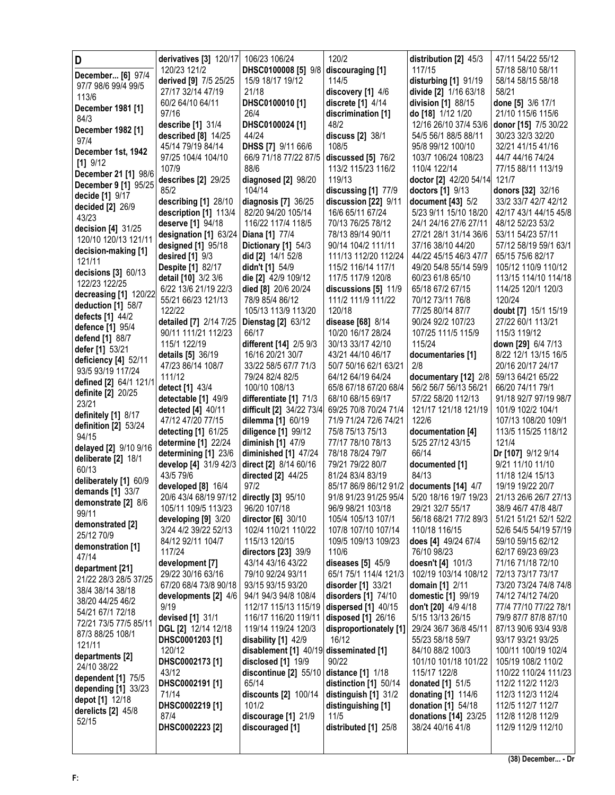| D                                         | derivatives [3] 120/17                        | 106/23 106/24                                | 120/2                                          | distribution [2] 45/3                      | 47/11 54/22 55/12                             |
|-------------------------------------------|-----------------------------------------------|----------------------------------------------|------------------------------------------------|--------------------------------------------|-----------------------------------------------|
| December [6] 97/4                         | 120/23 121/2                                  | DHSC0100008 [5] 9/8 discouraging [1]         |                                                | 117/15                                     | 57/18 58/10 58/11                             |
| 97/7 98/6 99/4 99/5                       | derived [9] 7/5 25/25                         | 15/9 18/17 19/12                             | 114/5                                          | disturbing [1] 91/19                       | 58/14 58/15 58/18                             |
| 113/6                                     | 27/17 32/14 47/19                             | 21/18                                        | discovery [1] 4/6                              | divide [2] 1/16 63/18                      | 58/21                                         |
| December 1981 [1]                         | 60/2 64/10 64/11                              | DHSC0100010 [1]                              | discrete [1] 4/14                              | division [1] 88/15                         | done [5] 3/6 17/1                             |
| 84/3                                      | 97/16                                         | 26/4                                         | discrimination [1]                             | do [18] 1/12 1/20                          | 21/10 115/6 115/6                             |
| December 1982 [1]                         | describe [1] 31/4                             | DHSC0100024 [1]                              | 48/2                                           | 12/16 26/10 37/4 53/6                      | donor [15] 7/5 30/22                          |
| 97/4                                      | described [8] 14/25                           | 44/24                                        | discuss [2] 38/1                               | 54/5 56/1 88/5 88/11                       | 30/23 32/3 32/20                              |
| December 1st, 1942                        | 45/14 79/19 84/14                             | DHSS [7] 9/11 66/6                           | 108/5                                          | 95/8 99/12 100/10                          | 32/21 41/15 41/16                             |
| $[1]$ 9/12                                | 97/25 104/4 104/10                            | 66/9 71/18 77/22 87/5                        | discussed [5] 76/2                             | 103/7 106/24 108/23                        | 44/7 44/16 74/24                              |
| December 21 [1] 98/6                      | 107/9                                         | 88/6                                         | 113/2 115/23 116/2                             | 110/4 122/14                               | 77/15 88/11 113/19                            |
| December 9 [1] 95/25                      | describes [2] 29/25                           | diagnosed [2] 98/20<br>104/14                | 119/13                                         | doctor [2] 42/20 54/14                     | 121/7                                         |
| decide [1] 9/17                           | 85/2                                          |                                              | discussing [1] 77/9                            | doctors [1] 9/13                           | donors [32] 32/16                             |
| decided [2] 26/9                          | describing [1] 28/10<br>description [1] 113/4 | diagnosis [7] 36/25<br>82/20 94/20 105/14    | discussion [22] 9/11<br>16/6 65/11 67/24       | document [43] 5/2<br>5/23 9/11 15/10 18/20 | 33/2 33/7 42/7 42/12<br>42/17 43/1 44/15 45/8 |
| 43/23                                     | deserve [1] 94/18                             | 116/22 117/4 118/5                           | 70/13 76/25 78/12                              | 24/1 24/16 27/6 27/11                      | 48/12 52/23 53/2                              |
| decision [4] 31/25                        | designation [1] 63/24                         | Diana [1] 77/4                               | 78/13 89/14 90/11                              | 27/21 28/1 31/14 36/6                      | 53/11 54/23 57/11                             |
| 120/10 120/13 121/11                      | designed [1] 95/18                            | Dictionary [1] 54/3                          | 90/14 104/2 111/11                             | 37/16 38/10 44/20                          | 57/12 58/19 59/1 63/1                         |
| decision-making [1]                       | desired [1] 9/3                               | did [2] 14/1 52/8                            | 111/13 112/20 112/24                           | 44/22 45/15 46/3 47/7                      | 65/15 75/6 82/17                              |
| 121/11                                    | <b>Despite [1] 82/17</b>                      | didn't [1] 54/9                              | 115/2 116/14 117/1                             | 49/20 54/8 55/14 59/9                      | 105/12 110/9 110/12                           |
| decisions [3] 60/13                       | detail [10] 3/2 3/6                           | die [2] 42/9 109/12                          | 117/5 117/9 120/8                              | 60/23 61/8 65/10                           | 113/15 114/10 114/18                          |
| 122/23 122/25                             | 6/22 13/6 21/19 22/3                          | died [8] 20/6 20/24                          | discussions [5] 11/9                           | 65/18 67/2 67/15                           | 114/25 120/1 120/3                            |
| decreasing [1] 120/22                     | 55/21 66/23 121/13                            | 78/9 85/4 86/12                              | 111/2 111/9 111/22                             | 70/12 73/11 76/8                           | 120/24                                        |
| deduction [1] 58/7                        | 122/22                                        | 105/13 113/9 113/20                          | 120/18                                         | 77/25 80/14 87/7                           | doubt [7] 15/1 15/19                          |
| defects [1] 44/2<br>defence [1] 95/4      | detailed [7] 2/14 7/25                        | <b>Dienstag [2] 63/12</b>                    | disease [68] 8/14                              | 90/24 92/2 107/23                          | 27/22 60/1 113/21                             |
| defend [1] 88/7                           | 90/11 111/21 112/23                           | 66/17                                        | 10/20 16/17 28/24                              | 107/25 111/5 115/9                         | 115/3 119/12                                  |
| defer [1] 53/21                           | 115/1 122/19                                  | different [14] 2/5 9/3                       | 30/13 33/17 42/10                              | 115/24                                     | down [29] 6/4 7/13                            |
| deficiency [4] 52/11                      | <b>details</b> [5] 36/19                      | 16/16 20/21 30/7                             | 43/21 44/10 46/17                              | documentaries [1]                          | 8/22 12/1 13/15 16/5                          |
| 93/5 93/19 117/24                         | 47/23 86/14 108/7                             | 33/22 58/5 67/7 71/3                         | 50/7 50/16 62/1 63/21                          | 2/8                                        | 20/16 20/17 24/17                             |
| defined [2] 64/1 121/                     | 111/12                                        | 79/24 82/4 82/5                              | 64/12 64/19 64/24                              | documentary [12] 2/8                       | 59/13 64/21 65/22                             |
| definite [2] 20/25                        | detect [1] 43/4                               | 100/10 108/13                                | 65/8 67/18 67/20 68/4                          | 56/2 56/7 56/13 56/21                      | 66/20 74/11 79/1                              |
| 23/21                                     | detectable [1] 49/9                           | differentiate [1] 71/3                       | 68/10 68/15 69/17                              | 57/22 58/20 112/13                         | 91/18 92/7 97/19 98/7                         |
| definitely [1] 8/17                       | detected [4] 40/11<br>47/12 47/20 77/15       | difficult [2] 34/22 73/4                     | 69/25 70/8 70/24 71/4<br>71/9 71/24 72/6 74/21 | 121/17 121/18 121/19<br>122/6              | 101/9 102/2 104/1<br>107/13 108/20 109/1      |
| definition $[2]$ 53/24                    | detecting [1] 61/25                           | dilemma [1] 60/19<br>diligence [1] 99/12     | 75/8 75/13 75/13                               | documentation [4]                          | 113/5 115/25 118/12                           |
| 94/15                                     | determine [1] 22/24                           | diminish [1] 47/9                            | 77/17 78/10 78/13                              | 5/25 27/12 43/15                           | 121/4                                         |
| delayed [2] 9/10 9/16                     | determining [1] 23/6                          | diminished [1] 47/24                         | 78/18 78/24 79/7                               | 66/14                                      | Dr [107] 9/12 9/14                            |
| deliberate [2] 18/1                       | develop [4] 31/9 42/3                         | direct [2] 8/14 60/16                        | 79/21 79/22 80/7                               | documented [1]                             | 9/21 11/10 11/10                              |
| 60/13                                     | 43/5 79/6                                     | <b>directed</b> [2] 44/25                    | 81/24 83/4 83/19                               | 84/13                                      | 11/18 12/4 15/13                              |
| deliberately [1] 60/9                     | developed [8] 16/4                            | 97/2                                         | 85/17 86/9 86/12 91/2                          | documents [14] 4/7                         | 19/19 19/22 20/7                              |
| demands [1] 33/7                          | 20/6 43/4 68/19 97/12 directly [3] 95/10      |                                              | 91/8 91/23 91/25 95/4                          | 5/20 18/16 19/7 19/23                      | 21/13 26/6 26/7 27/13                         |
| demonstrate [2] 8/6<br>99/11              | 105/11 109/5 113/23                           | 96/20 107/18                                 | 96/9 98/21 103/18                              | 29/21 32/7 55/17                           | 38/9 46/7 47/8 48/7                           |
| demonstrated [2]                          | developing [9] 3/20                           | director [6] 30/10                           | 105/4 105/13 107/1                             | 56/18 68/21 77/2 89/3                      | 51/21 51/21 52/1 52/2                         |
| 25/12 70/9                                | 3/24 4/2 39/22 52/13                          | 102/4 110/21 110/22                          | 107/8 107/10 107/14                            | 110/18 116/15                              | 52/6 54/5 54/19 57/19                         |
| demonstration [1]                         | 84/12 92/11 104/7                             | 115/13 120/15                                | 109/5 109/13 109/23                            | does [4] 49/24 67/4                        | 59/10 59/15 62/12                             |
| 47/14                                     | 117/24                                        | directors [23] 39/9                          | 110/6                                          | 76/10 98/23                                | 62/17 69/23 69/23                             |
| department [21]                           | development [7]                               | 43/14 43/16 43/22                            | diseases [5] 45/9                              | doesn't [4] 101/3                          | 71/16 71/18 72/10                             |
| 21/22 28/3 28/5 37/25                     | 29/22 30/16 63/16                             | 79/10 92/24 93/11                            | 65/1 75/1 114/4 121/3                          | 102/19 103/14 108/12                       | 72/13 73/17 73/17                             |
| 38/4 38/14 38/18                          | 67/20 68/4 73/8 90/18                         | 93/15 93/15 93/20                            | disorder [1] 33/21                             | <b>domain</b> [1] 2/11                     | 73/20 73/24 74/8 74/8                         |
| 38/20 44/25 46/2                          | developments [2] 4/6<br>9/19                  | 94/1 94/3 94/8 108/4<br>112/17 115/13 115/19 | disorders [1] 74/10<br>dispersed [1] 40/15     | domestic [1] 99/19<br>don't [20] 4/9 4/18  | 74/12 74/12 74/20<br>77/4 77/10 77/22 78/1    |
| 54/21 67/1 72/18                          | devised [1] 31/1                              | 116/17 116/20 119/11                         | disposed [1] 26/16                             | 5/15 13/13 26/15                           | 79/9 87/7 87/8 87/10                          |
| 72/21 73/5 77/5 85/11                     | DGL [2] 12/14 12/18                           | 119/14 119/24 120/3                          | disproportionately [1]                         | 29/24 36/7 36/8 45/11                      | 87/13 90/6 93/4 93/8                          |
| 87/3 88/25 108/1                          | DHSC0001203 [1]                               | disability [1] 42/9                          | 16/12                                          | 55/23 58/18 59/7                           | 93/17 93/21 93/25                             |
| 121/11                                    | 120/12                                        | disablement [1] 40/19 disseminated [1]       |                                                | 84/10 88/2 100/3                           | 100/11 100/19 102/4                           |
| departments [2]                           | DHSC0002173 [1]                               | disclosed [1] 19/9                           | 90/22                                          | 101/10 101/18 101/22                       | 105/19 108/2 110/2                            |
| 24/10 38/22                               | 43/12                                         | discontinue [2] 55/10                        | distance [1] 1/18                              | 115/17 122/8                               | 110/22 110/24 111/23                          |
| dependent [1] 75/5<br>depending [1] 33/23 |                                               | 65/14                                        | distinction [1] 50/14                          | donated [1] 51/5                           | 112/2 112/2 112/3                             |
|                                           | DHSC0002191 [1]                               |                                              |                                                |                                            |                                               |
|                                           | 71/14                                         | discounts [2] 100/14                         | distinguish [1] 31/2                           | donating [1] 114/6                         | 112/3 112/3 112/4                             |
| depot [1] 12/18                           | DHSC0002219 [1]                               | 101/2                                        | distinguishing [1]                             | donation [1] 54/18                         | 112/5 112/7 112/7                             |
| derelicts [2] 45/8                        | 87/4                                          | discourage [1] 21/9                          | 11/5                                           | donations [14] 23/25                       | 112/8 112/8 112/9                             |
| 52/15                                     | DHSC0002223 [2]                               | discouraged [1]                              | distributed [1] 25/8                           | 38/24 40/16 41/8                           | 112/9 112/9 112/10                            |
|                                           |                                               |                                              |                                                |                                            |                                               |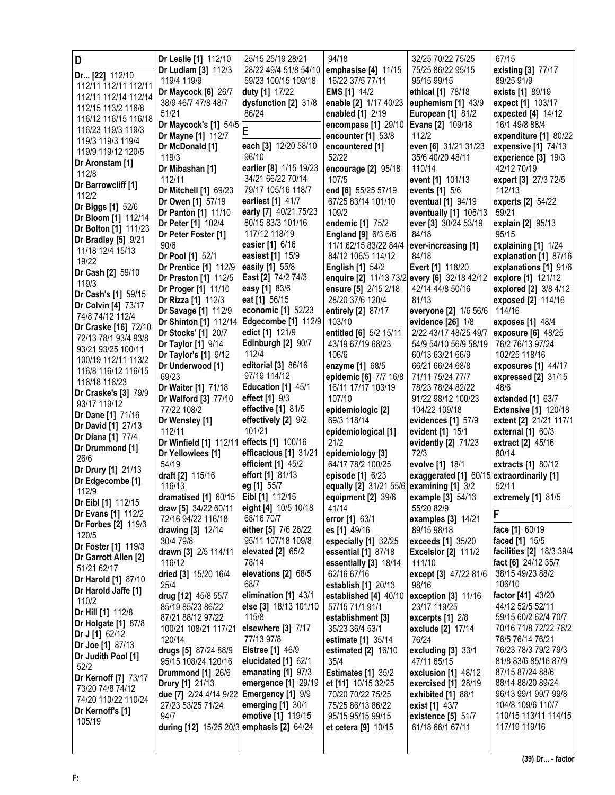| D                                           | Dr Leslie [1] 112/10                             | 25/15 25/19 28/21                         | 94/18                                                          | 32/25 70/22 75/25                      | 67/15                                        |
|---------------------------------------------|--------------------------------------------------|-------------------------------------------|----------------------------------------------------------------|----------------------------------------|----------------------------------------------|
| Dr [22] 112/10                              | Dr Ludlam [3] 112/3                              | 28/22 49/4 51/8 54/10                     | emphasise [4] 11/15                                            | 75/25 86/22 95/15                      | existing [3] 77/17                           |
| 112/11 112/11 112/11                        | 119/4 119/9                                      | 59/23 100/15 109/18                       | 16/22 37/5 77/11                                               | 95/15 99/15                            | 89/25 91/9                                   |
| 112/11 112/14 112/14                        | Dr Maycock [6] 26/7                              | duty [1] 17/22                            | <b>EMS</b> [1] 14/2                                            | ethical [1] 78/18                      | exists [1] 89/19                             |
| 112/15 113/2 116/8                          | 38/9 46/7 47/8 48/7                              | dysfunction [2] 31/8                      | enable [2] 1/17 40/23                                          | euphemism [1] 43/9                     | expect [1] 103/17                            |
| 116/12 116/15 116/18                        | 51/21<br>Dr Maycock's [1] 54/5                   | 86/24                                     | enabled [1] 2/19<br>encompass [1] 29/10                        | <b>European [1] 81/2</b>               | expected [4] 14/12<br>16/1 49/8 88/4         |
| 116/23 119/3 119/3                          | Dr Mayne [1] 112/7                               | Ė                                         | encounter [1] 53/8                                             | <b>Evans [2] 109/18</b><br>112/2       | expenditure [1] 80/22                        |
| 119/3 119/3 119/4                           | Dr McDonald [1]                                  | each [3] 12/20 58/10                      | encountered [1]                                                | even [6] 31/21 31/23                   | expensive [1] 74/13                          |
| 119/9 119/12 120/5                          | 119/3                                            | 96/10                                     | 52/22                                                          | 35/6 40/20 48/11                       | experience $[3]$ 19/3                        |
| Dr Aronstam [1]                             | Dr Mibashan [1]                                  | earlier [8] 1/15 19/23                    | encourage [2] 95/18                                            | 110/14                                 | 42/12 70/19                                  |
| 112/8                                       | 112/11                                           | 34/21 66/22 70/14                         | 107/5                                                          | event [1] 101/13                       | expert [3] 27/3 72/5                         |
| Dr Barrowcliff [1]<br>112/2                 | Dr Mitchell [1] 69/23                            | 79/17 105/16 118/7                        | end [6] 55/25 57/19                                            | events [1] 5/6                         | 112/13                                       |
| Dr Biggs [1] 52/6                           | Dr Owen [1] 57/19                                | earliest [1] 41/7                         | 67/25 83/14 101/10                                             | eventual [1] 94/19                     | experts [2] 54/22                            |
| Dr Bloom [1] 112/14                         | Dr Panton [1] 11/10                              | early [7] 40/21 75/23                     | 109/2                                                          | eventually [1] 105/13                  | 59/21                                        |
| Dr Bolton [1] 111/23                        | Dr Peter [1] 102/4                               | 80/15 83/3 101/16                         | endemic [1] 75/2                                               | ever [3] 30/24 53/19                   | explain [2] 95/13                            |
| <b>Dr Bradley [5] 9/21</b>                  | Dr Peter Foster [1]                              | 117/12 118/19                             | <b>England [9] 6/3 6/6</b>                                     | 84/18                                  | 95/15                                        |
| 11/18 12/4 15/13                            | 90/6<br>Dr Pool [1] 52/1                         | easier [1] 6/16<br>easiest [1] 15/9       | 11/1 62/15 83/22 84/4<br>84/12 106/5 114/12                    | ever-increasing [1]<br>84/18           | explaining [1] 1/24<br>explanation [1] 87/16 |
| 19/22                                       | Dr Prentice [1] 112/9                            | easily [1] 55/8                           | <b>English [1] 54/2</b>                                        | Evert [1] 118/20                       | explanations [1] 91/6                        |
| Dr Cash [2] 59/10                           | Dr Preston [1] 112/5                             | East [2] 74/2 74/3                        | enquire [2] 11/13 73/2 every [6] 32/18 42/12                   |                                        | explore [1] 121/12                           |
| 119/3                                       | Dr Proger [1] 11/10                              | easy [1] 83/6                             | ensure [5] 2/15 2/18                                           | 42/14 44/8 50/16                       | explored [2] 3/8 4/12                        |
| Dr Cash's [1] 59/15                         | Dr Rizza [1] 112/3                               | eat [1] 56/15                             | 28/20 37/6 120/4                                               | 81/13                                  | exposed [2] 114/16                           |
| Dr Colvin [4] 73/17<br>74/8 74/12 112/4     | Dr Savage [1] 112/9                              | economic [1] 52/23                        | entirely [2] 87/17                                             | everyone [2] 1/6 56/6                  | 114/16                                       |
| Dr Craske [16] 72/10                        | Dr Shinton [1] 112/14                            | Edgecombe [1] 112/9                       | 103/10                                                         | evidence [26] 1/8                      | exposes [1] 48/4                             |
| 72/13 78/1 93/4 93/8                        | Dr Stocks' [1] 20/7                              | edict [1] 121/9                           | entitled [6] 5/2 15/11                                         | 2/22 43/17 48/25 49/7                  | exposure [6] 48/25                           |
| 93/21 93/25 100/11                          | Dr Taylor [1] 9/14                               | Edinburgh [2] 90/7                        | 43/19 67/19 68/23                                              | 54/9 54/10 56/9 58/19                  | 76/2 76/13 97/24                             |
| 100/19 112/11 113/2                         | Dr Taylor's [1] 9/12                             | 112/4                                     | 106/6                                                          | 60/13 63/21 66/9                       | 102/25 118/16                                |
| 116/8 116/12 116/15                         | Dr Underwood [1]<br>69/23                        | editorial [3] 86/16<br>97/19 114/12       | enzyme [1] 68/5                                                | 66/21 66/24 68/8                       | exposures [1] 44/17                          |
| 116/18 116/23                               | Dr Waiter [1] 71/18                              | Education [1] 45/1                        | epidemic [6] 7/7 16/8<br>16/11 17/17 103/19                    | 71/11 75/24 77/7<br>78/23 78/24 82/22  | expressed [2] 31/15<br>48/6                  |
| Dr Craske's [3] 79/9                        | Dr Walford [3] 77/10                             | effect $[1]$ $9/3$                        | 107/10                                                         | 91/22 98/12 100/23                     | extended $[1]$ 63/7                          |
| 93/17 119/12                                | 77/22 108/2                                      | effective [1] 81/5                        | epidemiologic [2]                                              | 104/22 109/18                          | <b>Extensive [1] 120/18</b>                  |
| Dr Dane [1] 71/16                           | Dr Wensley [1]                                   | effectively [2] 9/2                       | 69/3 118/14                                                    | evidences [1] 57/9                     | extent [2] 21/21 117/1                       |
| <b>Dr David [1] 27/13</b>                   | 112/11                                           | 101/21                                    | epidemiological [1]                                            | evident [1] 15/1                       | external [1] 60/3                            |
| <b>Dr Diana [1] 77/4</b><br>Dr Drummond [1] | Dr Winfield [1] 112/11 effects [1] 100/16        |                                           | 21/2                                                           | evidently [2] 71/23                    | extract [2] 45/16                            |
| 26/6                                        | Dr Yellowlees [1]                                | efficacious [1] 31/21                     | epidemiology [3]                                               | 72/3                                   | 80/14                                        |
| Dr Drury [1] 21/13                          | 54/19                                            | efficient [1] 45/2                        | 64/17 78/2 100/25                                              | evolve [1] 18/1                        | extracts [1] 80/12                           |
| Dr Edgecombe [1]                            | draft [2] 115/16                                 | effort [1] 81/13                          | episode [1] 6/23                                               | exaggerated [1] 60/15                  | extraordinarily [1]                          |
| 112/9                                       | 116/13<br>dramatised [1] 60/15   Eibl [1] 112/15 | eg [1] 55/7                               | equally [2] 31/21 55/6 examining [1] 3/2<br>equipment [2] 39/6 | example [3] 54/13                      | 52/11<br>extremely [1] 81/5                  |
| Dr Eibl [1] 112/15                          | draw [5] 34/22 60/11                             | eight [4] 10/5 10/18                      | 41/14                                                          | 55/20 82/9                             |                                              |
| Dr Evans [1] 112/2                          | 72/16 94/22 116/18                               | 68/16 70/7                                | error [1] 63/1                                                 | examples $[3]$ 14/21                   | F                                            |
| <b>Dr Forbes [2] 119/3</b>                  | drawing [3] 12/14                                | either [5] 7/6 26/22                      | es [1] 49/16                                                   | 89/15 98/18                            | face [1] 60/19                               |
| 120/5<br>Dr Foster [1] 119/3                | 30/4 79/8                                        | 95/11 107/18 109/8                        | especially [1] 32/25                                           | exceeds [1] 35/20                      | faced [1] 15/5                               |
| Dr Garrott Allen [2]                        | drawn [3] 2/5 114/11                             | elevated [2] 65/2                         | essential [1] 87/18                                            | <b>Excelsior [2] 111/2</b>             | facilities [2] 18/3 39/4                     |
| 51/21 62/17                                 | 116/12                                           | 78/14                                     | essentially [3] 18/14                                          | 111/10                                 | fact [6] 24/12 35/7                          |
| <b>Dr Harold [1] 87/10</b>                  | dried [3] 15/20 16/4                             | elevations [2] 68/5                       | 62/16 67/16                                                    | except [3] 47/22 81/6                  | 38/15 49/23 88/2                             |
| Dr Harold Jaffe [1]                         | 25/4                                             | 68/7<br>elimination [1] 43/1              | establish [1] 20/13                                            | 98/16<br>exception [3] 11/16           | 106/10<br>factor [41] 43/20                  |
| 110/2                                       | drug [12] 45/8 55/7<br>85/19 85/23 86/22         | else [3] 18/13 101/10                     | established [4] 40/10<br>57/15 71/1 91/1                       | 23/17 119/25                           | 44/12 52/5 52/11                             |
| Dr Hill [1] 112/8                           | 87/21 88/12 97/22                                | 115/8                                     | establishment [3]                                              | excerpts $[1]$ 2/8                     | 59/15 60/2 62/4 70/7                         |
| <b>Dr Holgate [1] 87/8</b>                  | 100/21 108/21 117/21                             | elsewhere [3] 7/17                        | 35/23 36/4 53/1                                                | exclude [2] 17/14                      | 70/16 71/8 72/22 76/2                        |
| Dr J [1] 62/12                              | 120/14                                           | 77/13 97/8                                | estimate [1] 35/14                                             | 76/24                                  | 76/5 76/14 76/21                             |
| Dr Joe [1] 87/13<br>Dr Judith Pool [1]      | drugs [5] 87/24 88/9                             | <b>Elstree [1] 46/9</b>                   | estimated $[2]$ 16/10                                          | excluding $[3]$ 33/1                   | 76/23 78/3 79/2 79/3                         |
| 52/2                                        | 95/15 108/24 120/16                              | elucidated [1] 62/1                       | 35/4                                                           | 47/11 65/15                            | 81/8 83/6 85/16 87/9                         |
| Dr Kernoff [7] 73/17                        | <b>Drummond [1] 26/6</b>                         | emanating [1] 97/3                        | <b>Estimates [1] 35/2</b>                                      | exclusion [1] 48/12                    | 87/15 87/24 88/6                             |
| 73/20 74/8 74/12                            | Drury [1] 21/13                                  | emergence [1] 29/19                       | et [11] 10/15 32/25                                            | exercised [1] 28/19                    | 88/14 88/20 89/24                            |
| 74/20 110/22 110/24                         | due [7] 2/24 4/14 9/22 Emergency [1] 9/9         |                                           | 70/20 70/22 75/25                                              | exhibited $[1]$ 88/1                   | 96/13 99/1 99/7 99/8                         |
| Dr Kernoff's [1]                            | 27/23 53/25 71/24<br>94/7                        | emerging $[1]$ 30/1<br>emotive [1] 119/15 | 75/25 86/13 86/22                                              | exist [1] 43/7                         | 104/8 109/6 110/7<br>110/15 113/11 114/15    |
| 105/19                                      | during [12] 15/25 20/3 emphasis [2] 64/24        |                                           | 95/15 95/15 99/15<br>et cetera [9] 10/15                       | existence [5] 51/7<br>61/18 66/1 67/11 | 117/19 119/16                                |
|                                             |                                                  |                                           |                                                                |                                        |                                              |
|                                             |                                                  |                                           |                                                                |                                        |                                              |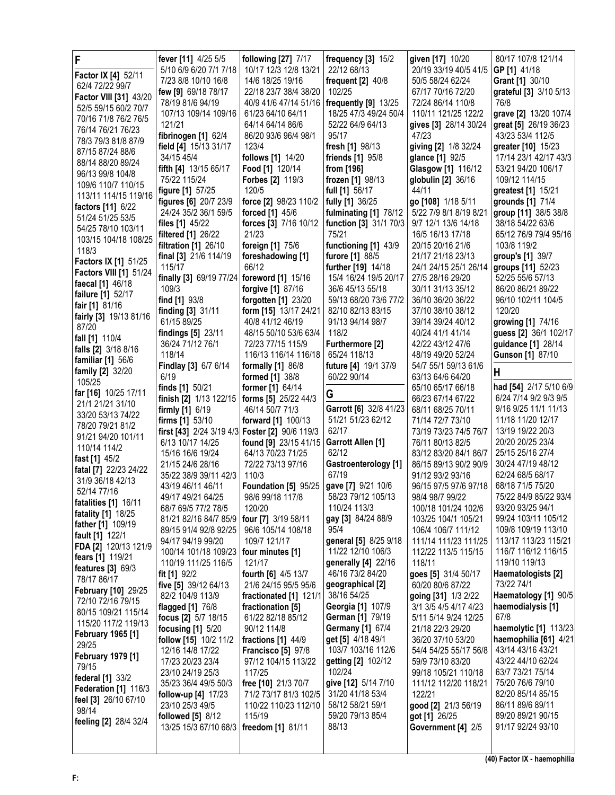| F                                        | fever [11] 4/25 5/5                            | following [27] 7/17                       | frequency [3] 15/2                 | given [17] 10/20                           | 80/17 107/8 121/14                        |
|------------------------------------------|------------------------------------------------|-------------------------------------------|------------------------------------|--------------------------------------------|-------------------------------------------|
| Factor IX [4] 52/11                      | 5/10 6/9 6/20 7/1 7/18                         | 10/17 12/3 12/8 13/21                     | 22/12 68/13                        | 20/19 33/19 40/5 41/5                      | GP [1] 41/18                              |
| 62/4 72/22 99/7                          | 7/23 8/8 10/10 16/8                            | 14/6 18/25 19/16                          | frequent $[2]$ 40/8                | 50/5 58/24 62/24                           | Grant [1] 30/10                           |
| Factor VIII [31] 43/20                   | few [9] 69/18 78/17                            | 22/18 23/7 38/4 38/20                     | 102/25                             | 67/17 70/16 72/20                          | grateful [3] 3/10 5/13                    |
| 52/5 59/15 60/2 70/7                     | 78/19 81/6 94/19                               | 40/9 41/6 47/14 51/16                     | frequently [9] 13/25               | 72/24 86/14 110/8                          | 76/8                                      |
| 70/16 71/8 76/2 76/5                     | 107/13 109/14 109/16                           | 61/23 64/10 64/11                         | 18/25 47/3 49/24 50/4              | 110/11 121/25 122/2                        | grave [2] 13/20 107/4                     |
| 76/14 76/21 76/23                        | 121/21                                         | 64/14 64/14 86/6                          | 52/22 64/9 64/13                   | gives [3] 28/14 30/24                      | great [5] 26/19 36/23                     |
| 78/3 79/3 81/8 87/9                      | fibrinogen [1] 62/4                            | 86/20 93/6 96/4 98/1                      | 95/17                              | 47/23                                      | 43/23 53/4 112/5                          |
| 87/15 87/24 88/6                         | field [4] 15/13 31/17                          | 123/4                                     | fresh [1] 98/13                    | giving [2] 1/8 32/24                       | greater [10] 15/23                        |
| 88/14 88/20 89/24                        | 34/15 45/4                                     | follows [1] 14/20                         | <b>friends [1] 95/8</b>            | glance [1] 92/5                            | 17/14 23/1 42/17 43/3                     |
| 96/13 99/8 104/8                         | fifth [4] 13/15 65/17                          | <b>Food [1] 120/14</b>                    | from [196]                         | Glasgow [1] 116/12                         | 53/21 94/20 106/17                        |
| 109/6 110/7 110/15                       | 75/22 115/24                                   | <b>Forbes [2] 119/3</b><br>120/5          | frozen [1] 98/13                   | globulin [2] 36/16<br>44/11                | 109/12 114/15                             |
| 113/11 114/15 119/16                     | figure [1] 57/25<br>figures [6] 20/7 23/9      | force [2] 98/23 110/2                     | full [1] 56/17<br>fully [1] 36/25  | go [108] 1/18 5/11                         | greatest [1] 15/21<br>grounds [1] 71/4    |
| factors [11] 6/22                        | 24/24 35/2 36/1 59/5                           | forced [1] 45/6                           | fulminating [1] 78/12              | 5/22 7/9 8/1 8/19 8/21                     | group [11] 38/5 38/8                      |
| 51/24 51/25 53/5                         | files [1] 45/22                                | forces [3] 7/16 10/12                     | function [3] 31/1 70/3             | 9/7 12/1 13/6 14/18                        | 38/18 54/22 63/6                          |
| 54/25 78/10 103/11                       | <b>filtered</b> [1] 26/22                      | 21/23                                     | 75/21                              | 16/5 16/13 17/18                           | 65/12 76/9 79/4 95/16                     |
| 103/15 104/18 108/25                     | <b>filtration</b> [1] 26/10                    | foreign [1] 75/6                          | functioning [1] 43/9               | 20/15 20/16 21/6                           | 103/8 119/2                               |
| 118/3                                    | final [3] 21/6 114/19                          | foreshadowing [1]                         | furore [1] 88/5                    | 21/17 21/18 23/13                          | group's [1] 39/7                          |
| Factors IX [1] 51/25                     | 115/17                                         | 66/12                                     | further [19] 14/18                 | 24/1 24/15 25/1 26/14                      | groups [11] 52/23                         |
| <b>Factors VIII [1] 51/24</b>            | finally [3] 69/19 77/24 foreword [1] 15/16     |                                           | 15/4 16/24 19/5 20/17              | 27/5 28/16 29/20                           | 52/25 55/6 57/13                          |
| faecal [1] 46/18                         | 109/3                                          | forgive [1] 87/16                         | 36/6 45/13 55/18                   | 30/11 31/13 35/12                          | 86/20 86/21 89/22                         |
| failure [1] 52/17                        | find [1] 93/8                                  | forgotten [1] 23/20                       | 59/13 68/20 73/6 77/2              | 36/10 36/20 36/22                          | 96/10 102/11 104/5                        |
| fair [1] 81/16                           | finding [3] 31/11                              | form [15] 13/17 24/21                     | 82/10 82/13 83/15                  | 37/10 38/10 38/12                          | 120/20                                    |
| fairly [3] 19/13 81/16                   | 61/15 89/25                                    | 40/8 41/12 46/19                          | 91/13 94/14 98/7                   | 39/14 39/24 40/12                          | growing [1] 74/16                         |
| 87/20                                    | findings [5] 23/11                             | 48/15 50/10 53/6 63/4                     | 118/2                              | 40/24 41/1 41/14                           | guess [2] 36/1 102/17                     |
| fall [1] 110/4                           | 36/24 71/12 76/1                               | 72/23 77/15 115/9                         | Furthermore [2]                    | 42/22 43/12 47/6                           | guidance [1] 28/14                        |
| falls [2] 3/18 8/16                      | 118/14                                         | 116/13 116/14 116/18                      | 65/24 118/13                       | 48/19 49/20 52/24                          | <b>Gunson [1] 87/10</b>                   |
| familiar $[1]$ 56/6                      | Findlay [3] 6/7 6/14                           | formally [1] 86/8                         | future [4] 19/1 37/9               | 54/7 55/1 59/13 61/6                       |                                           |
| family [2] 32/20<br>105/25               | 6/19                                           | formed [1] 38/8                           | 60/22 90/14                        | 63/13 64/6 64/20                           | н                                         |
| far [16] 10/25 17/11                     | finds [1] 50/21                                | former [1] 64/14                          |                                    | 65/10 65/17 66/18                          | had [54] 2/17 5/10 6/9                    |
| 21/1 21/21 31/10                         | finish [2] 1/13 122/15                         | forms [5] 25/22 44/3                      | G                                  | 66/23 67/14 67/22                          | 6/24 7/14 9/2 9/3 9/5                     |
| 33/20 53/13 74/22                        | firmly [1] 6/19                                | 46/14 50/7 71/3                           | Garrott [6] 32/8 41/23             | 68/11 68/25 70/11                          | 9/16 9/25 11/1 11/13                      |
| 78/20 79/21 81/2                         | firms $[1]$ 53/10                              | forward [1] 100/13                        | 51/21 51/23 62/12                  | 71/14 72/7 73/10                           | 11/18 11/20 12/17                         |
| 91/21 94/20 101/11                       | first [43] 2/24 3/19 4/3 Foster [2] 90/6 119/3 |                                           | 62/17                              | 73/19 73/23 74/5 76/7                      | 13/19 19/22 20/3                          |
| 110/14 114/2                             | 6/13 10/17 14/25                               | found [9] 23/15 41/15                     | <b>Garrott Allen [1]</b>           | 76/11 80/13 82/5                           | 20/20 20/25 23/4                          |
| fast [1] 45/2                            | 15/16 16/6 19/24                               | 64/13 70/23 71/25                         | 62/12                              | 83/12 83/20 84/1 86/7                      | 25/15 25/16 27/4                          |
| fatal [7] 22/23 24/22                    | 21/15 24/6 28/16                               | 72/22 73/13 97/16                         | Gastroenterology [1]               | 86/15 89/13 90/2 90/9                      | 30/24 47/19 48/12                         |
| 31/9 36/18 42/13                         | 35/22 38/9 39/11 42/3                          | 110/3                                     | 67/19                              | 91/12 93/2 93/16                           | 62/24 68/5 68/17                          |
| 52/14 77/16                              | 43/19 46/11 46/11                              | <b>Foundation [5] 95/25</b>               | gave [7] 9/21 10/6                 | 96/15 97/5 97/6 97/18                      | 68/18 71/5 75/20                          |
| fatalities [1] 16/11                     | 49/17 49/21 64/25                              | 98/6 99/18 117/8                          | 58/23 79/12 105/13<br>110/24 113/3 | 98/4 98/7 99/22                            | 75/22 84/9 85/22 93/4<br>93/20 93/25 94/1 |
| fatality [1] 18/25                       | 68/7 69/5 77/2 78/5<br>81/21 82/16 84/7 85/9   | 120/20                                    | gay [3] 84/24 88/9                 | 100/18 101/24 102/6<br>103/25 104/1 105/21 | 99/24 103/11 105/12                       |
| father [1] 109/19                        | 89/15 91/4 92/8 92/25                          | four [7] 3/19 58/11<br>96/6 105/14 108/18 | 95/4                               | 106/4 106/7 111/12                         | 109/8 109/19 113/10                       |
| <b>fault</b> [1] 122/1                   | 94/17 94/19 99/20                              | 109/7 121/17                              | general [5] 8/25 9/18              | 111/14 111/23 111/25                       | 113/17 113/23 115/21                      |
| FDA [2] 120/13 121/9                     | 100/14 101/18 109/23                           | four minutes [1]                          | 11/22 12/10 106/3                  | 112/22 113/5 115/15                        | 116/7 116/12 116/15                       |
| fears [1] 119/21                         | 110/19 111/25 116/5                            | 121/17                                    | generally [4] 22/16                | 118/11                                     | 119/10 119/13                             |
| features [3] 69/3                        | fit [1] 92/2                                   | fourth [6] 4/5 13/7                       | 46/16 73/2 84/20                   | goes [5] 31/4 50/17                        | Haematologists [2]                        |
| 78/17 86/17                              | five [5] 39/12 64/13                           | 21/6 24/15 95/5 95/6                      | geographical [2]                   | 60/20 80/6 87/22                           | 73/22 74/1                                |
| February [10] 29/25                      | 82/2 104/9 113/9                               | fractionated [1] 121/1                    | 38/16 54/25                        | going [31] 1/3 2/22                        | Haematology [1] 90/5                      |
| 72/10 72/16 79/15                        | flagged [1] 76/8                               | fractionation [5]                         | Georgia [1] 107/9                  | 3/1 3/5 4/5 4/17 4/23                      | haemodialysis [1]                         |
| 80/15 109/21 115/14                      | focus [2] 5/7 18/15                            | 61/22 82/18 85/12                         | German [1] 79/19                   | 5/11 5/14 9/24 12/25                       | 67/8                                      |
| 115/20 117/2 119/13<br>February 1965 [1] | focusing [1] 5/20                              | 90/12 114/8                               | <b>Germany [1] 67/4</b>            | 21/18 22/3 29/20                           | haemolytic [1] 113/23                     |
| 29/25                                    | follow [15] 10/2 11/2                          | fractions $[1]$ 44/9                      | get [5] 4/18 49/1                  | 36/20 37/10 53/20                          | haemophilia [61] 4/21                     |
| February 1979 [1]                        | 12/16 14/8 17/22                               | Francisco [5] 97/8                        | 103/7 103/16 112/6                 | 54/4 54/25 55/17 56/8                      | 43/14 43/16 43/21                         |
| 79/15                                    | 17/23 20/23 23/4                               | 97/12 104/15 113/22                       | getting [2] 102/12                 | 59/9 73/10 83/20                           | 43/22 44/10 62/24                         |
| federal [1] 33/2                         | 23/10 24/19 25/3                               | 117/25                                    | 102/24                             | 99/18 105/21 110/18                        | 63/7 73/21 75/14                          |
| <b>Federation [1] 116/3</b>              | 35/23 36/4 49/5 50/3                           | free [10] 21/3 70/7                       | give [12] 5/14 7/10                | 111/12 112/20 118/21                       | 75/20 76/6 79/10                          |
| feel [3] 26/10 67/10                     | follow-up $[4]$ 17/23                          | 71/2 73/17 81/3 102/5                     | 31/20 41/18 53/4                   | 122/21                                     | 82/20 85/14 85/15                         |
| 98/14                                    | 23/10 25/3 49/5                                | 110/22 110/23 112/10                      | 58/12 58/21 59/1                   | good [2] 21/3 56/19                        | 86/11 89/6 89/11                          |
| feeling [2] 28/4 32/4                    | followed [5] 8/12                              | 115/19                                    | 59/20 79/13 85/4                   | got [1] 26/25                              | 89/20 89/21 90/15                         |
|                                          | 13/25 15/3 67/10 68/3                          | freedom [1] 81/11                         | 88/13                              | Government [4] 2/5                         | 91/17 92/24 93/10                         |
|                                          |                                                |                                           |                                    |                                            |                                           |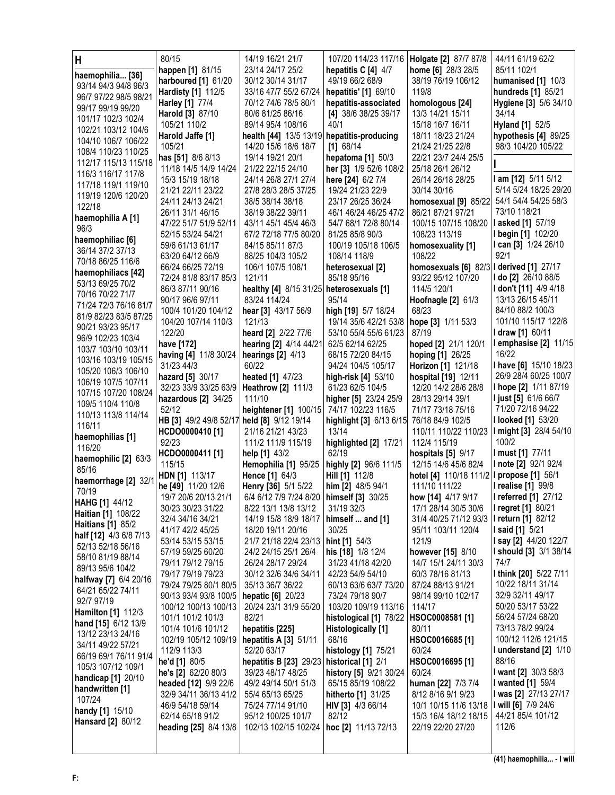| Н                                      | 80/15                                     | 14/19 16/21 21/7                           |                                             | 107/20 114/23 117/16   Holgate [2] 87/7 87/8 | 44/11 61/19 62/2                      |
|----------------------------------------|-------------------------------------------|--------------------------------------------|---------------------------------------------|----------------------------------------------|---------------------------------------|
| haemophilia [36]                       | happen [1] 81/15                          | 23/14 24/17 25/2                           | hepatitis C [4] 4/7                         | home [6] 28/3 28/5                           | 85/11 102/1                           |
| 93/14 94/3 94/8 96/3                   | harboured [1] 61/20                       | 30/12 30/14 31/17                          | 49/19 66/2 68/9                             | 38/19 76/19 106/12                           | humanised $[1]$ 10/3                  |
| 96/7 97/22 98/5 98/21                  | Hardisty [1] 112/5                        | 33/16 47/7 55/2 67/24                      | hepatitis' [1] 69/10                        | 119/8                                        | hundreds [1] 85/21                    |
| 99/17 99/19 99/20                      | Harley [1] 77/4                           | 70/12 74/6 78/5 80/1                       | hepatitis-associated                        | homologous [24]                              | Hygiene [3] 5/6 34/10                 |
| 101/17 102/3 102/4                     | <b>Harold</b> [3] 87/10                   | 80/6 81/25 86/16                           | [4] 38/6 38/25 39/17                        | 13/3 14/21 15/11                             | 34/14                                 |
| 102/21 103/12 104/6                    | 105/21 110/2                              | 89/14 95/4 108/16                          | 40/1                                        | 15/18 16/7 16/11                             | Hyland [1] 52/5                       |
| 104/10 106/7 106/22                    | Harold Jaffe [1]                          | health [44] 13/5 13/19 hepatitis-producing |                                             | 18/11 18/23 21/24                            | hypothesis [4] 89/25                  |
| 108/4 110/23 110/25                    | 105/21                                    | 14/20 15/6 18/6 18/7                       | $[1]$ 68/14                                 | 21/24 21/25 22/8                             | 98/3 104/20 105/22                    |
| 112/17 115/13 115/18                   | has [51] 8/6 8/13                         | 19/14 19/21 20/1                           | hepatoma [1] 50/3                           | 22/21 23/7 24/4 25/5                         |                                       |
| 116/3 116/17 117/8                     | 11/18 14/5 14/9 14/24<br>15/3 15/19 18/18 | 21/22 22/15 24/10<br>24/14 26/8 27/1 27/4  | her [3] 1/9 52/6 108/2<br>here [24] 6/2 7/4 | 25/18 26/1 26/12<br>26/14 26/18 28/25        | I am [12] 5/11 5/12                   |
| 117/18 119/1 119/10                    | 21/21 22/11 23/22                         | 27/8 28/3 28/5 37/25                       | 19/24 21/23 22/9                            | 30/14 30/16                                  | 5/14 5/24 18/25 29/20                 |
| 119/19 120/6 120/20                    | 24/11 24/13 24/21                         | 38/5 38/14 38/18                           | 23/17 26/25 36/24                           | homosexual [9] 85/22                         | 54/1 54/4 54/25 58/3                  |
| 122/18                                 | 26/11 31/1 46/15                          | 38/19 38/22 39/11                          | 46/1 46/24 46/25 47/2                       | 86/21 87/21 97/21                            | 73/10 118/21                          |
| haemophilia A [1]                      | 47/22 51/7 51/9 52/11                     | 43/11 45/1 45/4 46/3                       | 54/7 68/1 72/8 80/14                        | 100/15 107/15 108/20                         | <b>lasked</b> [1] 57/19               |
| 96/3                                   | 52/15 53/24 54/21                         | 67/2 72/18 77/5 80/20                      | 81/25 85/8 90/3                             | 108/23 113/19                                | I begin [1] 102/20                    |
| haemophiliac [6]                       | 59/6 61/13 61/17                          | 84/15 85/11 87/3                           | 100/19 105/18 106/5                         | homosexuality [1]                            | I can [3] 1/24 26/10                  |
| 36/14 37/2 37/13                       | 63/20 64/12 66/9                          | 88/25 104/3 105/2                          | 108/14 118/9                                | 108/22                                       | 92/1                                  |
| 70/18 86/25 116/6                      | 66/24 66/25 72/19                         | 106/1 107/5 108/1                          | heterosexual [2]                            | homosexuals [6] 82/3 I derived [1] 27/17     |                                       |
| haemophiliacs [42]<br>53/13 69/25 70/2 | 72/24 81/8 83/17 85/3                     | 121/11                                     | 85/18 95/16                                 | 93/22 95/12 107/20                           | I do [2] 26/10 88/5                   |
| 70/16 70/22 71/7                       | 86/3 87/11 90/16                          | healthy [4] 8/15 31/25 heterosexuals [1]   |                                             | 114/5 120/1                                  | I don't [11] 4/9 4/18                 |
| 71/24 72/3 76/16 81/7                  | 90/17 96/6 97/11                          | 83/24 114/24                               | 95/14                                       | Hoofnagle [2] 61/3                           | 13/13 26/15 45/11                     |
| 81/9 82/23 83/5 87/25                  | 100/4 101/20 104/12                       | hear [3] 43/17 56/9                        | high [19] 5/7 18/24                         | 68/23                                        | 84/10 88/2 100/3                      |
| 90/21 93/23 95/17                      | 104/20 107/14 110/3                       | 121/13                                     | 19/14 35/6 42/21 53/8                       | hope [3] 1/11 53/3                           | 101/10 115/17 122/8                   |
| 96/9 102/23 103/4                      | 122/20                                    | heard [2] 2/22 77/6                        | 53/10 55/4 55/6 61/23                       | 87/19                                        | I draw [1] 60/11                      |
| 103/7 103/10 103/11                    | have [172]                                | hearing [2] 4/14 44/21                     | 62/5 62/14 62/25                            | hoped [2] 21/1 120/1                         | I emphasise [2] 11/15                 |
| 103/16 103/19 105/15                   | having [4] 11/8 30/24                     | hearings $[2]$ 4/13<br>60/22               | 68/15 72/20 84/15                           | hoping [1] 26/25                             | 16/22<br>I have [6] 15/10 18/23       |
| 105/20 106/3 106/10                    | 31/23 44/3                                |                                            | 94/24 104/5 105/17<br>high-risk [4] 53/10   | Horizon [1] 121/18<br>hospital [19] 12/11    | 26/9 28/4 60/25 100/7                 |
| 106/19 107/5 107/11                    | hazard [5] 30/17<br>32/23 33/9 33/25 63/9 | heated [1] 47/23<br>Heathrow [2] 111/3     | 61/23 62/5 104/5                            | 12/20 14/2 28/6 28/8                         | I hope [2] 1/11 87/19                 |
| 107/15 107/20 108/24                   | hazardous [2] 34/25                       | 111/10                                     | higher [5] 23/24 25/9                       | 28/13 29/14 39/1                             | <b>I just [5] 61/6 66/7</b>           |
| 109/5 110/4 110/8                      | 52/12                                     | heightener [1] 100/15                      | 74/17 102/23 116/5                          | 71/17 73/18 75/16                            | 71/20 72/16 94/22                     |
| 110/13 113/8 114/14                    | HB [3] 49/2 49/8 52/17                    | held [8] 9/12 19/14                        | highlight [3] 6/13 6/15                     | 76/18 84/9 102/5                             | <b>I looked [1] 53/20</b>             |
| 116/11                                 | HCDO0000410 [1]                           | 21/16 21/21 43/23                          | 13/14                                       | 110/11 110/22 110/23                         | I might [3] 28/4 54/10                |
| haemophilias [1]                       | 92/23                                     | 111/2 111/9 115/19                         | highlighted [2] 17/21                       | 112/4 115/19                                 | 100/2                                 |
| 116/20                                 | HCDO0000411 [1]                           | help $[1]$ 43/2                            | 62/19                                       | hospitals [5] 9/17                           | I must [1] 77/11                      |
| haemophilic [2] 63/3<br>85/16          | 115/15                                    | Hemophilia [1] 95/25                       | highly [2] 96/6 111/5                       | 12/15 14/6 45/6 82/4                         | I note [2] 92/1 92/4                  |
| haemorrhage [2] 32/1                   | <b>HDN [1] 113/17</b>                     | <b>Hence [1] 64/3</b>                      | Hill [1] 112/8                              | hotel [4] 110/18 111/2 I propose [1] 56/1    |                                       |
| 70/19                                  | he [49] 11/20 12/6                        | Henry [36] 5/1 5/22                        | him [2] 48/5 94/1                           | 111/10 111/22                                | I realise [1] 99/8                    |
| HAHG [1] 44/12                         | 19/7 20/6 20/13 21/1                      | 6/4 6/12 7/9 7/24 8/20   himself [3] 30/25 |                                             | how [14] 4/17 9/17                           | I referred [1] 27/12                  |
| <b>Haitian [1] 108/22</b>              | 30/23 30/23 31/22                         | 8/22 13/1 13/8 13/12                       | 31/19 32/3                                  | 17/1 28/14 30/5 30/6                         | I regret [1] 80/21                    |
| <b>Haitians [1] 85/2</b>               | 32/4 34/16 34/21                          | 14/19 15/8 18/9 18/17                      | himself  and [1]                            | 31/4 40/25 71/12 93/3                        | <b>I</b> return [1] 82/12             |
| half [12] 4/3 6/8 7/13                 | 41/17 42/2 45/25                          | 18/20 19/11 20/16                          | 30/25                                       | 95/11 103/11 120/4                           | <b>I said [1]</b> 5/21                |
| 52/13 52/18 56/16                      | 53/14 53/15 53/15                         | 21/7 21/18 22/4 23/13                      | hint [1] 54/3                               | 121/9                                        | <b>I say [2]</b> 44/20 122/7          |
| 58/10 81/19 88/14                      | 57/19 59/25 60/20<br>79/11 79/12 79/15    | 24/2 24/15 25/1 26/4<br>26/24 28/17 29/24  | his [18] 1/8 12/4<br>31/23 41/18 42/20      | however [15] 8/10<br>14/7 15/1 24/11 30/3    | <b>I should [3] 3/1 38/14</b><br>74/7 |
| 89/13 95/6 104/2                       | 79/17 79/19 79/23                         | 30/12 32/6 34/6 34/11                      | 42/23 54/9 54/10                            | 60/3 78/16 81/13                             | I think [20] 5/22 7/11                |
| halfway [7] 6/4 20/16                  | 79/24 79/25 80/1 80/5                     | 35/13 36/7 36/22                           | 60/13 63/6 63/7 73/20                       | 87/24 88/13 91/21                            | 10/22 18/11 31/14                     |
| 64/21 65/22 74/11                      | 90/13 93/4 93/8 100/5                     | hepatic [6] 20/23                          | 73/24 79/18 90/7                            | 98/14 99/10 102/17                           | 32/9 32/11 49/17                      |
| 92/7 97/19                             | 100/12 100/13 100/13                      | 20/24 23/1 31/9 55/20                      | 103/20 109/19 113/16                        | 114/17                                       | 50/20 53/17 53/22                     |
| <b>Hamilton</b> [1] 112/3              | 101/1 101/2 101/3                         | 82/21                                      | histological [1] 78/22   HSOC0008581 [1]    |                                              | 56/24 57/24 68/20                     |
| hand [15] 6/12 13/9                    | 101/4 101/6 101/12                        | hepatitis [225]                            | Histologically [1]                          | 80/11                                        | 73/13 78/2 99/24                      |
| 13/12 23/13 24/16<br>34/11 49/22 57/21 | 102/19 105/12 109/19                      | hepatitis A [3] 51/11                      | 68/16                                       | HSOC0016685 [1]                              | 100/12 112/6 121/15                   |
| 66/19 69/1 76/11 91/4                  | 112/9 113/3                               | 52/20 63/17                                | histology [1] 75/21                         | 60/24                                        | I understand [2] 1/10                 |
| 105/3 107/12 109/1                     | he'd [1] 80/5                             | hepatitis B [23] 29/23                     | historical [1] 2/1                          | HSOC0016695 [1]                              | 88/16                                 |
| handicap [1] 20/10                     | he's [2] 62/20 80/3                       | 39/23 48/17 48/25                          | history [5] 9/21 30/24                      | 60/24                                        | I want [2] 30/3 58/3                  |
| handwritten [1]                        | headed [12] 9/9 22/6                      | 49/2 49/14 50/1 51/3                       | 65/15 85/19 108/22                          | human [22] 7/3 7/4                           | <b>I</b> wanted [1] 59/4              |
| 107/24                                 | 32/9 34/11 36/13 41/2                     | 55/4 65/13 65/25                           | hitherto [1] 31/25                          | 8/12 8/16 9/1 9/23                           | I was [2] 27/13 27/17                 |
| handy [1] 15/10                        | 46/9 54/18 59/14                          | 75/24 77/14 91/10                          | HIV [3] 4/3 66/14                           | 10/1 10/15 11/6 13/18                        | I will [6] 7/9 24/6                   |
| <b>Hansard [2] 80/12</b>               | 62/14 65/18 91/2                          | 95/12 100/25 101/7                         | 82/12                                       | 15/3 16/4 18/12 18/15                        | 44/21 85/4 101/12<br>112/6            |
|                                        | heading [25] 8/4 13/8                     | 102/13 102/15 102/24                       | hoc [2] 11/13 72/13                         | 22/19 22/20 27/20                            |                                       |
|                                        |                                           |                                            |                                             |                                              |                                       |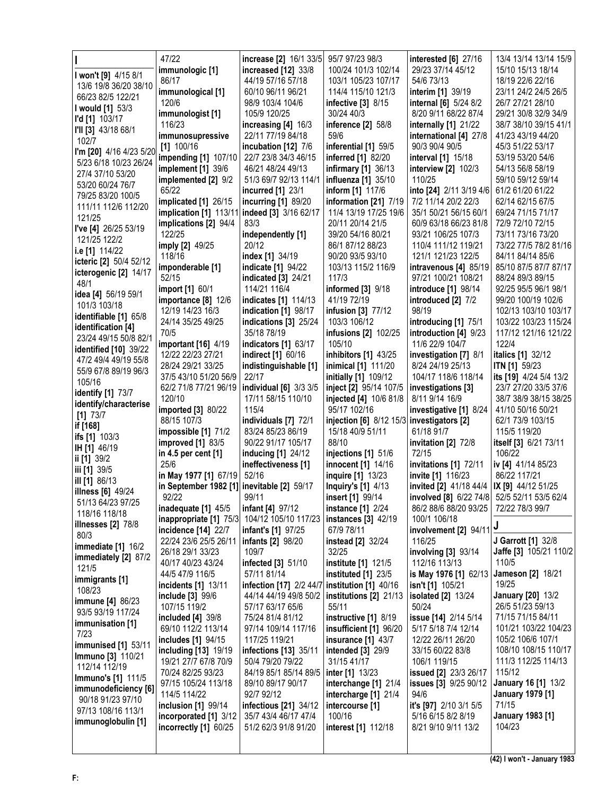|                                                      | 47/22                                                                 | increase [2] 16/1 33/5                                                   | 95/7 97/23 98/3                                | <b>interested</b> [6] 27/16                  | 13/4 13/14 13/14 15/9                 |
|------------------------------------------------------|-----------------------------------------------------------------------|--------------------------------------------------------------------------|------------------------------------------------|----------------------------------------------|---------------------------------------|
| I won't [9] 4/15 8/1                                 | immunologic [1]                                                       | increased [12] 33/8                                                      | 100/24 101/3 102/14                            | 29/23 37/14 45/12                            | 15/10 15/13 18/14                     |
| 13/6 19/8 36/20 38/10                                | 86/17                                                                 | 44/19 57/16 57/18                                                        | 103/1 105/23 107/17                            | 54/6 73/13                                   | 18/19 22/6 22/16                      |
| 66/23 82/5 122/21                                    | immunological [1]                                                     | 60/10 96/11 96/21                                                        | 114/4 115/10 121/3                             | interim [1] 39/19                            | 23/11 24/2 24/5 26/5                  |
| I would [1] 53/3                                     | 120/6                                                                 | 98/9 103/4 104/6                                                         | infective [3] 8/15                             | internal [6] 5/24 8/2                        | 26/7 27/21 28/10                      |
| I'd [1] 103/17                                       | immunologist [1]                                                      | 105/9 120/25                                                             | 30/24 40/3                                     | 8/20 9/11 68/22 87/4                         | 29/21 30/8 32/9 34/9                  |
| I'll [3] 43/18 68/1                                  | 116/23                                                                | increasing [4] 16/3                                                      | inference [2] 58/8                             | internally [1] 21/22                         | 38/7 38/10 39/15 41/1                 |
| 102/7                                                | immunosupressive                                                      | 22/11 77/19 84/18                                                        | 59/6                                           | international [4] 27/8                       | 41/23 43/19 44/20                     |
| I'm [20] 4/16 4/23 5/20                              | $[1]$ 100/16                                                          | incubation [12] 7/6                                                      | inferential [1] 59/5                           | 90/3 90/4 90/5                               | 45/3 51/22 53/17                      |
| 5/23 6/18 10/23 26/24                                | impending [1] 107/10                                                  | 22/7 23/8 34/3 46/15                                                     | inferred [1] 82/20                             | interval [1] 15/18                           | 53/19 53/20 54/6                      |
| 27/4 37/10 53/20                                     | implement [1] 39/6                                                    | 46/21 48/24 49/13                                                        | infirmary [1] 36/13                            | <b>interview [2]</b> 102/3                   | 54/13 56/8 58/19                      |
| 53/20 60/24 76/7                                     | implemented [2] 9/2                                                   | 51/3 69/7 92/13 114/1                                                    | influenza [1] 35/10                            | 110/25                                       | 59/10 59/12 59/14                     |
| 79/25 83/20 100/5                                    | 65/22                                                                 | incurred [1] 23/1                                                        | inform [1] 117/6                               | into [24] 2/11 3/19 4/6                      | 61/2 61/20 61/22                      |
| 111/11 112/6 112/20                                  | implicated [1] 26/15                                                  | incurring [1] 89/20                                                      | information [21] 7/19<br>11/4 13/19 17/25 19/6 | 7/2 11/14 20/2 22/3<br>35/1 50/21 56/15 60/1 | 62/14 62/15 67/5<br>69/24 71/15 71/17 |
| 121/25                                               | implication [1] 113/11 indeed [3] 3/16 62/17<br>implications [2] 94/4 | 83/3                                                                     | 20/11 20/14 21/5                               | 60/9 63/18 66/23 81/8                        | 72/9 72/10 72/15                      |
| I've [4] 26/25 53/19                                 | 122/25                                                                | independently [1]                                                        | 39/20 54/16 80/21                              | 93/21 106/25 107/3                           | 73/11 73/16 73/20                     |
| 121/25 122/2                                         | imply [2] 49/25                                                       | 20/12                                                                    | 86/1 87/12 88/23                               | 110/4 111/12 119/21                          | 73/22 77/5 78/2 81/16                 |
| i.e [1] 114/22                                       | 118/16                                                                | index [1] 34/19                                                          | 90/20 93/5 93/10                               | 121/1 121/23 122/5                           | 84/11 84/14 85/6                      |
| icteric [2] 50/4 52/12                               | imponderable [1]                                                      | <b>indicate</b> [1] 94/22                                                | 103/13 115/2 116/9                             | intravenous [4] 85/19                        | 85/10 87/5 87/7 87/17                 |
| icterogenic [2] 14/17                                | 52/15                                                                 | <b>indicated</b> [3] 24/21                                               | 117/3                                          | 97/21 100/21 108/21                          | 88/24 89/3 89/15                      |
| 48/1                                                 | import [1] 60/1                                                       | 114/21 116/4                                                             | informed [3] 9/18                              | introduce [1] 98/14                          | 92/25 95/5 96/1 98/1                  |
| idea [4] 56/19 59/1                                  | importance [8] 12/6                                                   | indicates [1] 114/13                                                     | 41/19 72/19                                    | introduced [2] 7/2                           | 99/20 100/19 102/6                    |
| 101/3 103/18                                         | 12/19 14/23 16/3                                                      | indication [1] 98/17                                                     | infusion [3] 77/12                             | 98/19                                        | 102/13 103/10 103/17                  |
| identifiable [1] 65/8                                | 24/14 35/25 49/25                                                     | indications [3] 25/24                                                    | 103/3 106/12                                   | introducing [1] 75/1                         | 103/22 103/23 115/24                  |
| identification [4]                                   | 70/5                                                                  | 35/18 78/19                                                              | infusions [2] 102/25                           | introduction [4] 9/23                        | 117/12 121/16 121/22                  |
| 23/24 49/15 50/8 82/1                                | important [16] 4/19                                                   | indicators [1] 63/17                                                     | 105/10                                         | 11/6 22/9 104/7                              | 122/4                                 |
| <b>identified</b> [10] 39/22<br>47/2 49/4 49/19 55/8 | 12/22 22/23 27/21                                                     | indirect [1] 60/16                                                       | inhibitors [1] 43/25                           | investigation [7] 8/1                        | italics [1] 32/12                     |
| 55/9 67/8 89/19 96/3                                 | 28/24 29/21 33/25                                                     | indistinguishable [1]                                                    | inimical [1] 111/20                            | 8/24 24/19 25/13                             | ITN [1] 59/23                         |
| 105/16                                               | 37/5 43/10 51/20 56/9                                                 | 22/17                                                                    | initially [1] 109/12                           | 104/17 118/6 118/14                          | its [19] 4/24 5/4 13/2                |
| identify [1] 73/7                                    | 62/2 71/8 77/21 96/19                                                 | individual [6] 3/3 3/5                                                   | inject [2] 95/14 107/5                         | investigations [3]                           | 23/7 27/20 33/5 37/6                  |
|                                                      |                                                                       |                                                                          |                                                |                                              |                                       |
|                                                      | 120/10                                                                | 17/11 58/15 110/10                                                       | injected [4] 10/6 81/8                         | 8/11 9/14 16/9                               | 38/7 38/9 38/15 38/25                 |
| identify/characterise                                | imported [3] 80/22                                                    | 115/4                                                                    | 95/17 102/16                                   | investigative [1] 8/24                       | 41/10 50/16 50/21                     |
| $[1]$ 73/7                                           | 88/15 107/3                                                           | individuals [7] 72/1                                                     | injection [6] 8/12 15/3 investigators [2]      |                                              | 62/1 73/9 103/15                      |
| if [168]<br>ifs [1] 103/3                            | impossible [1] 71/2                                                   | 83/24 85/23 86/19                                                        | 15/18 40/9 51/11                               | 61/18 91/7                                   | 115/5 119/20                          |
| IH [1] 46/19                                         | <b>improved</b> [1] 83/5                                              | 90/22 91/17 105/17                                                       | 88/10                                          | invitation [2] 72/8                          | itself [3] 6/21 73/11                 |
| ii [1] 39/2                                          | in 4.5 per cent [1]                                                   | inducing [1] 24/12                                                       | injections [1] 51/6                            | 72/15                                        | 106/22                                |
| iii [1] 39/5                                         | 25/6                                                                  | ineffectiveness [1]                                                      | innocent [1] 14/16                             | invitations [1] 72/11                        | iv [4] 41/14 85/23                    |
| ill [1] 86/13                                        | in May 1977 [1] 67/19                                                 | 52/16                                                                    | inquire [1] 13/23                              | invite [1] 116/23                            | 86/22 117/21                          |
| <b>illness</b> [6] 49/24                             | in September 1982 [1] inevitable [2] 59/17                            |                                                                          | <b>Inquiry's [1] 4/13</b>                      | invited [2] 41/18 44/4   IX [9] 44/12 51/25  |                                       |
| 51/13 64/23 97/25                                    | 92/22                                                                 | 99/11                                                                    | insert [1] 99/14                               | involved [8] 6/22 74/8 52/5 52/11 53/5 62/4  |                                       |
| 118/16 118/18                                        | inadequate [1] 45/5                                                   | <b>infant [4]</b> 97/12                                                  | <b>instance</b> [1] 2/24                       | 86/2 88/6 88/20 93/25                        | 72/22 78/3 99/7                       |
| <b>illnesses</b> [2] 78/8                            | incidence [14] 22/7                                                   | inappropriate [1] 75/3 104/12 105/10 117/23<br><b>infant's [1]</b> 97/25 | instances [3] 42/19<br>67/9 78/11              | 100/1 106/18                                 |                                       |
| 80/3                                                 | 22/24 23/6 25/5 26/11                                                 | <b>infants</b> [2] 98/20                                                 | instead [2] 32/24                              | involvement [2] $94/11$<br>116/25            | J Garrott [1] 32/8                    |
| immediate [1] 16/2                                   | 26/18 29/1 33/23                                                      | 109/7                                                                    | 32/25                                          | involving [3] 93/14                          | Jaffe [3] 105/21 110/2                |
| immediately [2] 87/2                                 | 40/17 40/23 43/24                                                     | infected [3] 51/10                                                       | institute [1] 121/5                            | 112/16 113/13                                | 110/5                                 |
| 121/5                                                | 44/5 47/9 116/5                                                       | 57/11 81/14                                                              | instituted [1] 23/5                            | is May 1976 [1] 62/13                        | <b>Jameson [2] 18/21</b>              |
| immigrants [1]                                       | incidents [1] 13/11                                                   | infection [17] 2/2 44/7                                                  | institution [1] 40/16                          | isn't [1] 105/21                             | 19/25                                 |
| 108/23                                               | include [3] 99/6                                                      | 44/14 44/19 49/8 50/2                                                    | institutions [2] 21/13                         | <b>isolated</b> [2] 13/24                    | <b>January [20] 13/2</b>              |
| <b>immune [4] 86/23</b><br>93/5 93/19 117/24         | 107/15 119/2                                                          | 57/17 63/17 65/6                                                         | 55/11                                          | 50/24                                        | 26/5 51/23 59/13                      |
|                                                      | included [4] 39/8                                                     | 75/24 81/4 81/12                                                         | instructive [1] 8/19                           | issue [14] 2/14 5/14                         | 71/15 71/15 84/11                     |
| immunisation [1]<br>7/23                             | 69/10 112/2 113/14                                                    | 97/14 109/14 117/16                                                      | insufficient [1] 96/20                         | 5/17 5/18 7/4 12/14                          | 101/21 103/22 104/23                  |
| <b>immunised</b> [1] 53/11                           | includes [1] 94/15                                                    | 117/25 119/21                                                            | <b>insurance</b> [1] 43/7                      | 12/22 26/11 26/20                            | 105/2 106/6 107/1                     |
| <b>Immuno [3] 110/21</b>                             | including [13] 19/19                                                  | infections [13] 35/11                                                    | <b>intended</b> [3] 29/9                       | 33/15 60/22 83/8                             | 108/10 108/15 110/17                  |
| 112/14 112/19                                        | 19/21 27/7 67/8 70/9                                                  | 50/4 79/20 79/22                                                         | 31/15 41/17                                    | 106/1 119/15                                 | 111/3 112/25 114/13                   |
| <b>Immuno's [1] 111/5</b>                            | 70/24 82/25 93/23                                                     | 84/19 85/1 85/14 89/5                                                    | inter [1] 13/23                                | issued [2] 23/3 26/17                        | 115/12                                |
| immunodeficiency [6]                                 | 97/15 105/24 113/18                                                   | 89/10 89/17 90/17                                                        | interchange [1] 21/4                           | issues [3] 9/25 90/12                        | January 16 [1] 13/2                   |
| 90/18 91/23 97/10                                    | 114/5 114/22                                                          | 92/7 92/12                                                               | intercharge [1] 21/4                           | 94/6                                         | <b>January 1979 [1]</b><br>71/15      |
| 97/13 108/16 113/1                                   | inclusion [1] 99/14<br>incorporated [1] 3/12                          | infectious [21] 34/12<br>35/7 43/4 46/17 47/4                            | intercourse [1]<br>100/16                      | it's [97] 2/10 3/1 5/5<br>5/16 6/15 8/2 8/19 | January 1983 [1]                      |
| immunoglobulin [1]                                   | incorrectly [1] 60/25                                                 | 51/2 62/3 91/8 91/20                                                     | <b>interest</b> [1] 112/18                     | 8/21 9/10 9/11 13/2                          | 104/23                                |
|                                                      |                                                                       |                                                                          |                                                |                                              |                                       |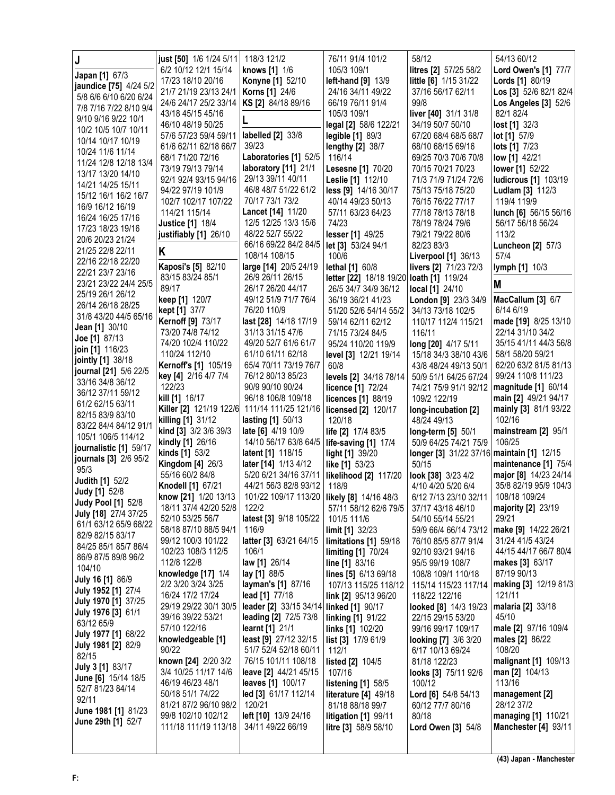| Japan [1] 67/3                                    | just [50] 1/6 1/24 5/11<br>6/2 10/12 12/1 15/14 | 118/3 121/2<br>knows [1] 1/6                     | 76/11 91/4 101/2<br>105/3 109/1                    | 58/12<br>litres [2] 57/25 58/2             | 54/13 60/12<br>Lord Owen's [1] 77/7              |
|---------------------------------------------------|-------------------------------------------------|--------------------------------------------------|----------------------------------------------------|--------------------------------------------|--------------------------------------------------|
| jaundice [75] 4/24 5/2                            | 17/23 18/10 20/16<br>21/7 21/19 23/13 24/1      | <b>Konyne [1] 52/10</b><br><b>Korns [1] 24/6</b> | left-hand [9] 13/9<br>24/16 34/11 49/22            | little [6] 1/15 31/22<br>37/16 56/17 62/11 | <b>Lords</b> [1] 80/19<br>Los [3] 52/6 82/1 82/4 |
| 5/8 6/6 6/10 6/20 6/24                            | 24/6 24/17 25/2 33/14                           | KS [2] 84/18 89/16                               | 66/19 76/11 91/4                                   | 99/8                                       | Los Angeles [3] 52/6                             |
| 7/8 7/16 7/22 8/10 9/4<br>9/10 9/16 9/22 10/1     | 43/18 45/15 45/16                               |                                                  | 105/3 109/1                                        | liver [40] 31/1 31/8                       | 82/1 82/4                                        |
| 10/2 10/5 10/7 10/11                              | 46/10 48/19 50/25                               |                                                  | legal [2] 58/6 122/21                              | 34/19 50/7 50/10                           | lost[1] 32/3                                     |
| 10/14 10/17 10/19                                 | 57/6 57/23 59/4 59/11                           | labelled [2] 33/8                                | legible [1] 89/3                                   | 67/20 68/4 68/5 68/7                       | <b>lot</b> [1] 57/9                              |
| 10/24 11/6 11/14                                  | 61/6 62/11 62/18 66/7<br>68/1 71/20 72/16       | 39/23<br>Laboratories [1] 52/5                   | <b>lengthy [2] 38/7</b><br>116/14                  | 68/10 68/15 69/16                          | <b>lots</b> [1] 7/23                             |
| 11/24 12/8 12/18 13/4                             | 73/19 79/13 79/14                               | laboratory [11] 21/1                             | Lesesne [1] 70/20                                  | 69/25 70/3 70/6 70/8<br>70/15 70/21 70/23  | low [1] 42/21<br>lower [1] 52/22                 |
| 13/17 13/20 14/10                                 | 92/1 92/4 93/15 94/16                           | 29/13 39/11 40/11                                | Leslie [1] 112/10                                  | 71/3 71/9 71/24 72/6                       | ludicrous [1] 103/19                             |
| 14/21 14/25 15/11                                 | 94/22 97/19 101/9                               | 46/8 48/7 51/22 61/2                             | less [9] 14/16 30/17                               | 75/13 75/18 75/20                          | Ludlam [3] 112/3                                 |
| 15/12 16/1 16/2 16/7<br>16/9 16/12 16/19          | 102/7 102/17 107/22                             | 70/17 73/1 73/2                                  | 40/14 49/23 50/13                                  | 76/15 76/22 77/17                          | 119/4 119/9                                      |
| 16/24 16/25 17/16                                 | 114/21 115/14                                   | Lancet [14] 11/20                                | 57/11 63/23 64/23                                  | 77/18 78/13 78/18                          | lunch [6] 56/15 56/16                            |
| 17/23 18/23 19/16                                 | <b>Justice [1] 18/4</b>                         | 12/5 12/25 13/3 15/6<br>48/22 52/7 55/22         | 74/23                                              | 78/19 78/24 79/6                           | 56/17 56/18 56/24<br>113/2                       |
| 20/6 20/23 21/24                                  | justifiably [1] 26/10                           | 66/16 69/22 84/2 84/5                            | lesser [1] 49/25<br>let [3] 53/24 94/1             | 79/21 79/22 80/6<br>82/23 83/3             | Luncheon [2] 57/3                                |
| 21/25 22/8 22/11                                  | Κ                                               | 108/14 108/15                                    | 100/6                                              | Liverpool [1] 36/13                        | 57/4                                             |
| 22/16 22/18 22/20                                 | Kaposi's [5] 82/10                              | large [14] 20/5 24/19                            | lethal [1] 60/8                                    | livers [2] 71/23 72/3                      | <b>lymph [1] 10/3</b>                            |
| 22/21 23/7 23/16<br>23/21 23/22 24/4 25/5         | 83/15 83/24 85/1                                | 26/9 26/11 26/15                                 | letter [22] 18/18 19/20 loath [1] 119/24           |                                            | M                                                |
| 25/19 26/1 26/12                                  | 89/17                                           | 26/17 26/20 44/17                                | 26/5 34/7 34/9 36/12                               | <b>local [1] 24/10</b>                     |                                                  |
| 26/14 26/18 28/25                                 | keep [1] 120/7                                  | 49/12 51/9 71/7 76/4<br>76/20 110/9              | 36/19 36/21 41/23                                  | London [9] 23/3 34/9                       | MacCallum [3] 6/7<br>6/14 6/19                   |
| 31/8 43/20 44/5 65/16                             | kept [1] 37/7<br>Kernoff [9] 73/17              | last [28] 14/18 17/19                            | 51/20 52/6 54/14 55/2<br>59/14 62/11 62/12         | 34/13 73/18 102/5<br>110/17 112/4 115/21   | made [19] 8/25 13/10                             |
| Jean [1] 30/10                                    | 73/20 74/8 74/12                                | 31/13 31/15 47/6                                 | 71/15 73/24 84/5                                   | 116/11                                     | 22/14 31/10 34/2                                 |
| Joe [1] 87/13                                     | 74/20 102/4 110/22                              | 49/20 52/7 61/6 61/7                             | 95/24 110/20 119/9                                 | long [20] 4/17 5/11                        | 35/15 41/11 44/3 56/8                            |
| join [1] 116/23<br>jointly [1] 38/18              | 110/24 112/10                                   | 61/10 61/11 62/18                                | level [3] 12/21 19/14                              | 15/18 34/3 38/10 43/6                      | 58/1 58/20 59/21                                 |
| journal [21] 5/6 22/5                             | Kernoff's [1] 105/19                            | 65/4 70/11 73/19 76/7                            | 60/8                                               | 43/8 48/24 49/13 50/1                      | 62/20 63/2 81/5 81/13                            |
| 33/16 34/8 36/12                                  | key [4] 2/16 4/7 7/4                            | 76/12 80/13 85/23                                | levels [2] 34/18 78/14                             | 50/9 51/1 64/25 67/24                      | 99/24 110/8 111/23                               |
| 36/12 37/11 59/12                                 | 122/23<br>kill [1] 16/17                        | 90/9 90/10 90/24<br>96/18 106/8 109/18           | <b>licence</b> [1] 72/24<br>licences [1] 88/19     | 74/21 75/9 91/1 92/12<br>109/2 122/19      | magnitude [1] 60/14<br>main [2] 49/21 94/17      |
| 61/2 62/15 63/11                                  | Killer [2] 121/19 122/6                         | 111/14 111/25 121/16                             | <b>licensed</b> [2] 120/17                         | long-incubation [2]                        | mainly [3] 81/1 93/22                            |
| 82/15 83/9 83/10                                  | killing [1] 31/12                               | lasting [1] 50/13                                | 120/18                                             | 48/24 49/13                                | 102/16                                           |
| 83/22 84/4 84/12 91/1<br>105/1 106/5 114/12       | kind [3] 3/2 3/6 39/3                           | late [6] 4/19 10/9                               | life [2] 17/4 83/5                                 | long-term [5] 50/1                         | mainstream [2] 95/1                              |
| journalistic [1] 59/17                            | kindly [1] 26/16                                | 14/10 56/17 63/8 64/5                            | life-saving [1] 17/4                               | 50/9 64/25 74/21 75/9                      | 106/25                                           |
| journals [3] 2/6 95/2                             | kinds [1] 53/2                                  | latent [1] 118/15                                | light [1] 39/20                                    | longer [3] 31/22 37/16 maintain [1] 12/15  |                                                  |
| 95/3                                              | <b>Kingdom [4] 26/3</b><br>55/16 60/2 84/8      | later [14] 1/13 4/12<br>5/20 6/21 34/16 37/11    | like [1] 53/23<br>likelihood [2] 117/20            | 50/15                                      | maintenance [1] 75/4<br>major [8] 14/23 24/14    |
| <b>Judith [1] 52/2</b>                            | <b>Knodell [1] 67/21</b>                        | 44/21 56/3 82/8 93/12                            | 118/9                                              | look [38] 3/23 4/2<br>4/10 4/20 5/20 6/4   | 35/8 82/19 95/9 104/3                            |
| <b>Judy [1]</b> 52/8                              | know [21] 1/20 13/13                            | 101/22 109/17 113/20   likely [8] 14/16 48/3     |                                                    | 6/12 7/13 23/10 32/11                      | 108/18 109/24                                    |
| <b>Judy Pool [1] 52/8</b><br>July [18] 27/4 37/25 | 18/11 37/4 42/20 52/8                           | 122/2                                            | 57/11 58/12 62/6 79/5                              | 37/17 43/18 46/10                          | majority [2] 23/19                               |
| 61/1 63/12 65/9 68/22                             | 52/10 53/25 56/7                                | latest [3] 9/18 105/22                           | 101/5 111/6                                        | 54/10 55/14 55/21                          | 29/21                                            |
| 82/9 82/15 83/17                                  | 58/18 87/10 88/5 94/1                           | 116/9                                            | limit [1] 32/23                                    | 59/9 66/4 66/14 73/12                      | make [9] 14/22 26/21                             |
| 84/25 85/1 85/7 86/4                              | 99/12 100/3 101/22<br>102/23 108/3 112/5        | latter [3] 63/21 64/15<br>106/1                  | limitations [1] 59/18<br><b>limiting [1] 70/24</b> | 76/10 85/5 87/7 91/4<br>92/10 93/21 94/16  | 31/24 41/5 43/24<br>44/15 44/17 66/7 80/4        |
| 86/9 87/5 89/8 96/2                               | 112/8 122/8                                     | law [1] 26/14                                    | line [1] 83/16                                     | 95/5 99/19 108/7                           | makes [3] 63/17                                  |
| 104/10                                            | knowledge [17] 1/4                              | lay [1] 88/5                                     | lines [5] 6/13 69/18                               | 108/8 109/1 110/18                         | 87/19 90/13                                      |
| July 16 [1] 86/9<br>July 1952 [1] 27/4            | 2/2 3/20 3/24 3/25                              | layman's [1] 87/16                               | 107/13 115/25 118/12                               | 115/14 115/23 117/14                       | making [3] 12/19 81/3                            |
| July 1970 [1] 37/25                               | 16/24 17/2 17/24                                | lead [1] 77/18                                   | link [2] 95/13 96/20                               | 118/22 122/16                              | 121/11                                           |
| July 1976 [3] 61/1                                | 29/19 29/22 30/1 30/5<br>39/16 39/22 53/21      | leader [2] 33/15 34/14<br>leading [2] 72/5 73/8  | linked [1] 90/17                                   | looked [8] 14/3 19/23                      | malaria [2] 33/18<br>45/10                       |
| 63/12 65/9                                        | 57/10 122/16                                    | learnt [1] 21/1                                  | <b>linking [1] 91/22</b><br>links [1] 102/20       | 22/15 29/15 53/20<br>99/16 99/17 109/17    | male [2] 97/16 109/4                             |
| July 1977 [1] 68/22                               | knowledgeable [1]                               | least [9] 27/12 32/15                            | list [3] 17/9 61/9                                 | <b>looking [7]</b> 3/6 3/20                | males [2] 86/22                                  |
| July 1981 [2] 82/9<br>82/15                       | 90/22                                           | 51/7 52/4 52/18 60/11                            | 112/1                                              | 6/17 10/13 69/24                           | 108/20                                           |
| July 3 [1] 83/17                                  | known [24] 2/20 3/2                             | 76/15 101/11 108/18                              | <b>listed</b> [2] 104/5                            | 81/18 122/23                               | malignant [1] 109/13                             |
| <b>June [6] 15/14 18/5</b>                        | 3/4 10/25 11/17 14/6                            | leave [2] 44/21 45/15                            | 107/16                                             | looks [3] 75/11 92/6                       | man [2] 104/13                                   |
| 52/7 81/23 84/14                                  | 46/19 46/23 48/1<br>50/18 51/1 74/22            | <b>leaves</b> [1] 100/17<br>led [3] 61/17 112/14 | <b>listening [1] 58/5</b><br>literature [4] 49/18  | 100/12<br>Lord [6] 54/8 54/13              | 113/16<br>management [2]                         |
| 92/11                                             | 81/21 87/2 96/10 98/2                           | 120/21                                           | 81/18 88/18 99/7                                   | 60/12 77/7 80/16                           | 28/12 37/2                                       |
| June 1981 [1] 81/23                               | 99/8 102/10 102/12                              | left [10] 13/9 24/16                             | litigation [1] 99/11                               | 80/18                                      | managing [1] 110/21                              |
| June 29th [1] 52/7                                | 111/18 111/19 113/18                            | 34/11 49/22 66/19                                | litre [3] 58/9 58/10                               | Lord Owen [3] 54/8                         | Manchester [4] 93/11                             |
|                                                   |                                                 |                                                  |                                                    |                                            |                                                  |
|                                                   |                                                 |                                                  |                                                    |                                            |                                                  |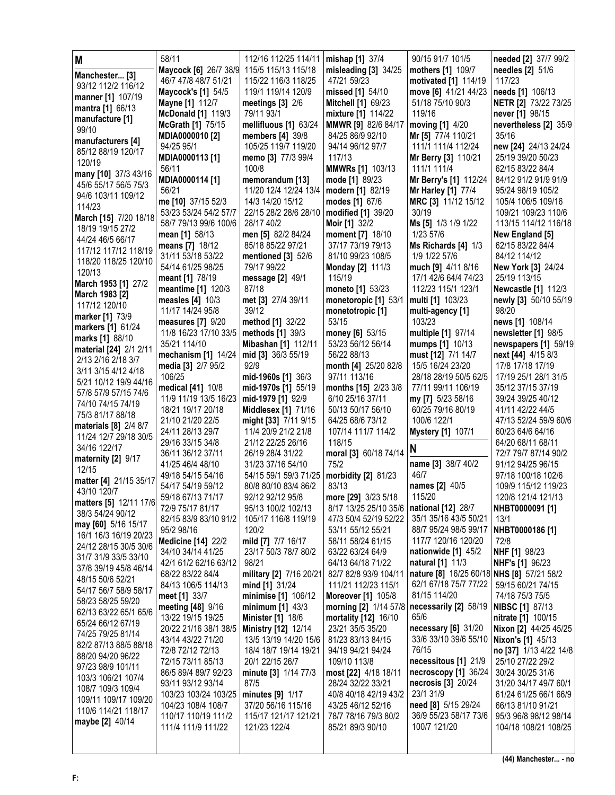| M                                              | 58/11                                       | 112/16 112/25 114/11                      | mishap [1] 37/4                            | 90/15 91/7 101/5                             | needed [2] 37/7 99/2                      |
|------------------------------------------------|---------------------------------------------|-------------------------------------------|--------------------------------------------|----------------------------------------------|-------------------------------------------|
| Manchester [3]                                 | Maycock [6] 26/7 38/9                       | 115/5 115/13 115/18                       | misleading [3] 34/25                       | mothers [1] 109/7                            | needles [2] 51/6                          |
| 93/12 112/2 116/12                             | 46/7 47/8 48/7 51/21                        | 115/22 116/3 118/25                       | 47/21 59/23                                | motivated [1] 114/19                         | 117/23                                    |
| manner [1] 107/19                              | <b>Maycock's [1] 54/5</b>                   | 119/1 119/14 120/9                        | missed [1] 54/10                           | move [6] 41/21 44/23                         | needs [1] 106/13                          |
| mantra [1] 66/13                               | <b>Mayne [1] 112/7</b>                      | meetings $[3]$ 2/6                        | <b>Mitchell [1] 69/23</b>                  | 51/18 75/10 90/3                             | NETR [2] 73/22 73/25                      |
| manufacture [1]                                | <b>McDonald</b> [1] 119/3                   | 79/11 93/1                                | mixture [1] 114/22                         | 119/16                                       | never [1] 98/15                           |
| 99/10                                          | <b>McGrath [1] 75/15</b>                    | mellifluous [1] 63/24                     | <b>MMWR [9] 82/6 84/17</b>                 | moving [1] 4/20                              | nevertheless [2] 35/9                     |
| manufacturers [4]                              | MDIA0000010 [2]                             | members $[4]$ 39/8                        | 84/25 86/9 92/10                           | Mr [5] 77/4 110/21                           | 35/16                                     |
| 85/12 88/19 120/17                             | 94/25 95/1                                  | 105/25 119/7 119/20                       | 94/14 96/12 97/7                           | 111/1 111/4 112/24                           | new [24] 24/13 24/24                      |
| 120/19                                         | MDIA0000113 [1]                             | memo [3] 77/3 99/4                        | 117/13                                     | Mr Berry [3] 110/21                          | 25/19 39/20 50/23                         |
| many [10] 37/3 43/16                           | 56/11                                       | 100/8                                     | <b>MMWRs [1] 103/13</b>                    | 111/1 111/4                                  | 62/15 83/22 84/4                          |
| 45/6 55/17 56/5 75/3                           | MDIA0000114 [1]                             | memorandum [13]                           | mode [1] 89/23                             | Mr Berry's [1] 112/24                        | 84/12 91/2 91/9 91/9                      |
| 94/6 103/11 109/12                             | 56/21                                       | 11/20 12/4 12/24 13/4                     | modern [1] 82/19                           | <b>Mr Harley [1] 77/4</b>                    | 95/24 98/19 105/2                         |
| 114/23                                         | me [10] 37/15 52/3<br>53/23 53/24 54/2 57/7 | 14/3 14/20 15/12<br>22/15 28/2 28/6 28/10 | modes [1] 67/6                             | MRC [3] 11/12 15/12<br>30/19                 | 105/4 106/5 109/16<br>109/21 109/23 110/6 |
| March [15] 7/20 18/18                          | 58/7 79/13 99/6 100/6                       | 28/17 40/2                                | modified [1] 39/20<br><b>Moir</b> [1] 32/2 | Ms [5] 1/3 1/9 1/22                          | 113/15 114/12 116/18                      |
| 18/19 19/15 27/2                               | mean [1] 58/13                              | men [5] 82/2 84/24                        | moment [7] 18/10                           | 1/23 57/6                                    | New England [5]                           |
| 44/24 46/5 66/17                               | means [7] 18/12                             | 85/18 85/22 97/21                         | 37/17 73/19 79/13                          | Ms Richards [4] 1/3                          | 62/15 83/22 84/4                          |
| 117/12 117/12 118/19                           | 31/11 53/18 53/22                           | mentioned [3] 52/6                        | 81/10 99/23 108/5                          | 1/9 1/22 57/6                                | 84/12 114/12                              |
| 118/20 118/25 120/10                           | 54/14 61/25 98/25                           | 79/17 99/22                               | <b>Monday [2] 111/3</b>                    | much [9] 4/11 8/16                           | <b>New York [3] 24/24</b>                 |
| 120/13                                         | meant [1] 78/19                             | message [2] 49/1                          | 115/19                                     | 17/1 42/6 64/4 74/23                         | 25/19 113/15                              |
| March 1953 [1] 27/2                            | meantime [1] 120/3                          | 87/18                                     | moneto [1] 53/23                           | 112/23 115/1 123/1                           | <b>Newcastle [1] 112/3</b>                |
| March 1983 [2]                                 | measles [4] 10/3                            | met [3] 27/4 39/11                        | monetoropic [1] 53/1                       | multi [1] 103/23                             | newly [3] 50/10 55/19                     |
| 117/12 120/10                                  | 11/17 14/24 95/8                            | 39/12                                     | monetotropic [1]                           | multi-agency [1]                             | 98/20                                     |
| marker [1] 73/9                                | measures [7] 9/20                           | method [1] 32/22                          | 53/15                                      | 103/23                                       | news [1] 108/14                           |
| markers [1] 61/24                              | 11/8 16/23 17/10 33/5                       | methods [1] 39/3                          | money [6] 53/15                            | multiple [1] 97/14                           | newsletter [1] 98/5                       |
| marks [1] 88/10<br>material [24] 2/1 2/11      | 35/21 114/10                                | <b>Mibashan [1] 112/11</b>                | 53/23 56/12 56/14                          | mumps [1] 10/13                              | newspapers [1] 59/19                      |
| 2/13 2/16 2/18 3/7                             | mechanism [1] 14/24                         | mid [3] 36/3 55/19                        | 56/22 88/13                                | must [12] 7/1 14/7                           | next [44] 4/15 8/3                        |
| 3/11 3/15 4/12 4/18                            | media [3] 2/7 95/2                          | 92/9                                      | month [4] 25/20 82/8                       | 15/5 16/24 23/20                             | 17/8 17/18 17/19                          |
| 5/21 10/12 19/9 44/16                          | 106/25                                      | mid-1960s [1] 36/3                        | 97/11 113/16                               | 28/18 28/19 50/5 62/5                        | 17/19 25/1 28/1 31/5                      |
| 57/8 57/9 57/15 74/6                           | medical [41] 10/8                           | mid-1970s [1] 55/19                       | months [15] 2/23 3/8                       | 77/11 99/11 106/19                           | 35/12 37/15 37/19                         |
| 74/10 74/15 74/19                              | 11/9 11/19 13/5 16/23                       | mid-1979 [1] 92/9                         | 6/10 25/16 37/11                           | my [7] 5/23 58/16                            | 39/24 39/25 40/12                         |
| 75/3 81/17 88/18                               | 18/21 19/17 20/18                           | <b>Middlesex [1] 71/16</b>                | 50/13 50/17 56/10                          | 60/25 79/16 80/19                            | 41/11 42/22 44/5                          |
| materials [8] 2/4 8/7                          | 21/10 21/20 22/5                            | might [33] 7/11 9/15                      | 64/25 68/6 73/12                           | 100/6 122/1                                  | 47/13 52/24 59/9 60/6                     |
| 11/24 12/7 29/18 30/5                          | 24/11 28/13 29/7<br>29/16 33/15 34/8        | 11/4 20/9 21/2 21/8<br>21/12 22/25 26/16  | 107/14 111/7 114/2<br>118/15               | <b>Mystery [1] 107/1</b>                     | 60/23 64/6 64/16<br>64/20 68/11 68/11     |
| 34/16 122/17                                   | 36/11 36/12 37/11                           | 26/19 28/4 31/22                          | moral [3] 60/18 74/14                      | N                                            | 72/7 79/7 87/14 90/2                      |
| maternity [2] 9/17                             | 41/25 46/4 48/10                            | 31/23 37/16 54/10                         | 75/2                                       | name [3] 38/7 40/2                           | 91/12 94/25 96/15                         |
| 12/15                                          | 49/18 54/15 54/16                           | 54/15 59/1 59/3 71/25                     | morbidity [2] 81/23                        | 46/7                                         | 97/18 100/18 102/6                        |
| matter [4] 21/15 35/17                         | 54/17 54/19 59/12                           | 80/8 80/10 83/4 86/2                      | 83/13                                      | names [2] 40/5                               | 109/9 115/12 119/23                       |
| 43/10 120/7                                    | 59/18 67/13 71/17                           | 92/12 92/12 95/8                          | more [29] 3/23 5/18                        | 115/20                                       | 120/8 121/4 121/13                        |
| matters [5] 12/11 17/6                         | 72/9 75/17 81/17                            | 95/13 100/2 102/13                        | 8/17 13/25 25/10 35/6   national [12] 28/7 |                                              | NHBT0000091 [1]                           |
| 38/3 54/24 90/12                               | 82/15 83/9 83/10 91/2                       | 105/17 116/8 119/19                       | 47/3 50/4 52/19 52/22                      | 35/1 35/16 43/5 50/21                        | 13/1                                      |
| may [60] 5/16 15/17                            | 95/2 98/16                                  | 120/2                                     | 53/11 55/12 55/21                          | 88/7 95/24 98/5 99/17                        | NHBT0000186 [1]                           |
| 16/1 16/3 16/19 20/23<br>24/12 28/15 30/5 30/6 | <b>Medicine [14] 22/2</b>                   | mild [7] 7/7 16/17                        | 58/11 58/24 61/15                          | 117/7 120/16 120/20                          | 72/8                                      |
| 31/7 31/9 33/5 33/10                           | 34/10 34/14 41/25                           | 23/17 50/3 78/7 80/2                      | 63/22 63/24 64/9                           | nationwide [1] 45/2                          | NHF [1] 98/23                             |
| 37/8 39/19 45/8 46/14                          | 42/1 61/2 62/16 63/12                       | 98/21                                     | 64/13 64/18 71/22                          | <b>natural</b> [1] 11/3                      | <b>NHF's [1] 96/23</b>                    |
| 48/15 50/6 52/21                               | 68/22 83/22 84/4                            | military [2] 7/16 20/21                   | 82/7 82/8 93/9 104/11                      | nature [8] 16/25 60/18 NHS [8] 57/21 58/2    |                                           |
| 54/17 56/7 58/9 58/17                          | 84/13 106/5 114/13                          | mind [1] 31/24                            | 111/21 112/23 115/1                        | 62/1 67/18 75/7 77/22                        | 59/15 60/21 74/15                         |
| 58/23 58/25 59/20                              | meet [1] 33/7                               | minimise [1] 106/12                       | <b>Moreover</b> [1] 105/8                  | 81/15 114/20                                 | 74/18 75/3 75/5                           |
| 62/13 63/22 65/1 65/6                          | meeting [48] 9/16                           | minimum $[1]$ 43/3                        | morning [2] 1/14 57/8                      | necessarily [2] 58/19                        | <b>NIBSC [1] 87/13</b>                    |
| 65/24 66/12 67/19                              | 13/22 19/15 19/25                           | <b>Minister</b> [1] 18/6                  | mortality [12] 16/10                       | 65/6                                         | nitrate [1] 100/15                        |
| 74/25 79/25 81/14                              | 20/22 21/16 38/1 38/5                       | <b>Ministry [12] 12/14</b>                | 23/21 35/5 35/20                           | necessary [6] 31/20                          | Nixon [2] 44/25 45/25                     |
| 82/2 87/13 88/5 88/18                          | 43/14 43/22 71/20                           | 13/5 13/19 14/20 15/6                     | 81/23 83/13 84/15                          | 33/6 33/10 39/6 55/10                        | <b>Nixon's [1] 45/13</b>                  |
| 88/20 94/20 96/22                              | 72/8 72/12 72/13                            | 18/4 18/7 19/14 19/21                     | 94/19 94/21 94/24                          | 76/15                                        | no [37] 1/13 4/22 14/8                    |
| 97/23 98/9 101/11                              | 72/15 73/11 85/13                           | 20/1 22/15 26/7                           | 109/10 113/8                               | necessitous [1] 21/9<br>necroscopy [1] 36/24 | 25/10 27/22 29/2                          |
| 103/3 106/21 107/4                             | 86/5 89/4 89/7 92/23<br>93/11 93/12 93/14   | minute [3] 1/14 77/3<br>87/5              | most [22] 4/18 18/11<br>28/24 32/22 33/21  | necrosis [3] 20/24                           | 30/24 30/25 31/6<br>31/20 34/17 49/7 60/1 |
| 108/7 109/3 109/4                              | 103/23 103/24 103/25                        | minutes [9] 1/17                          | 40/8 40/18 42/19 43/2                      | 23/1 31/9                                    | 61/24 61/25 66/1 66/9                     |
| 109/11 109/17 109/20                           | 104/23 108/4 108/7                          | 37/20 56/16 115/16                        | 43/25 46/12 52/16                          | need [8] 5/15 29/24                          | 66/13 81/10 91/21                         |
| 110/6 114/21 118/17                            | 110/17 110/19 111/2                         | 115/17 121/17 121/21                      | 78/7 78/16 79/3 80/2                       | 36/9 55/23 58/17 73/6                        | 95/3 96/8 98/12 98/14                     |
| maybe [2] 40/14                                |                                             |                                           |                                            |                                              |                                           |
|                                                |                                             |                                           |                                            |                                              |                                           |
|                                                | 111/4 111/9 111/22                          | 121/23 122/4                              | 85/21 89/3 90/10                           | 100/7 121/20                                 | 104/18 108/21 108/25                      |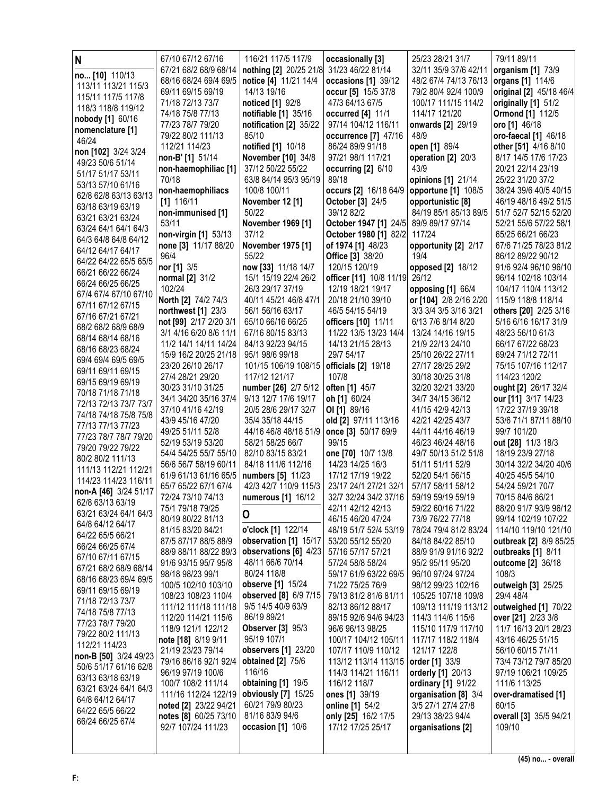| N                                          | 67/10 67/12 67/16                              | 116/21 117/5 117/9                         | occasionally [3]                           | 25/23 28/21 31/7                           | 79/11 89/11                                |
|--------------------------------------------|------------------------------------------------|--------------------------------------------|--------------------------------------------|--------------------------------------------|--------------------------------------------|
| no [10] 110/13                             | 67/21 68/2 68/9 68/14                          | nothing [2] 20/25 21/8 31/23 46/22 81/14   |                                            | 32/11 35/9 37/6 42/11                      | organism [1] 73/9                          |
| 113/11 113/21 115/3                        | 68/16 68/24 69/4 69/5                          | notice [4] 11/21 14/4                      | occasions [1] 39/12                        | 48/2 67/4 74/13 76/13                      | organs [1] 114/6                           |
| 115/11 117/5 117/8                         | 69/11 69/15 69/19                              | 14/13 19/16                                | occur [5] 15/5 37/8                        | 79/2 80/4 92/4 100/9                       | original [2] 45/18 46/4                    |
| 118/3 118/8 119/12                         | 71/18 72/13 73/7                               | <b>noticed</b> [1] 92/8                    | 47/3 64/13 67/5                            | 100/17 111/15 114/2                        | originally [1] 51/2                        |
| nobody [1] 60/16                           | 74/18 75/8 77/13                               | notifiable [1] 35/16                       | occurred [4] 11/1                          | 114/17 121/20                              | <b>Ormond [1] 112/5</b>                    |
| nomenclature [1]                           | 77/23 78/7 79/20<br>79/22 80/2 111/13          | notification [2] 35/22<br>85/10            | 97/14 104/12 116/11                        | onwards [2] 29/19<br>48/9                  | oro [1] 46/18<br>oro-faecal [1] 46/18      |
| 46/24                                      | 112/21 114/23                                  | notified [1] 10/18                         | occurrence [7] 47/16<br>86/24 89/9 91/18   | open [1] 89/4                              | other [51] 4/16 8/10                       |
| non [102] 3/24 3/24                        | non-B' [1] 51/14                               | November [10] 34/8                         | 97/21 98/1 117/21                          | operation [2] 20/3                         | 8/17 14/5 17/6 17/23                       |
| 49/23 50/6 51/14                           | non-haemophiliac [1]                           | 37/12 50/22 55/22                          | occurring [2] 6/10                         | 43/9                                       | 20/21 22/14 23/19                          |
| 51/17 51/17 53/11                          | 70/18                                          | 63/8 84/14 95/3 95/19                      | 89/18                                      | opinions [1] 21/14                         | 25/22 31/20 37/2                           |
| 53/13 57/10 61/16                          | non-haemophiliacs                              | 100/8 100/11                               | occurs [2] 16/18 64/9                      | opportune [1] 108/5                        | 38/24 39/6 40/5 40/15                      |
| 62/8 62/8 63/13 63/13<br>63/18 63/19 63/19 | $[1]$ 116/11                                   | November 12 [1]                            | <b>October</b> [3] 24/5                    | opportunistic [8]                          | 46/19 48/16 49/2 51/5                      |
| 63/21 63/21 63/24                          | non-immunised [1]                              | 50/22                                      | 39/12 82/2                                 | 84/19 85/1 85/13 89/5                      | 51/7 52/7 52/15 52/20                      |
| 63/24 64/1 64/1 64/3                       | 53/11                                          | November 1969 [1]                          | October 1947 [1] 24/5                      | 89/9 89/17 97/14                           | 52/21 55/6 57/22 58/1                      |
| 64/3 64/8 64/8 64/12                       | non-virgin [1] 53/13                           | 37/12                                      | October 1980 [1] 82/2                      | 117/24                                     | 65/25 66/21 66/23                          |
| 64/12 64/17 64/17                          | none [3] 11/17 88/20                           | November 1975 [1]                          | of 1974 [1] 48/23                          | opportunity [2] 2/17                       | 67/6 71/25 78/23 81/2                      |
| 64/22 64/22 65/5 65/5                      | 96/4<br>nor [1] 3/5                            | 55/22<br>now [33] 11/18 14/7               | Office [3] 38/20<br>120/15 120/19          | 19/4<br>opposed [2] 18/12                  | 86/12 89/22 90/12<br>91/6 92/4 96/10 96/10 |
| 66/21 66/22 66/24                          | normal [2] 31/2                                | 15/1 15/19 22/4 26/2                       | officer [11] 10/8 11/19                    | 26/12                                      | 96/14 102/18 103/14                        |
| 66/24 66/25 66/25                          | 102/24                                         | 26/3 29/17 37/19                           | 12/19 18/21 19/17                          | opposing [1] 66/4                          | 104/17 110/4 113/12                        |
| 67/4 67/4 67/10 67/10                      | North [2] 74/2 74/3                            | 40/11 45/21 46/8 47/1                      | 20/18 21/10 39/10                          | or [104] 2/8 2/16 2/20                     | 115/9 118/8 118/14                         |
| 67/11 67/12 67/15                          | northwest [1] 23/3                             | 56/1 56/16 63/17                           | 46/5 54/15 54/19                           | 3/3 3/4 3/5 3/16 3/21                      | others [20] 2/25 3/16                      |
| 67/16 67/21 67/21<br>68/2 68/2 68/9 68/9   | not [99] 2/17 2/20 3/1                         | 65/10 66/16 66/25                          | officers [10] 11/11                        | 6/13 7/6 8/14 8/20                         | 5/16 6/16 16/17 31/9                       |
| 68/14 68/14 68/16                          | 3/1 4/16 6/20 8/6 11/1                         | 67/16 80/15 83/13                          | 11/22 13/5 13/23 14/4                      | 13/24 14/16 19/15                          | 48/23 56/10 61/3                           |
| 68/16 68/23 68/24                          | 11/2 14/1 14/11 14/24                          | 84/13 92/23 94/15                          | 14/13 21/15 28/13                          | 21/9 22/13 24/10                           | 66/17 67/22 68/23                          |
| 69/4 69/4 69/5 69/5                        | 15/9 16/2 20/25 21/18                          | 95/1 98/6 99/18                            | 29/7 54/17                                 | 25/10 26/22 27/11                          | 69/24 71/12 72/11                          |
| 69/11 69/11 69/15                          | 23/20 26/10 26/17                              | 101/15 106/19 108/15                       | officials [2] 19/18<br>107/8               | 27/17 28/25 29/2                           | 75/15 107/16 112/17<br>114/23 120/2        |
| 69/15 69/19 69/19                          | 27/4 28/21 29/20<br>30/23 31/10 31/25          | 117/12 121/17<br>number [26] 2/7 5/12      | often [1] 45/7                             | 30/18 30/25 31/8<br>32/20 32/21 33/20      | ought [2] 26/17 32/4                       |
| 70/18 71/18 71/18                          | 34/1 34/20 35/16 37/4                          | 9/13 12/7 17/6 19/17                       | oh [1] 60/24                               | 34/7 34/15 36/12                           | our [11] 3/17 14/23                        |
| 72/13 72/13 73/7 73/7                      | 37/10 41/16 42/19                              | 20/5 28/6 29/17 32/7                       | OI [1] 89/16                               | 41/15 42/9 42/13                           | 17/22 37/19 39/18                          |
| 74/18 74/18 75/8 75/8                      | 43/9 45/16 47/20                               | 35/4 35/18 44/15                           | old [2] 97/11 113/16                       | 42/21 42/25 43/7                           | 53/6 71/1 87/11 88/10                      |
| 77/13 77/13 77/23<br>77/23 78/7 78/7 79/20 | 49/25 51/11 52/8                               | 44/16 46/8 48/18 51/9                      | once [3] 50/17 69/9                        | 44/11 44/16 46/19                          | 99/7 101/20                                |
| 79/20 79/22 79/22                          | 52/19 53/19 53/20                              | 58/21 58/25 66/7                           | 99/15                                      | 46/23 46/24 48/16                          | out [28] 11/3 18/3                         |
| 80/2 80/2 111/13                           | 54/4 54/25 55/7 55/10                          | 82/10 83/15 83/21                          | one [70] 10/7 13/8                         | 49/7 50/13 51/2 51/8                       | 18/19 23/9 27/18                           |
| 111/13 112/21 112/21                       | 56/6 56/7 58/19 60/11                          | 84/18 111/6 112/16                         | 14/23 14/25 16/3                           | 51/11 51/11 52/9                           | 30/14 32/2 34/20 40/6                      |
| 114/23 114/23 116/11                       | 61/9 61/13 61/16 65/5<br>65/7 65/22 67/1 67/4  | numbers [5] 11/23<br>42/3 42/7 110/9 115/3 | 17/12 17/19 19/22<br>23/17 24/1 27/21 32/1 | 52/20 54/1 56/15<br>57/17 58/11 58/12      | 40/25 45/5 54/10                           |
| non-A [46] 3/24 51/17                      | 72/24 73/10 74/13                              | numerous [1] 16/12                         | 32/7 32/24 34/2 37/16                      | 59/19 59/19 59/19                          | 54/24 59/21 70/7<br>70/15 84/6 86/21       |
| 62/8 63/13 63/19                           | 75/1 79/18 79/25                               |                                            | 42/11 42/12 42/13                          | 59/22 60/16 71/22                          | 88/20 91/7 93/9 96/12                      |
| 63/21 63/24 64/1 64/3                      | 80/19 80/22 81/13                              | O                                          | 46/15 46/20 47/24                          | 73/9 76/22 77/18                           | 99/14 102/19 107/22                        |
| 64/8 64/12 64/17                           | 81/15 83/20 84/21                              | o'clock [1] 122/14                         | 48/19 51/7 52/4 53/19                      | 78/24 79/4 81/2 83/24                      | 114/10 119/10 121/10                       |
| 64/22 65/5 66/21<br>66/24 66/25 67/4       | 87/5 87/17 88/5 88/9                           | observation [1] 15/17                      | 53/20 55/12 55/20                          | 84/18 84/22 85/10                          | outbreak [2] 8/9 85/25                     |
| 67/10 67/11 67/15                          | 88/9 88/11 88/22 89/3                          | observations [6] 4/23                      | 57/16 57/17 57/21                          | 88/9 91/9 91/16 92/2                       | outbreaks [1] 8/11                         |
| 67/21 68/2 68/9 68/14                      | 91/6 93/15 95/7 95/8                           | 48/11 66/6 70/14                           | 57/24 58/8 58/24                           | 95/2 95/11 95/20                           | outcome [2] 36/18                          |
| 68/16 68/23 69/4 69/5                      | 98/18 98/23 99/1                               | 80/24 118/8                                | 59/17 61/9 63/22 69/5                      | 96/10 97/24 97/24                          | 108/3                                      |
| 69/11 69/15 69/19                          | 100/5 102/10 103/10<br>108/23 108/23 110/4     | observe [1] 15/24<br>observed [8] 6/9 7/15 | 71/22 75/25 76/9<br>79/13 81/2 81/6 81/11  | 98/12 99/23 102/16<br>105/25 107/18 109/8  | outweigh [3] 25/25<br>29/4 48/4            |
| 71/18 72/13 73/7                           | 111/12 111/18 111/18                           | 9/5 14/5 40/9 63/9                         | 82/13 86/12 88/17                          | 109/13 111/19 113/12                       | outweighed [1] 70/22                       |
| 74/18 75/8 77/13                           | 112/20 114/21 115/6                            | 86/19 89/21                                | 89/15 92/6 94/6 94/23                      | 114/3 114/6 115/6                          | over [21] 2/23 3/8                         |
| 77/23 78/7 79/20                           | 118/9 121/1 122/12                             | <b>Observer</b> [3] 95/3                   | 96/6 96/13 98/25                           | 115/10 117/9 117/10                        | 11/7 16/13 20/1 28/23                      |
| 79/22 80/2 111/13                          | note [18] 8/19 9/11                            | 95/19 107/1                                | 100/17 104/12 105/11                       | 117/17 118/2 118/4                         | 43/16 46/25 51/15                          |
| 112/21 114/23<br>non-B [50] 3/24 49/23     | 21/19 23/23 79/14                              | observers [1] 23/20                        | 107/17 110/9 110/12                        | 121/17 122/8                               | 56/10 60/15 71/11                          |
| 50/6 51/17 61/16 62/8                      | 79/16 86/16 92/1 92/4                          | <b>obtained</b> [2] 75/6                   | 113/12 113/14 113/15                       | order [1] 33/9                             | 73/4 73/12 79/7 85/20                      |
| 63/13 63/18 63/19                          | 96/19 97/19 100/6                              | 116/16                                     | 114/3 114/21 116/11                        | orderly [1] 20/13                          | 97/19 106/21 109/25                        |
| 63/21 63/24 64/1 64/3                      | 100/7 108/2 111/14                             | obtaining [1] 19/5                         | 116/12 118/7                               | ordinary [1] 91/22                         | 111/6 113/25                               |
| 64/8 64/12 64/17                           | 111/16 112/24 122/19                           | obviously [7] 15/25<br>60/21 79/9 80/23    | ones [1] 39/19                             | organisation [8] 3/4<br>3/5 27/1 27/4 27/8 | over-dramatised [1]<br>60/15               |
| 64/22 65/5 66/22                           | noted [2] 23/22 94/21<br>notes [8] 60/25 73/10 | 81/16 83/9 94/6                            | online [1] 54/2<br>only [25] 16/2 17/5     | 29/13 38/23 94/4                           | overall [3] 35/5 94/21                     |
| 66/24 66/25 67/4                           | 92/7 107/24 111/23                             | occasion [1] 10/6                          | 17/12 17/25 25/17                          | organisations [2]                          | 109/10                                     |
|                                            |                                                |                                            |                                            |                                            |                                            |
|                                            |                                                |                                            |                                            |                                            |                                            |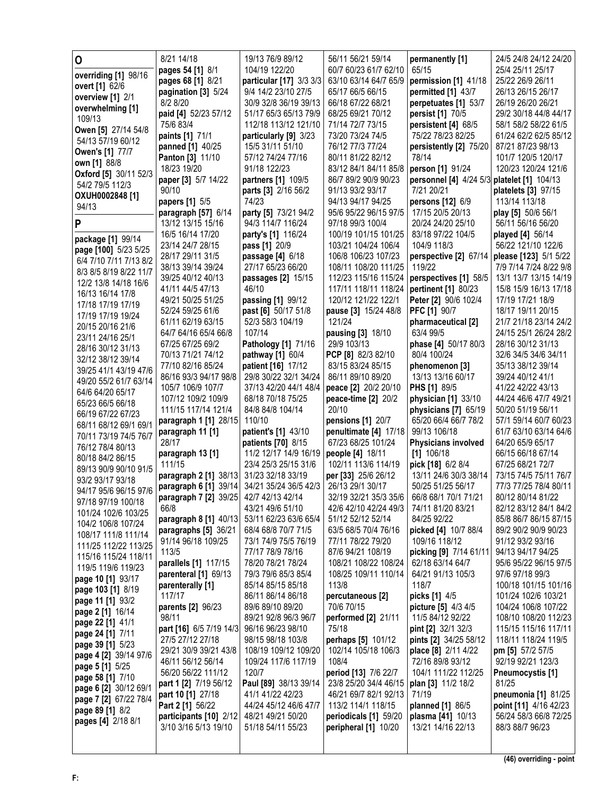| 0                                         | 8/21 14/18                                | 19/13 76/9 89/12                            | 56/11 56/21 59/14                          | permanently [1]                              | 24/5 24/8 24/12 24/20                     |
|-------------------------------------------|-------------------------------------------|---------------------------------------------|--------------------------------------------|----------------------------------------------|-------------------------------------------|
| overriding [1] 98/16                      | pages 54 [1] 8/1                          | 104/19 122/20                               | 60/7 60/23 61/7 62/10                      | 65/15                                        | 25/4 25/11 25/17                          |
| overt [1] 62/6                            | pages 68 [1] 8/21                         | particular [17] 3/3 3/3                     | 63/10 63/14 64/7 65/9                      | permission [1] 41/18                         | 25/22 26/9 26/11                          |
| overview [1] 2/1                          | pagination [3] 5/24                       | 9/4 14/2 23/10 27/5                         | 65/17 66/5 66/15                           | permitted [1] 43/7                           | 26/13 26/15 26/17                         |
| overwhelming [1]                          | 8/2 8/20                                  | 30/9 32/8 36/19 39/13                       | 66/18 67/22 68/21                          | perpetuates [1] 53/7                         | 26/19 26/20 26/21                         |
| 109/13                                    | paid [4] 52/23 57/12                      | 51/17 65/3 65/13 79/9                       | 68/25 69/21 70/12                          | persist [1] 70/5                             | 29/2 30/18 44/8 44/17                     |
| Owen [5] 27/14 54/8                       | 75/6 83/4                                 | 112/18 113/12 121/10                        | 71/14 72/7 73/15                           | persistent [4] 68/5                          | 58/1 58/2 58/22 61/5                      |
| 54/13 57/19 60/12                         | paints [1] 71/1                           | particularly [9] 3/23                       | 73/20 73/24 74/5                           | 75/22 78/23 82/25                            | 61/24 62/2 62/5 85/12                     |
| Owen's [1] 77/7                           | panned [1] 40/25                          | 15/5 31/11 51/10                            | 76/12 77/3 77/24                           | persistently [2] 75/20<br>78/14              | 87/21 87/23 98/13                         |
| own [1] 88/8                              | <b>Panton [3] 11/10</b><br>18/23 19/20    | 57/12 74/24 77/16<br>91/18 122/23           | 80/11 81/22 82/12<br>83/12 84/1 84/11 85/8 | person [1] 91/24                             | 101/7 120/5 120/17<br>120/23 120/24 121/6 |
| Oxford [5] 30/11 52/3                     | paper [3] 5/7 14/22                       | partners [1] 109/5                          | 86/7 89/2 90/9 90/23                       | personnel [4] 4/24 5/3                       | platelet [1] 104/13                       |
| 54/2 79/5 112/3                           | 90/10                                     | parts [3] 2/16 56/2                         | 91/13 93/2 93/17                           | 7/21 20/21                                   | platelets [3] 97/15                       |
| OXUH0002848 [1]                           | papers [1] 5/5                            | 74/23                                       | 94/13 94/17 94/25                          | persons [12] 6/9                             | 113/14 113/18                             |
| 94/13                                     | paragraph [57] 6/14                       | party [5] 73/21 94/2                        | 95/6 95/22 96/15 97/5                      | 17/15 20/5 20/13                             | play [5] 50/6 56/1                        |
| P                                         | 13/12 13/15 15/16                         | 94/3 114/7 116/24                           | 97/18 99/3 100/4                           | 20/24 24/20 25/10                            | 56/11 56/16 56/20                         |
|                                           | 16/5 16/14 17/20                          | party's [1] 116/24                          | 100/19 101/15 101/25                       | 83/18 97/22 104/5                            | <b>played [4]</b> 56/14                   |
| package [1] 99/14<br>page [100] 5/23 5/25 | 23/14 24/7 28/15                          | pass [1] 20/9                               | 103/21 104/24 106/4                        | 104/9 118/3                                  | 56/22 121/10 122/6                        |
| 6/4 7/10 7/11 7/13 8/2                    | 28/17 29/11 31/5                          | passage [4] 6/18                            | 106/8 106/23 107/23                        | perspective [2] 67/14                        | please [123] 5/1 5/22                     |
| 8/3 8/5 8/19 8/22 11/7                    | 38/13 39/14 39/24                         | 27/17 65/23 66/20                           | 108/11 108/20 111/25                       | 119/22                                       | 7/9 7/14 7/24 8/22 9/8                    |
| 12/2 13/8 14/18 16/6                      | 39/25 40/12 40/13                         | passages [2] 15/15                          | 112/23 115/16 115/24                       | perspectives [1] 58/5                        | 13/1 13/7 13/15 14/19                     |
| 16/13 16/14 17/8                          | 41/11 44/5 47/13                          | 46/10                                       | 117/11 118/11 118/24                       | pertinent [1] 80/23                          | 15/8 15/9 16/13 17/18                     |
| 17/18 17/19 17/19                         | 49/21 50/25 51/25                         | passing [1] 99/12                           | 120/12 121/22 122/1                        | Peter [2] 90/6 102/4                         | 17/19 17/21 18/9                          |
| 17/19 17/19 19/24                         | 52/24 59/25 61/6                          | past [6] 50/17 51/8                         | pause [3] 15/24 48/8                       | <b>PFC [1] 90/7</b>                          | 18/17 19/11 20/15                         |
| 20/15 20/16 21/6                          | 61/11 62/19 63/15                         | 52/3 58/3 104/19                            | 121/24                                     | pharmaceutical [2]                           | 21/7 21/18 23/14 24/2                     |
| 23/11 24/16 25/1                          | 64/7 64/16 65/4 66/8                      | 107/14                                      | pausing [3] 18/10                          | 63/4 99/5                                    | 24/15 25/1 26/24 28/2                     |
| 28/16 30/12 31/13                         | 67/25 67/25 69/2                          | Pathology [1] 71/16                         | 29/9 103/13                                | phase [4] 50/17 80/3                         | 28/16 30/12 31/13                         |
| 32/12 38/12 39/14                         | 70/13 71/21 74/12<br>77/10 82/16 85/24    | pathway [1] 60/4                            | PCP [8] 82/3 82/10<br>83/15 83/24 85/15    | 80/4 100/24                                  | 32/6 34/5 34/6 34/11<br>35/13 38/12 39/14 |
| 39/25 41/1 43/19 47/6                     | 86/16 93/3 94/17 98/8                     | patient [16] 17/12<br>29/8 30/22 32/1 34/24 | 86/11 89/10 89/20                          | phenomenon [3]<br>13/13 13/16 60/17          | 39/24 40/12 41/1                          |
| 49/20 55/2 61/7 63/14                     | 105/7 106/9 107/7                         | 37/13 42/20 44/1 48/4                       | peace [2] 20/2 20/10                       | PHS [1] 89/5                                 | 41/22 42/22 43/13                         |
| 64/6 64/20 65/17                          | 107/12 109/2 109/9                        | 68/18 70/18 75/25                           | peace-time [2] 20/2                        | physician [1] 33/10                          | 44/24 46/6 47/7 49/21                     |
|                                           |                                           |                                             |                                            |                                              |                                           |
| 65/23 66/5 66/18                          |                                           |                                             | 20/10                                      |                                              | 50/20 51/19 56/11                         |
| 66/19 67/22 67/23                         | 111/15 117/14 121/4                       | 84/8 84/8 104/14<br>110/10                  | pensions [1] 20/7                          | physicians [7] 65/19<br>65/20 66/4 66/7 78/2 | 57/1 59/14 60/7 60/23                     |
| 68/11 68/12 69/1 69/1                     | paragraph 1 [1] 28/15<br>paragraph 11 [1] | patient's [1] 43/10                         | penultimate [4] 17/18                      | 99/13 106/18                                 | 61/7 63/10 63/14 64/6                     |
| 70/11 73/19 74/5 76/7                     | 28/17                                     | patients [70] 8/15                          | 67/23 68/25 101/24                         | Physicians involved                          | 64/20 65/9 65/17                          |
| 76/12 78/4 80/13                          | paragraph 13 [1]                          | 11/2 12/17 14/9 16/19                       | people [4] 18/11                           | $[1]$ 106/18                                 | 66/15 66/18 67/14                         |
| 80/18 84/2 86/15                          | 111/15                                    | 23/4 25/3 25/15 31/6                        | 102/11 113/6 114/19                        | pick [18] 6/2 8/4                            | 67/25 68/21 72/7                          |
| 89/13 90/9 90/10 91/5<br>93/2 93/17 93/18 | paragraph 2 [1] 38/13                     | 31/23 32/18 33/19                           | per [33] 25/6 26/12                        | 13/11 24/6 30/3 38/14                        | 73/15 74/5 75/11 76/7                     |
| 94/17 95/6 96/15 97/6                     | paragraph 6 [1] 39/14                     | 34/21 35/24 36/5 42/3                       | 26/13 29/1 30/17                           | 50/25 51/25 56/17                            | 77/3 77/25 78/4 80/11                     |
| 97/18 97/19 100/18                        | paragraph 7 [2] 39/25 42/7 42/13 42/14    |                                             | 32/19 32/21 35/3 35/6                      | 66/8 68/1 70/1 71/21                         | 80/12 80/14 81/22                         |
| 101/24 102/6 103/25                       | 66/8                                      | 43/21 49/6 51/10                            | 42/6 42/10 42/24 49/3                      | 74/11 81/20 83/21                            | 82/12 83/12 84/1 84/2                     |
| 104/2 106/8 107/24                        | paragraph 8 [1] 40/13                     | 53/11 62/23 63/6 65/4                       | 51/12 52/12 52/14                          | 84/25 92/22                                  | 85/8 86/7 86/15 87/15                     |
| 108/17 111/8 111/14                       | paragraphs [5] 36/21                      | 68/4 68/8 70/7 71/5                         | 63/5 68/5 70/4 76/16                       | picked [4] 10/7 88/4                         | 89/2 90/2 90/9 90/23                      |
| 111/25 112/22 113/25                      | 91/14 96/18 109/25                        | 73/1 74/9 75/5 76/19                        | 77/11 78/22 79/20                          | 109/16 118/12                                | 91/12 93/2 93/16                          |
| 115/16 115/24 118/11                      | 113/5                                     | 77/17 78/9 78/16                            | 87/6 94/21 108/19                          | picking [9] 7/14 61/11                       | 94/13 94/17 94/25                         |
| 119/5 119/6 119/23                        | parallels [1] 117/15                      | 78/20 78/21 78/24                           | 108/21 108/22 108/24                       | 62/18 63/14 64/7                             | 95/6 95/22 96/15 97/5                     |
| page 10 [1] 93/17                         | parenteral [1] 69/13                      | 79/3 79/6 85/3 85/4                         | 108/25 109/11 110/14<br>113/8              | 64/21 91/13 105/3<br>118/7                   | 97/6 97/18 99/3<br>100/18 101/15 101/16   |
| page 103 [1] 8/19                         | parenterally [1]<br>117/17                | 85/14 85/15 85/18<br>86/11 86/14 86/18      | percutaneous [2]                           | picks [1] 4/5                                | 101/24 102/6 103/21                       |
| page 11 [1] 93/2                          | parents [2] 96/23                         | 89/6 89/10 89/20                            | 70/6 70/15                                 | picture [5] 4/3 4/5                          | 104/24 106/8 107/22                       |
| page 2 [1] 16/14                          | 98/11                                     | 89/21 92/8 96/3 96/7                        | performed [2] 21/11                        | 11/5 84/12 92/22                             | 108/10 108/20 112/23                      |
| page 22 [1] 41/1                          | part [16] 6/5 7/19 14/3                   | 96/16 96/23 98/10                           | 75/18                                      | pint [2] 32/1 32/3                           | 115/15 115/16 117/11                      |
| page 24 [1] 7/11                          | 27/5 27/12 27/18                          | 98/15 98/18 103/8                           | perhaps [5] 101/12                         | pints [2] 34/25 58/12                        | 118/11 118/24 119/5                       |
| page 39 [1] 5/23                          | 29/21 30/9 39/21 43/8                     | 108/19 109/12 109/20                        | 102/14 105/18 106/3                        | place [8] 2/11 4/22                          | pm [5] 57/2 57/5                          |
| page 4 [2] 39/14 97/6                     | 46/11 56/12 56/14                         | 109/24 117/6 117/19                         | 108/4                                      | 72/16 89/8 93/12                             | 92/19 92/21 123/3                         |
| page 5 [1] 5/25<br>page 58 [1] 7/10       | 56/20 56/22 111/12                        | 120/7                                       | <b>period</b> [13] 7/6 22/7                | 104/1 111/22 112/25                          | Pneumocystis [1]                          |
| page 6 [2] 30/12 69/1                     | part 1 [2] 7/19 56/12                     | Paul [89] 38/13 39/14                       | 23/8 25/20 34/4 46/15                      | plan [3] 11/2 18/2                           | 81/25                                     |
| page 7 [2] 67/22 78/4                     | part 10 [1] 27/18                         | 41/1 41/22 42/23                            | 46/21 69/7 82/1 92/13                      | 71/19                                        | pneumonia [1] 81/25                       |
| page 89 [1] 8/2                           | Part 2 [1] 56/22                          | 44/24 45/12 46/6 47/7                       | 113/2 114/1 118/15                         | planned [1] 86/5                             | point [11] 4/16 42/23                     |
| pages [4] 2/18 8/1                        | participants [10] 2/12                    | 48/21 49/21 50/20                           | periodicals [1] 59/20                      | plasma [41] 10/13                            | 56/24 58/3 66/8 72/25                     |
|                                           | 3/10 3/16 5/13 19/10                      | 51/18 54/11 55/23                           | peripheral [1] 10/20                       | 13/21 14/16 22/13                            | 88/3 88/7 96/23                           |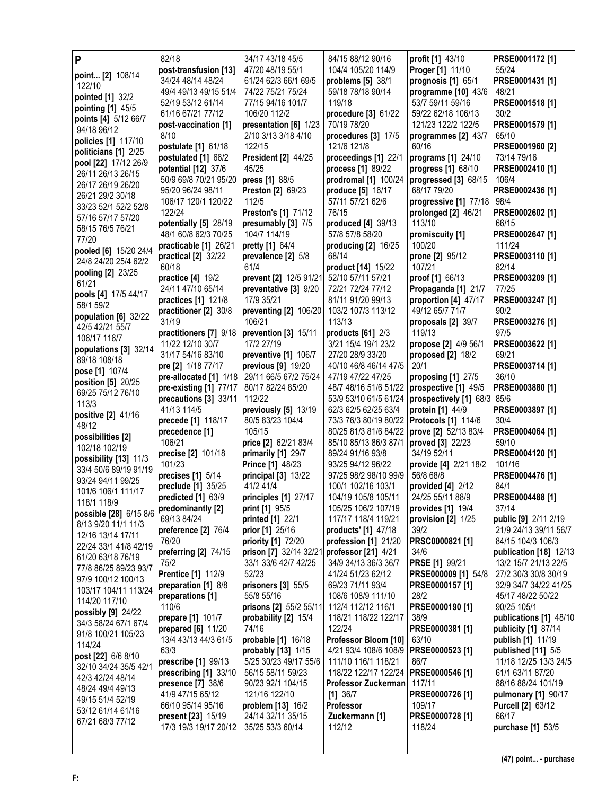| P                                          | 82/18                                      | 34/17 43/18 45/5                       | 84/15 88/12 90/16                         | profit [1] 43/10                     | PRSE0001172 [1]                               |
|--------------------------------------------|--------------------------------------------|----------------------------------------|-------------------------------------------|--------------------------------------|-----------------------------------------------|
| point [2] 108/14                           | post-transfusion [13]                      | 47/20 48/19 55/1                       | 104/4 105/20 114/9                        | Proger [1] 11/10                     | 55/24                                         |
| 122/10                                     | 34/24 48/14 48/24                          | 61/24 62/3 66/1 69/5                   | problems [5] 38/1                         | prognosis [1] 65/1                   | PRSE0001431 [1]                               |
| pointed [1] 32/2                           | 49/4 49/13 49/15 51/4                      | 74/22 75/21 75/24                      | 59/18 78/18 90/14                         | programme [10] 43/6                  | 48/21                                         |
| pointing [1] 45/5                          | 52/19 53/12 61/14                          | 77/15 94/16 101/7                      | 119/18                                    | 53/7 59/11 59/16                     | PRSE0001518 [1]                               |
| points [4] 5/12 66/7                       | 61/16 67/21 77/12                          | 106/20 112/2                           | procedure [3] 61/22                       | 59/22 62/18 106/13                   | 30/2                                          |
| 94/18 96/12                                | post-vaccination [1]                       | presentation [6] 1/23                  | 70/19 78/20                               | 121/23 122/2 122/5                   | PRSE0001579 [1]                               |
| policies [1] 117/10                        | 8/10                                       | 2/10 3/13 3/18 4/10                    | procedures [3] 17/5<br>121/6 121/8        | programmes [2] 43/7<br>60/16         | 65/10<br>PRSE0001960 [2]                      |
| politicians [1] 2/25                       | postulate [1] 61/18<br>postulated [1] 66/2 | 122/15<br><b>President [2] 44/25</b>   | proceedings [1] 22/1                      | programs [1] 24/10                   | 73/14 79/16                                   |
| pool [22] 17/12 26/9                       | potential [12] 37/6                        | 45/25                                  | process [1] 89/22                         | progress [1] 68/10                   | PRSE0002410 [1]                               |
| 26/11 26/13 26/15                          | 50/9 69/8 70/21 95/20                      | press [1] 88/5                         | prodromal [1] 100/24                      | progressed [3] 68/15                 | 106/4                                         |
| 26/17 26/19 26/20                          | 95/20 96/24 98/11                          | Preston [2] 69/23                      | produce [5] 16/17                         | 68/17 79/20                          | PRSE0002436 [1]                               |
| 26/21 29/2 30/18                           | 106/17 120/1 120/22                        | 112/5                                  | 57/11 57/21 62/6                          | progressive [1] 77/18                | 98/4                                          |
| 33/23 52/1 52/2 52/8                       | 122/24                                     | Preston's [1] 71/12                    | 76/15                                     | prolonged [2] 46/21                  | PRSE0002602 [1]                               |
| 57/16 57/17 57/20                          | potentially [5] 28/19                      | presumably [3] 7/5                     | produced [4] 39/13                        | 113/10                               | 66/15                                         |
| 58/15 76/5 76/21<br>77/20                  | 48/1 60/8 62/3 70/25                       | 104/7 114/19                           | 57/8 57/8 58/20                           | promiscuity [1]                      | PRSE0002647 [1]                               |
| pooled [6] 15/20 24/4                      | practicable [1] 26/21                      | pretty [1] 64/4                        | producing [2] 16/25                       | 100/20                               | 111/24                                        |
| 24/8 24/20 25/4 62/2                       | practical [2] 32/22                        | prevalence [2] 5/8                     | 68/14                                     | prone [2] 95/12                      | PRSE0003110 [1]                               |
| pooling [2] 23/25                          | 60/18                                      | 61/4                                   | product [14] 15/22                        | 107/21                               | 82/14                                         |
| 61/21                                      | practice [4] 19/2                          | prevent [2] 12/5 91/21                 | 52/10 57/11 57/21                         | proof [1] 66/13                      | PRSE0003209 [1]                               |
| pools [4] 17/5 44/17                       | 24/11 47/10 65/14                          | preventative [3] 9/20                  | 72/21 72/24 77/12                         | Propaganda [1] 21/7                  | 77/25                                         |
| 58/1 59/2                                  | practices [1] 121/8                        | 17/9 35/21                             | 81/11 91/20 99/13                         | proportion [4] 47/17                 | PRSE0003247 [1]                               |
| population [6] 32/22                       | practitioner [2] 30/8                      | preventing [2] 106/20                  | 103/2 107/3 113/12                        | 49/12 65/7 71/7                      | 90/2                                          |
| 42/5 42/21 55/7                            | 31/19<br>practitioners [7] 9/18            | 106/21<br>prevention [3] 15/11         | 113/13<br>products [61] 2/3               | proposals [2] 39/7<br>119/13         | PRSE0003276 [1]<br>97/5                       |
| 106/17 116/7                               | 11/22 12/10 30/7                           | 17/2 27/19                             | 3/21 15/4 19/1 23/2                       | propose [2] 4/9 56/1                 | PRSE0003622 [1]                               |
| populations [3] 32/14                      | 31/17 54/16 83/10                          | preventive [1] 106/7                   | 27/20 28/9 33/20                          | proposed [2] 18/2                    | 69/21                                         |
| 89/18 108/18                               | pre [2] 1/18 77/17                         | previous [9] 19/20                     | 40/10 46/8 46/14 47/5                     | 20/1                                 | PRSE0003714 [1]                               |
| pose [1] 107/4                             | pre-allocated [1] 1/18                     | 29/11 66/5 67/2 75/24                  | 47/19 47/22 47/25                         | proposing [1] 27/5                   | 36/10                                         |
| position [5] 20/25                         | pre-existing [1] 77/17                     | 80/17 82/24 85/20                      | 48/7 48/16 51/6 51/22                     | prospective [1] 49/5                 | PRSE0003880 [1]                               |
| 69/25 75/12 76/10<br>113/3                 | precautions [3] 33/11                      | 112/22                                 | 53/9 53/10 61/5 61/24                     | prospectively [1] 68/3 85/6          |                                               |
| positive [2] 41/16                         | 41/13 114/5                                | previously [5] 13/19                   | 62/3 62/5 62/25 63/4                      | protein [1] 44/9                     | PRSE0003897 [1]                               |
| 48/12                                      | precede [1] 118/17                         | 80/5 83/23 104/4                       | 73/3 76/3 80/19 80/22                     | <b>Protocols [1] 114/6</b>           | 30/4                                          |
| possibilities [2]                          | precedence [1]                             | 105/15                                 | 80/25 81/3 81/6 84/22                     | prove [2] 52/13 83/4                 | PRSE0004064 [1]                               |
| 102/18 102/19                              | 106/21                                     | price [2] 62/21 83/4                   | 85/10 85/13 86/3 87/1<br>89/24 91/16 93/8 | proved [3] 22/23                     | 59/10                                         |
| possibility [13] 11/3                      | precise [2] 101/18<br>101/23               | primarily [1] 29/7<br>Prince [1] 48/23 | 93/25 94/12 96/22                         | 34/19 52/11<br>provide [4] 2/21 18/2 | PRSE0004120 [1]<br>101/16                     |
| 33/4 50/6 89/19 91/19                      | precises [1] 5/14                          | principal [3] 13/22                    | 97/25 98/2 98/10 99/9                     | 56/8 68/8                            | PRSE0004476 [1]                               |
| 93/24 94/11 99/25                          | preclude [1] 35/25                         | 41/2 41/4                              | 100/1 102/16 103/1                        | provided [4] 2/12                    | 84/1                                          |
| 101/6 106/1 111/17                         | predicted [1] 63/9                         | principles [1] 27/17                   | 104/19 105/8 105/11                       | 24/25 55/11 88/9                     | PRSE0004488 [1]                               |
| 118/1 118/9                                | predominantly [2]                          | print [1] 95/5                         | 105/25 106/2 107/19                       | provides [1] 19/4                    | 37/14                                         |
| possible [28] 6/15 8/6                     | 69/13 84/24                                | printed [1] 22/1                       | 117/17 118/4 119/21                       | provision [2] 1/25                   | <b>public [9]</b> 2/11 2/19                   |
| 8/13 9/20 11/1 11/3                        | preference [2] 76/4                        | prior [1] 25/16                        | <b>products'</b> [1] 47/18                | 39/2                                 | 21/9 24/13 39/11 56/7                         |
| 12/16 13/14 17/11<br>22/24 33/1 41/8 42/19 | 76/20                                      | priority [1] 72/20                     | profession [1] 21/20                      | PRSC0000821 [1]                      | 84/15 104/3 106/3                             |
| 61/20 63/18 76/19                          | preferring [2] 74/15                       | prison [7] 32/14 32/21                 | professor [21] 4/21                       | 34/6                                 | publication [18] 12/13                        |
| 77/8 86/25 89/23 93/7                      | 75/2                                       | 33/1 33/6 42/7 42/25                   | 34/9 34/13 36/3 36/7                      | <b>PRSE</b> [1] 99/21                | 13/2 15/7 21/13 22/5                          |
| 97/9 100/12 100/13                         | <b>Prentice [1] 112/9</b>                  | 52/23                                  | 41/24 51/23 62/12                         | PRSE000009 [1] 54/8                  | 27/2 30/3 30/8 30/19                          |
| 103/17 104/11 113/24                       | preparation [1] 8/8                        | prisoners [3] 55/5                     | 69/23 71/11 93/4                          | PRSE0000157 [1]                      | 32/9 34/7 34/22 41/25                         |
| 114/20 117/10                              | preparations [1]                           | 55/8 55/16                             | 108/6 108/9 111/10                        | 28/2                                 | 45/17 48/22 50/22                             |
| possibly [9] 24/22                         | 110/6                                      | prisons [2] 55/2 55/11                 | 112/4 112/12 116/1                        | PRSE0000190 [1]                      | 90/25 105/1                                   |
| 34/3 58/24 67/1 67/4                       | prepare [1] 101/7<br>prepared [6] 11/20    | probability [2] 15/4<br>74/16          | 118/21 118/22 122/17<br>122/24            | 38/9<br>PRSE0000381 [1]              | publications [1] 48/10<br>publicity [1] 87/14 |
| 91/8 100/21 105/23                         | 13/4 43/13 44/3 61/5                       | probable [1] 16/18                     | Professor Bloom [10]                      | 63/10                                | publish [1] 11/19                             |
| 114/24                                     | 63/3                                       | probably [13] 1/15                     | 4/21 93/4 108/6 108/9                     | PRSE0000523 [1]                      | published [11] 5/5                            |
| post [22] 6/6 8/10                         | prescribe [1] 99/13                        | 5/25 30/23 49/17 55/6                  | 111/10 116/1 118/21                       | 86/7                                 | 11/18 12/25 13/3 24/5                         |
| 32/10 34/24 35/5 42/1                      | prescribing [1] 33/10                      | 56/15 58/11 59/23                      | 118/22 122/17 122/24                      | PRSE0000546 [1]                      | 61/1 63/11 87/20                              |
| 42/3 42/24 48/14                           | presence [7] 38/6                          | 90/23 92/1 104/15                      | Professor Zuckerman                       | 117/11                               | 88/16 88/24 101/19                            |
| 48/24 49/4 49/13                           | 41/9 47/15 65/12                           | 121/16 122/10                          | $[1]$ 36/7                                | PRSE0000726 [1]                      | pulmonary [1] 90/17                           |
| 49/15 51/4 52/19<br>53/12 61/14 61/16      | 66/10 95/14 95/16                          | problem [13] 16/2                      | Professor                                 | 109/17                               | <b>Purcell [2] 63/12</b>                      |
| 67/21 68/3 77/12                           | <b>present [23]</b> 15/19                  | 24/14 32/11 35/15                      | Zuckermann [1]                            | PRSE0000728 [1]                      | 66/17                                         |
|                                            | 17/3 19/3 19/17 20/12                      | 35/25 53/3 60/14                       | 112/12                                    | 118/24                               | purchase [1] 53/5                             |
|                                            |                                            |                                        |                                           |                                      |                                               |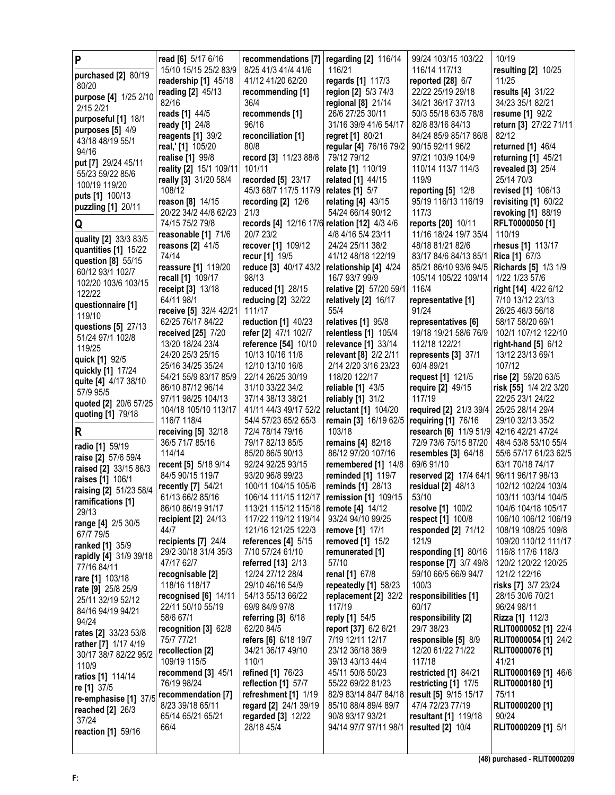| P                                            | read [6] 5/17 6/16                       | recommendations [7]                          | regarding [2] 116/14                         | 99/24 103/15 103/22                            | 10/19                                         |
|----------------------------------------------|------------------------------------------|----------------------------------------------|----------------------------------------------|------------------------------------------------|-----------------------------------------------|
| purchased [2] 80/19                          | 15/10 15/15 25/2 83/9                    | 8/25 41/3 41/4 41/6                          | 116/21                                       | 116/14 117/13                                  | resulting [2] 10/25                           |
| 80/20                                        | readership [1] 45/18                     | 41/12 41/20 62/20                            | regards [1] 117/3                            | reported $[28]$ 6/7                            | 11/25                                         |
| purpose [4] 1/25 2/10                        | reading [2] 45/13                        | recommending [1]                             | region [2] 5/3 74/3                          | 22/22 25/19 29/18                              | results [4] 31/22                             |
| 2/15 2/21                                    | 82/16                                    | 36/4                                         | regional $[8]$ 21/14                         | 34/21 36/17 37/13                              | 34/23 35/1 82/21                              |
| purposeful [1] 18/1                          | reads [1] 44/5                           | recommends [1]                               | 26/6 27/25 30/11                             | 50/3 55/18 63/5 78/8                           | resume [1] 92/2                               |
| purposes $[5]$ 4/9                           | ready [1] 24/8                           | 96/16                                        | 31/16 39/9 41/6 54/17                        | 82/8 83/16 84/13<br>84/24 85/9 85/17 86/8      | return [3] 27/22 71/11<br>82/12               |
| 43/18 48/19 55/1                             | reagents $[1]$ 39/2<br>real,' [1] 105/20 | reconciliation [1]<br>80/8                   | regret [1] 80/21<br>regular [4] 76/16 79/2   | 90/15 92/11 96/2                               | returned [1] 46/4                             |
| 94/16                                        | realise [1] 99/8                         | record [3] 11/23 88/8                        | 79/12 79/12                                  | 97/21 103/9 104/9                              | returning [1] 45/21                           |
| put [7] 29/24 45/11                          | reality [2] 15/1 109/11                  | 101/11                                       | relate [1] 110/19                            | 110/14 113/7 114/3                             | revealed [3] 25/4                             |
| 55/23 59/22 85/6                             | really [3] 31/20 58/4                    | recorded [5] 23/17                           | related [1] 44/15                            | 119/9                                          | 25/14 70/3                                    |
| 100/19 119/20                                | 108/12                                   | 45/3 68/7 117/5 117/9                        | relates [1] 5/7                              | reporting [5] 12/8                             | revised [1] 106/13                            |
| puts [1] 100/13                              | reason [8] 14/15                         | recording $[2]$ 12/6                         | relating [4] 43/15                           | 95/19 116/13 116/19                            | revisiting [1] 60/22                          |
| puzzling [1] 20/11                           | 20/22 34/2 44/8 62/23                    | 21/3                                         | 54/24 66/14 90/12                            | 117/3                                          | revoking [1] 88/19                            |
| Q                                            | 74/15 75/2 79/8                          | records [4] 12/16 17/6 relation [12] 4/3 4/6 |                                              | reports [20] 10/11                             | RFLT0000050 [1]                               |
| quality [2] 33/3 83/5                        | reasonable [1] 71/6                      | 20/7 23/2                                    | 4/8 4/16 5/4 23/11                           | 11/16 18/24 19/7 35/4                          | 110/19                                        |
| quantities [1] 15/22                         | reasons [2] 41/5                         | recover [1] 109/12                           | 24/24 25/11 38/2                             | 48/18 81/21 82/6                               | rhesus [1] 113/17                             |
| question [8] 55/15                           | 74/14                                    | recur [1] 19/5                               | 41/12 48/18 122/19                           | 83/17 84/6 84/13 85/1                          | <b>Rica</b> [1] 67/3                          |
| 60/12 93/1 102/7                             | reassure [1] 119/20                      | reduce [3] 40/17 43/2                        | relationship [4] 4/24                        | 85/21 86/10 93/6 94/5                          | Richards [5] 1/3 1/9                          |
| 102/20 103/6 103/15                          | recall [1] 109/17                        | 98/13                                        | 16/7 93/7 99/9                               | 105/14 105/22 109/14                           | 1/22 1/23 57/6                                |
| 122/22                                       | <b>receipt</b> [3] 13/18                 | reduced [1] 28/15                            | relative [2] 57/20 59/1                      | 116/4                                          | right [14] 4/22 6/12                          |
| questionnaire [1]                            | 64/11 98/1<br>receive [5] 32/4 42/21     | reducing [2] 32/22<br>111/17                 | relatively [2] 16/17<br>55/4                 | representative [1]<br>91/24                    | 7/10 13/12 23/13<br>26/25 46/3 56/18          |
| 119/10                                       | 62/25 76/17 84/22                        | reduction [1] 40/23                          | relatives [1] 95/8                           | representatives [6]                            | 58/17 58/20 69/1                              |
| questions [5] 27/13                          | received [25] 7/20                       | refer [2] 47/1 102/7                         | relentless [1] 105/4                         | 19/18 19/21 58/6 76/9                          | 102/1 107/12 122/10                           |
| 51/24 97/1 102/8                             | 13/20 18/24 23/4                         | reference [54] 10/10                         | relevance [1] 33/14                          | 112/18 122/21                                  | right-hand $[5]$ 6/12                         |
| 119/25                                       | 24/20 25/3 25/15                         | 10/13 10/16 11/8                             | relevant [8] 2/2 2/11                        | represents [3] 37/1                            | 13/12 23/13 69/1                              |
| quick [1] 92/5<br>quickly [1] 17/24          | 25/16 34/25 35/24                        | 12/10 13/10 16/8                             | 2/14 2/20 3/16 23/23                         | 60/4 89/21                                     | 107/12                                        |
| quite [4] 4/17 38/10                         | 54/21 55/9 83/17 85/9                    | 22/14 26/25 30/19                            | 118/20 122/17                                | request [1] 121/5                              | rise [2] 59/20 63/5                           |
| 57/9 95/5                                    | 86/10 87/12 96/14                        | 31/10 33/22 34/2                             | reliable $[1]$ 43/5                          | require [2] 49/15                              | risk [55] 1/4 2/2 3/20                        |
| quoted [2] 20/6 57/25                        | 97/11 98/25 104/13                       | 37/14 38/13 38/21                            | reliably [1] 31/2                            | 117/19                                         | 22/25 23/1 24/22                              |
| quoting [1] 79/18                            | 104/18 105/10 113/17                     | 41/11 44/3 49/17 52/2                        | reluctant [1] 104/20                         | required [2] 21/3 39/4                         | 25/25 28/14 29/4                              |
|                                              | 116/7 118/4                              | 54/4 57/23 65/2 65/3                         | remain [3] 16/19 62/5                        | requiring [1] 76/16                            | 29/10 32/13 35/2                              |
| R                                            | receiving [5] 32/18                      | 72/4 78/14 79/16                             | 103/18                                       | research [6] 11/9 51/9                         | 42/16 42/21 47/24                             |
| radio [1] 59/19                              | 36/5 71/7 85/16<br>114/14                | 79/17 82/13 85/5<br>85/20 86/5 90/13         | remains [4] 82/18<br>86/12 97/20 107/16      | 72/9 73/6 75/15 87/20<br>resembles $[3]$ 64/18 | 48/4 53/8 53/10 55/4<br>55/6 57/17 61/23 62/5 |
| raise [2] 57/6 59/4                          | recent [5] 5/18 9/14                     | 92/24 92/25 93/15                            | remembered [1] 14/8                          | 69/6 91/10                                     | 63/1 70/18 74/17                              |
| raised [2] 33/15 86/3                        | 84/5 90/15 119/7                         | 93/20 96/8 99/23                             | <b>reminded</b> [1] 119/7                    | reserved [2] 17/4 64/1                         | 96/11 96/17 98/13                             |
| raises [1] 106/1                             | recently [7] 54/21                       | 100/11 104/15 105/6                          | reminds [1] 28/13                            | residual $[2]$ 48/13                           | 102/12 102/24 103/4                           |
| raising [2] 51/23 58/4                       | 61/13 66/2 85/16                         |                                              | 106/14 111/15 112/17   remission [1] 109/15  | 53/10                                          | 103/11 103/14 104/5                           |
| ramifications [1]<br>29/13                   | 86/10 86/19 91/17                        | 113/21 115/12 115/18   remote [4] 14/12      |                                              | resolve [1] 100/2                              | 104/6 104/18 105/17                           |
| range [4] 2/5 30/5                           | recipient [2] 24/13                      | 117/22 119/12 119/14                         | 93/24 94/10 99/25                            | respect [1] 100/8                              | 106/10 106/12 106/19                          |
| 67/7 79/5                                    | 44/7                                     | 121/16 121/25 122/3                          | <b>remove [1]</b> 17/1                       | responded [2] 71/12                            | 108/19 108/25 109/8                           |
| ranked [1] 35/9                              | recipients [7] 24/4                      | references $[4]$ 5/15                        | removed [1] 15/2                             | 121/9                                          | 109/20 110/12 111/17                          |
| rapidly [4] 31/9 39/18                       | 29/2 30/18 31/4 35/3                     | 7/10 57/24 61/10                             | remunerated [1]                              | responding [1] 80/16                           | 116/8 117/6 118/3                             |
| 77/16 84/11                                  | 47/17 62/7                               | referred [13] 2/13                           | 57/10                                        | response [7] 3/7 49/8                          | 120/2 120/22 120/25                           |
| rare [1] 103/18                              | recognisable [2]                         | 12/24 27/12 28/4                             | renal [1] 67/8                               | 59/10 66/5 66/9 94/7                           | 121/2 122/16                                  |
| rate [9] 25/8 25/9                           | 118/16 118/17<br>recognised [6] 14/11    | 29/10 46/16 54/9<br>54/13 55/13 66/22        | repeatedly [1] 58/23<br>replacement [2] 32/2 | 100/3<br>responsibilities [1]                  | risks [7] 3/7 23/24<br>28/15 30/6 70/21       |
| 25/11 32/19 52/12                            | 22/11 50/10 55/19                        | 69/9 84/9 97/8                               | 117/19                                       | 60/17                                          | 96/24 98/11                                   |
| 84/16 94/19 94/21                            | 58/6 67/1                                | referring [3] 6/18                           | reply [1] 54/5                               | responsibility [2]                             | Rizza [1] 112/3                               |
| 94/24                                        | recognition [3] 62/8                     | 62/20 84/5                                   | report [37] 6/2 6/21                         | 29/7 38/23                                     | RLIT0000052 [1] 22/4                          |
| rates [2] 33/23 53/8<br>rather [7] 1/17 4/19 | 75/7 77/21                               | <b>refers [6] 6/18 19/7</b>                  | 7/19 12/11 12/17                             | responsible [5] 8/9                            | RLIT0000054 [1] 24/2                          |
| 30/17 38/7 82/22 95/2                        | recollection [2]                         | 34/21 36/17 49/10                            | 23/12 36/18 38/9                             | 12/20 61/22 71/22                              | RLIT0000076 [1]                               |
| 110/9                                        | 109/19 115/5                             | 110/1                                        | 39/13 43/13 44/4                             | 117/18                                         | 41/21                                         |
| ratios [1] 114/14                            | recommend [3] 45/1                       | refined [1] 76/23                            | 45/11 50/8 50/23                             | restricted [1] 84/21                           | RLIT0000169 [1] 46/6                          |
| re [1] 37/5                                  | 76/19 98/24                              | reflection [1] 57/7                          | 55/22 69/22 81/23                            | restricting [1] 17/5                           | RLIT0000180 [1]                               |
| re-emphasise [1] 37/5                        | recommendation [7]                       | refreshment [1] 1/19                         | 82/9 83/14 84/7 84/18                        | result [5] 9/15 15/17                          | 75/11                                         |
| reached [2] 26/3                             | 8/23 39/18 65/11                         | regard [2] 24/1 39/19                        | 85/10 88/4 89/4 89/7                         | 47/4 72/23 77/19                               | RLIT0000200 [1]<br>90/24                      |
| 37/24                                        | 65/14 65/21 65/21<br>66/4                | regarded [3] 12/22<br>28/18 45/4             | 90/8 93/17 93/21<br>94/14 97/7 97/11 98/1    | resultant [1] 119/18<br>resulted $[2]$ 10/4    | RLIT0000209 [1] 5/1                           |
| reaction [1] 59/16                           |                                          |                                              |                                              |                                                |                                               |
|                                              |                                          |                                              |                                              |                                                |                                               |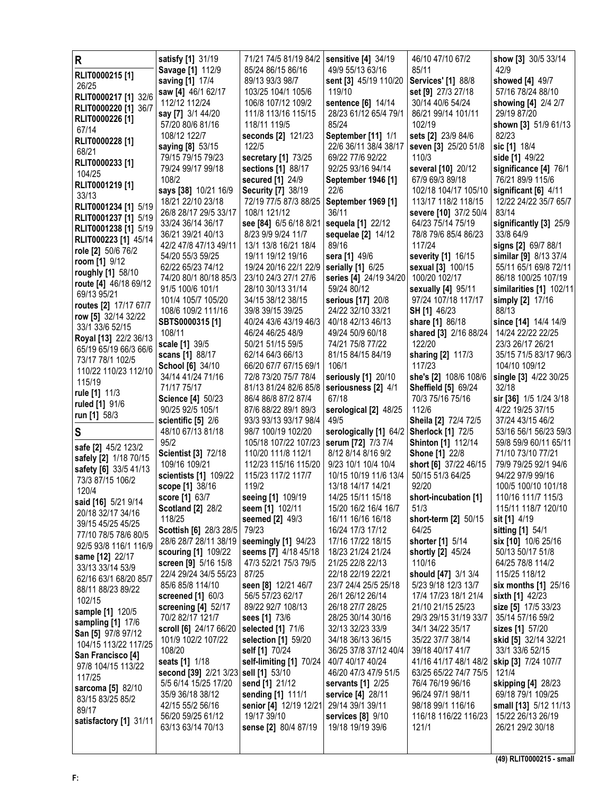| R                                          | satisfy [1] 31/19                          | 71/21 74/5 81/19 84/2                        | sensitive [4] 34/19                        | 46/10 47/10 67/2                            | show [3] 30/5 33/14                     |
|--------------------------------------------|--------------------------------------------|----------------------------------------------|--------------------------------------------|---------------------------------------------|-----------------------------------------|
| RLIT0000215 [1]                            | Savage [1] 112/9                           | 85/24 86/15 86/16                            | 49/9 55/13 63/16                           | 85/11                                       | 42/9                                    |
| 26/25                                      | saving [1] 17/4                            | 89/13 93/3 98/7                              | sent [3] 45/19 110/20                      | <b>Services'</b> [1] 88/8                   | showed [4] 49/7                         |
| RLIT0000217 [1] 32/6                       | saw [4] 46/1 62/17<br>112/12 112/24        | 103/25 104/1 105/6<br>106/8 107/12 109/2     | 119/10<br>sentence [6] 14/14               | set [9] 27/3 27/18<br>30/14 40/6 54/24      | 57/16 78/24 88/10                       |
| RLIT0000220 [1] 36/7                       | say [7] 3/1 44/20                          | 111/8 113/16 115/15                          | 28/23 61/12 65/4 79/1                      | 86/21 99/14 101/11                          | showing [4] 2/4 2/7<br>29/19 87/20      |
| RLIT0000226 [1]                            | 57/20 80/6 81/16                           | 118/11 119/5                                 | 85/24                                      | 102/19                                      | shown [3] 51/9 61/13                    |
| 67/14                                      | 108/12 122/7                               | seconds [2] 121/23                           | September [11] 1/1                         | sets [2] 23/9 84/6                          | 82/23                                   |
| RLIT0000228 [1]                            | saying [8] 53/15                           | 122/5                                        | 22/6 36/11 38/4 38/17                      | seven [3] 25/20 51/8                        | sic [1] 18/4                            |
| 68/21                                      | 79/15 79/15 79/23                          | secretary [1] 73/25                          | 69/22 77/6 92/22                           | 110/3                                       | side [1] 49/22                          |
| RLIT0000233 [1]<br>104/25                  | 79/24 99/17 99/18                          | sections [1] 88/17                           | 92/25 93/16 94/14                          | several [10] 20/12                          | significance [4] 76/1                   |
| RLIT0001219 [1]                            | 108/2                                      | <b>secured</b> [1] 24/9                      | September 1946 [1]                         | 67/9 69/3 89/18                             | 76/21 89/9 115/6                        |
| 33/13                                      | says [38] 10/21 16/9                       | <b>Security [7] 38/19</b>                    | 22/6                                       | 102/18 104/17 105/10                        | significant [6] 4/11                    |
| RLIT0001234 [1] 5/19                       | 18/21 22/10 23/18                          | 72/19 77/5 87/3 88/25                        | September 1969 [1]                         | 113/17 118/2 118/15                         | 12/22 24/22 35/7 65/7                   |
| RLIT0001237 [1] 5/19                       | 26/8 28/17 29/5 33/17                      | 108/1 121/12                                 | 36/11                                      | severe [10] 37/2 50/4                       | 83/14                                   |
| RLIT0001238 [1] 5/19                       | 33/24 36/14 36/17<br>36/21 39/21 40/13     | see [84] 6/5 6/18 8/21<br>8/23 9/9 9/24 11/7 | sequela [1] 22/12                          | 64/23 75/14 75/19<br>78/8 79/6 85/4 86/23   | significantly [3] 25/9<br>33/8 64/9     |
| RLIT000223 [1] 45/14                       | 42/2 47/8 47/13 49/11                      | 13/1 13/8 16/21 18/4                         | sequelae [2] 14/12<br>89/16                | 117/24                                      | signs [2] 69/7 88/1                     |
| role [2] 50/6 76/2                         | 54/20 55/3 59/25                           | 19/11 19/12 19/16                            | sera [1] 49/6                              | severity [1] 16/15                          | similar [9] 8/13 37/4                   |
| room [1] 9/12                              | 62/22 65/23 74/12                          | 19/24 20/16 22/1 22/9                        | serially [1] 6/25                          | sexual [3] 100/15                           | 55/11 65/1 69/8 72/11                   |
| roughly [1] 58/10                          | 74/20 80/1 80/18 85/3                      | 23/10 24/3 27/1 27/6                         | series [4] 24/19 34/20                     | 100/20 102/17                               | 86/18 100/25 107/19                     |
| route [4] 46/18 69/12<br>69/13 95/21       | 91/5 100/6 101/1                           | 28/10 30/13 31/14                            | 59/24 80/12                                | sexually [4] 95/11                          | similarities [1] 102/11                 |
| routes [2] 17/17 67/7                      | 101/4 105/7 105/20                         | 34/15 38/12 38/15                            | serious [17] 20/8                          | 97/24 107/18 117/17                         | simply [2] 17/16                        |
| row [5] 32/14 32/22                        | 108/6 109/2 111/16                         | 39/8 39/15 39/25                             | 24/22 32/10 33/21                          | SH [1] 46/23                                | 88/13                                   |
| 33/1 33/6 52/15                            | SBTS0000315 [1]                            | 40/24 43/6 43/19 46/3                        | 40/18 42/13 46/13                          | share [1] 86/18                             | since [14] 14/4 14/9                    |
| Royal [13] 22/2 36/13                      | 108/11                                     | 46/24 46/25 48/9                             | 49/24 50/9 60/18                           | shared [3] 2/16 88/24                       | 14/24 22/22 22/25                       |
| 65/19 65/19 66/3 66/6                      | scale [1] 39/5                             | 50/21 51/15 59/5                             | 74/21 75/8 77/22                           | 122/20                                      | 23/3 26/17 26/21                        |
| 73/17 78/1 102/5                           | scans [1] 88/17<br><b>School [6] 34/10</b> | 62/14 64/3 66/13<br>66/20 67/7 67/15 69/1    | 81/15 84/15 84/19<br>106/1                 | sharing [2] 117/3<br>117/23                 | 35/15 71/5 83/17 96/3<br>104/10 109/12  |
| 110/22 110/23 112/10                       | 34/14 41/24 71/16                          | 72/8 73/20 75/7 78/4                         | seriously [1] 20/10                        | she's [2] 108/6 108/6                       | single [3] 4/22 30/25                   |
| 115/19                                     | 71/17 75/17                                | 81/13 81/24 82/6 85/8                        | seriousness [2] 4/1                        | <b>Sheffield [5] 69/24</b>                  | 32/18                                   |
| rule [1] 11/3                              | <b>Science [4] 50/23</b>                   | 86/4 86/8 87/2 87/4                          | 67/18                                      | 70/3 75/16 75/16                            | sir [36] 1/5 1/24 3/18                  |
| ruled [1] 91/6                             | 90/25 92/5 105/1                           | 87/6 88/22 89/1 89/3                         | serological [2] 48/25                      | 112/6                                       | 4/22 19/25 37/15                        |
| run [1] 58/3                               | scientific $[5]$ 2/6                       | 93/3 93/13 93/17 98/4                        | 49/5                                       | Sheila [2] 72/4 72/5                        | 37/24 43/15 46/2                        |
| S                                          | 48/10 67/13 81/18                          | 98/7 100/19 102/20                           | serologically [1] 64/2                     | <b>Sherlock [1] 72/5</b>                    | 53/16 56/1 56/23 59/3                   |
| safe [2] 45/2 123/2                        | 95/2                                       | 105/18 107/22 107/23                         | serum [72] 7/3 7/4                         | <b>Shinton</b> [1] 112/14                   | 59/8 59/9 60/11 65/11                   |
| safely [2] 1/18 70/15                      | <b>Scientist [3] 72/18</b>                 | 110/20 111/8 112/1                           | 8/12 8/14 8/16 9/2                         | <b>Shone [1] 22/8</b>                       | 71/10 73/10 77/21                       |
| safety [6] 33/5 41/13                      | 109/16 109/21                              | 112/23 115/16 115/20                         | 9/23 10/1 10/4 10/4                        | short [6] 37/22 46/15                       | 79/9 79/25 92/1 94/6                    |
| 73/3 87/15 106/2                           | scientists [1] 109/22<br>scope [1] 38/16   | 115/23 117/2 117/7<br>119/2                  | 10/15 10/19 11/6 13/4<br>13/18 14/17 14/21 | 50/15 51/3 64/25<br>92/20                   | 94/22 97/9 99/16<br>100/5 100/10 101/18 |
| 120/4                                      | score [1] 63/7                             | seeing [1] 109/19                            | 14/25 15/11 15/18                          | short-incubation [1]                        | 110/16 111/7 115/3                      |
| said [16] 5/21 9/14                        | <b>Scotland [2] 28/2</b>                   | seem [1] 102/11                              | 15/20 16/2 16/4 16/7                       | 51/3                                        | 115/11 118/7 120/10                     |
| 20/18 32/17 34/16                          | 118/25                                     | seemed [2] 49/3                              | 16/11 16/16 16/18                          | short-term [2] 50/15                        | sit [1] 4/19                            |
| 39/15 45/25 45/25<br>77/10 78/5 78/6 80/5  | Scottish [6] 28/3 28/5                     | 79/23                                        | 16/24 17/3 17/12                           | 64/25                                       | sitting [1] 54/1                        |
| 92/5 93/8 116/1 116/9                      | 28/6 28/7 28/11 38/19                      | seemingly [1] 94/23                          | 17/16 17/22 18/15                          | shorter [1] 5/14                            | six [10] 10/6 25/16                     |
| same [12] 22/17                            | scouring [1] 109/22                        | seems [7] 4/18 45/18                         | 18/23 21/24 21/24                          | shortly [2] 45/24                           | 50/13 50/17 51/8                        |
| 33/13 33/14 53/9                           | screen [9] 5/16 15/8                       | 47/3 52/21 75/3 79/5                         | 21/25 22/8 22/13                           | 110/16                                      | 64/25 78/8 114/2                        |
| 62/16 63/1 68/20 85/7                      | 22/4 29/24 34/5 55/23                      | 87/25                                        | 22/18 22/19 22/21                          | should [47] 3/1 3/4                         | 115/25 118/12                           |
| 88/11 88/23 89/22                          | 85/6 85/8 114/10<br>screened $[1]$ 60/3    | seen [8] 12/21 46/7<br>56/5 57/23 62/17      | 23/7 24/4 25/5 25/18<br>26/1 26/12 26/14   | 5/23 9/18 12/3 13/7<br>17/4 17/23 18/1 21/4 | six months [1] 25/16<br>sixth [1] 42/23 |
| 102/15                                     | screening $[4]$ 52/17                      | 89/22 92/7 108/13                            | 26/18 27/7 28/25                           | 21/10 21/15 25/23                           | size [5] 17/5 33/23                     |
| sample [1] 120/5                           | 70/2 82/17 121/7                           | sees [1] 73/6                                | 28/25 30/14 30/16                          | 29/3 29/15 31/19 33/7                       | 35/14 57/16 59/2                        |
| sampling [1] 17/6                          | scroll [6] 24/17 66/20                     | selected [1] 71/6                            | 32/13 32/23 33/9                           | 34/1 34/22 35/17                            | sizes [1] 57/20                         |
| San [5] 97/8 97/12<br>104/15 113/22 117/25 | 101/9 102/2 107/22                         | selection [1] 59/20                          | 34/18 36/13 36/15                          | 35/22 37/7 38/14                            | skid [5] 32/14 32/21                    |
| San Francisco [4]                          | 108/20                                     | self [1] 70/24                               | 36/25 37/8 37/12 40/4                      | 39/18 40/17 41/7                            | 33/1 33/6 52/15                         |
| 97/8 104/15 113/22                         | seats [1] 1/18                             | self-limiting [1] 70/24                      | 40/7 40/17 40/24                           | 41/16 41/17 48/1 48/2                       | skip [3] 7/24 107/7                     |
| 117/25                                     | second [39] 2/21 3/23 sell [1] 53/10       |                                              | 46/20 47/3 47/9 51/5                       | 63/25 65/22 74/7 75/5                       | 121/4                                   |
| sarcoma [5] 82/10                          | 5/5 6/14 15/25 17/20<br>35/9 36/18 38/12   | send [1] 21/12                               | servants [1] 2/25                          | 76/4 76/19 96/16<br>96/24 97/1 98/11        | skipping [4] 28/23<br>69/18 79/1 109/25 |
| 83/15 83/25 85/2                           | 42/15 55/2 56/16                           | sending [1] 111/1<br>senior [4] 12/19 12/21  | service [4] 28/11<br>29/14 39/1 39/11      | 98/18 99/1 116/16                           | small [13] 5/12 11/13                   |
| 89/17                                      | 56/20 59/25 61/12                          | 19/17 39/10                                  | services [8] 9/10                          | 116/18 116/22 116/23                        | 15/22 26/13 26/19                       |
| satisfactory [1] 31/11                     | 63/13 63/14 70/13                          | sense [2] 80/4 87/19                         | 19/18 19/19 39/6                           | 121/1                                       | 26/21 29/2 30/18                        |
|                                            |                                            |                                              |                                            |                                             |                                         |
|                                            |                                            |                                              |                                            |                                             |                                         |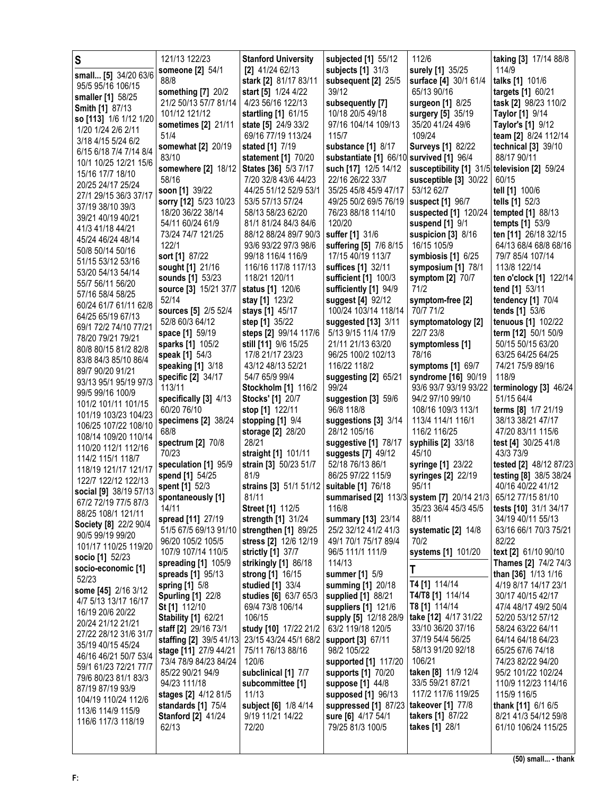| S                                            | 121/13 122/23                        | <b>Stanford University</b>                  | subjected [1] 55/12                            | 112/6                                                                 | taking [3] 17/14 88/8                  |
|----------------------------------------------|--------------------------------------|---------------------------------------------|------------------------------------------------|-----------------------------------------------------------------------|----------------------------------------|
| small [5] 34/20 63/6                         | someone [2] 54/1                     | $[2]$ 41/24 62/13                           | subjects [1] 31/3                              | surely [1] 35/25                                                      | 114/9                                  |
| 95/5 95/16 106/15                            | 88/8                                 | stark [2] 81/17 83/11                       | subsequent [2] 25/5                            | surface [4] 30/1 61/4                                                 | talks [1] 101/6                        |
| smaller [1] 58/25                            | something [7] 20/2                   | start [5] 1/24 4/22                         | 39/12                                          | 65/13 90/16                                                           | targets [1] 60/21                      |
| <b>Smith [1] 87/13</b>                       | 21/2 50/13 57/7 81/14                | 4/23 56/16 122/13                           | subsequently [7]                               | surgeon [1] 8/25                                                      | task [2] 98/23 110/2                   |
| so [113] 1/6 1/12 1/20                       | 101/12 121/12                        | startling [1] 61/15                         | 10/18 20/5 49/18                               | surgery [5] 35/19                                                     | <b>Taylor</b> [1] 9/14                 |
| 1/20 1/24 2/6 2/11                           | sometimes [2] 21/11                  | state [5] 24/9 33/2                         | 97/16 104/14 109/13                            | 35/20 41/24 49/6                                                      | Taylor's [1] 9/12                      |
| 3/18 4/15 5/24 6/2                           | 51/4                                 | 69/16 77/19 113/24                          | 115/7                                          | 109/24                                                                | team [2] 8/24 112/14                   |
| 6/15 6/18 7/4 7/14 8/4                       | somewhat [2] 20/19                   | stated [1] 7/19                             | substance [1] 8/17                             | <b>Surveys [1] 82/22</b>                                              | technical [3] 39/10                    |
| 10/1 10/25 12/21 15/6                        | 83/10<br>somewhere [2] 18/12         | statement [1] 70/20<br>States [36] 5/3 7/17 | substantiate [1] 66/10<br>such [17] 12/5 14/12 | survived [1] 96/4<br>susceptibility [1] 31/5                          | 88/17 90/11<br>television [2] 59/24    |
| 15/16 17/7 18/10                             | 58/16                                | 7/20 32/8 43/6 44/23                        | 22/16 26/22 33/7                               | susceptible [3] 30/22                                                 | 60/15                                  |
| 20/25 24/17 25/24                            | soon [1] 39/22                       | 44/25 51/12 52/9 53/1                       | 35/25 45/8 45/9 47/17                          | 53/12 62/7                                                            | tell [1] 100/6                         |
| 27/1 29/15 36/3 37/17                        | sorry [12] 5/23 10/23                | 53/5 57/13 57/24                            | 49/25 50/2 69/5 76/19   suspect [1] 96/7       |                                                                       | tells [1] 52/3                         |
| 37/19 38/10 39/3                             | 18/20 36/22 38/14                    | 58/13 58/23 62/20                           | 76/23 88/18 114/10                             | suspected [1] 120/24                                                  | tempted [1] 88/13                      |
| 39/21 40/19 40/21                            | 54/11 60/24 61/9                     | 81/1 81/24 84/3 84/6                        | 120/20                                         | suspend [1] 9/1                                                       | tempts [1] 53/9                        |
| 41/3 41/18 44/21                             | 73/24 74/7 121/25                    | 88/12 88/24 89/7 90/3                       | suffer [1] 31/6                                | suspicion $[3]$ 8/16                                                  | ten [11] 26/18 32/15                   |
| 45/24 46/24 48/14                            | 122/1                                | 93/6 93/22 97/3 98/6                        | suffering [5] 7/6 8/15                         | 16/15 105/9                                                           | 64/13 68/4 68/8 68/16                  |
| 50/8 50/14 50/16                             | sort [1] 87/22                       | 99/18 116/4 116/9                           | 17/15 40/19 113/7                              | symbiosis [1] 6/25                                                    | 79/7 85/4 107/14                       |
| 51/15 53/12 53/16<br>53/20 54/13 54/14       | sought [1] 21/16                     | 116/16 117/8 117/13                         | suffices [1] 32/11                             | symposium [1] 78/1                                                    | 113/8 122/14                           |
| 55/7 56/11 56/20                             | sounds [1] 53/23                     | 118/21 120/11                               | sufficient [1] 100/3                           | symptom [2] 70/7                                                      | ten o'clock [1] 122/14                 |
| 57/16 58/4 58/25                             | source [3] 15/21 37/7                | status [1] 120/6                            | sufficiently [1] 94/9                          | 71/2                                                                  | tend [1] 53/11                         |
| 60/24 61/7 61/11 62/8                        | 52/14                                | stay [1] 123/2                              | suggest [4] 92/12                              | symptom-free [2]                                                      | tendency [1] 70/4                      |
| 64/25 65/19 67/13                            | sources [5] 2/5 52/4                 | stays [1] 45/17                             | 100/24 103/14 118/14                           | 70/7 71/2                                                             | tends [1] 53/6                         |
| 69/1 72/2 74/10 77/21                        | 52/8 60/3 64/12                      | step [1] 35/22                              | suggested [13] 3/11                            | symptomatology [2]                                                    | tenuous [1] 102/22                     |
| 78/20 79/21 79/21                            | space [1] 59/19                      | steps [2] 99/14 117/6                       | 5/13 9/15 11/4 17/9                            | 22/7 23/8                                                             | term [12] 50/1 50/9                    |
| 80/8 80/15 81/2 82/8                         | sparks [1] 105/2                     | still [11] 9/6 15/25<br>17/8 21/17 23/23    | 21/11 21/13 63/20<br>96/25 100/2 102/13        | symptomless [1]<br>78/16                                              | 50/15 50/15 63/20<br>63/25 64/25 64/25 |
| 83/8 84/3 85/10 86/4                         | speak [1] 54/3<br>speaking [1] 3/18  | 43/12 48/13 52/21                           | 116/22 118/2                                   | symptoms [1] 69/7                                                     | 74/21 75/9 89/16                       |
| 89/7 90/20 91/21                             | specific [2] 34/17                   | 54/7 65/9 99/4                              | suggesting [2] 65/21                           | syndrome [16] 90/19                                                   | 118/9                                  |
| 93/13 95/1 95/19 97/3                        | 113/11                               | Stockholm [1] 116/2                         | 99/24                                          | 93/6 93/7 93/19 93/22                                                 | terminology [3] 46/24                  |
| 99/5 99/16 100/9                             | specifically [3] 4/13                | <b>Stocks'</b> [1] 20/7                     | suggestion [3] 59/6                            | 94/2 97/10 99/10                                                      | 51/15 64/4                             |
| 101/2 101/11 101/15                          | 60/20 76/10                          | stop [1] 122/11                             | 96/8 118/8                                     | 108/16 109/3 113/1                                                    | terms [8] 1/7 21/19                    |
| 101/19 103/23 104/23<br>106/25 107/22 108/10 | specimens [2] 38/24                  | stopping [1] 9/4                            | suggestions [3] 3/14                           | 113/4 114/1 116/1                                                     | 38/13 38/21 47/17                      |
| 108/14 109/20 110/14                         | 68/8                                 | storage [2] 28/20                           | 28/12 105/16                                   | 116/2 116/25                                                          | 47/20 83/11 115/6                      |
| 110/20 112/1 112/16                          | spectrum [2] 70/8                    | 28/21                                       | suggestive [1] 78/17                           | syphilis [2] 33/18                                                    | test [4] 30/25 41/8                    |
| 114/2 115/1 118/7                            | 70/23                                | straight [1] 101/11                         | suggests [7] 49/12                             | 45/10                                                                 | 43/3 73/9                              |
| 118/19 121/17 121/17                         | speculation [1] 95/9                 | strain [3] 50/23 51/7                       | 52/18 76/13 86/1                               | syringe [1] 23/22                                                     | tested [2] 48/12 87/23                 |
| 122/7 122/12 122/13                          | spend [1] 54/25                      | 81/9                                        | 86/25 97/22 115/9                              | syringes [2] 22/19                                                    | testing [8] 38/5 38/24                 |
| social [9] 38/19 57/13                       | spent [1] 52/3                       | strains [3] 51/1 51/12<br>81/11             | suitable [1] 76/18                             | 95/11<br>summarised [2] 113/3 system [7] 20/14 21/3 65/12 77/15 81/10 | 40/16 40/22 41/12                      |
| 67/2 72/19 77/5 87/3                         | spontaneously [1]<br>14/11           | <b>Street [1] 112/5</b>                     | 116/8                                          | 35/23 36/4 45/3 45/5                                                  | tests [10] 31/1 34/17                  |
| 88/25 108/1 121/11                           | spread [11] 27/19                    | strength [1] 31/24                          | summary [13] 23/14                             | 88/11                                                                 | 34/19 40/11 55/13                      |
| Society [8] 22/2 90/4                        | 51/5 67/5 69/13 91/10                | strengthen [1] 89/25                        | 25/2 32/12 41/2 41/3                           | systematic [2] 14/8                                                   | 63/16 66/1 70/3 75/21                  |
| 90/5 99/19 99/20                             | 96/20 105/2 105/5                    | stress [2] 12/6 12/19                       | 49/1 70/1 75/17 89/4                           | 70/2                                                                  | 82/22                                  |
| 101/17 110/25 119/20                         | 107/9 107/14 110/5                   | strictly [1] 37/7                           | 96/5 111/1 111/9                               | systems [1] 101/20                                                    | text [2] 61/10 90/10                   |
| socio [1] 52/23<br>socio-economic [1]        | spreading [1] 105/9                  | strikingly [1] 86/18                        | 114/13                                         | T                                                                     | Thames [2] 74/2 74/3                   |
| 52/23                                        | spreads [1] 95/13                    | strong [1] 16/15                            | summer [1] 5/9                                 |                                                                       | than [36] 1/13 1/16                    |
| some [45] 2/16 3/12                          | spring [1] 5/8                       | studied [1] 33/4                            | summing [1] 20/18                              | T4 [1] 114/14                                                         | 4/19 8/17 14/17 23/1                   |
| 4/7 5/13 13/17 16/17                         | <b>Spurling [1] 22/8</b>             | studies [6] 63/7 65/3                       | supplied [1] 88/21                             | T4/T8 [1] 114/14                                                      | 30/17 40/15 42/17                      |
| 16/19 20/6 20/22                             | St [1] 112/10                        | 69/4 73/8 106/14                            | suppliers [1] 121/6                            | T8 [1] 114/14                                                         | 47/4 48/17 49/2 50/4                   |
| 20/24 21/12 21/21                            | <b>Stability [1] 62/21</b>           | 106/15                                      | supply [5] 12/18 28/9                          | take [12] 4/17 31/22                                                  | 52/20 53/12 57/12                      |
| 27/22 28/12 31/6 31/7                        | staff [2] 29/16 73/1                 | study [10] 17/22 21/2                       | 63/2 119/18 120/5                              | 33/10 36/20 37/16                                                     | 58/24 63/22 64/11                      |
| 35/19 40/15 45/24                            | staffing [2] 39/5 41/13              | 23/15 43/24 45/1 68/2                       | support [3] 67/11                              | 37/19 54/4 56/25                                                      | 64/14 64/18 64/23                      |
| 46/16 46/21 50/7 53/4                        | stage [11] 27/9 44/21                | 75/11 76/13 88/16                           | 98/2 105/22                                    | 58/13 91/20 92/18                                                     | 65/25 67/6 74/18                       |
| 59/1 61/23 72/21 77/7                        | 73/4 78/9 84/23 84/24                | 120/6                                       | supported [1] 117/20                           | 106/21                                                                | 74/23 82/22 94/20                      |
| 79/6 80/23 81/1 83/3                         | 85/22 90/21 94/9                     | subclinical [1] 7/7                         | supports [1] 70/20                             | taken [8] 11/9 12/4<br>33/5 59/21 87/21                               | 95/2 101/22 102/24                     |
| 87/19 87/19 93/9                             | 94/23 111/18<br>stages [2] 4/12 81/5 | subcommittee [1]<br>11/13                   | suppose [1] 44/8<br>supposed [1] 96/13         | 117/2 117/6 119/25                                                    | 110/9 112/23 114/16<br>115/9 116/5     |
| 104/19 110/24 112/6                          | standards [1] 75/4                   | subject [6] 1/8 4/14                        | suppressed [1] 87/23                           | takeover [1] 77/8                                                     | thank [11] 6/1 6/5                     |
| 113/6 114/9 115/9                            | <b>Stanford [2] 41/24</b>            | 9/19 11/21 14/22                            | sure [6] 4/17 54/1                             | takers [1] 87/22                                                      | 8/21 41/3 54/12 59/8                   |
| 116/6 117/3 118/19                           | 62/13                                | 72/20                                       | 79/25 81/3 100/5                               | takes [1] 28/1                                                        | 61/10 106/24 115/25                    |
|                                              |                                      |                                             |                                                |                                                                       |                                        |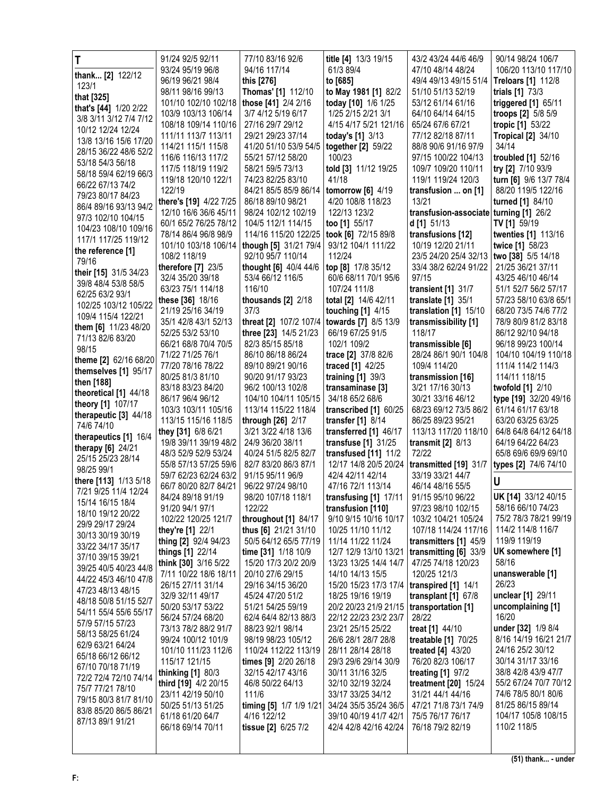| T                                         | 91/24 92/5 92/11                       | 77/10 83/16 92/6                             | title [4] 13/3 19/15                           | 43/2 43/24 44/6 46/9                      | 90/14 98/24 106/7                            |
|-------------------------------------------|----------------------------------------|----------------------------------------------|------------------------------------------------|-------------------------------------------|----------------------------------------------|
| thank [2] 122/12                          | 93/24 95/19 96/8                       | 94/16 117/14                                 | 61/3 89/4                                      | 47/10 48/14 48/24                         | 106/20 113/10 117/10                         |
| 123/1                                     | 96/19 96/21 98/4                       | this [276]                                   | to [685]                                       | 49/4 49/13 49/15 51/4                     | <b>Treloars [1] 112/8</b>                    |
| that [325]                                | 98/11 98/16 99/13                      | Thomas' [1] 112/10                           | to May 1981 [1] 82/2                           | 51/10 51/13 52/19                         | trials [1] 73/3                              |
| that's [44] 1/20 2/22                     | 101/10 102/10 102/18                   | those [41] 2/4 2/16                          | today [10] 1/6 1/25                            | 53/12 61/14 61/16                         | triggered [1] 65/11                          |
| 3/8 3/11 3/12 7/4 7/12                    | 103/9 103/13 106/14                    | 3/7 4/12 5/19 6/17                           | 1/25 2/15 2/21 3/1                             | 64/10 64/14 64/15                         | troops $[2]$ 5/8 5/9                         |
| 10/12 12/24 12/24                         | 108/18 109/14 110/16                   | 27/16 29/7 29/12                             | 4/15 4/17 5/21 121/16                          | 65/24 67/6 67/21                          | tropic [1] 53/22                             |
| 13/8 13/16 15/6 17/20                     | 111/11 113/7 113/11                    | 29/21 29/23 37/14                            | today's [1] 3/13                               | 77/12 82/18 87/11                         | <b>Tropical [2] 34/10</b>                    |
| 28/15 36/22 48/6 52/2                     | 114/21 115/1 115/8                     | 41/20 51/10 53/9 54/5                        | together [2] 59/22                             | 88/8 90/6 91/16 97/9                      | 34/14                                        |
| 53/18 54/3 56/18                          | 116/6 116/13 117/2                     | 55/21 57/12 58/20                            | 100/23                                         | 97/15 100/22 104/13                       | troubled [1] 52/16                           |
| 58/18 59/4 62/19 66/3                     | 117/5 118/19 119/2                     | 58/21 59/5 73/13                             | told [3] 11/12 19/25                           | 109/7 109/20 110/11                       | try [2] 7/10 93/9                            |
| 66/22 67/13 74/2                          | 119/18 120/10 122/1<br>122/19          | 74/23 82/25 83/10<br>84/21 85/5 85/9 86/14   | 41/18                                          | 119/1 119/24 120/3                        | turn [6] 9/6 13/7 78/4<br>88/20 119/5 122/16 |
| 79/23 80/17 84/23                         | there's [19] 4/22 7/25                 | 86/18 89/10 98/21                            | tomorrow $[6]$ 4/19<br>4/20 108/8 118/23       | transfusion  on [1]<br>13/21              | turned [1] 84/10                             |
| 86/4 89/16 93/13 94/2                     | 12/10 16/6 36/6 45/11                  | 98/24 102/12 102/19                          | 122/13 123/2                                   | transfusion-associate turning [1] 26/2    |                                              |
| 97/3 102/10 104/15                        | 60/1 65/2 76/25 78/12                  | 104/5 112/1 114/15                           | too [1] 55/17                                  | d[1] 51/13                                | <b>TV</b> [1] 59/19                          |
| 104/23 108/10 109/16                      | 78/14 86/4 96/8 98/9                   | 114/16 115/20 122/25                         | took [6] 72/15 89/8                            | transfusions [12]                         | twenties [1] 113/16                          |
| 117/1 117/25 119/12                       | 101/10 103/18 106/14                   | though [5] 31/21 79/4                        | 93/12 104/1 111/22                             | 10/19 12/20 21/11                         | twice [1] 58/23                              |
| the reference [1]                         | 108/2 118/19                           | 92/10 95/7 110/14                            | 112/24                                         | 23/5 24/20 25/4 32/13                     | two [38] 5/5 14/18                           |
| 79/16                                     | therefore $[7]$ 23/5                   | thought [6] 40/4 44/6                        | top [8] 17/8 35/12                             | 33/4 38/2 62/24 91/22                     | 21/25 36/21 37/11                            |
| their [15] 31/5 34/23                     | 32/4 35/20 39/18                       | 53/4 66/12 116/5                             | 60/6 68/11 70/1 95/6                           | 97/15                                     | 43/25 46/10 46/14                            |
| 39/8 48/4 53/8 58/5                       | 63/23 75/1 114/18                      | 116/10                                       | 107/24 111/8                                   | transient [1] 31/7                        | 51/1 52/7 56/2 57/17                         |
| 62/25 63/2 93/1                           | these [36] 18/16                       | thousands $[2]$ $2/18$                       | total [2] 14/6 42/11                           | translate $[1]$ 35/1                      | 57/23 58/10 63/8 65/1                        |
| 102/25 103/12 105/22                      | 21/19 25/16 34/19                      | 37/3                                         | touching $[1]$ 4/15                            | translation [1] 15/10                     | 68/20 73/5 74/6 77/2                         |
| 109/4 115/4 122/21                        | 35/1 42/8 43/1 52/13                   | threat [2] 107/2 107/4                       | towards [7] 8/5 13/9                           | transmissibility [1]                      | 78/9 80/9 81/2 83/18                         |
| them [6] 11/23 48/20<br>71/13 82/6 83/20  | 52/25 53/2 53/10                       | three [23] 14/5 21/23                        | 66/19 67/25 91/5                               | 118/17                                    | 86/12 92/10 94/18                            |
| 98/15                                     | 66/21 68/8 70/4 70/5                   | 82/3 85/15 85/18                             | 102/1 109/2                                    | transmissible [6]                         | 96/18 99/23 100/14                           |
| theme [2] 62/16 68/20                     | 71/22 71/25 76/1                       | 86/10 86/18 86/24                            | trace [2] 37/8 82/6                            | 28/24 86/1 90/1 104/8                     | 104/10 104/19 110/18                         |
| themselves [1] 95/17                      | 77/20 78/16 78/22                      | 89/10 89/21 90/16                            | traced [1] 42/25                               | 109/4 114/20                              | 111/4 114/2 114/3                            |
| then [188]                                | 80/25 81/3 81/10                       | 90/20 91/17 93/23                            | training $[1]$ 39/3                            | transmission [16]                         | 114/11 118/15                                |
| theoretical [1] 44/18                     | 83/18 83/23 84/20                      | 96/2 100/13 102/8                            | transaminase [3]                               | 3/21 17/16 30/13                          | twofold [1] 2/10                             |
| theory [1] 107/17                         | 86/17 96/4 96/12                       | 104/10 104/11 105/15                         | 34/18 65/2 68/6                                | 30/21 33/16 46/12                         | type [19] 32/20 49/16                        |
| therapeutic [3] 44/18                     | 103/3 103/11 105/16                    | 113/14 115/22 118/4                          | transcribed [1] 60/25                          | 68/23 69/12 73/5 86/2                     | 61/14 61/17 63/18                            |
| 74/6 74/10                                | 113/15 115/16 118/5                    | through [26] 2/17                            | transfer $[1]$ 8/14                            | 86/25 89/23 95/21                         | 63/20 63/25 63/25                            |
|                                           |                                        |                                              |                                                |                                           |                                              |
| therapeutics [1] 16/4                     | they [31] 6/8 6/21                     | 3/21 3/22 4/18 13/6                          | transferred [1] 46/17                          | 113/13 117/20 118/10                      | 64/8 64/8 64/12 64/18                        |
| therapy $[6]$ 24/21                       | 19/8 39/11 39/19 48/2                  | 24/9 36/20 38/11                             | transfuse $[1]$ 31/25                          | transmit $[2]$ 8/13                       | 64/19 64/22 64/23                            |
| 25/15 25/23 28/14                         | 48/3 52/9 52/9 53/24                   | 40/24 51/5 82/5 82/7                         | transfused [11] 11/2                           | 72/22                                     | 65/8 69/6 69/9 69/10                         |
| 98/25 99/1                                | 55/8 57/13 57/25 59/6                  | 82/7 83/20 86/3 87/1                         | 12/17 14/8 20/5 20/24                          | transmitted [19] 31/7                     | types [2] 74/6 74/10                         |
| there [113] 1/13 5/18                     | 59/7 62/23 62/24 63/2                  | 91/15 95/11 96/9                             | 42/4 42/11 42/14                               | 33/19 33/21 44/7                          |                                              |
| 7/21 9/25 11/4 12/24                      | 66/7 80/20 82/7 84/21                  | 96/22 97/24 98/10                            | 47/16 72/1 113/14                              | 46/14 48/16 55/5                          |                                              |
| 15/14 16/15 18/4                          | 84/24 89/18 91/19                      | 98/20 107/18 118/1                           | transfusing $[1]$ 17/11                        | 91/15 95/10 96/22                         | UK [14] 33/12 40/15<br>58/16 66/10 74/23     |
| 18/10 19/12 20/22                         | 91/20 94/1 97/1<br>102/22 120/25 121/7 | 122/22                                       | transfusion [110]                              | 97/23 98/10 102/15<br>103/2 104/21 105/24 | 75/2 78/3 78/21 99/19                        |
| 29/9 29/17 29/24                          | they're [1] 22/1                       | throughout [1] 84/17<br>thus [6] 21/21 31/10 | 9/10 9/15 10/16 10/17<br>10/25 11/10 11/12     | 107/18 114/24 117/16                      | 114/2 114/8 116/7                            |
| 30/13 30/19 30/19                         | thing [2] 92/4 94/23                   | 50/5 64/12 65/5 77/19                        | 11/14 11/22 11/24                              | transmitters [1] 45/9                     | 119/9 119/19                                 |
| 33/22 34/17 35/17                         | things [1] 22/14                       | time [31] 1/18 10/9                          | 12/7 12/9 13/10 13/21                          | transmitting [6] 33/9                     | UK somewhere [1]                             |
| 37/10 39/15 39/21                         | think [30] 3/16 5/22                   | 15/20 17/3 20/2 20/9                         | 13/23 13/25 14/4 14/7                          | 47/25 74/18 120/23                        | 58/16                                        |
| 39/25 40/5 40/23 44/8                     | 7/11 10/22 18/6 18/11                  | 20/10 27/6 29/15                             | 14/10 14/13 15/5                               | 120/25 121/3                              | unanswerable [1]                             |
| 44/22 45/3 46/10 47/8                     | 26/15 27/11 31/14                      | 29/16 34/15 36/20                            | 15/20 15/23 17/3 17/4                          | transpired [1] 14/1                       | 26/23                                        |
| 47/23 48/13 48/15                         | 32/9 32/11 49/17                       | 45/24 47/20 51/2                             | 18/25 19/16 19/19                              | transplant [1] 67/8                       | unclear [1] 29/11                            |
| 48/18 50/8 51/15 52/7                     | 50/20 53/17 53/22                      | 51/21 54/25 59/19                            | 20/2 20/23 21/9 21/15   transportation [1]     |                                           | uncomplaining [1]                            |
| 54/11 55/4 55/6 55/17<br>57/9 57/15 57/23 | 56/24 57/24 68/20                      | 62/4 64/4 82/13 88/3                         | 22/12 22/23 23/2 23/7                          | 28/22                                     | 16/20                                        |
| 58/13 58/25 61/24                         | 73/13 78/2 88/2 91/7                   | 88/23 92/1 98/14                             | 23/21 25/15 25/22                              | treat [1] 44/10                           | under [32] 1/9 8/4                           |
| 62/9 63/21 64/24                          | 99/24 100/12 101/9                     | 98/19 98/23 105/12                           | 26/6 28/1 28/7 28/8                            | treatable [1] 70/25                       | 8/16 14/19 16/21 21/7                        |
| 65/18 66/12 66/12                         | 101/10 111/23 112/6                    | 110/24 112/22 113/19                         | 28/11 28/14 28/18                              | treated [4] 43/20                         | 24/16 25/2 30/12                             |
| 67/10 70/18 71/19                         | 115/17 121/15                          | times [9] 2/20 26/18                         | 29/3 29/6 29/14 30/9                           | 76/20 82/3 106/17                         | 30/14 31/17 33/16                            |
| 72/2 72/4 72/10 74/14                     | thinking [1] 80/3                      | 32/15 42/17 43/16                            | 30/11 31/16 32/5                               | treating [1] 97/2                         | 38/8 42/8 43/9 47/7                          |
| 75/7 77/21 78/10                          | third [19] 4/2 20/15                   | 46/8 50/22 64/13                             | 32/10 32/19 32/24                              | treatment [20] 15/24                      | 55/2 67/24 70/7 70/12                        |
| 79/15 80/3 81/7 81/10                     | 23/11 42/19 50/10                      | 111/6                                        | 33/17 33/25 34/12                              | 31/21 44/1 44/16                          | 74/6 78/5 80/1 80/6<br>81/25 86/15 89/14     |
| 83/8 85/20 86/5 86/21                     | 50/25 51/13 51/25                      | timing [5] 1/7 1/9 1/21<br>4/16 122/12       | 34/24 35/5 35/24 36/5                          | 47/21 71/8 73/1 74/9                      | 104/17 105/8 108/15                          |
| 87/13 89/1 91/21                          | 61/18 61/20 64/7<br>66/18 69/14 70/11  | tissue [2] 6/25 7/2                          | 39/10 40/19 41/7 42/1<br>42/4 42/8 42/16 42/24 | 75/5 76/17 76/17<br>76/18 79/2 82/19      | 110/2 118/5                                  |
|                                           |                                        |                                              |                                                |                                           |                                              |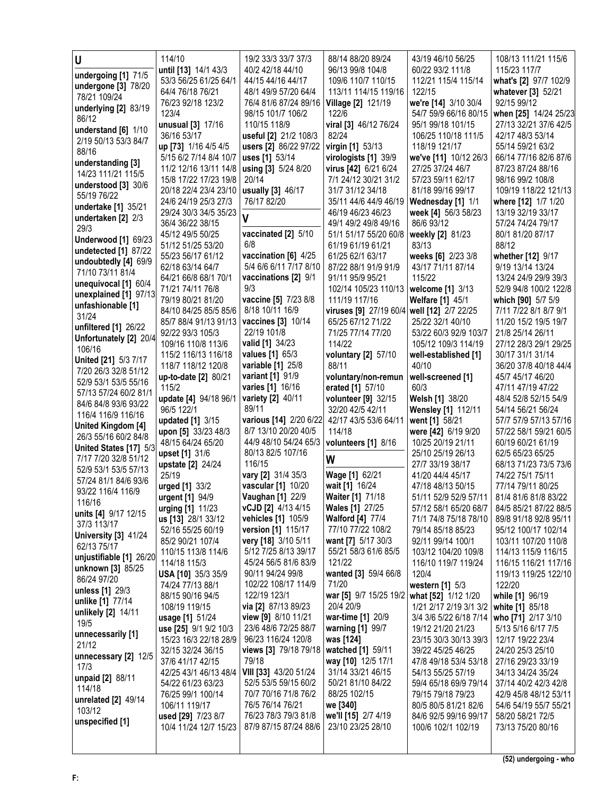| U                                | 114/10                                        | 19/2 33/3 33/7 37/3                           | 88/14 88/20 89/24                          | 43/19 46/10 56/25                               | 108/13 111/21 115/6                          |
|----------------------------------|-----------------------------------------------|-----------------------------------------------|--------------------------------------------|-------------------------------------------------|----------------------------------------------|
| undergoing [1] 71/5              | until [13] 14/1 43/3                          | 40/2 42/18 44/10                              | 96/13 99/8 104/8                           | 60/22 93/2 111/8                                | 115/23 117/7                                 |
| undergone [3] 78/20              | 53/3 56/25 61/25 64/1                         | 44/15 44/16 44/17                             | 109/6 110/7 110/15                         | 112/21 115/4 115/14                             | what's [2] 97/7 102/9                        |
| 78/21 109/24                     | 64/4 76/18 76/21                              | 48/1 49/9 57/20 64/4                          | 113/11 114/15 119/16                       | 122/15                                          | whatever [3] 52/21                           |
| underlying [2] 83/19             | 76/23 92/18 123/2                             | 76/4 81/6 87/24 89/16                         | <b>Village [2] 121/19</b>                  | we're [14] 3/10 30/4                            | 92/15 99/12                                  |
| 86/12                            | 123/4                                         | 98/15 101/7 106/2                             | 122/6                                      | 54/7 59/9 66/16 80/15                           | when [25] 14/24 25/23                        |
| understand [6] 1/10              | unusual [3] 17/16                             | 110/15 118/9                                  | viral [3] 46/12 76/24                      | 95/1 99/18 101/15                               | 27/13 32/21 37/6 42/5                        |
| 2/19 50/13 53/3 84/7             | 36/16 53/17                                   | useful [2] 21/2 108/3                         | 82/24                                      | 106/25 110/18 111/5                             | 42/17 48/3 53/14                             |
| 88/16                            | up [73] 1/16 4/5 4/5                          | users [2] 86/22 97/22                         | virgin [1] 53/13                           | 118/19 121/17                                   | 55/14 59/21 63/2                             |
| understanding [3]                | 5/15 6/2 7/14 8/4 10/7                        | uses [1] 53/14                                | virologists [1] 39/9                       | we've [11] 10/12 26/3                           | 66/14 77/16 82/6 87/6                        |
| 14/23 111/21 115/5               | 11/2 12/16 13/11 14/8                         | using [3] 5/24 8/20                           | virus [42] 6/21 6/24                       | 27/25 37/24 46/7                                | 87/23 87/24 88/16                            |
| understood [3] 30/6              | 15/8 17/22 17/23 19/8                         | 20/14                                         | 7/1 24/12 30/21 31/2                       | 57/23 59/11 62/17                               | 98/16 99/2 108/8                             |
| 55/19 76/22                      | 20/18 22/4 23/4 23/10                         | usually [3] 46/17                             | 31/7 31/12 34/18                           | 81/18 99/16 99/17                               | 109/19 118/22 121/13                         |
| undertake [1] 35/21              | 24/6 24/19 25/3 27/3<br>29/24 30/3 34/5 35/23 | 76/17 82/20                                   | 35/11 44/6 44/9 46/19<br>46/19 46/23 46/23 | Wednesday [1] 1/1<br><b>week [4]</b> 56/3 58/23 | where [12] 1/7 1/20<br>13/19 32/19 33/17     |
| undertaken [2] 2/3               | 36/4 36/22 38/15                              | V                                             | 49/1 49/2 49/8 49/16                       | 86/6 93/12                                      | 57/24 74/24 79/17                            |
| 29/3                             | 45/12 49/5 50/25                              | vaccinated [2] 5/10                           | 51/1 51/17 55/20 60/8                      | weekly [2] 81/23                                | 80/1 81/20 87/17                             |
| <b>Underwood [1] 69/23</b>       | 51/12 51/25 53/20                             | 6/8                                           | 61/19 61/19 61/21                          | 83/13                                           | 88/12                                        |
| undetected [1] 87/22             | 55/23 56/17 61/12                             | vaccination [6] 4/25                          | 61/25 62/1 63/17                           | weeks [6] 2/23 3/8                              | whether [12] 9/17                            |
| undoubtedly [4] 69/9             | 62/18 63/14 64/7                              | 5/4 6/6 6/11 7/17 8/10                        | 87/22 88/1 91/9 91/9                       | 43/17 71/11 87/14                               | 9/19 13/14 13/24                             |
| 71/10 73/11 81/4                 | 64/21 66/8 68/1 70/1                          | vaccinations [2] 9/1                          | 91/11 95/9 95/21                           | 115/22                                          | 13/24 24/9 29/9 39/3                         |
| unequivocal [1] 60/4             | 71/21 74/11 76/8                              | 9/3                                           | 102/14 105/23 110/13                       | welcome [1] 3/13                                | 52/9 94/8 100/2 122/8                        |
| unexplained [1] 97/13            | 79/19 80/21 81/20                             | vaccine [5] 7/23 8/8                          | 111/19 117/16                              | <b>Welfare [1] 45/1</b>                         | which [90] 5/7 5/9                           |
| unfashionable [1]                | 84/10 84/25 85/5 85/6                         | 8/18 10/11 16/9                               | viruses [9] 27/19 60/4 well [12] 2/7 22/25 |                                                 | 7/11 7/22 8/1 8/7 9/1                        |
| 31/24                            | 85/7 88/4 91/13 91/13                         | vaccines [3] 10/14                            | 65/25 67/12 71/22                          | 25/22 32/1 40/10                                | 11/20 15/2 19/5 19/7                         |
| unfiltered [1] 26/22             | 92/22 93/3 105/3                              | 22/19 101/8                                   | 71/25 77/14 77/20                          | 53/22 60/3 92/9 103/7                           | 21/8 25/14 26/11                             |
| Unfortunately [2] 20/4<br>106/16 | 109/16 110/8 113/6                            | valid [1] 34/23                               | 114/22                                     | 105/12 109/3 114/19                             | 27/12 28/3 29/1 29/25                        |
| United [21] 5/3 7/17             | 115/2 116/13 116/18                           | values [1] 65/3                               | voluntary [2] 57/10                        | well-established [1]                            | 30/17 31/1 31/14                             |
| 7/20 26/3 32/8 51/12             | 118/7 118/12 120/8                            | variable [1] 25/8                             | 88/11                                      | 40/10                                           | 36/20 37/8 40/18 44/4                        |
| 52/9 53/1 53/5 55/16             | up-to-date [2] 80/21                          | variant [1] 91/9                              | voluntary/non-remun                        | well-screened [1]                               | 45/7 45/17 46/20                             |
| 57/13 57/24 60/2 81/1            | 115/2                                         | varies [1] 16/16                              | erated [1] 57/10                           | 60/3                                            | 47/11 47/19 47/22                            |
| 84/6 84/8 93/6 93/22             | update [4] 94/18 96/1                         | variety [2] 40/11                             | volunteer [9] 32/15                        | Welsh [1] 38/20                                 | 48/4 52/8 52/15 54/9                         |
|                                  |                                               |                                               |                                            |                                                 |                                              |
| 116/4 116/9 116/16               | 96/5 122/1                                    | 89/11                                         | 32/20 42/5 42/11                           | <b>Wensley [1] 112/11</b>                       | 54/14 56/21 56/24                            |
| United Kingdom [4]               | updated [1] 3/15                              | various [14] 2/20 6/22                        | 42/17 43/5 53/6 64/11                      | went [1] 58/21                                  | 57/7 57/9 57/13 57/16                        |
| 26/3 55/16 60/2 84/8             | upon [5] 33/23 48/3                           | 8/7 13/10 20/20 40/5                          | 114/18                                     | were [42] 6/19 9/20                             | 57/22 58/1 59/21 60/5                        |
| United States [17] 5/3           | 48/15 64/24 65/20                             | 44/9 48/10 54/24 65/3                         | volunteers [1] 8/16                        | 10/25 20/19 21/11                               | 60/19 60/21 61/19                            |
| 7/17 7/20 32/8 51/12             | upset [1] 31/6                                | 80/13 82/5 107/16<br>116/15                   | W                                          | 25/10 25/19 26/13                               | 62/5 65/23 65/25                             |
| 52/9 53/1 53/5 57/13             | upstate [2] 24/24                             |                                               |                                            | 27/7 33/19 38/17                                | 68/13 71/23 73/5 73/6                        |
| 57/24 81/1 84/6 93/6             | 25/19                                         | vary [2] 31/4 35/3<br>vascular [1] 10/20      | Wage [1] 62/21<br>wait [1] 16/24           | 41/20 44/4 45/17<br>47/18 48/13 50/15           | 74/22 75/1 75/11<br>77/14 79/11 80/25        |
| 93/22 116/4 116/9                | urged [1] 33/2<br>urgent [1] 94/9             | <b>Vaughan [1] 22/9</b>                       | Waiter [1] 71/18                           | 51/11 52/9 52/9 57/11                           | 81/4 81/6 81/8 83/22                         |
| 116/16                           | urging [1] 11/23                              | vCJD [2] 4/13 4/15                            | <b>Wales [1] 27/25</b>                     | 57/12 58/1 65/20 68/7                           | 84/5 85/21 87/22 88/5                        |
| units [4] 9/17 12/15             | us [13] 28/1 33/12                            | vehicles [1] 105/9                            | <b>Walford [4] 77/4</b>                    | 71/1 74/8 75/18 78/10                           | 89/8 91/18 92/8 95/11                        |
| 37/3 113/17                      | 52/16 55/25 60/19                             | version [1] 115/17                            | 77/10 77/22 108/2                          | 79/14 85/18 85/23                               | 95/12 100/17 102/14                          |
| University [3] 41/24             | 85/2 90/21 107/4                              | very [18] 3/10 5/11                           | want [7] 5/17 30/3                         | 92/11 99/14 100/1                               | 103/11 107/20 110/8                          |
| 62/13 75/17                      | 110/15 113/8 114/6                            | 5/12 7/25 8/13 39/17                          | 55/21 58/3 61/6 85/5                       | 103/12 104/20 109/8                             | 114/13 115/9 116/15                          |
| unjustifiable [1] 26/20          | 114/18 115/3                                  | 45/24 56/5 81/6 83/9                          | 121/22                                     | 116/10 119/7 119/24                             |                                              |
| unknown [3] 85/25                | USA [10] 35/3 35/9                            | 90/11 94/24 99/8                              | wanted [3] 59/4 66/8                       | 120/4                                           |                                              |
| 86/24 97/20<br>unless [1] 29/3   | 74/24 77/13 88/1                              | 102/22 108/17 114/9                           | 71/20                                      | western $[1]$ 5/3                               | 122/20                                       |
| unlike [1]  77/14                | 88/15 90/16 94/5                              | 122/19 123/1                                  | war [5] 9/7 15/25 19/2                     | what [52] 1/12 1/20                             | while [1] 96/19                              |
| unlikely [2] 14/11               | 108/19 119/15                                 | via [2] 87/13 89/23                           | 20/4 20/9                                  | 1/21 2/17 2/19 3/1 3/2                          | white [1] 85/18                              |
| 19/5                             | usage [1] 51/24                               | view [9] 8/10 11/21                           | war-time [1] 20/9                          | 3/4 3/6 5/22 6/18 7/14                          | who [71] 2/17 3/10                           |
| unnecessarily [1]                | use [25] 9/1 9/2 10/3                         | 23/6 48/6 72/25 88/7                          | warning [1] 99/7                           | 19/12 21/20 21/23                               | 5/13 5/16 6/17 7/5                           |
| 21/12                            | 15/23 16/3 22/18 28/9                         | 96/23 116/24 120/8                            | was [124]                                  | 23/15 30/3 30/13 39/3                           | 12/17 19/22 23/4                             |
| unnecessary [2] 12/5             | 32/15 32/24 36/15                             | views [3] 79/18 79/18                         | watched [1] 59/11                          | 39/22 45/25 46/25                               | 24/20 25/3 25/10                             |
| 17/3                             | 37/6 41/17 42/15                              | 79/18                                         | way [10] 12/5 17/1<br>31/14 33/21 46/15    | 47/8 49/18 53/4 53/18<br>54/13 55/25 57/19      | 27/16 29/23 33/19                            |
| unpaid [2] 88/11                 | 42/25 43/1 46/13 48/4<br>54/22 61/23 63/23    | VIII [33] 43/20 51/24<br>52/5 53/5 59/15 60/2 | 50/21 81/10 84/22                          | 59/4 65/18 69/9 79/14                           | 34/13 34/24 35/24<br>37/14 40/2 42/3 42/8    |
| 114/18                           | 76/25 99/1 100/14                             | 70/7 70/16 71/8 76/2                          | 88/25 102/15                               | 79/15 79/18 79/23                               | 42/9 45/8 48/12 53/11                        |
| unrelated [2] 49/14              | 106/11 119/17                                 | 76/5 76/14 76/21                              | we [340]                                   | 80/5 80/5 81/21 82/6                            | 54/6 54/19 55/7 55/21                        |
| 103/12                           | used [29] 7/23 8/7                            | 76/23 78/3 79/3 81/8                          | we'll [15] 2/7 4/19                        | 84/6 92/5 99/16 99/17                           | 58/20 58/21 72/5                             |
| unspecified [1]                  | 10/4 11/24 12/7 15/23                         | 87/9 87/15 87/24 88/6                         | 23/10 23/25 28/10                          | 100/6 102/1 102/19                              | 73/13 75/20 80/16                            |
|                                  |                                               |                                               |                                            |                                                 | 116/15 116/21 117/16<br>119/13 119/25 122/10 |